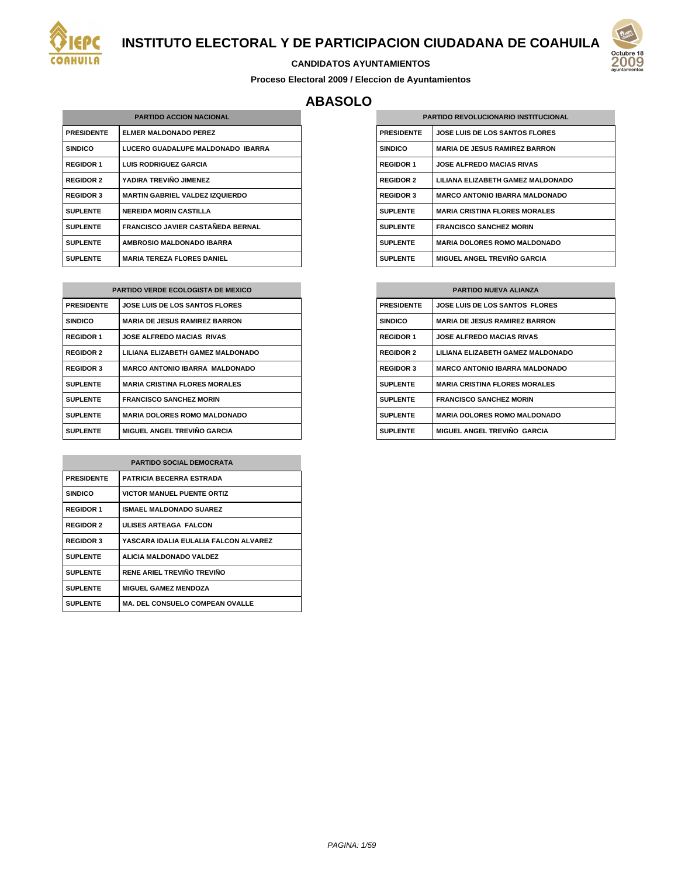



#### **CANDIDATOS AYUNTAMIENTOS**

**Proceso Electoral 2009 / Eleccion de Ayuntamientos**

# **ABASOLO**

| <b>PARTIDO ACCION NACIONAL</b> |                                          |  |
|--------------------------------|------------------------------------------|--|
| <b>PRESIDENTE</b>              | <b>ELMER MALDONADO PEREZ</b>             |  |
| <b>SINDICO</b>                 | LUCERO GUADALUPE MALDONADO IBARRA        |  |
| <b>REGIDOR 1</b>               | <b>LUIS RODRIGUEZ GARCIA</b>             |  |
| <b>REGIDOR 2</b>               | YADIRA TREVIÑO JIMENEZ                   |  |
| <b>REGIDOR 3</b>               | <b>MARTIN GABRIEL VALDEZ IZQUIERDO</b>   |  |
| <b>SUPLENTE</b>                | <b>NEREIDA MORIN CASTILLA</b>            |  |
| <b>SUPLENTE</b>                | <b>FRANCISCO JAVIER CASTAÑEDA BERNAL</b> |  |
| <b>SUPLENTE</b>                | <b>AMBROSIO MALDONADO IBARRA</b>         |  |
| <b>SUPLENTE</b>                | <b>MARIA TEREZA FLORES DANIEL</b>        |  |

| <b>PARTIDO VERDE ECOLOGISTA DE MEXICO</b> |                                       |  |
|-------------------------------------------|---------------------------------------|--|
| <b>PRESIDENTE</b>                         | <b>JOSE LUIS DE LOS SANTOS FLORES</b> |  |
| <b>SINDICO</b>                            | <b>MARIA DE JESUS RAMIREZ BARRON</b>  |  |
| <b>REGIDOR 1</b>                          | <b>JOSE ALFREDO MACIAS RIVAS</b>      |  |
| <b>REGIDOR 2</b>                          | LILIANA ELIZABETH GAMEZ MALDONADO     |  |
| <b>REGIDOR 3</b>                          | <b>MARCO ANTONIO IBARRA MALDONADO</b> |  |
| <b>SUPLENTE</b>                           | <b>MARIA CRISTINA FLORES MORALES</b>  |  |
| <b>SUPLENTE</b>                           | <b>FRANCISCO SANCHEZ MORIN</b>        |  |
| <b>SUPLENTE</b>                           | <b>MARIA DOLORES ROMO MALDONADO</b>   |  |
| <b>SUPLENTE</b>                           | <b>MIGUEL ANGEL TREVIÑO GARCIA</b>    |  |

| <b>PARTIDO SOCIAL DEMOCRATA</b> |                                        |
|---------------------------------|----------------------------------------|
| <b>PRESIDENTE</b>               | <b>PATRICIA BECERRA ESTRADA</b>        |
| <b>SINDICO</b>                  | <b>VICTOR MANUEL PUENTE ORTIZ</b>      |
| <b>REGIDOR 1</b>                | <b>ISMAEL MALDONADO SUAREZ</b>         |
| <b>REGIDOR 2</b>                | ULISES ARTEAGA FALCON                  |
| <b>REGIDOR 3</b>                | YASCARA IDALIA EULALIA FALCON ALVAREZ  |
| <b>SUPLENTE</b>                 | ALICIA MALDONADO VALDEZ                |
| <b>SUPLENTE</b>                 | RENE ARIEL TREVIÑO TREVIÑO             |
| <b>SUPLENTE</b>                 | <b>MIGUEL GAMEZ MENDOZA</b>            |
| <b>SUPLENTE</b>                 | <b>MA. DEL CONSUELO COMPEAN OVALLE</b> |

| <b>PARTIDO REVOLUCIONARIO INSTITUCIONAL</b> |                                       |  |
|---------------------------------------------|---------------------------------------|--|
| <b>PRESIDENTE</b>                           | <b>JOSE LUIS DE LOS SANTOS FLORES</b> |  |
| <b>SINDICO</b>                              | <b>MARIA DE JESUS RAMIREZ BARRON</b>  |  |
| <b>REGIDOR 1</b>                            | <b>JOSE ALFREDO MACIAS RIVAS</b>      |  |
| <b>REGIDOR 2</b>                            | LILIANA ELIZABETH GAMEZ MALDONADO     |  |
| <b>REGIDOR 3</b>                            | <b>MARCO ANTONIO IBARRA MALDONADO</b> |  |
| <b>SUPLENTE</b>                             | <b>MARIA CRISTINA FLORES MORALES</b>  |  |
| <b>SUPLENTE</b>                             | <b>FRANCISCO SANCHEZ MORIN</b>        |  |
| <b>SUPLENTE</b>                             | <b>MARIA DOLORES ROMO MALDONADO</b>   |  |
| <b>SUPLENTE</b>                             | MIGUEL ANGEL TREVIÑO GARCIA           |  |

| <b>PARTIDO NUEVA ALIANZA</b> |                                       |  |
|------------------------------|---------------------------------------|--|
| <b>PRESIDENTE</b>            | JOSE LUIS DE LOS SANTOS FLORES        |  |
| <b>SINDICO</b>               | <b>MARIA DE JESUS RAMIREZ BARRON</b>  |  |
| <b>REGIDOR 1</b>             | <b>JOSE ALFREDO MACIAS RIVAS</b>      |  |
| <b>REGIDOR 2</b>             | LILIANA ELIZABETH GAMEZ MALDONADO     |  |
| <b>REGIDOR 3</b>             | <b>MARCO ANTONIO IBARRA MALDONADO</b> |  |
| <b>SUPLENTE</b>              | <b>MARIA CRISTINA FLORES MORALES</b>  |  |
| <b>SUPLENTE</b>              | <b>FRANCISCO SANCHEZ MORIN</b>        |  |
| <b>SUPLENTE</b>              | <b>MARIA DOLORES ROMO MALDONADO</b>   |  |
| <b>SUPLENTE</b>              | MIGUEL ANGEL TREVIÑO GARCIA           |  |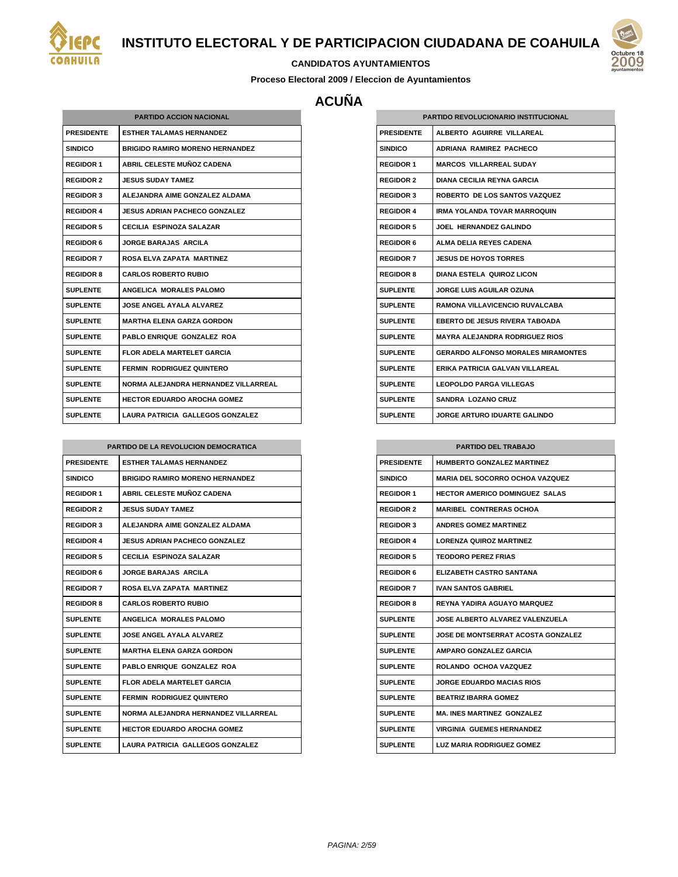



#### **CANDIDATOS AYUNTAMIENTOS**

**Proceso Electoral 2009 / Eleccion de Ayuntamientos**

# **ACUÑA**

| <b>PARTIDO ACCION NACIONAL</b> |                                        |  |
|--------------------------------|----------------------------------------|--|
| <b>PRESIDENTE</b>              | <b>FSTHER TAI AMAS HERNANDEZ</b>       |  |
| <b>SINDICO</b>                 | <b>BRIGIDO RAMIRO MORENO HERNANDEZ</b> |  |
| <b>REGIDOR 1</b>               | ABRIL CELESTE MUÑOZ CADENA             |  |
| <b>REGIDOR 2</b>               | <b>JESUS SUDAY TAMEZ</b>               |  |
| <b>REGIDOR 3</b>               | ALEJANDRA AIME GONZALEZ ALDAMA         |  |
| <b>REGIDOR 4</b>               | <b>JESUS ADRIAN PACHECO GONZALEZ</b>   |  |
| <b>REGIDOR 5</b>               | <b>CECILIA ESPINOZA SALAZAR</b>        |  |
| <b>REGIDOR 6</b>               | <b>JORGE BARAJAS ARCILA</b>            |  |
| <b>REGIDOR 7</b>               | ROSA ELVA ZAPATA MARTINEZ              |  |
| <b>REGIDOR 8</b>               | <b>CARLOS ROBERTO RUBIO</b>            |  |
| <b>SUPLENTE</b>                | ANGELICA MORALES PALOMO                |  |
| <b>SUPLENTE</b>                | JOSE ANGEL AYALA ALVAREZ               |  |
| <b>SUPLENTE</b>                | <b>MARTHA ELENA GARZA GORDON</b>       |  |
| <b>SUPLENTE</b>                | PABLO ENRIQUE GONZALEZ ROA             |  |
| <b>SUPLENTE</b>                | FLOR ADELA MARTELET GARCIA             |  |
| <b>SUPLENTE</b>                | <b>FERMIN RODRIGUEZ QUINTERO</b>       |  |
| <b>SUPLENTE</b>                | NORMA ALEJANDRA HERNANDEZ VILLARREAL   |  |
| <b>SUPLENTE</b>                | <b>HECTOR EDUARDO AROCHA GOMEZ</b>     |  |
| <b>SUPLENTE</b>                | LAURA PATRICIA GALLEGOS GONZALEZ       |  |

| PARTIDO DE LA REVOLUCION DEMOCRATICA |                                        |  |
|--------------------------------------|----------------------------------------|--|
| <b>PRESIDENTE</b>                    | <b>ESTHER TALAMAS HERNANDEZ</b>        |  |
| <b>SINDICO</b>                       | <b>BRIGIDO RAMIRO MORENO HERNANDEZ</b> |  |
| <b>REGIDOR 1</b>                     | <b>ABRIL CELESTE MUNOZ CADENA</b>      |  |
| <b>REGIDOR 2</b>                     | <b>JESUS SUDAY TAMEZ</b>               |  |
| <b>REGIDOR 3</b>                     | ALEJANDRA AIME GONZALEZ ALDAMA         |  |
| <b>REGIDOR 4</b>                     | <b>JESUS ADRIAN PACHECO GONZALEZ</b>   |  |
| <b>REGIDOR 5</b>                     | CECILIA ESPINOZA SALAZAR               |  |
| <b>REGIDOR 6</b>                     | <b>JORGE BARAJAS ARCILA</b>            |  |
| <b>REGIDOR 7</b>                     | ROSA ELVA ZAPATA MARTINEZ              |  |
| <b>REGIDOR 8</b>                     | <b>CARLOS ROBERTO RUBIO</b>            |  |
| <b>SUPLENTE</b>                      | ANGELICA MORALES PALOMO                |  |
| <b>SUPLENTE</b>                      | JOSE ANGEL AYALA AI VAREZ              |  |
| <b>SUPLENTE</b>                      | <b>MARTHA ELENA GARZA GORDON</b>       |  |
| <b>SUPLENTE</b>                      | PABLO ENRIQUE GONZALEZ ROA             |  |
| <b>SUPLENTE</b>                      | FLOR ADELA MARTELET GARCIA             |  |
| <b>SUPLENTE</b>                      | <b>FERMIN RODRIGUEZ QUINTERO</b>       |  |
| <b>SUPLENTE</b>                      | NORMA ALEJANDRA HERNANDEZ VILLARREAL   |  |
| SUPLENTE                             | <b>HECTOR EDUARDO AROCHA GOMEZ</b>     |  |
| <b>SUPLENTE</b>                      | LAURA PATRICIA GALLEGOS GONZALEZ       |  |

| <b>PARTIDO REVOLUCIONARIO INSTITUCIONAL</b> |                                           |  |
|---------------------------------------------|-------------------------------------------|--|
| <b>PRESIDENTE</b>                           | ALBERTO AGUIRRE VILLAREAL                 |  |
| <b>SINDICO</b>                              | ADRIANA RAMIREZ PACHECO                   |  |
| <b>REGIDOR 1</b>                            | <b>MARCOS VILLARREAL SUDAY</b>            |  |
| <b>REGIDOR 2</b>                            | DIANA CECII IA REYNA GARCIA               |  |
| <b>REGIDOR 3</b>                            | ROBERTO DE LOS SANTOS VAZQUEZ             |  |
| <b>REGIDOR 4</b>                            | <b>IRMA YOLANDA TOVAR MARROQUIN</b>       |  |
| <b>REGIDOR 5</b>                            | <b>JOEL HERNANDEZ GALINDO</b>             |  |
| <b>REGIDOR 6</b>                            | ALMA DELIA REYES CADENA                   |  |
| <b>REGIDOR 7</b>                            | <b>JESUS DE HOYOS TORRES</b>              |  |
| <b>REGIDOR 8</b>                            | DIANA ESTELA QUIROZ LICON                 |  |
| <b>SUPLENTE</b>                             | JORGE LUIS AGUILAR OZUNA                  |  |
| <b>SUPLENTE</b>                             | RAMONA VILLAVICENCIO RUVALCABA            |  |
| <b>SUPLENTE</b>                             | <b>EBERTO DE JESUS RIVERA TABOADA</b>     |  |
| <b>SUPLENTE</b>                             | <b>MAYRA ALEJANDRA RODRIGUEZ RIOS</b>     |  |
| <b>SUPLENTE</b>                             | <b>GERARDO ALFONSO MORALES MIRAMONTES</b> |  |
| <b>SUPLENTE</b>                             | ERIKA PATRICIA GALVAN VILLAREAL           |  |
| <b>SUPLENTE</b>                             | <b>LEOPOLDO PARGA VILLEGAS</b>            |  |
| <b>SUPLENTE</b>                             | <b>SANDRA LOZANO CRUZ</b>                 |  |
| <b>SUPLENTE</b>                             | <b>JORGE ARTURO IDUARTE GALINDO</b>       |  |

| <b>PARTIDO DEL TRABAJO</b> |                                           |  |
|----------------------------|-------------------------------------------|--|
| <b>PRESIDENTE</b>          | <b>HUMBERTO GONZALEZ MARTINEZ</b>         |  |
| <b>SINDICO</b>             | <b>MARIA DEL SOCORRO OCHOA VAZQUEZ</b>    |  |
| <b>REGIDOR 1</b>           | HECTOR AMERICO DOMINGUEZ SALAS            |  |
| <b>REGIDOR 2</b>           | <b>MARIBEL CONTRERAS OCHOA</b>            |  |
| <b>REGIDOR 3</b>           | <b>ANDRES GOMEZ MARTINEZ</b>              |  |
| <b>REGIDOR 4</b>           | <b>LORENZA QUIROZ MARTINEZ</b>            |  |
| <b>REGIDOR 5</b>           | <b>TEODORO PEREZ FRIAS</b>                |  |
| <b>REGIDOR 6</b>           | <b>ELIZABETH CASTRO SANTANA</b>           |  |
| <b>REGIDOR 7</b>           | <b>IVAN SANTOS GABRIEL</b>                |  |
| <b>REGIDOR 8</b>           | <b>REYNA YADIRA AGUAYO MARQUEZ</b>        |  |
| <b>SUPLENTE</b>            | JOSE ALBERTO ALVAREZ VALENZUELA           |  |
| <b>SUPLENTE</b>            | <b>JOSE DE MONTSERRAT ACOSTA GONZALEZ</b> |  |
| <b>SUPLENTE</b>            | AMPARO GONZALEZ GARCIA                    |  |
| <b>SUPLENTE</b>            | ROLANDO OCHOA VAZQUEZ                     |  |
| <b>SUPLENTE</b>            | <b>JORGE EDUARDO MACIAS RIOS</b>          |  |
| <b>SUPLENTE</b>            | <b>BEATRIZ IBARRA GOMEZ</b>               |  |
| <b>SUPLENTE</b>            | <b>MA. INES MARTINEZ GONZALEZ</b>         |  |
| <b>SUPLENTE</b>            | VIRGINIA GUEMES HERNANDEZ                 |  |
| <b>SUPLENTE</b>            | LUZ MARIA RODRIGUEZ GOMEZ                 |  |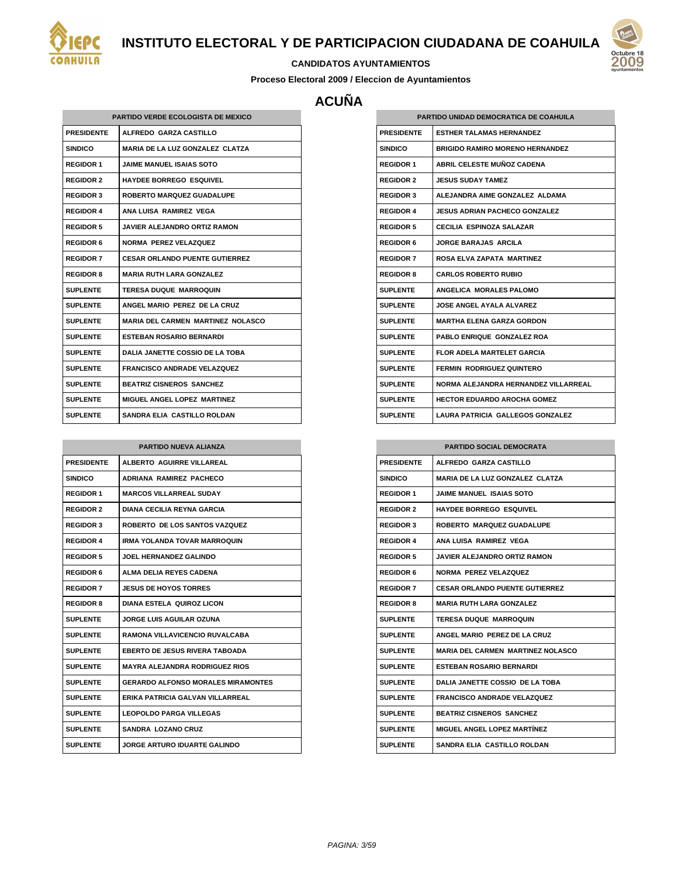



#### **CANDIDATOS AYUNTAMIENTOS**

**Proceso Electoral 2009 / Eleccion de Ayuntamientos**

# **ACUÑA**

| PARTIDO VERDE ECOLOGISTA DE MEXICO |                                          |  |
|------------------------------------|------------------------------------------|--|
| <b>PRESIDENTE</b>                  | ALFREDO GARZA CASTILLO                   |  |
| <b>SINDICO</b>                     | <b>MARIA DE LA LUZ GONZALEZ CLATZA</b>   |  |
| <b>REGIDOR 1</b>                   | <b>JAIME MANUEL ISAIAS SOTO</b>          |  |
| <b>REGIDOR 2</b>                   | <b>HAYDEE BORREGO ESQUIVEL</b>           |  |
| <b>REGIDOR 3</b>                   | <b>ROBERTO MARQUEZ GUADALUPE</b>         |  |
| <b>REGIDOR 4</b>                   | ANA LUISA RAMIREZ VEGA                   |  |
| <b>REGIDOR 5</b>                   | <b>JAVIER ALEJANDRO ORTIZ RAMON</b>      |  |
| <b>REGIDOR 6</b>                   | <b>NORMA PEREZ VELAZQUEZ</b>             |  |
| <b>REGIDOR 7</b>                   | <b>CESAR ORLANDO PUENTE GUTIERREZ</b>    |  |
| <b>REGIDOR 8</b>                   | <b>MARIA RUTH LARA GONZALEZ</b>          |  |
| <b>SUPLENTE</b>                    | <b>TERESA DUQUE MARROQUIN</b>            |  |
| <b>SUPLENTE</b>                    | ANGEL MARIO PEREZ DE LA CRUZ             |  |
| <b>SUPLENTE</b>                    | <b>MARIA DEL CARMEN MARTINEZ NOLASCO</b> |  |
| <b>SUPLENTE</b>                    | <b>ESTEBAN ROSARIO BERNARDI</b>          |  |
| <b>SUPLENTE</b>                    | <b>DALIA JANETTE COSSIO DE LA TOBA</b>   |  |
| <b>SUPLENTE</b>                    | <b>FRANCISCO ANDRADE VELAZQUEZ</b>       |  |
| <b>SUPLENTE</b>                    | BEATRIZ CISNEROS SANCHEZ                 |  |
| <b>SUPLENTE</b>                    | MIGUEL ANGEL LOPEZ MARTINEZ              |  |
| <b>SUPLENTE</b>                    | SANDRA ELIA CASTILLO ROLDAN              |  |

| <b>PARTIDO NUEVA ALIANZA</b> |                                           |  |
|------------------------------|-------------------------------------------|--|
| <b>PRESIDENTE</b>            | ALBERTO AGUIRRE VILLAREAL                 |  |
| <b>SINDICO</b>               | <b>ADRIANA RAMIREZ PACHECO</b>            |  |
| <b>REGIDOR 1</b>             | <b>MARCOS VILLARREAL SUDAY</b>            |  |
| <b>REGIDOR 2</b>             | <b>DIANA CECILIA REYNA GARCIA</b>         |  |
| <b>REGIDOR 3</b>             | ROBERTO DE LOS SANTOS VAZQUEZ             |  |
| <b>REGIDOR 4</b>             | <b>IRMA YOLANDA TOVAR MARROQUIN</b>       |  |
| <b>REGIDOR 5</b>             | JOEL HERNANDEZ GALINDO                    |  |
| <b>REGIDOR 6</b>             | ALMA DELIA REYES CADENA                   |  |
| <b>REGIDOR 7</b>             | <b>JESUS DE HOYOS TORRES</b>              |  |
| <b>REGIDOR 8</b>             | DIANA ESTELA QUIROZ LICON                 |  |
| <b>SUPLENTE</b>              | <b>JORGE LUIS AGUILAR OZUNA</b>           |  |
| <b>SUPLENTE</b>              | RAMONA VILLAVICENCIO RUVALCABA            |  |
| <b>SUPLENTE</b>              | <b>EBERTO DE JESUS RIVERA TABOADA</b>     |  |
| <b>SUPLENTE</b>              | <b>MAYRA ALEJANDRA RODRIGUEZ RIOS</b>     |  |
| <b>SUPLENTE</b>              | <b>GERARDO ALFONSO MORALES MIRAMONTES</b> |  |
| <b>SUPLENTE</b>              | ERIKA PATRICIA GALVAN VILLARREAL          |  |
| <b>SUPLENTE</b>              | <b>LEOPOLDO PARGA VILLEGAS</b>            |  |
| <b>SUPLENTE</b>              | <b>SANDRA LOZANO CRUZ</b>                 |  |
| <b>SUPLENTE</b>              | JORGE ARTURO IDUARTE GALINDO              |  |

| PARTIDO UNIDAD DEMOCRATICA DE COAHUILA |                                        |
|----------------------------------------|----------------------------------------|
| <b>PRESIDENTE</b>                      | <b>ESTHER TALAMAS HERNANDEZ</b>        |
| SINDICO                                | <b>BRIGIDO RAMIRO MORENO HERNANDEZ</b> |
| <b>REGIDOR 1</b>                       | ABRIL CELESTE MUÑOZ CADENA             |
| <b>REGIDOR 2</b>                       | <b>JESUS SUDAY TAMEZ</b>               |
| <b>REGIDOR 3</b>                       | ALEJANDRA AIME GONZALEZ ALDAMA         |
| <b>REGIDOR 4</b>                       | <b>JESUS ADRIAN PACHECO GONZALEZ</b>   |
| <b>REGIDOR 5</b>                       | <b>CECILIA ESPINOZA SALAZAR</b>        |
| <b>REGIDOR 6</b>                       | JORGE BARAJAS ARCILA                   |
| <b>REGIDOR 7</b>                       | <b>ROSA ELVA ZAPATA MARTINEZ</b>       |
| <b>REGIDOR 8</b>                       | <b>CARLOS ROBERTO RUBIO</b>            |
| <b>SUPLENTE</b>                        | <b>ANGELICA MORALES PALOMO</b>         |
| <b>SUPLENTE</b>                        | <b>JOSE ANGEL AYALA ALVAREZ</b>        |
| SUPLENTE                               | <b>MARTHA ELENA GARZA GORDON</b>       |
| <b>SUPLENTE</b>                        | PABLO ENRIQUE GONZALEZ ROA             |
| <b>SUPLENTE</b>                        | FLOR ADELA MARTELET GARCIA             |
| <b>SUPLENTE</b>                        | <b>FERMIN RODRIGUEZ QUINTERO</b>       |
| <b>SUPLENTE</b>                        | NORMA ALEJANDRA HERNANDEZ VILLARREAL   |
| <b>SUPLENTE</b>                        | <b>HECTOR EDUARDO AROCHA GOMEZ</b>     |
| <b>SUPLENTE</b>                        | LAURA PATRICIA GALLEGOS GONZALEZ       |

| <b>PARTIDO SOCIAL DEMOCRATA</b> |                                          |
|---------------------------------|------------------------------------------|
| <b>PRESIDENTE</b>               | ALFREDO GARZA CASTILLO                   |
| <b>SINDICO</b>                  | <b>MARIA DE LA LUZ GONZALEZ CLATZA</b>   |
| <b>REGIDOR 1</b>                | JAIME MANUEL ISAIAS SOTO                 |
| <b>REGIDOR 2</b>                | <b>HAYDEE BORREGO ESQUIVEL</b>           |
| <b>REGIDOR 3</b>                | ROBERTO MARQUEZ GUADALUPE                |
| <b>REGIDOR 4</b>                | ANA LUISA RAMIREZ VEGA                   |
| <b>REGIDOR 5</b>                | JAVIER ALEJANDRO ORTIZ RAMON             |
| <b>REGIDOR 6</b>                | NORMA PEREZ VELAZQUEZ                    |
| <b>REGIDOR 7</b>                | <b>CESAR ORLANDO PUENTE GUTIERREZ</b>    |
| <b>REGIDOR 8</b>                | <b>MARIA RUTH LARA GONZALEZ</b>          |
| <b>SUPLENTE</b>                 | <b>TERESA DUQUE MARROQUIN</b>            |
| <b>SUPLENTE</b>                 | ANGEL MARIO PEREZ DE LA CRUZ             |
| <b>SUPLENTE</b>                 | <b>MARIA DEL CARMEN MARTINEZ NOLASCO</b> |
| <b>SUPLENTE</b>                 | <b>ESTEBAN ROSARIO BERNARDI</b>          |
| <b>SUPLENTE</b>                 | DALIA JANETTE COSSIO DE LA TOBA          |
| <b>SUPLENTE</b>                 | <b>FRANCISCO ANDRADE VELAZQUEZ</b>       |
| <b>SUPLENTE</b>                 | <b>BEATRIZ CISNEROS SANCHEZ</b>          |
| <b>SUPLENTE</b>                 | <b>MIGUEL ANGEL LOPEZ MARTÍNEZ</b>       |
| <b>SUPLENTE</b>                 | SANDRA ELIA CASTILLO ROLDAN              |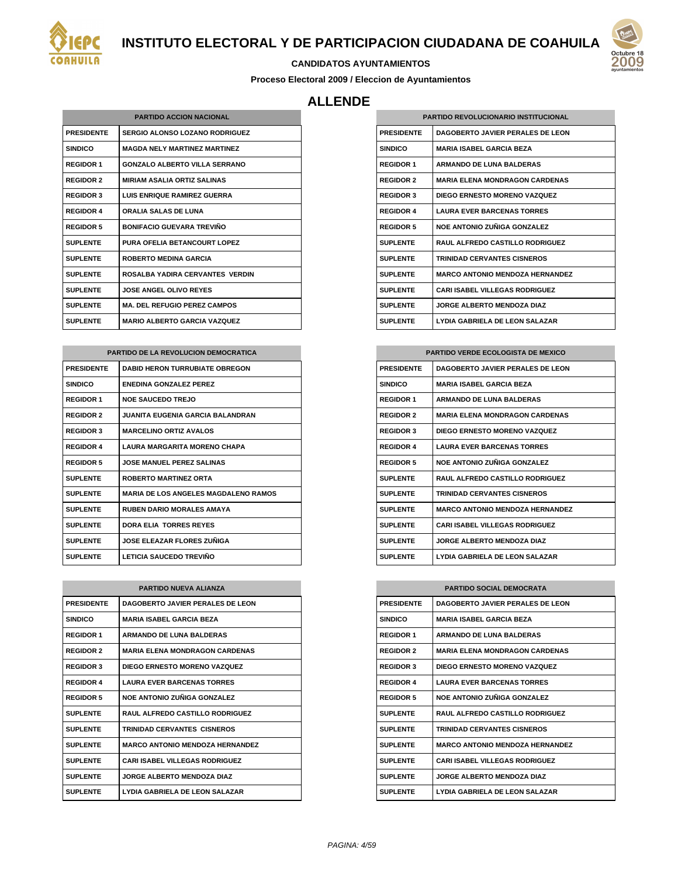

#### **CANDIDATOS AYUNTAMIENTOS**

**Proceso Electoral 2009 / Eleccion de Ayuntamientos**

## **ALLENDE**

| <b>PARTIDO ACCION NACIONAL</b> |                                       |
|--------------------------------|---------------------------------------|
| <b>PRESIDENTE</b>              | <b>SERGIO ALONSO LOZANO RODRIGUEZ</b> |
| <b>SINDICO</b>                 | <b>MAGDA NELY MARTINEZ MARTINEZ</b>   |
| <b>REGIDOR 1</b>               | GONZALO ALBERTO VILLA SERRANO         |
| <b>REGIDOR 2</b>               | <b>MIRIAM ASALIA ORTIZ SALINAS</b>    |
| <b>REGIDOR 3</b>               | <b>LUIS ENRIQUE RAMIREZ GUERRA</b>    |
| <b>REGIDOR 4</b>               | ORALIA SALAS DE LUNA                  |
| <b>REGIDOR 5</b>               | <b>BONIFACIO GUEVARA TREVIÑO</b>      |
| <b>SUPLENTE</b>                | PURA OFELIA BETANCOURT LOPEZ          |
| <b>SUPLENTE</b>                | <b>ROBERTO MEDINA GARCIA</b>          |
| <b>SUPLENTE</b>                | ROSAL BA YADIRA CERVANTES VERDIN      |
| <b>SUPLENTE</b>                | <b>JOSE ANGEL OLIVO REYES</b>         |
| <b>SUPLENTE</b>                | <b>MA. DEL REFUGIO PEREZ CAMPOS</b>   |
| <b>SUPLENTE</b>                | <b>MARIO ALBERTO GARCIA VAZQUEZ</b>   |

| <b>PARTIDO DE LA REVOLUCION DEMOCRATICA</b> |                                             |
|---------------------------------------------|---------------------------------------------|
| <b>PRESIDENTE</b>                           | <b>DABID HERON TURRUBIATE OBREGON</b>       |
| <b>SINDICO</b>                              | <b>ENEDINA GONZALEZ PEREZ</b>               |
| <b>REGIDOR 1</b>                            | <b>NOE SAUCEDO TREJO</b>                    |
| <b>REGIDOR 2</b>                            | <b>JUANITA EUGENIA GARCIA BALANDRAN</b>     |
| <b>REGIDOR 3</b>                            | <b>MARCELINO ORTIZ AVALOS</b>               |
| <b>REGIDOR 4</b>                            | <b>LAURA MARGARITA MORENO CHAPA</b>         |
| <b>REGIDOR 5</b>                            | <b>JOSE MANUEL PEREZ SALINAS</b>            |
| <b>SUPLENTE</b>                             | <b>ROBERTO MARTINEZ ORTA</b>                |
| <b>SUPLENTE</b>                             | <b>MARIA DE LOS ANGELES MAGDALENO RAMOS</b> |
| <b>SUPLENTE</b>                             | <b>RUBEN DARIO MORALES AMAYA</b>            |
| <b>SUPLENTE</b>                             | <b>DORA ELIA TORRES REYES</b>               |
| <b>SUPLENTE</b>                             | <b>JOSE ELEAZAR FLORES ZUÑIGA</b>           |
| <b>SUPLENTE</b>                             | <b>LETICIA SAUCEDO TREVIÑO</b>              |

| <b>PARTIDO NUEVA ALIANZA</b> |                                         |
|------------------------------|-----------------------------------------|
| <b>PRESIDENTE</b>            | <b>DAGOBERTO JAVIER PERALES DE LEON</b> |
| <b>SINDICO</b>               | <b>MARIA ISAREL GARCIA BEZA</b>         |
| <b>REGIDOR 1</b>             | <b>ARMANDO DE LUNA BALDERAS</b>         |
| <b>REGIDOR 2</b>             | <b>MARIA ELENA MONDRAGON CARDENAS</b>   |
| <b>REGIDOR 3</b>             | DIEGO ERNESTO MORENO VAZQUEZ            |
| <b>REGIDOR 4</b>             | <b>LAURA EVER BARCENAS TORRES</b>       |
| <b>REGIDOR 5</b>             | NOE ANTONIO ZUÑIGA GONZALEZ             |
| <b>SUPLENTE</b>              | <b>RAUL ALFREDO CASTILLO RODRIGUEZ</b>  |
| <b>SUPLENTE</b>              | TRINIDAD CERVANTES CISNEROS             |
| <b>SUPLENTE</b>              | <b>MARCO ANTONIO MENDOZA HERNANDEZ</b>  |
| <b>SUPLENTE</b>              | <b>CARI ISABEL VILLEGAS RODRIGUEZ</b>   |
| <b>SUPLENTE</b>              | <b>JORGE ALBERTO MENDOZA DIAZ</b>       |
| <b>SUPLENTE</b>              | <b>LYDIA GABRIELA DE LEON SALAZAR</b>   |

| <b>PARTIDO REVOLUCIONARIO INSTITUCIONAL</b> |                                        |
|---------------------------------------------|----------------------------------------|
| <b>PRESIDENTE</b>                           | DAGOBERTO JAVIER PERALES DE LEON       |
| <b>SINDICO</b>                              | <b>MARIA ISABEL GARCIA BEZA</b>        |
| <b>REGIDOR 1</b>                            | <b>ARMANDO DE LUNA BALDERAS</b>        |
| <b>REGIDOR 2</b>                            | <b>MARIA FI FNA MONDRAGON CARDENAS</b> |
| <b>REGIDOR 3</b>                            | DIEGO ERNESTO MORENO VAZQUEZ           |
| <b>REGIDOR 4</b>                            | <b>LAURA EVER BARCENAS TORRES</b>      |
| <b>REGIDOR 5</b>                            | NOE ANTONIO ZUÑIGA GONZALEZ            |
| <b>SUPLENTE</b>                             | <b>RAUL ALFREDO CASTILLO RODRIGUEZ</b> |
| <b>SUPLENTE</b>                             | <b>TRINIDAD CERVANTES CISNEROS</b>     |
| <b>SUPLENTE</b>                             | <b>MARCO ANTONIO MENDOZA HERNANDEZ</b> |
| <b>SUPLENTE</b>                             | <b>CARI ISABEL VILLEGAS RODRIGUEZ</b>  |
| <b>SUPLENTE</b>                             | JORGE AI BERTO MENDOZA DIAZ            |
| <b>SUPLENTE</b>                             | LYDIA GABRIELA DE LEON SALAZAR         |

| <b>PARTIDO VERDE ECOLOGISTA DE MEXICO</b> |                                         |
|-------------------------------------------|-----------------------------------------|
| <b>PRESIDENTE</b>                         | <b>DAGOBERTO JAVIER PERALES DE LEON</b> |
| <b>SINDICO</b>                            | <b>MARIA ISABEL GARCIA BEZA</b>         |
| <b>REGIDOR 1</b>                          | <b>ARMANDO DE LUNA BALDERAS</b>         |
| <b>REGIDOR 2</b>                          | <b>MARIA ELENA MONDRAGON CARDENAS</b>   |
| <b>REGIDOR 3</b>                          | DIEGO ERNESTO MORENO VAZQUEZ            |
| <b>REGIDOR 4</b>                          | <b>LAURA EVER BARCENAS TORRES</b>       |
| <b>REGIDOR 5</b>                          | NOE ANTONIO ZUÑIGA GONZALEZ             |
| <b>SUPLENTE</b>                           | <b>RAUL ALFREDO CASTILLO RODRIGUEZ</b>  |
| <b>SUPLENTE</b>                           | <b>TRINIDAD CERVANTES CISNEROS</b>      |
| <b>SUPLENTE</b>                           | <b>MARCO ANTONIO MENDOZA HERNANDEZ</b>  |
| <b>SUPLENTE</b>                           | <b>CARI ISABEL VILLEGAS RODRIGUEZ</b>   |
| <b>SUPLENTE</b>                           | <b>JORGE ALBERTO MENDOZA DIAZ</b>       |
| <b>SUPLENTE</b>                           | LYDIA GABRIELA DE LEON SALAZAR          |

| <b>PARTIDO SOCIAL DEMOCRATA</b> |                                        |
|---------------------------------|----------------------------------------|
| <b>PRESIDENTE</b>               | DAGOBERTO JAVIER PERALES DE LEON       |
| <b>SINDICO</b>                  | <b>MARIA ISAREL GARCIA BEZA</b>        |
| <b>REGIDOR 1</b>                | <b>ARMANDO DE LUNA BALDERAS</b>        |
| <b>REGIDOR 2</b>                | <b>MARIA ELENA MONDRAGON CARDENAS</b>  |
| <b>REGIDOR 3</b>                | DIEGO ERNESTO MORENO VAZQUEZ           |
| <b>REGIDOR 4</b>                | <b>LAURA EVER BARCENAS TORRES</b>      |
| <b>REGIDOR 5</b>                | NOE ANTONIO ZUÑIGA GONZALEZ            |
| <b>SUPLENTE</b>                 | RAUL ALFREDO CASTILLO RODRIGUEZ        |
| <b>SUPLENTE</b>                 | <b>TRINIDAD CERVANTES CISNEROS</b>     |
| <b>SUPLENTE</b>                 | <b>MARCO ANTONIO MENDOZA HERNANDEZ</b> |
| <b>SUPLENTE</b>                 | <b>CARI ISABEL VILLEGAS RODRIGUEZ</b>  |
| <b>SUPLENTE</b>                 | <b>JORGE ALBERTO MENDOZA DIAZ</b>      |
| <b>SUPLENTE</b>                 | LYDIA GABRIELA DE LEON SALAZAR         |

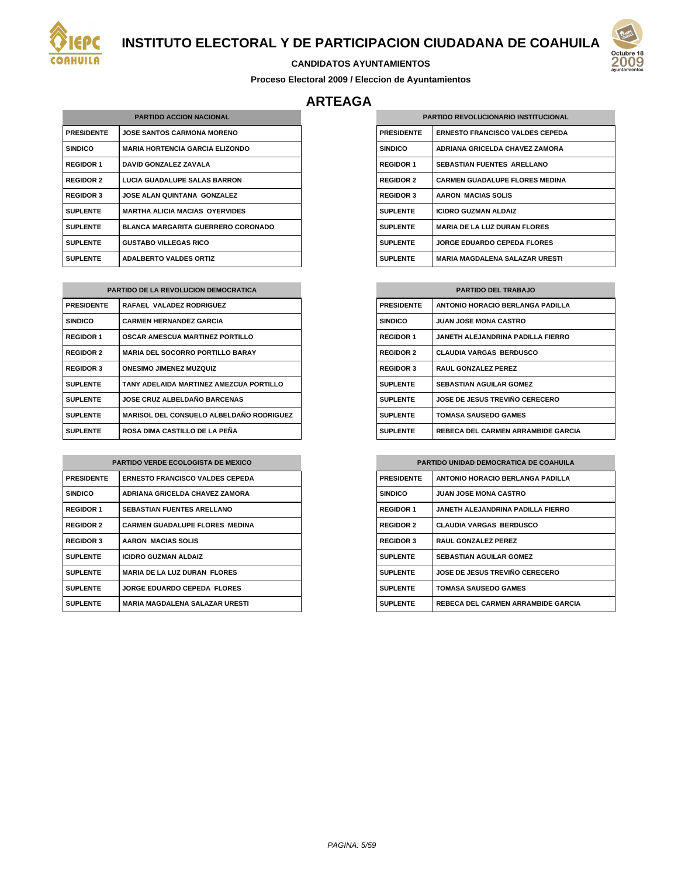



#### **CANDIDATOS AYUNTAMIENTOS**

**Proceso Electoral 2009 / Eleccion de Ayuntamientos**

## **ARTEAGA**

| <b>PARTIDO ACCION NACIONAL</b> |                                           |
|--------------------------------|-------------------------------------------|
| <b>PRESIDENTE</b>              | <b>JOSE SANTOS CARMONA MORENO</b>         |
| <b>SINDICO</b>                 | <b>MARIA HORTENCIA GARCIA ELIZONDO</b>    |
| <b>REGIDOR 1</b>               | DAVID GONZALEZ ZAVALA                     |
| <b>REGIDOR 2</b>               | <b>LUCIA GUADALUPE SALAS BARRON</b>       |
| <b>REGIDOR 3</b>               | <b>JOSE ALAN QUINTANA GONZALEZ</b>        |
| <b>SUPLENTE</b>                | <b>MARTHA ALICIA MACIAS OYERVIDES</b>     |
| <b>SUPLENTE</b>                | <b>BLANCA MARGARITA GUERRERO CORONADO</b> |
| <b>SUPLENTE</b>                | <b>GUSTABO VILLEGAS RICO</b>              |
| <b>SUPLENTE</b>                | <b>ADALBERTO VALDES ORTIZ</b>             |

| <b>PARTIDO DE LA REVOLUCION DEMOCRATICA</b> |                                                 |
|---------------------------------------------|-------------------------------------------------|
| <b>PRESIDENTE</b>                           | RAFAEL VALADEZ RODRIGUEZ                        |
| <b>SINDICO</b>                              | <b>CARMEN HERNANDEZ GARCIA</b>                  |
| <b>REGIDOR 1</b>                            | <b>OSCAR AMESCUA MARTINEZ PORTILLO</b>          |
| <b>REGIDOR 2</b>                            | <b>MARIA DEL SOCORRO PORTILLO BARAY</b>         |
| <b>REGIDOR 3</b>                            | <b>ONESIMO JIMENEZ MUZQUIZ</b>                  |
| <b>SUPLENTE</b>                             | TANY ADELAIDA MARTINEZ AMEZCUA PORTILLO         |
| <b>SUPLENTE</b>                             | <b>JOSE CRUZ ALBELDAÑO BARCENAS</b>             |
| <b>SUPLENTE</b>                             | <b>MARISOL DEL CONSUELO ALBELDAÑO RODRIGUEZ</b> |
| <b>SUPLENTE</b>                             | ROSA DIMA CASTILLO DE LA PEÑA                   |

| <b>PARTIDO VERDE ECOLOGISTA DE MEXICO</b> |                                        |  |
|-------------------------------------------|----------------------------------------|--|
| <b>PRESIDENTE</b>                         | <b>ERNESTO FRANCISCO VALDES CEPEDA</b> |  |
| <b>SINDICO</b>                            | ADRIANA GRICELDA CHAVEZ ZAMORA         |  |
| <b>REGIDOR 1</b>                          | <b>SEBASTIAN FUENTES ARELLANO</b>      |  |
| <b>REGIDOR 2</b>                          | <b>CARMEN GUADALUPE FLORES MEDINA</b>  |  |
| <b>REGIDOR 3</b>                          | AARON MACIAS SOLIS                     |  |
| <b>SUPLENTE</b>                           | <b>ICIDRO GUZMAN ALDAIZ</b>            |  |
| <b>SUPLENTE</b>                           | <b>MARIA DE LA LUZ DURAN FLORES</b>    |  |
| <b>SUPLENTE</b>                           | JORGE EDUARDO CEPEDA FLORES            |  |
| <b>SUPLENTE</b>                           | <b>MARIA MAGDALENA SALAZAR URESTI</b>  |  |

| <b>PARTIDO REVOLUCIONARIO INSTITUCIONAL</b> |                                        |  |
|---------------------------------------------|----------------------------------------|--|
| <b>PRESIDENTE</b>                           | <b>ERNESTO FRANCISCO VALDES CEPEDA</b> |  |
| <b>SINDICO</b>                              | ADRIANA GRICELDA CHAVEZ ZAMORA         |  |
| <b>REGIDOR 1</b>                            | <b>SEBASTIAN FUENTES ARELLANO</b>      |  |
| <b>REGIDOR 2</b>                            | <b>CARMEN GUADALUPE FLORES MEDINA</b>  |  |
| <b>REGIDOR 3</b>                            | AARON MACIAS SOLIS                     |  |
| <b>SUPLENTE</b>                             | <b>ICIDRO GUZMAN ALDAIZ</b>            |  |
| <b>SUPLENTE</b>                             | <b>MARIA DE LA LUZ DURAN FLORES</b>    |  |
| <b>SUPLENTE</b>                             | <b>JORGE EDUARDO CEPEDA FLORES</b>     |  |
| <b>SUPLENTE</b>                             | <b>MARIA MAGDALENA SALAZAR URESTI</b>  |  |

| <b>PARTIDO DEL TRABAJO</b> |                                           |  |
|----------------------------|-------------------------------------------|--|
| <b>PRESIDENTE</b>          | <b>ANTONIO HORACIO BERLANGA PADILLA</b>   |  |
| <b>SINDICO</b>             | <b>JUAN JOSE MONA CASTRO</b>              |  |
| <b>REGIDOR 1</b>           | JANETH AI FJANDRINA PADILLA FIERRO        |  |
| <b>REGIDOR 2</b>           | <b>CLAUDIA VARGAS BERDUSCO</b>            |  |
| <b>REGIDOR 3</b>           | <b>RAUL GONZALEZ PEREZ</b>                |  |
| <b>SUPLENTE</b>            | <b>SEBASTIAN AGUILAR GOMEZ</b>            |  |
| <b>SUPLENTE</b>            | JOSE DE JESUS TREVIÑO CERECERO            |  |
| <b>SUPLENTE</b>            | TOMASA SAUSEDO GAMES                      |  |
| <b>SUPLENTE</b>            | <b>REBECA DEL CARMEN ARRAMBIDE GARCIA</b> |  |

#### **PARTIDO UNIDAD DEMOCRATICA DE COAHUILA**

| <b>PRESIDENTE</b> | <b>ANTONIO HORACIO BERLANGA PADILLA</b>   |
|-------------------|-------------------------------------------|
| <b>SINDICO</b>    | <b>JUAN JOSE MONA CASTRO</b>              |
| <b>REGIDOR 1</b>  | JANETH ALEJANDRINA PADILLA FIERRO         |
| <b>REGIDOR 2</b>  | <b>CLAUDIA VARGAS BERDUSCO</b>            |
| <b>REGIDOR 3</b>  | <b>RAUL GONZALEZ PEREZ</b>                |
| <b>SUPLENTE</b>   | <b>SEBASTIAN AGUILAR GOMEZ</b>            |
| <b>SUPLENTE</b>   | <b>JOSE DE JESUS TREVIÑO CERECERO</b>     |
| <b>SUPLENTE</b>   | <b>TOMASA SAUSEDO GAMES</b>               |
| <b>SUPLENTE</b>   | <b>REBECA DEL CARMEN ARRAMBIDE GARCIA</b> |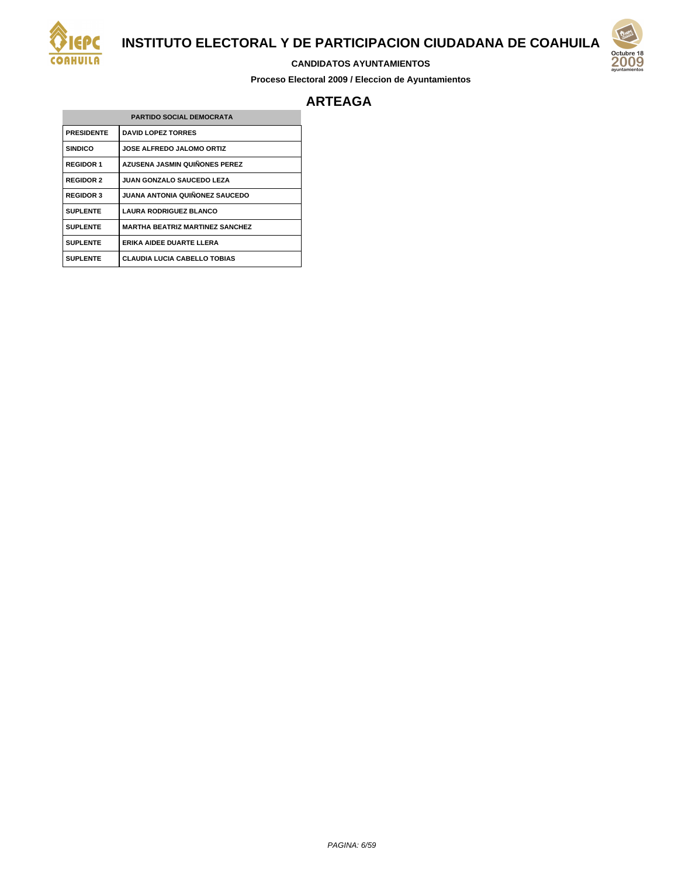

#### **CANDIDATOS AYUNTAMIENTOS**

**Proceso Electoral 2009 / Eleccion de Ayuntamientos**



## **ARTEAGA**

| <b>PARTIDO SOCIAL DEMOCRATA</b> |                                        |
|---------------------------------|----------------------------------------|
| <b>PRESIDENTE</b>               | <b>DAVID LOPEZ TORRES</b>              |
| <b>SINDICO</b>                  | <b>JOSE ALFREDO JALOMO ORTIZ</b>       |
| <b>REGIDOR 1</b>                | <b>AZUSENA JASMIN QUIÑONES PEREZ</b>   |
| <b>REGIDOR 2</b>                | <b>JUAN GONZALO SAUCEDO LEZA</b>       |
| <b>REGIDOR 3</b>                | JUANA ANTONIA QUIÑONEZ SAUCEDO         |
| <b>SUPLENTE</b>                 | <b>LAURA RODRIGUEZ BLANCO</b>          |
| <b>SUPLENTE</b>                 | <b>MARTHA BEATRIZ MARTINEZ SANCHEZ</b> |
| <b>SUPLENTE</b>                 | ERIKA AIDEE DUARTE LLERA               |
| <b>SUPLENTE</b>                 | <b>CLAUDIA LUCIA CABELLO TOBIAS</b>    |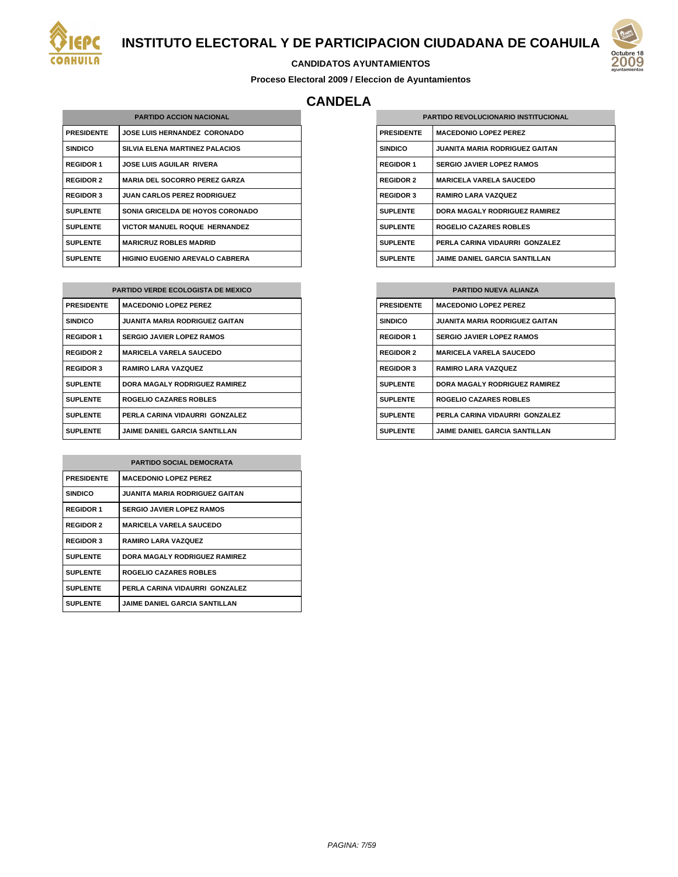



## **CANDIDATOS AYUNTAMIENTOS**

**Proceso Electoral 2009 / Eleccion de Ayuntamientos**

## **CANDELA**

| <b>PARTIDO ACCION NACIONAL</b> |                                        |
|--------------------------------|----------------------------------------|
| <b>PRESIDENTE</b>              | <b>JOSE LUIS HERNANDEZ CORONADO</b>    |
| <b>SINDICO</b>                 | SILVIA ELENA MARTINEZ PALACIOS         |
| <b>REGIDOR 1</b>               | <b>JOSE LUIS AGUILAR RIVERA</b>        |
| <b>REGIDOR 2</b>               | <b>MARIA DEL SOCORRO PEREZ GARZA</b>   |
| <b>REGIDOR 3</b>               | <b>JUAN CARLOS PEREZ RODRIGUEZ</b>     |
| <b>SUPLENTE</b>                | SONIA GRICELDA DE HOYOS CORONADO       |
| <b>SUPLENTE</b>                | VICTOR MANUEL ROQUE HERNANDEZ          |
| <b>SUPLENTE</b>                | <b>MARICRUZ ROBLES MADRID</b>          |
| <b>SUPLENTE</b>                | <b>HIGINIO EUGENIO AREVALO CABRERA</b> |

| <b>PARTIDO VERDE ECOLOGISTA DE MEXICO</b> |                                       |
|-------------------------------------------|---------------------------------------|
| <b>PRESIDENTE</b>                         | <b>MACEDONIO LOPEZ PEREZ</b>          |
| <b>SINDICO</b>                            | <b>JUANITA MARIA RODRIGUEZ GAITAN</b> |
| <b>REGIDOR 1</b>                          | <b>SERGIO JAVIER LOPEZ RAMOS</b>      |
| <b>REGIDOR 2</b>                          | <b>MARICELA VARELA SAUCEDO</b>        |
| <b>REGIDOR 3</b>                          | <b>RAMIRO LARA VAZQUEZ</b>            |
| <b>SUPLENTE</b>                           | DORA MAGALY RODRIGUEZ RAMIREZ         |
| <b>SUPLENTE</b>                           | <b>ROGELIO CAZARES ROBLES</b>         |
| <b>SUPLENTE</b>                           | PERLA CARINA VIDAURRI GONZALEZ        |
| <b>SUPLENTE</b>                           | <b>JAIME DANIEL GARCIA SANTILLAN</b>  |

| <b>PARTIDO SOCIAL DEMOCRATA</b> |                                       |
|---------------------------------|---------------------------------------|
| <b>PRESIDENTE</b>               | <b>MACEDONIO LOPEZ PEREZ</b>          |
| <b>SINDICO</b>                  | <b>JUANITA MARIA RODRIGUEZ GAITAN</b> |
| <b>REGIDOR 1</b>                | <b>SERGIO JAVIER LOPEZ RAMOS</b>      |
| <b>REGIDOR 2</b>                | <b>MARICELA VARELA SAUCEDO</b>        |
| <b>REGIDOR 3</b>                | <b>RAMIRO LARA VAZQUEZ</b>            |
| <b>SUPLENTE</b>                 | DORA MAGALY RODRIGUEZ RAMIREZ         |
| <b>SUPLENTE</b>                 | ROGELIO CAZARES ROBLES                |
| <b>SUPLENTE</b>                 | PERLA CARINA VIDAURRI GONZALEZ        |
| <b>SUPLENTE</b>                 | <b>JAIME DANIEL GARCIA SANTILLAN</b>  |

| <b>PARTIDO REVOLUCIONARIO INSTITUCIONAL</b> |                                       |
|---------------------------------------------|---------------------------------------|
| <b>PRESIDENTE</b>                           | <b>MACEDONIO LOPEZ PEREZ</b>          |
| <b>SINDICO</b>                              | <b>JUANITA MARIA RODRIGUEZ GAITAN</b> |
| <b>REGIDOR 1</b>                            | <b>SERGIO JAVIER LOPEZ RAMOS</b>      |
| <b>REGIDOR 2</b>                            | <b>MARICELA VARELA SAUCEDO</b>        |
| <b>REGIDOR 3</b>                            | <b>RAMIRO LARA VAZQUEZ</b>            |
| <b>SUPLENTE</b>                             | DORA MAGALY RODRIGUEZ RAMIREZ         |
| <b>SUPLENTE</b>                             | ROGELIO CAZARES ROBLES                |
| <b>SUPLENTE</b>                             | PERLA CARINA VIDAURRI GONZALEZ        |
| <b>SUPLENTE</b>                             | <b>JAIME DANIEL GARCIA SANTILLAN</b>  |

| <b>PARTIDO NUEVA ALIANZA</b> |                                       |
|------------------------------|---------------------------------------|
| <b>PRESIDENTE</b>            | <b>MACEDONIO LOPEZ PEREZ</b>          |
| <b>SINDICO</b>               | <b>JUANITA MARIA RODRIGUEZ GAITAN</b> |
| <b>REGIDOR 1</b>             | <b>SERGIO JAVIER LOPEZ RAMOS</b>      |
| <b>REGIDOR 2</b>             | <b>MARICELA VARELA SAUCEDO</b>        |
| <b>REGIDOR 3</b>             | <b>RAMIRO LARA VAZQUEZ</b>            |
| <b>SUPLENTE</b>              | DORA MAGALY RODRIGUEZ RAMIREZ         |
| <b>SUPLENTE</b>              | ROGELIO CAZARES ROBLES                |
| <b>SUPLENTE</b>              | PERLA CARINA VIDAURRI GONZALEZ        |
| <b>SUPLENTE</b>              | <b>JAIME DANIEL GARCIA SANTILLAN</b>  |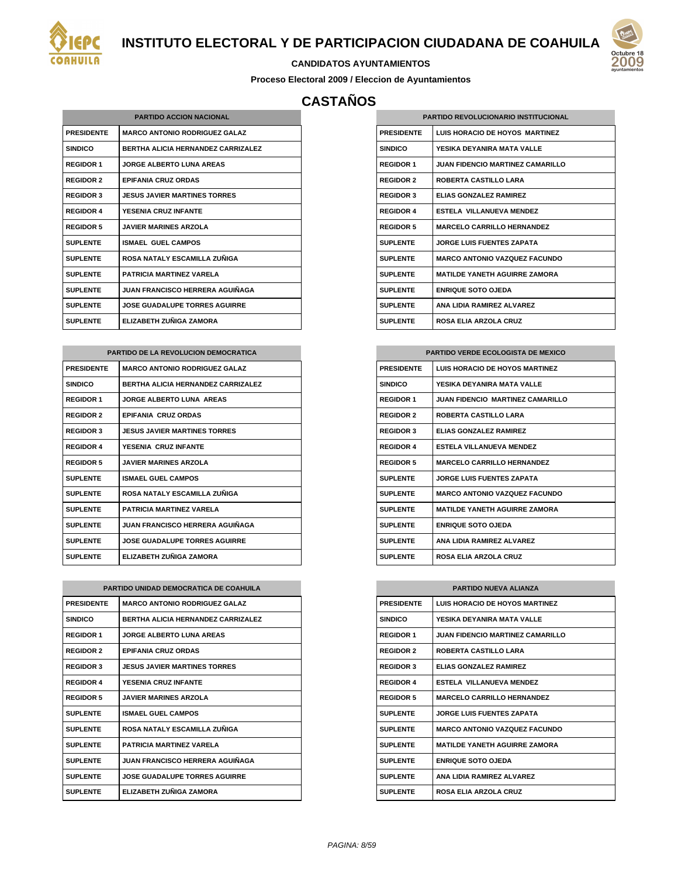



#### **CANDIDATOS AYUNTAMIENTOS**

**Proceso Electoral 2009 / Eleccion de Ayuntamientos**

# **CASTAÑOS**

| <b>PARTIDO ACCION NACIONAL</b> |                                           |
|--------------------------------|-------------------------------------------|
| <b>PRESIDENTE</b>              | <b>MARCO ANTONIO RODRIGUEZ GALAZ</b>      |
| <b>SINDICO</b>                 | <b>BERTHA ALICIA HERNANDEZ CARRIZALEZ</b> |
| <b>REGIDOR 1</b>               | <b>JORGE ALBERTO LUNA AREAS</b>           |
| <b>REGIDOR 2</b>               | <b>EPIFANIA CRUZ ORDAS</b>                |
| <b>REGIDOR 3</b>               | <b>JESUS JAVIER MARTINES TORRES</b>       |
| <b>REGIDOR 4</b>               | YESENIA CRUZ INFANTE                      |
| <b>REGIDOR 5</b>               | <b>JAVIER MARINES ARZOLA</b>              |
| <b>SUPLENTE</b>                | <b>ISMAEL GUEL CAMPOS</b>                 |
| <b>SUPLENTE</b>                | ROSA NATALY ESCAMILLA ZUÑIGA              |
| <b>SUPLENTE</b>                | PATRICIA MARTINFZ VARFI A                 |
| <b>SUPLENTE</b>                | <b>JUAN FRANCISCO HERRERA AGUIÑAGA</b>    |
| <b>SUPLENTE</b>                | <b>JOSE GUADALUPE TORRES AGUIRRE</b>      |
| <b>SUPLENTE</b>                | ELIZABETH ZUÑIGA ZAMORA                   |

| PARTIDO DE LA REVOLUCION DEMOCRATICA |                                           |  |
|--------------------------------------|-------------------------------------------|--|
| <b>PRESIDENTE</b>                    | <b>MARCO ANTONIO RODRIGUEZ GALAZ</b>      |  |
| <b>SINDICO</b>                       | <b>BERTHA ALICIA HERNANDEZ CARRIZALEZ</b> |  |
| <b>REGIDOR 1</b>                     | <b>JORGE ALBERTO LUNA AREAS</b>           |  |
| <b>REGIDOR 2</b>                     | <b>EPIFANIA CRUZ ORDAS</b>                |  |
| <b>REGIDOR 3</b>                     | <b>JESUS JAVIER MARTINES TORRES</b>       |  |
| <b>REGIDOR 4</b>                     | YESENIA CRUZ INFANTE                      |  |
| <b>REGIDOR 5</b>                     | <b>JAVIER MARINES ARZOLA</b>              |  |
| <b>SUPLENTE</b>                      | <b>ISMAEL GUEL CAMPOS</b>                 |  |
| <b>SUPLENTE</b>                      | ROSA NATALY ESCAMILLA ZUÑIGA              |  |
| <b>SUPLENTE</b>                      | PATRICIA MARTINFZ VARFI A                 |  |
| <b>SUPLENTE</b>                      | JUAN FRANCISCO HERRERA AGUIÑAGA           |  |
| <b>SUPLENTE</b>                      | <b>JOSE GUADALUPE TORRES AGUIRRE</b>      |  |
| <b>SUPLENTE</b>                      | ELIZABETH ZUÑIGA ZAMORA                   |  |

| <b>PARTIDO UNIDAD DEMOCRATICA DE COAHUILA</b> |                                           |
|-----------------------------------------------|-------------------------------------------|
| <b>PRESIDENTE</b>                             | <b>MARCO ANTONIO RODRIGUEZ GALAZ</b>      |
| <b>SINDICO</b>                                | <b>BERTHA ALICIA HERNANDEZ CARRIZALEZ</b> |
| <b>REGIDOR 1</b>                              | JORGE AI BERTO I UNA AREAS                |
| <b>REGIDOR 2</b>                              | <b>FPIFANIA CRUZ ORDAS</b>                |
| <b>REGIDOR 3</b>                              | <b>JESUS JAVIER MARTINES TORRES</b>       |
| <b>REGIDOR 4</b>                              | YESENIA CRUZ INFANTE                      |
| <b>REGIDOR 5</b>                              | <b>JAVIER MARINES ARZOLA</b>              |
| <b>SUPLENTE</b>                               | <b>ISMAEL GUEL CAMPOS</b>                 |
| <b>SUPLENTE</b>                               | ROSA NATALY ESCAMILLA ZUÑIGA              |
| <b>SUPLENTE</b>                               | PATRICIA MARTINFZ VARFI A                 |
| <b>SUPLENTE</b>                               | <b>JUAN FRANCISCO HERRERA AGUIÑAGA</b>    |
| <b>SUPLENTE</b>                               | <b>JOSE GUADALUPE TORRES AGUIRRE</b>      |
| <b>SUPLENTE</b>                               | ELIZABETH ZUÑIGA ZAMORA                   |

| <b>PARTIDO REVOLUCIONARIO INSTITUCIONAL</b> |                                         |
|---------------------------------------------|-----------------------------------------|
| <b>PRESIDENTE</b>                           | LUIS HORACIO DE HOYOS MARTINEZ          |
| <b>SINDICO</b>                              | YESIKA DEYANIRA MATA VALLE              |
| <b>REGIDOR 1</b>                            | <b>JUAN FIDENCIO MARTINEZ CAMARILLO</b> |
| <b>REGIDOR 2</b>                            | ROBERTA CASTILLO LARA                   |
| <b>REGIDOR 3</b>                            | <b>ELIAS GONZALEZ RAMIREZ</b>           |
| <b>REGIDOR 4</b>                            | <b>FSTELA VILLANUEVA MENDEZ</b>         |
| <b>REGIDOR 5</b>                            | <b>MARCELO CARRILLO HERNANDEZ</b>       |
| <b>SUPLENTE</b>                             | <b>JORGE LUIS FUENTES ZAPATA</b>        |
| <b>SUPLENTE</b>                             | <b>MARCO ANTONIO VAZQUEZ FACUNDO</b>    |
| <b>SUPLENTE</b>                             | <b>MATILDE YANETH AGUIRRE ZAMORA</b>    |
| <b>SUPLENTE</b>                             | <b>ENRIQUE SOTO OJEDA</b>               |
| <b>SUPLENTE</b>                             | ANA I IDIA RAMIREZ AI VAREZ             |
| <b>SUPLENTE</b>                             | <b>ROSA ELIA ARZOLA CRUZ</b>            |

| <b>PARTIDO VERDE ECOLOGISTA DE MEXICO</b> |                                         |
|-------------------------------------------|-----------------------------------------|
| <b>PRESIDENTE</b>                         | <b>LUIS HORACIO DE HOYOS MARTINEZ</b>   |
| <b>SINDICO</b>                            | YESIKA DEYANIRA MATA VALLE              |
| <b>REGIDOR 1</b>                          | <b>JUAN FIDENCIO MARTINEZ CAMARILLO</b> |
| <b>REGIDOR 2</b>                          | <b>ROBERTA CASTILLO LARA</b>            |
| <b>REGIDOR 3</b>                          | <b>ELIAS GONZALEZ RAMIREZ</b>           |
| <b>REGIDOR 4</b>                          | <b>FSTELA VILLANUEVA MENDEZ</b>         |
| REGIDOR 5                                 | <b>MARCELO CARRILLO HERNANDEZ</b>       |
| <b>SUPLENTE</b>                           | <b>JORGE LUIS FUENTES ZAPATA</b>        |
| <b>SUPLENTE</b>                           | <b>MARCO ANTONIO VAZQUEZ FACUNDO</b>    |
| <b>SUPLENTE</b>                           | <b>MATILDE YANETH AGUIRRE ZAMORA</b>    |
| <b>SUPLENTE</b>                           | <b>ENRIQUE SOTO OJEDA</b>               |
| <b>SUPLENTE</b>                           | ANA I IDIA RAMIREZ AI VAREZ             |
| <b>SUPLENTE</b>                           | <b>ROSA ELIA ARZOLA CRUZ</b>            |

| <b>PARTIDO NUEVA ALIANZA</b> |                                         |
|------------------------------|-----------------------------------------|
| <b>PRESIDENTE</b>            | <b>LUIS HORACIO DE HOYOS MARTINEZ</b>   |
| <b>SINDICO</b>               | YESIKA DEYANIRA MATA VALLE              |
| <b>REGIDOR 1</b>             | <b>JUAN FIDENCIO MARTINEZ CAMARILLO</b> |
| <b>REGIDOR 2</b>             | <b>ROBERTA CASTILLO LARA</b>            |
| <b>REGIDOR 3</b>             | <b>ELIAS GONZALEZ RAMIREZ</b>           |
| <b>REGIDOR 4</b>             | ESTELA VILLANUEVA MENDEZ                |
| <b>REGIDOR 5</b>             | <b>MARCELO CARRILLO HERNANDEZ</b>       |
| <b>SUPLENTE</b>              | <b>JORGE LUIS FUENTES ZAPATA</b>        |
| <b>SUPLENTE</b>              | <b>MARCO ANTONIO VAZQUEZ FACUNDO</b>    |
| <b>SUPLENTE</b>              | <b>MATILDE YANETH AGUIRRE ZAMORA</b>    |
| <b>SUPLENTE</b>              | <b>ENRIQUE SOTO OJEDA</b>               |
| <b>SUPLENTE</b>              | ANA I IDIA RAMIREZ AI VAREZ             |
| <b>SUPLENTE</b>              | <b>ROSA ELIA ARZOLA CRUZ</b>            |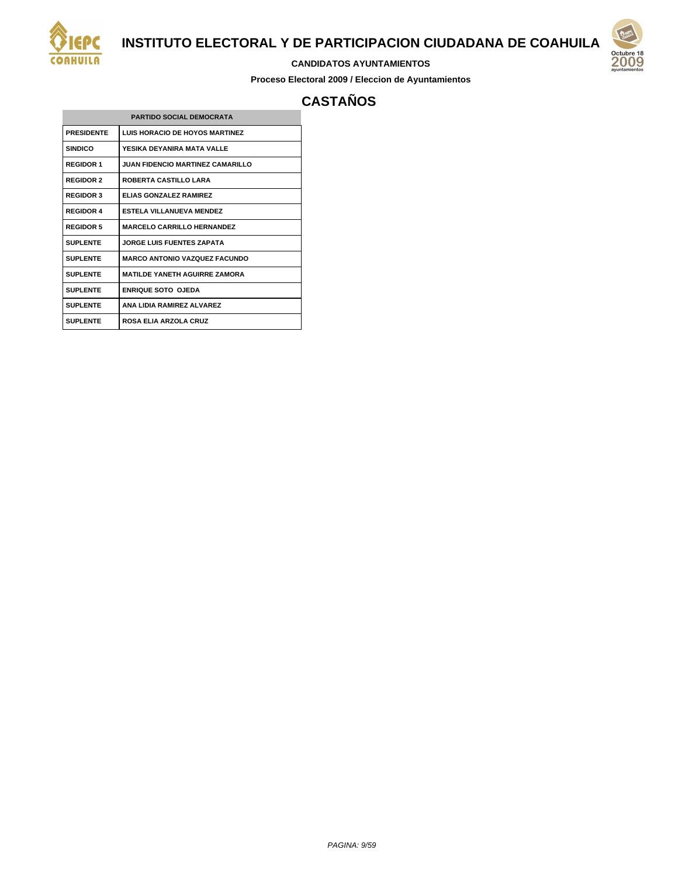

#### **CANDIDATOS AYUNTAMIENTOS**

**Proceso Electoral 2009 / Eleccion de Ayuntamientos**



# **CASTAÑOS**

| <b>PARTIDO SOCIAL DEMOCRATA</b> |                                         |  |
|---------------------------------|-----------------------------------------|--|
| <b>PRESIDENTE</b>               | <b>LUIS HORACIO DE HOYOS MARTINEZ</b>   |  |
| <b>SINDICO</b>                  | YFSIKA DFYANIRA MATA VAI I F            |  |
| <b>REGIDOR 1</b>                | <b>JUAN FIDENCIO MARTINEZ CAMARILLO</b> |  |
| <b>REGIDOR 2</b>                | <b>ROBERTA CASTILLO LARA</b>            |  |
| <b>REGIDOR 3</b>                | <b>ELIAS GONZALEZ RAMIREZ</b>           |  |
| <b>REGIDOR 4</b>                | <b>ESTELA VILLANUEVA MENDEZ</b>         |  |
| <b>REGIDOR 5</b>                | <b>MARCELO CARRILLO HERNANDEZ</b>       |  |
| <b>SUPLENTE</b>                 | <b>JORGE LUIS FUENTES ZAPATA</b>        |  |
| <b>SUPLENTE</b>                 | <b>MARCO ANTONIO VAZQUEZ FACUNDO</b>    |  |
| <b>SUPLENTE</b>                 | <b>MATILDE YANETH AGUIRRE ZAMORA</b>    |  |
| <b>SUPLENTE</b>                 | ENRIQUE SOTO OJEDA                      |  |
| <b>SUPLENTE</b>                 | ANA I IDIA RAMIREZ AI VAREZ             |  |
| <b>SUPLENTE</b>                 | <b>ROSA ELIA ARZOLA CRUZ</b>            |  |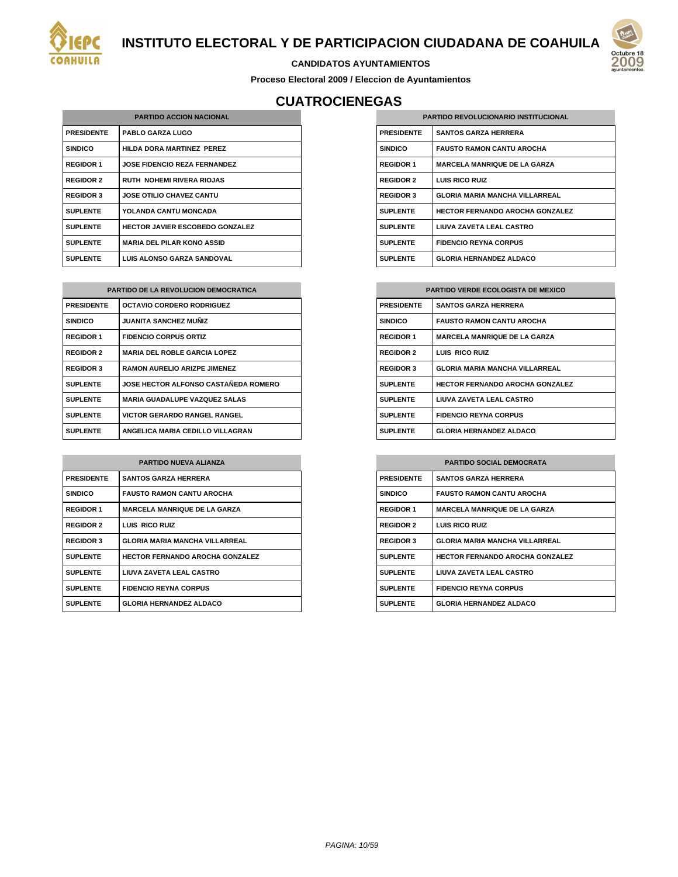



#### **CANDIDATOS AYUNTAMIENTOS**

**Proceso Electoral 2009 / Eleccion de Ayuntamientos**

# **CUATROCIENEGAS**

| <b>PARTIDO ACCION NACIONAL</b> |                                        |
|--------------------------------|----------------------------------------|
| <b>PRESIDENTE</b>              | <b>PABLO GARZA LUGO</b>                |
| <b>SINDICO</b>                 | HILDA DORA MARTINEZ PEREZ              |
| <b>REGIDOR 1</b>               | <b>JOSE FIDENCIO REZA FERNANDEZ</b>    |
| <b>REGIDOR 2</b>               | <b>RUTH NOHEMI RIVERA RIOJAS</b>       |
| <b>REGIDOR 3</b>               | <b>JOSE OTILIO CHAVEZ CANTU</b>        |
| <b>SUPLENTE</b>                | YOLANDA CANTU MONCADA                  |
| <b>SUPLENTE</b>                | <b>HECTOR JAVIER ESCOBEDO GONZALEZ</b> |
| <b>SUPLENTE</b>                | <b>MARIA DEL PILAR KONO ASSID</b>      |
| <b>SUPLENTE</b>                | LUIS ALONSO GARZA SANDOVAL             |

| <b>PARTIDO DE LA REVOLUCION DEMOCRATICA</b> |                                             |  |
|---------------------------------------------|---------------------------------------------|--|
| <b>PRESIDENTE</b>                           | <b>OCTAVIO CORDERO RODRIGUEZ</b>            |  |
| <b>SINDICO</b>                              | <b>JUANITA SANCHEZ MUÑIZ</b>                |  |
| <b>REGIDOR 1</b>                            | <b>FIDENCIO CORPUS ORTIZ</b>                |  |
| <b>REGIDOR 2</b>                            | <b>MARIA DEL ROBLE GARCIA LOPEZ</b>         |  |
| <b>REGIDOR 3</b>                            | <b>RAMON AURELIO ARIZPE JIMENEZ</b>         |  |
| <b>SUPLENTE</b>                             | <b>JOSE HECTOR ALFONSO CASTAÑEDA ROMERO</b> |  |
| <b>SUPLENTE</b>                             | <b>MARIA GUADALUPE VAZQUEZ SALAS</b>        |  |
| <b>SUPLENTE</b>                             | <b>VICTOR GERARDO RANGEL RANGEL</b>         |  |
| <b>SUPLENTE</b>                             | ANGELICA MARIA CEDILLO VILLAGRAN            |  |

| <b>PARTIDO NUEVA ALIANZA</b> |                                        |  |
|------------------------------|----------------------------------------|--|
| <b>PRESIDENTE</b>            | <b>SANTOS GARZA HERRERA</b>            |  |
| <b>SINDICO</b>               | <b>FAUSTO RAMON CANTU AROCHA</b>       |  |
| <b>REGIDOR 1</b>             | <b>MARCELA MANRIQUE DE LA GARZA</b>    |  |
| <b>REGIDOR 2</b>             | LUIS RICO RUIZ                         |  |
| <b>REGIDOR 3</b>             | <b>GLORIA MARIA MANCHA VILLARREAL</b>  |  |
| <b>SUPLENTE</b>              | <b>HECTOR FERNANDO AROCHA GONZALEZ</b> |  |
| <b>SUPLENTE</b>              | LIUVA ZAVETA LEAL CASTRO               |  |
| <b>SUPLENTE</b>              | <b>FIDENCIO REYNA CORPUS</b>           |  |
| <b>SUPLENTE</b>              | <b>GLORIA HERNANDEZ ALDACO</b>         |  |

| <b>PARTIDO REVOLUCIONARIO INSTITUCIONAL</b> |                                        |
|---------------------------------------------|----------------------------------------|
| <b>PRESIDENTE</b>                           | <b>SANTOS GARZA HERRERA</b>            |
| <b>SINDICO</b>                              | <b>FAUSTO RAMON CANTU AROCHA</b>       |
| <b>REGIDOR 1</b>                            | <b>MARCELA MANRIQUE DE LA GARZA</b>    |
| <b>REGIDOR 2</b>                            | LUIS RICO RUIZ                         |
| <b>REGIDOR 3</b>                            | <b>GLORIA MARIA MANCHA VILLARREAL</b>  |
| <b>SUPLENTE</b>                             | <b>HECTOR FERNANDO AROCHA GONZALEZ</b> |
| <b>SUPLENTE</b>                             | LIUVA ZAVETA LEAL CASTRO               |
| <b>SUPLENTE</b>                             | <b>FIDENCIO REYNA CORPUS</b>           |
| <b>SUPLENTE</b>                             | <b>GLORIA HERNANDEZ ALDACO</b>         |

| <b>PARTIDO VERDE ECOLOGISTA DE MEXICO</b> |                                        |  |
|-------------------------------------------|----------------------------------------|--|
| <b>PRESIDENTE</b>                         | <b>SANTOS GARZA HERRERA</b>            |  |
| <b>SINDICO</b>                            | <b>FAUSTO RAMON CANTU AROCHA</b>       |  |
| <b>REGIDOR 1</b>                          | <b>MARCELA MANRIQUE DE LA GARZA</b>    |  |
| <b>REGIDOR 2</b>                          | LUIS RICO RUIZ                         |  |
| <b>REGIDOR 3</b>                          | <b>GLORIA MARIA MANCHA VILLARREAL</b>  |  |
| <b>SUPLENTE</b>                           | <b>HECTOR FERNANDO AROCHA GONZALEZ</b> |  |
| <b>SUPLENTE</b>                           | LIUVA ZAVETA LEAL CASTRO               |  |
| <b>SUPLENTE</b>                           | <b>FIDENCIO REYNA CORPUS</b>           |  |
| <b>SUPLENTE</b>                           | <b>GLORIA HERNANDEZ ALDACO</b>         |  |

| <b>PARTIDO SOCIAL DEMOCRATA</b> |                                        |
|---------------------------------|----------------------------------------|
| <b>PRESIDENTE</b>               | <b>SANTOS GARZA HERRERA</b>            |
| <b>SINDICO</b>                  | <b>FAUSTO RAMON CANTU AROCHA</b>       |
| <b>REGIDOR 1</b>                | <b>MARCELA MANRIQUE DE LA GARZA</b>    |
| <b>REGIDOR 2</b>                | <b>LUIS RICO RUIZ</b>                  |
| <b>REGIDOR 3</b>                | <b>GLORIA MARIA MANCHA VILLARREAL</b>  |
| <b>SUPLENTE</b>                 | <b>HECTOR FERNANDO AROCHA GONZALEZ</b> |
| <b>SUPLENTE</b>                 | LIUVA ZAVETA LEAL CASTRO               |
| <b>SUPLENTE</b>                 | <b>FIDENCIO REYNA CORPUS</b>           |
| <b>SUPLENTE</b>                 | <b>GLORIA HERNANDEZ ALDACO</b>         |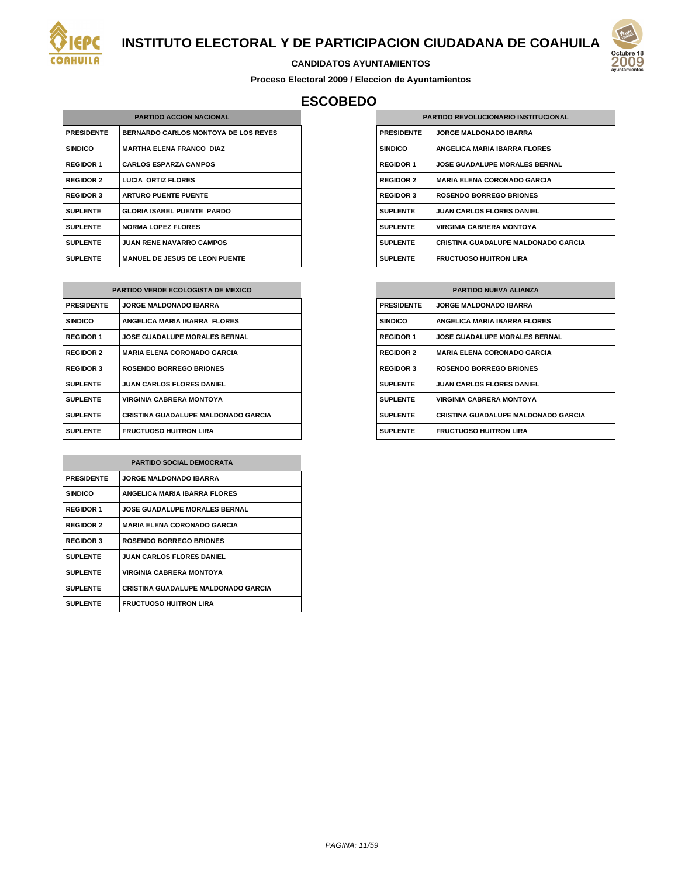

#### **CANDIDATOS AYUNTAMIENTOS**

**Proceso Electoral 2009 / Eleccion de Ayuntamientos**

# **ESCOBEDO**

| <b>PARTIDO ACCION NACIONAL</b> |                                             |  |
|--------------------------------|---------------------------------------------|--|
| <b>PRESIDENTE</b>              | <b>BERNARDO CARLOS MONTOYA DE LOS REYES</b> |  |
| <b>SINDICO</b>                 | <b>MARTHA ELENA FRANCO DIAZ</b>             |  |
| <b>REGIDOR 1</b>               | <b>CARLOS ESPARZA CAMPOS</b>                |  |
| <b>REGIDOR 2</b>               | <b>LUCIA ORTIZ FLORES</b>                   |  |
| <b>REGIDOR 3</b>               | <b>ARTURO PUENTE PUENTE</b>                 |  |
| <b>SUPLENTE</b>                | <b>GLORIA ISABEL PUENTE PARDO</b>           |  |
| <b>SUPLENTE</b>                | <b>NORMA LOPEZ FLORES</b>                   |  |
| <b>SUPLENTE</b>                | <b>JUAN RENE NAVARRO CAMPOS</b>             |  |
| <b>SUPLENTE</b>                | <b>MANUEL DE JESUS DE LEON PUENTE</b>       |  |

| <b>PARTIDO VERDE ECOLOGISTA DE MEXICO</b> |                                            |  |
|-------------------------------------------|--------------------------------------------|--|
| <b>PRESIDENTE</b>                         | <b>JORGE MALDONADO IBARRA</b>              |  |
| <b>SINDICO</b>                            | ANGELICA MARIA IBARRA FLORES               |  |
| <b>REGIDOR 1</b>                          | <b>JOSE GUADALUPE MORALES BERNAL</b>       |  |
| <b>REGIDOR 2</b>                          | <b>MARIA ELENA CORONADO GARCIA</b>         |  |
| <b>REGIDOR 3</b>                          | <b>ROSENDO BORREGO BRIONES</b>             |  |
| <b>SUPLENTE</b>                           | <b>JUAN CARLOS FLORES DANIEL</b>           |  |
| <b>SUPLENTE</b>                           | <b>VIRGINIA CABRERA MONTOYA</b>            |  |
| <b>SUPLENTE</b>                           | <b>CRISTINA GUADALUPE MALDONADO GARCIA</b> |  |
| <b>SUPLENTE</b>                           | <b>FRUCTUOSO HUITRON LIRA</b>              |  |

| <b>PARTIDO SOCIAL DEMOCRATA</b> |                                            |
|---------------------------------|--------------------------------------------|
| <b>PRESIDENTE</b>               | <b>JORGE MALDONADO IBARRA</b>              |
| <b>SINDICO</b>                  | ANGELICA MARIA IBARRA FLORES               |
| <b>REGIDOR 1</b>                | <b>JOSE GUADALUPE MORALES BERNAL</b>       |
| <b>REGIDOR 2</b>                | <b>MARIA ELENA CORONADO GARCIA</b>         |
| <b>REGIDOR 3</b>                | <b>ROSENDO BORREGO BRIONES</b>             |
| <b>SUPLENTE</b>                 | <b>JUAN CARLOS FLORES DANIEL</b>           |
| <b>SUPLENTE</b>                 | VIRGINIA CABRERA MONTOYA                   |
| <b>SUPLENTE</b>                 | <b>CRISTINA GUADALUPE MALDONADO GARCIA</b> |
| <b>SUPLENTE</b>                 | <b>FRUCTUOSO HUITRON LIRA</b>              |

| <b>PARTIDO REVOLUCIONARIO INSTITUCIONAL</b> |                                            |
|---------------------------------------------|--------------------------------------------|
| <b>PRESIDENTE</b>                           | <b>JORGE MALDONADO IBARRA</b>              |
| <b>SINDICO</b>                              | <b>ANGELICA MARIA IBARRA FLORES</b>        |
| <b>REGIDOR 1</b>                            | <b>JOSE GUADALUPE MORALES BERNAL</b>       |
| <b>REGIDOR 2</b>                            | <b>MARIA ELENA CORONADO GARCIA</b>         |
| <b>REGIDOR 3</b>                            | <b>ROSENDO BORREGO BRIONES</b>             |
| <b>SUPLENTE</b>                             | <b>JUAN CARLOS FLORES DANIEL</b>           |
| <b>SUPLENTE</b>                             | <b>VIRGINIA CABRERA MONTOYA</b>            |
| <b>SUPLENTE</b>                             | <b>CRISTINA GUADALUPE MALDONADO GARCIA</b> |
| <b>SUPLENTE</b>                             | <b>FRUCTUOSO HUITRON LIRA</b>              |

| <b>PARTIDO NUEVA ALIANZA</b> |                                            |
|------------------------------|--------------------------------------------|
| <b>PRESIDENTE</b>            | <b>JORGE MALDONADO IBARRA</b>              |
| <b>SINDICO</b>               | ANGELICA MARIA IBARRA FLORES               |
| <b>REGIDOR 1</b>             | <b>JOSE GUADALUPE MORALES BERNAL</b>       |
| <b>REGIDOR 2</b>             | <b>MARIA ELENA CORONADO GARCIA</b>         |
| <b>REGIDOR 3</b>             | <b>ROSENDO BORREGO BRIONES</b>             |
| <b>SUPLENTE</b>              | <b>JUAN CARLOS FLORES DANIEL</b>           |
| <b>SUPLENTE</b>              | <b>VIRGINIA CABRERA MONTOYA</b>            |
| <b>SUPLENTE</b>              | <b>CRISTINA GUADALUPE MALDONADO GARCIA</b> |
| <b>SUPLENTE</b>              | <b>FRUCTUOSO HUITRON LIRA</b>              |

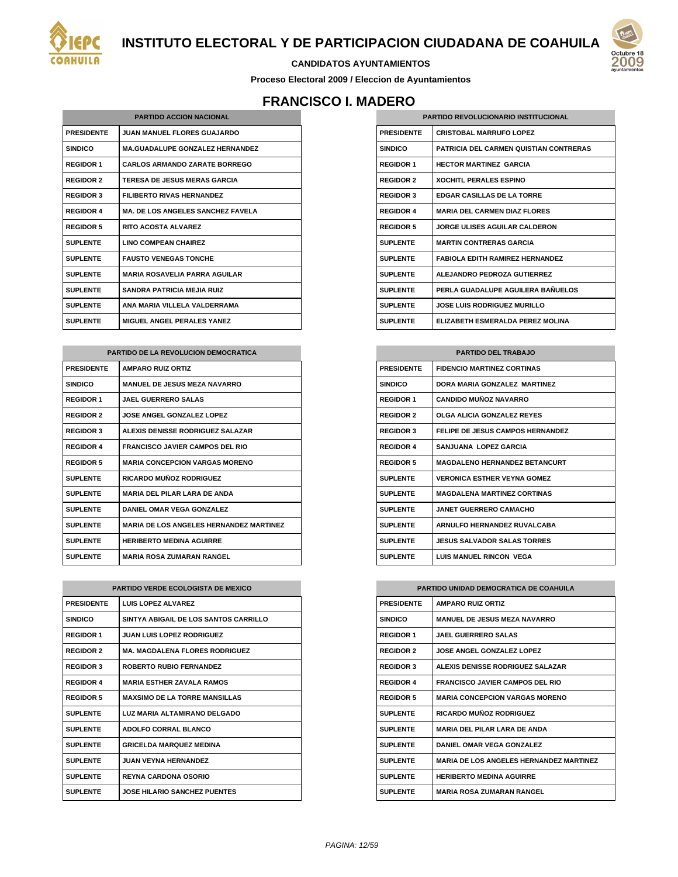



#### **CANDIDATOS AYUNTAMIENTOS**

**Proceso Electoral 2009 / Eleccion de Ayuntamientos**

# **FRANCISCO I. MADERO**

| <b>PARTIDO ACCION NACIONAL</b> |                                          |
|--------------------------------|------------------------------------------|
| <b>PRESIDENTE</b>              | <b>JUAN MANUEL FLORES GUAJARDO</b>       |
| <b>SINDICO</b>                 | <b>MA.GUADALUPE GONZALEZ HERNANDEZ</b>   |
| <b>REGIDOR 1</b>               | CARLOS ARMANDO ZARATE BORREGO            |
| <b>REGIDOR 2</b>               | <b>TERESA DE JESUS MERAS GARCIA</b>      |
| <b>REGIDOR 3</b>               | <b>FILIBERTO RIVAS HERNANDEZ</b>         |
| <b>REGIDOR 4</b>               | <b>MA. DE LOS ANGELES SANCHEZ FAVELA</b> |
| <b>REGIDOR 5</b>               | <b>RITO ACOSTA AI VAREZ</b>              |
| <b>SUPLENTE</b>                | <b>LINO COMPEAN CHAIREZ</b>              |
| <b>SUPLENTE</b>                | <b>FAUSTO VENEGAS TONCHE</b>             |
| <b>SUPLENTE</b>                | <b>MARIA ROSAVELIA PARRA AGUILAR</b>     |
| <b>SUPLENTE</b>                | <b>SANDRA PATRICIA MEJIA RUIZ</b>        |
| <b>SUPLENTE</b>                | ANA MARIA VILLELA VALDERRAMA             |
| <b>SUPLENTE</b>                | <b>MIGUEL ANGEL PERALES YANEZ</b>        |

| <b>PARTIDO DE LA REVOLUCION DEMOCRATICA</b> |                                                |
|---------------------------------------------|------------------------------------------------|
| <b>PRESIDENTE</b>                           | <b>AMPARO RUIZ ORTIZ</b>                       |
| <b>SINDICO</b>                              | <b>MANUEL DE JESUS MEZA NAVARRO</b>            |
| <b>REGIDOR 1</b>                            | <b>JAEL GUERRERO SALAS</b>                     |
| <b>REGIDOR 2</b>                            | <b>JOSE ANGEL GONZALEZ LOPEZ</b>               |
| <b>REGIDOR 3</b>                            | ALEXIS DENISSE RODRIGUEZ SALAZAR               |
| <b>REGIDOR 4</b>                            | <b>FRANCISCO JAVIER CAMPOS DEL RIO</b>         |
| <b>REGIDOR 5</b>                            | <b>MARIA CONCEPCION VARGAS MORENO</b>          |
| <b>SUPLENTE</b>                             | RICARDO MUÑOZ RODRIGUEZ                        |
| <b>SUPLENTE</b>                             | <b>MARIA DEL PILAR LARA DE ANDA</b>            |
| <b>SUPLENTE</b>                             | DANIEL OMAR VEGA GONZALEZ                      |
| <b>SUPLENTE</b>                             | <b>MARIA DE LOS ANGELES HERNANDEZ MARTINEZ</b> |
| <b>SUPLENTE</b>                             | <b>HERIBERTO MEDINA AGUIRRE</b>                |
| <b>SUPLENTE</b>                             | <b>MARIA ROSA ZUMARAN RANGEL</b>               |

| <b>PARTIDO VERDE ECOLOGISTA DE MEXICO</b> |                                       |
|-------------------------------------------|---------------------------------------|
| <b>PRESIDENTE</b>                         | <b>I UIS LOPEZ ALVAREZ</b>            |
| <b>SINDICO</b>                            | SINTYA ABIGAIL DE LOS SANTOS CARRILLO |
| <b>REGIDOR 1</b>                          | <b>JUAN LUIS LOPEZ RODRIGUEZ</b>      |
| <b>REGIDOR 2</b>                          | <b>MA. MAGDALENA FLORES RODRIGUEZ</b> |
| <b>REGIDOR 3</b>                          | <b>ROBERTO RUBIO FERNANDEZ</b>        |
| <b>REGIDOR 4</b>                          | <b>MARIA ESTHER ZAVALA RAMOS</b>      |
| <b>REGIDOR 5</b>                          | <b>MAXSIMO DE LA TORRE MANSILLAS</b>  |
| <b>SUPLENTE</b>                           | LUZ MARIA ALTAMIRANO DELGADO          |
| <b>SUPLENTE</b>                           | ADOI FO CORRAL BLANCO                 |
| <b>SUPLENTE</b>                           | <b>GRICELDA MARQUEZ MEDINA</b>        |
| <b>SUPLENTE</b>                           | <b>JUAN VEYNA HERNANDEZ</b>           |
| <b>SUPLENTE</b>                           | <b>REYNA CARDONA OSORIO</b>           |
| <b>SUPLENTE</b>                           | <b>JOSE HILARIO SANCHEZ PUENTES</b>   |

| <b>PARTIDO REVOLUCIONARIO INSTITUCIONAL</b> |                                               |
|---------------------------------------------|-----------------------------------------------|
| <b>PRESIDENTE</b>                           | <b>CRISTOBAL MARRUFO LOPEZ</b>                |
| <b>SINDICO</b>                              | <b>PATRICIA DEL CARMEN QUISTIAN CONTRERAS</b> |
| <b>REGIDOR 1</b>                            | <b>HECTOR MARTINEZ GARCIA</b>                 |
| <b>REGIDOR 2</b>                            | <b>XOCHITL PERALES ESPINO</b>                 |
| <b>REGIDOR 3</b>                            | <b>EDGAR CASILLAS DE LA TORRE</b>             |
| <b>REGIDOR 4</b>                            | <b>MARIA DEL CARMEN DIAZ EL ORES</b>          |
| <b>REGIDOR 5</b>                            | <b>JORGE ULISES AGUILAR CALDERON</b>          |
| <b>SUPLENTE</b>                             | <b>MARTIN CONTRERAS GARCIA</b>                |
| <b>SUPLENTE</b>                             | <b>FABIOLA FDITH RAMIREZ HERNANDEZ</b>        |
| <b>SUPLENTE</b>                             | <b>ALEJANDRO PEDROZA GUTIERREZ</b>            |
| <b>SUPLENTE</b>                             | PERLA GUADALUPE AGUILERA BAÑUELOS             |
| <b>SUPLENTE</b>                             | <b>JOSE LUIS RODRIGUEZ MURILLO</b>            |
| <b>SUPLENTE</b>                             | ELIZABETH ESMERALDA PEREZ MOLINA              |

| <b>PARTIDO DEL TRABAJO</b> |                                         |
|----------------------------|-----------------------------------------|
| <b>PRESIDENTE</b>          | <b>FIDENCIO MARTINEZ CORTINAS</b>       |
| <b>SINDICO</b>             | DORA MARIA GONZALEZ MARTINEZ            |
| <b>REGIDOR 1</b>           | <b>CANDIDO MUÑOZ NAVARRO</b>            |
| <b>REGIDOR 2</b>           | OLGA ALICIA GONZALEZ REYES              |
| <b>REGIDOR 3</b>           | <b>FELIPE DE JESUS CAMPOS HERNANDEZ</b> |
| <b>REGIDOR 4</b>           | SANJUANA LOPEZ GARCIA                   |
| <b>REGIDOR 5</b>           | <b>MAGDALENO HERNANDEZ BETANCURT</b>    |
| <b>SUPLENTE</b>            | <b>VERONICA ESTHER VEYNA GOMEZ</b>      |
| <b>SUPLENTE</b>            | <b>MAGDAI FNA MARTINFZ CORTINAS</b>     |
| <b>SUPLENTE</b>            | <b>JANET GUERRERO CAMACHO</b>           |
| <b>SUPLENTE</b>            | <b>ARNULFO HERNANDEZ RUVALCABA</b>      |
| <b>SUPLENTE</b>            | <b>JESUS SALVADOR SALAS TORRES</b>      |
| <b>SUPLENTE</b>            | <b>LUIS MANUEL RINCON VEGA</b>          |

| <b>PARTIDO UNIDAD DEMOCRATICA DE COAHUILA</b> |                                                |
|-----------------------------------------------|------------------------------------------------|
| <b>PRESIDENTE</b>                             | <b>AMPARO RUIZ ORTIZ</b>                       |
| <b>SINDICO</b>                                | <b>MANUEL DE JESUS MEZA NAVARRO</b>            |
| <b>REGIDOR 1</b>                              | <b>JAEL GUERRERO SALAS</b>                     |
| <b>REGIDOR 2</b>                              | <b>JOSE ANGEL GONZALEZ LOPEZ</b>               |
| <b>REGIDOR 3</b>                              | ALEXIS DENISSE RODRIGUEZ SALAZAR               |
| <b>REGIDOR 4</b>                              | <b>FRANCISCO JAVIER CAMPOS DEL RIO</b>         |
| <b>REGIDOR 5</b>                              | <b>MARIA CONCEPCION VARGAS MORENO</b>          |
| <b>SUPLENTE</b>                               | <b>RICARDO MUÑOZ RODRIGUEZ</b>                 |
| <b>SUPLENTE</b>                               | <b>MARIA DEL PILAR LARA DE ANDA</b>            |
| <b>SUPLENTE</b>                               | DANIFI OMAR VEGA GONZAI FZ                     |
| <b>SUPLENTE</b>                               | <b>MARIA DE LOS ANGELES HERNANDEZ MARTINEZ</b> |
| <b>SUPLENTE</b>                               | <b>HERIBERTO MEDINA AGUIRRE</b>                |
| <b>SUPLENTE</b>                               | <b>MARIA ROSA ZUMARAN RANGEL</b>               |

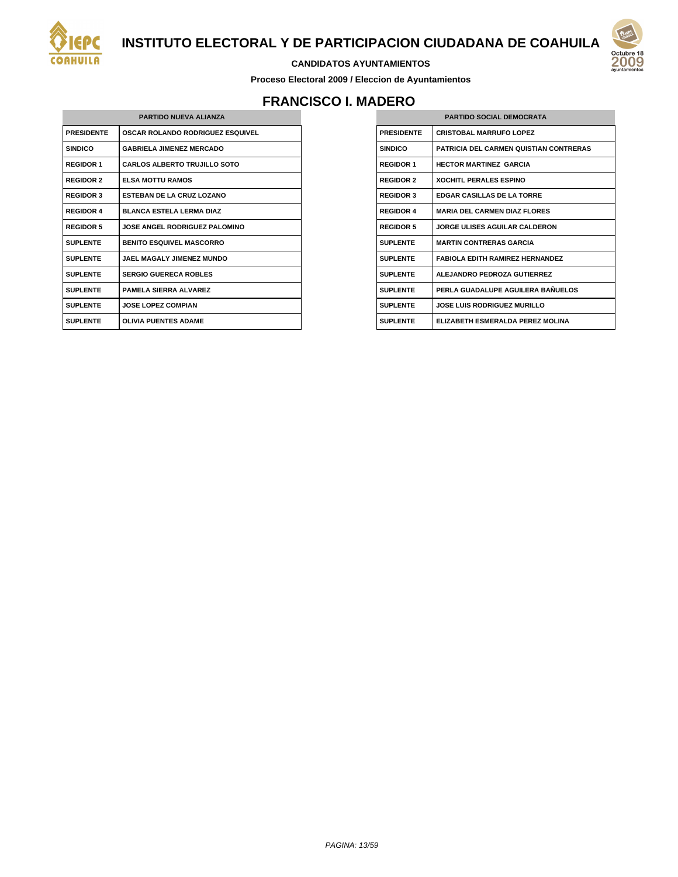

#### **CANDIDATOS AYUNTAMIENTOS**

**Proceso Electoral 2009 / Eleccion de Ayuntamientos**

# **FRANCISCO I. MADERO**

| <b>PARTIDO NUEVA ALIANZA</b> |                                         |
|------------------------------|-----------------------------------------|
| <b>PRESIDENTE</b>            | <b>OSCAR ROLANDO RODRIGUEZ ESQUIVEL</b> |
| <b>SINDICO</b>               | <b>GABRIELA JIMENEZ MERCADO</b>         |
| <b>REGIDOR 1</b>             | <b>CARLOS ALBERTO TRUJILLO SOTO</b>     |
| <b>REGIDOR 2</b>             | <b>ELSA MOTTU RAMOS</b>                 |
| <b>REGIDOR 3</b>             | <b>FSTEBAN DE LA CRUZ LOZANO</b>        |
| <b>REGIDOR 4</b>             | <b>BLANCA ESTELA LERMA DIAZ</b>         |
| <b>REGIDOR 5</b>             | <b>JOSE ANGEL RODRIGUEZ PALOMINO</b>    |
| <b>SUPLENTE</b>              | <b>BENITO ESQUIVEL MASCORRO</b>         |
| <b>SUPLENTE</b>              | JAFI MAGAI Y JIMFNEZ MUNDO              |
| <b>SUPLENTE</b>              | <b>SERGIO GUERECA ROBLES</b>            |
| <b>SUPLENTE</b>              | <b>PAMELA SIFRRA ALVAREZ</b>            |
| <b>SUPLENTE</b>              | <b>JOSE LOPEZ COMPIAN</b>               |
| <b>SUPLENTE</b>              | <b>OLIVIA PUENTES ADAME</b>             |

| <b>PARTIDO SOCIAL DEMOCRATA</b> |                                               |
|---------------------------------|-----------------------------------------------|
| <b>PRESIDENTE</b>               | <b>CRISTOBAL MARRUFO LOPEZ</b>                |
| <b>SINDICO</b>                  | <b>PATRICIA DEL CARMEN QUISTIAN CONTRERAS</b> |
| <b>REGIDOR 1</b>                | <b>HECTOR MARTINEZ GARCIA</b>                 |
| <b>REGIDOR 2</b>                | <b>XOCHITL PERALES ESPINO</b>                 |
| <b>REGIDOR 3</b>                | <b>FDGAR CASILLAS DE LA TORRE</b>             |
| <b>REGIDOR 4</b>                | <b>MARIA DEL CARMEN DIAZ FLORES</b>           |
| <b>REGIDOR 5</b>                | <b>JORGE ULISES AGUILAR CALDERON</b>          |
| <b>SUPLENTE</b>                 | <b>MARTIN CONTRERAS GARCIA</b>                |
| <b>SUPLENTE</b>                 | <b>FABIOLA EDITH RAMIREZ HERNANDEZ</b>        |
| <b>SUPLENTE</b>                 | ALEJANDRO PEDROZA GUTIERREZ                   |
| <b>SUPLENTE</b>                 | PERLA GUADALUPE AGUILERA BAÑUELOS             |
| <b>SUPLENTE</b>                 | <b>JOSE LUIS RODRIGUEZ MURILLO</b>            |
| <b>SUPLENTE</b>                 | FI IZARETH ESMERAI DA PEREZ MOLINA            |
|                                 |                                               |

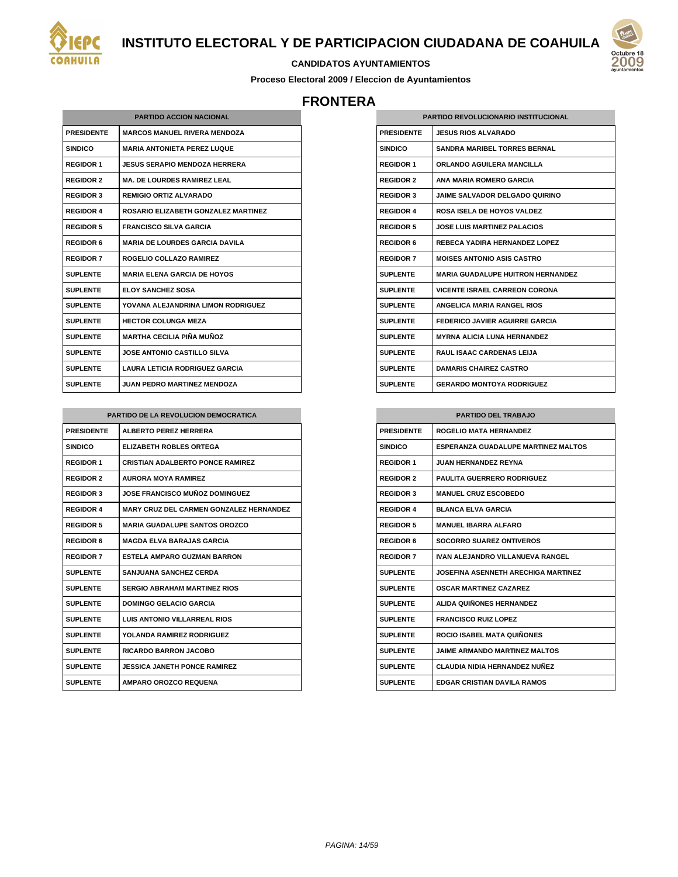



#### **CANDIDATOS AYUNTAMIENTOS**

**Proceso Electoral 2009 / Eleccion de Ayuntamientos**

## **FRONTERA**

| <b>PARTIDO ACCION NACIONAL</b> |                                       |
|--------------------------------|---------------------------------------|
| <b>PRESIDENTE</b>              | <b>MARCOS MANUEL RIVERA MENDOZA</b>   |
| <b>SINDICO</b>                 | <b>MARIA ANTONIETA PEREZ LUQUE</b>    |
| <b>REGIDOR 1</b>               | <b>JESUS SERAPIO MENDOZA HERRERA</b>  |
| <b>REGIDOR 2</b>               | <b>MA. DE LOURDES RAMIREZ LEAL</b>    |
| <b>REGIDOR 3</b>               | <b>REMIGIO ORTIZ ALVARADO</b>         |
| <b>REGIDOR 4</b>               | ROSARIO ELIZABETH GONZALEZ MARTINEZ   |
| <b>REGIDOR 5</b>               | <b>FRANCISCO SILVA GARCIA</b>         |
| <b>REGIDOR 6</b>               | <b>MARIA DE LOURDES GARCIA DAVILA</b> |
| <b>REGIDOR 7</b>               | ROGELIO COLLAZO RAMIREZ               |
| <b>SUPLENTE</b>                | <b>MARIA ELENA GARCIA DE HOYOS</b>    |
| <b>SUPLENTE</b>                | <b>ELOY SANCHEZ SOSA</b>              |
| <b>SUPLENTE</b>                | YOVANA ALEJANDRINA LIMON RODRIGUEZ    |
| <b>SUPLENTE</b>                | <b>HECTOR COLUNGA MEZA</b>            |
| <b>SUPLENTE</b>                | <b>MARTHA CECILIA PIÑA MUÑOZ</b>      |
| <b>SUPLENTE</b>                | <b>JOSE ANTONIO CASTILLO SILVA</b>    |
| <b>SUPLENTE</b>                | LAURA LETICIA RODRIGUEZ GARCIA        |
| <b>SUPLENTE</b>                | <b>JUAN PEDRO MARTINEZ MENDOZA</b>    |

| <b>PARTIDO DE LA REVOLUCION DEMOCRATICA</b> |                                                |
|---------------------------------------------|------------------------------------------------|
| <b>PRESIDENTE</b>                           | <b>ALBERTO PEREZ HERRERA</b>                   |
| <b>SINDICO</b>                              | <b>ELIZABETH ROBLES ORTEGA</b>                 |
| <b>REGIDOR 1</b>                            | <b>CRISTIAN ADALBERTO PONCE RAMIREZ</b>        |
| <b>REGIDOR 2</b>                            | <b>AURORA MOYA RAMIREZ</b>                     |
| <b>REGIDOR 3</b>                            | <b>JOSE FRANCISCO MUÑOZ DOMINGUEZ</b>          |
| <b>REGIDOR 4</b>                            | <b>MARY CRUZ DEL CARMEN GONZALEZ HERNANDEZ</b> |
| <b>REGIDOR 5</b>                            | <b>MARIA GUADALUPE SANTOS OROZCO</b>           |
| <b>REGIDOR 6</b>                            | MAGDA FI VA BARAJAS GARCIA                     |
| <b>REGIDOR 7</b>                            | <b>ESTELA AMPARO GUZMAN BARRON</b>             |
| <b>SUPLENTE</b>                             | <b>SANJUANA SANCHEZ CERDA</b>                  |
| <b>SUPLENTE</b>                             | <b>SERGIO ABRAHAM MARTINEZ RIOS</b>            |
| <b>SUPLENTE</b>                             | <b>DOMINGO GELACIO GARCIA</b>                  |
| <b>SUPLENTE</b>                             | I UIS ANTONIO VII LARREAL RIOS                 |
| <b>SUPLENTE</b>                             | <b>YOLANDA RAMIREZ RODRIGUEZ</b>               |
| <b>SUPLENTE</b>                             | <b>RICARDO BARRON JACOBO</b>                   |
| <b>SUPLENTE</b>                             | JESSICA JANETH PONCE RAMIREZ                   |
| <b>SUPLENTE</b>                             | <b>AMPARO OROZCO REQUENA</b>                   |

| <b>PARTIDO REVOLUCIONARIO INSTITUCIONAL</b> |                                          |
|---------------------------------------------|------------------------------------------|
| <b>PRESIDENTE</b>                           | JESUS RIOS AI VARADO                     |
| <b>SINDICO</b>                              | <b>SANDRA MARIBEL TORRES BERNAL</b>      |
| <b>REGIDOR 1</b>                            | <b>ORLANDO AGUILERA MANCILLA</b>         |
| <b>REGIDOR 2</b>                            | ANA MARIA ROMERO GARCIA                  |
| <b>REGIDOR 3</b>                            | <b>JAIME SALVADOR DELGADO QUIRINO</b>    |
| <b>REGIDOR 4</b>                            | <b>ROSA ISELA DE HOYOS VALDEZ</b>        |
| <b>REGIDOR 5</b>                            | <b>JOSE LUIS MARTINEZ PALACIOS</b>       |
| <b>REGIDOR 6</b>                            | REBECA YADIRA HERNANDEZ LOPEZ            |
| <b>REGIDOR 7</b>                            | <b>MOISES ANTONIO ASIS CASTRO</b>        |
| <b>SUPLENTE</b>                             | <b>MARIA GUADALUPE HUITRON HERNANDEZ</b> |
| <b>SUPLENTE</b>                             | <b>VICENTE ISRAEL CARREON CORONA</b>     |
| <b>SUPLENTE</b>                             | <b>ANGELICA MARIA RANGEL RIOS</b>        |
| <b>SUPLENTE</b>                             | <b>FEDERICO JAVIER AGUIRRE GARCIA</b>    |
| <b>SUPLENTE</b>                             | <b>MYRNA ALICIA I UNA HERNANDEZ</b>      |
| <b>SUPLENTE</b>                             | <b>RAUL ISAAC CARDENAS LEIJA</b>         |
| <b>SUPLENTE</b>                             | <b>DAMARIS CHAIREZ CASTRO</b>            |
| <b>SUPLENTE</b>                             | <b>GERARDO MONTOYA RODRIGUEZ</b>         |

| <b>PARTIDO DEL TRABAJO</b> |                                            |
|----------------------------|--------------------------------------------|
| <b>PRESIDENTE</b>          | <b>ROGELIO MATA HERNANDEZ</b>              |
| <b>SINDICO</b>             | <b>ESPERANZA GUADALUPE MARTINEZ MALTOS</b> |
| <b>REGIDOR 1</b>           | <b>JUAN HERNANDEZ REYNA</b>                |
| <b>REGIDOR 2</b>           | <b>PAULITA GUERRERO RODRIGUEZ</b>          |
| <b>REGIDOR 3</b>           | <b>MANUEL CRUZ ESCOBEDO</b>                |
| <b>REGIDOR 4</b>           | <b>BLANCA ELVA GARCIA</b>                  |
| <b>REGIDOR 5</b>           | <b>MANUEL IBARRA ALFARO</b>                |
| <b>REGIDOR 6</b>           | <b>SOCORRO SUAREZ ONTIVEROS</b>            |
| <b>REGIDOR 7</b>           | IVAN ALEJANDRO VILLANUEVA RANGEL           |
| <b>SUPLENTE</b>            | <b>JOSEFINA ASENNETH ARECHIGA MARTINEZ</b> |
| <b>SUPLENTE</b>            | <b>OSCAR MARTINEZ CAZAREZ</b>              |
| <b>SUPLENTE</b>            | ALIDA QUIÑONES HERNANDEZ                   |
| <b>SUPLENTE</b>            | <b>FRANCISCO RUIZ LOPEZ</b>                |
| <b>SUPLENTE</b>            | <b>ROCIO ISABEL MATA QUIÑONES</b>          |
| <b>SUPLENTE</b>            | <b>JAIME ARMANDO MARTINEZ MALTOS</b>       |
| <b>SUPLENTE</b>            | <b>CLAUDIA NIDIA HERNANDEZ NUÑEZ</b>       |
| <b>SUPLENTE</b>            | <b>EDGAR CRISTIAN DAVILA RAMOS</b>         |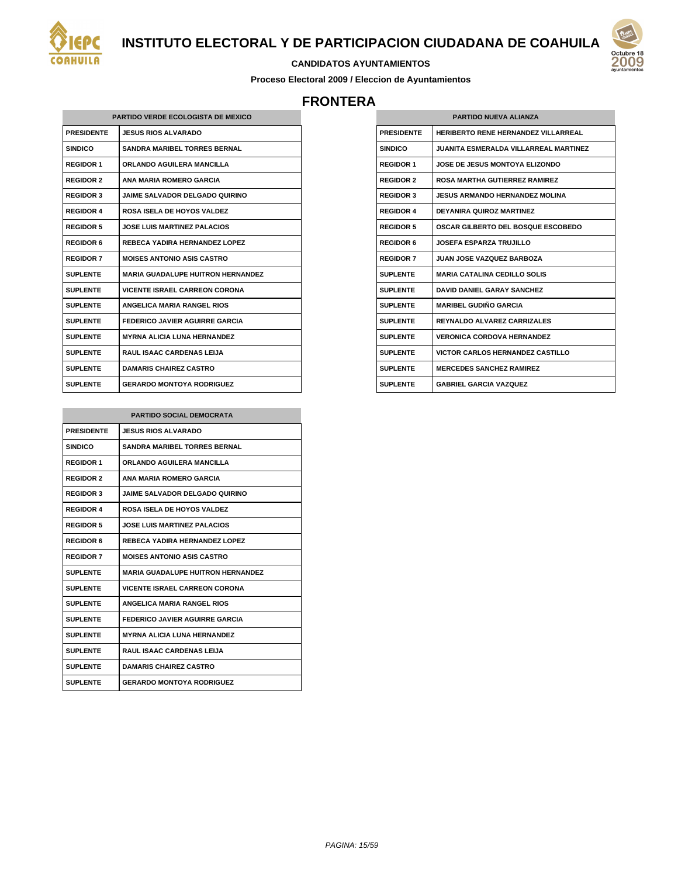

# 200

#### **CANDIDATOS AYUNTAMIENTOS**

**Proceso Electoral 2009 / Eleccion de Ayuntamientos**

# **FRONTERA**

|                   | <b>PARTIDO VERDE ECOLOGISTA DE MEXICO</b> |
|-------------------|-------------------------------------------|
| <b>PRESIDENTE</b> | <b>JESUS RIOS ALVARADO</b>                |
| <b>SINDICO</b>    | <b>SANDRA MARIBEL TORRES BERNAL</b>       |
| <b>REGIDOR 1</b>  | ORLANDO AGUILERA MANCILLA                 |
| <b>REGIDOR 2</b>  | <b>ANA MARIA ROMERO GARCIA</b>            |
| <b>REGIDOR 3</b>  | <b>JAIME SALVADOR DELGADO QUIRINO</b>     |
| <b>REGIDOR 4</b>  | ROSA ISELA DE HOYOS VALDEZ                |
| <b>REGIDOR 5</b>  | <b>JOSE LUIS MARTINEZ PALACIOS</b>        |
| <b>REGIDOR 6</b>  | REBECA YADIRA HERNANDEZ LOPEZ             |
| <b>REGIDOR 7</b>  | <b>MOISES ANTONIO ASIS CASTRO</b>         |
| <b>SUPLENTE</b>   | <b>MARIA GUADALUPE HUITRON HERNANDEZ</b>  |
| <b>SUPLENTE</b>   | <b>VICENTE ISRAEL CARREON CORONA</b>      |
| <b>SUPLENTE</b>   | <b>ANGELICA MARIA RANGEL RIOS</b>         |
| <b>SUPLENTE</b>   | FEDERICO JAVIER AGUIRRE GARCIA            |
| <b>SUPLENTE</b>   | <b>MYRNA ALICIA LUNA HERNANDEZ</b>        |
| <b>SUPLENTE</b>   | <b>RAUL ISAAC CARDENAS LEIJA</b>          |
| <b>SUPLENTE</b>   | <b>DAMARIS CHAIREZ CASTRO</b>             |
| <b>SUPLENTE</b>   | <b>GERARDO MONTOYA RODRIGUEZ</b>          |

|                   | <b>PARTIDO SOCIAL DEMOCRATA</b>          |
|-------------------|------------------------------------------|
| <b>PRESIDENTE</b> | <b>JESUS RIOS ALVARADO</b>               |
| <b>SINDICO</b>    | <b>SANDRA MARIBEL TORRES BERNAL</b>      |
| <b>REGIDOR 1</b>  | ORLANDO AGUILERA MANCILLA                |
| <b>REGIDOR 2</b>  | <b>ANA MARIA ROMERO GARCIA</b>           |
| <b>REGIDOR 3</b>  | <b>JAIME SALVADOR DELGADO QUIRINO</b>    |
| <b>REGIDOR 4</b>  | ROSA ISELA DE HOYOS VALDEZ               |
| <b>REGIDOR 5</b>  | <b>JOSE LUIS MARTINEZ PALACIOS</b>       |
| <b>REGIDOR 6</b>  | REBECA YADIRA HERNANDEZ LOPEZ            |
| <b>REGIDOR 7</b>  | <b>MOISES ANTONIO ASIS CASTRO</b>        |
| <b>SUPLENTE</b>   | <b>MARIA GUADALUPE HUITRON HERNANDEZ</b> |
| <b>SUPLENTE</b>   | <b>VICENTE ISRAEL CARREON CORONA</b>     |
| <b>SUPLENTE</b>   | <b>ANGELICA MARIA RANGEL RIOS</b>        |
| <b>SUPLENTE</b>   | <b>FEDERICO JAVIER AGUIRRE GARCIA</b>    |
| <b>SUPLENTE</b>   | <b>MYRNA ALICIA LUNA HERNANDEZ</b>       |
| <b>SUPLENTE</b>   | <b>RAUL ISAAC CARDENAS LELIA</b>         |
| <b>SUPLENTE</b>   | <b>DAMARIS CHAIREZ CASTRO</b>            |
| <b>SUPLENTE</b>   | <b>GERARDO MONTOYA RODRIGUEZ</b>         |

| PARTIDO NUFVA ALIANZA |                                            |
|-----------------------|--------------------------------------------|
| <b>PRESIDENTE</b>     | <b>HERIBERTO RENE HERNANDEZ VILLARREAL</b> |
| <b>SINDICO</b>        | JUANITA FSMERAI DA VII I ARREAI MARTINEZ   |
| <b>REGIDOR 1</b>      | <b>JOSE DE JESUS MONTOYA ELIZONDO</b>      |
| <b>REGIDOR 2</b>      | <b>ROSA MARTHA GUTIERREZ RAMIREZ</b>       |
| <b>REGIDOR 3</b>      | <b>JESUS ARMANDO HERNANDEZ MOLINA</b>      |
| <b>REGIDOR 4</b>      | <b>DEYANIRA QUIROZ MARTINEZ</b>            |
| <b>REGIDOR 5</b>      | OSCAR GILBERTO DEL BOSQUE ESCOBEDO         |
| <b>REGIDOR 6</b>      | <b>JOSEFA ESPARZA TRUJILLO</b>             |
| <b>REGIDOR 7</b>      | <b>JUAN JOSE VAZQUEZ BARBOZA</b>           |
| <b>SUPLENTE</b>       | <b>MARIA CATALINA CEDILLO SOLIS</b>        |
| <b>SUPLENTE</b>       | DAVID DANIFI GARAY SANCHEZ                 |
| <b>SUPLENTE</b>       | <b>MARIBEL GUDIÑO GARCIA</b>               |
| <b>SUPLENTE</b>       | <b>REYNALDO ALVAREZ CARRIZALES</b>         |
| <b>SUPLENTE</b>       | <b>VERONICA CORDOVA HERNANDEZ</b>          |
| <b>SUPLENTE</b>       | <b>VICTOR CARLOS HERNANDEZ CASTILLO</b>    |
| <b>SUPLENTE</b>       | <b>MERCEDES SANCHEZ RAMIREZ</b>            |
| <b>SUPLENTE</b>       | <b>GABRIEL GARCIA VAZQUEZ</b>              |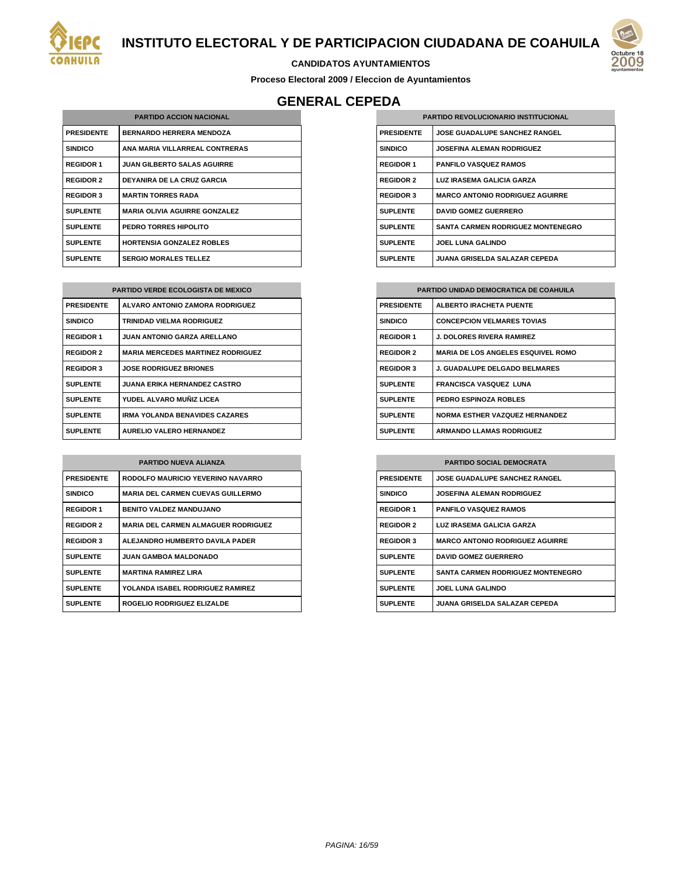



**Proceso Electoral 2009 / Eleccion de Ayuntamientos**

# **GENERAL CEPEDA**

| <b>PARTIDO ACCION NACIONAL</b> |                                      |
|--------------------------------|--------------------------------------|
| <b>PRESIDENTE</b>              | <b>BERNARDO HERRERA MENDOZA</b>      |
| <b>SINDICO</b>                 | ANA MARIA VILLARREAL CONTRERAS       |
| <b>REGIDOR 1</b>               | <b>JUAN GILBERTO SALAS AGUIRRE</b>   |
| <b>REGIDOR 2</b>               | <b>DEYANIRA DE LA CRUZ GARCIA</b>    |
| <b>REGIDOR 3</b>               | <b>MARTIN TORRES RADA</b>            |
| <b>SUPLENTE</b>                | <b>MARIA OLIVIA AGUIRRE GONZALEZ</b> |
| <b>SUPLENTE</b>                | PEDRO TORRES HIPOLITO                |
| <b>SUPLENTE</b>                | <b>HORTENSIA GONZALEZ ROBLES</b>     |
| <b>SUPLENTE</b>                | <b>SERGIO MORALES TELLEZ</b>         |

| <b>PARTIDO VERDE ECOLOGISTA DE MEXICO</b> |                                          |
|-------------------------------------------|------------------------------------------|
| <b>PRESIDENTE</b>                         | ALVARO ANTONIO ZAMORA RODRIGUEZ          |
| <b>SINDICO</b>                            | TRINIDAD VIELMA RODRIGUEZ                |
| <b>REGIDOR 1</b>                          | <b>JUAN ANTONIO GARZA ARELLANO</b>       |
| <b>REGIDOR 2</b>                          | <b>MARIA MERCEDES MARTINEZ RODRIGUEZ</b> |
| <b>REGIDOR 3</b>                          | <b>JOSE RODRIGUEZ BRIONES</b>            |
| <b>SUPLENTE</b>                           | <b>JUANA ERIKA HERNANDEZ CASTRO</b>      |
| <b>SUPLENTE</b>                           | YUDEL ALVARO MUÑIZ LICEA                 |
| <b>SUPLENTE</b>                           | <b>IRMA YOLANDA BENAVIDES CAZARES</b>    |
| <b>SUPLENTE</b>                           | <b>AURELIO VALERO HERNANDEZ</b>          |

| <b>PARTIDO NUEVA ALIANZA</b> |                                            |
|------------------------------|--------------------------------------------|
| <b>PRESIDENTE</b>            | RODOLFO MAURICIO YEVERINO NAVARRO          |
| <b>SINDICO</b>               | <b>MARIA DEL CARMEN CUEVAS GUILLERMO</b>   |
| <b>REGIDOR 1</b>             | <b>BENITO VALDEZ MANDUJANO</b>             |
| <b>REGIDOR 2</b>             | <b>MARIA DEL CARMEN ALMAGUER RODRIGUEZ</b> |
| <b>REGIDOR 3</b>             | ALEJANDRO HUMBERTO DAVILA PADER            |
| <b>SUPLENTE</b>              | <b>JUAN GAMBOA MALDONADO</b>               |
| <b>SUPLENTE</b>              | <b>MARTINA RAMIREZ LIRA</b>                |
| <b>SUPLENTE</b>              | YOLANDA ISABEL RODRIGUEZ RAMIREZ           |
| <b>SUPLENTE</b>              | ROGELIO RODRIGUEZ ELIZALDE                 |

| <b>PARTIDO REVOLUCIONARIO INSTITUCIONAL</b> |                                          |
|---------------------------------------------|------------------------------------------|
| <b>PRESIDENTE</b>                           | <b>JOSE GUADALUPE SANCHEZ RANGEL</b>     |
| <b>SINDICO</b>                              | <b>JOSEFINA ALEMAN RODRIGUEZ</b>         |
| <b>REGIDOR 1</b>                            | <b>PANFILO VASQUEZ RAMOS</b>             |
| <b>REGIDOR 2</b>                            | LUZ IRASEMA GALICIA GARZA                |
| <b>REGIDOR 3</b>                            | <b>MARCO ANTONIO RODRIGUEZ AGUIRRE</b>   |
| <b>SUPLENTE</b>                             | <b>DAVID GOMEZ GUERRERO</b>              |
| <b>SUPLENTE</b>                             | <b>SANTA CARMEN RODRIGUEZ MONTENEGRO</b> |
| <b>SUPLENTE</b>                             | <b>JOEL LUNA GALINDO</b>                 |
| <b>SUPLENTE</b>                             | JUANA GRISELDA SALAZAR CEPEDA            |

| <b>PARTIDO UNIDAD DEMOCRATICA DE COAHUILA</b> |                                           |
|-----------------------------------------------|-------------------------------------------|
| <b>PRESIDENTE</b>                             | ALBERTO IRACHETA PUENTE                   |
| <b>SINDICO</b>                                | <b>CONCEPCION VELMARES TOVIAS</b>         |
| <b>REGIDOR 1</b>                              | <b>J. DOLORES RIVERA RAMIREZ</b>          |
| <b>REGIDOR 2</b>                              | <b>MARIA DE LOS ANGELES ESQUIVEL ROMO</b> |
| <b>REGIDOR 3</b>                              | <b>J. GUADALUPE DELGADO BELMARES</b>      |
| <b>SUPLENTE</b>                               | <b>FRANCISCA VASQUEZ LUNA</b>             |
| <b>SUPLENTE</b>                               | <b>PEDRO ESPINOZA ROBLES</b>              |
| <b>SUPLENTE</b>                               | <b>NORMA ESTHER VAZQUEZ HERNANDEZ</b>     |
| <b>SUPLENTE</b>                               | <b>ARMANDO LLAMAS RODRIGUEZ</b>           |

| <b>PARTIDO SOCIAL DEMOCRATA</b> |                                          |
|---------------------------------|------------------------------------------|
| <b>PRESIDENTE</b>               | <b>JOSE GUADALUPE SANCHEZ RANGEL</b>     |
| <b>SINDICO</b>                  | <b>JOSEFINA ALEMAN RODRIGUEZ</b>         |
| <b>REGIDOR 1</b>                | <b>PANFILO VASQUEZ RAMOS</b>             |
| <b>REGIDOR 2</b>                | LUZ IRASEMA GALICIA GARZA                |
| <b>REGIDOR 3</b>                | <b>MARCO ANTONIO RODRIGUEZ AGUIRRE</b>   |
| <b>SUPLENTE</b>                 | <b>DAVID GOMEZ GUERRERO</b>              |
| <b>SUPLENTE</b>                 | <b>SANTA CARMEN RODRIGUEZ MONTENEGRO</b> |
| <b>SUPLENTE</b>                 | <b>JOEL LUNA GALINDO</b>                 |
| <b>SUPLENTE</b>                 | JUANA GRISELDA SALAZAR CEPEDA            |

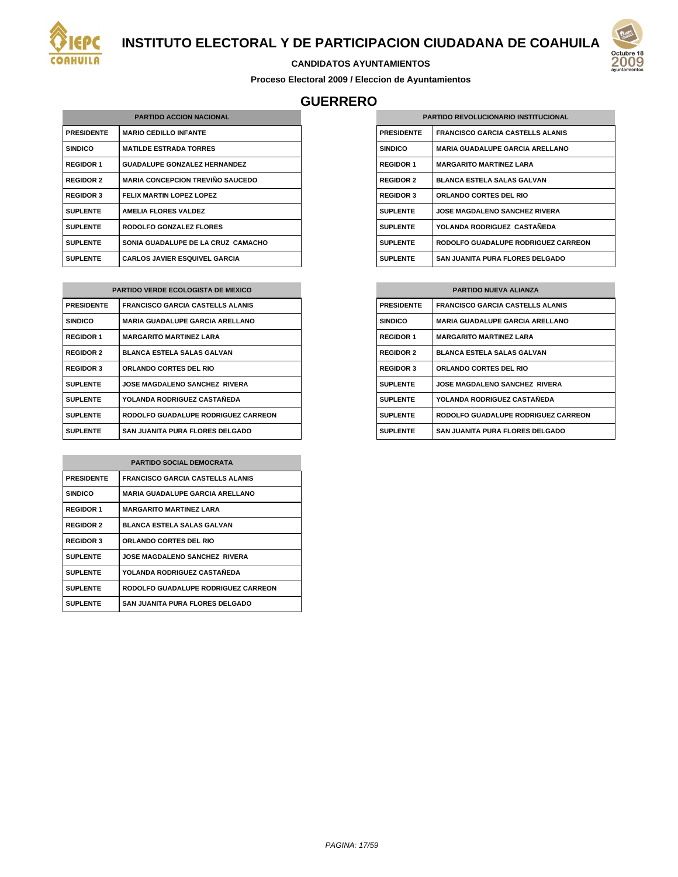



#### **CANDIDATOS AYUNTAMIENTOS**

**Proceso Electoral 2009 / Eleccion de Ayuntamientos**

## **GUERRERO**

| <b>PARTIDO ACCION NACIONAL</b> |                                         |
|--------------------------------|-----------------------------------------|
| <b>PRESIDENTE</b>              | <b>MARIO CEDILLO INFANTE</b>            |
| <b>SINDICO</b>                 | <b>MATILDE ESTRADA TORRES</b>           |
| <b>REGIDOR 1</b>               | <b>GUADALUPE GONZALEZ HERNANDEZ</b>     |
| <b>REGIDOR 2</b>               | <b>MARIA CONCEPCION TREVIÑO SAUCEDO</b> |
| <b>REGIDOR 3</b>               | <b>FELIX MARTIN LOPEZ LOPEZ</b>         |
| <b>SUPLENTE</b>                | <b>AMELIA FLORES VALDEZ</b>             |
| <b>SUPLENTE</b>                | RODOLFO GONZALEZ FLORES                 |
| <b>SUPLENTE</b>                | SONIA GUADALUPE DE LA CRUZ CAMACHO      |
| <b>SUPLENTE</b>                | <b>CARLOS JAVIER ESQUIVEL GARCIA</b>    |

| <b>PARTIDO VERDE ECOLOGISTA DE MEXICO</b> |                                         |  |
|-------------------------------------------|-----------------------------------------|--|
| <b>PRESIDENTE</b>                         | <b>FRANCISCO GARCIA CASTELLS ALANIS</b> |  |
| <b>SINDICO</b>                            | <b>MARIA GUADALUPE GARCIA ARELLANO</b>  |  |
| <b>REGIDOR 1</b>                          | <b>MARGARITO MARTINEZ LARA</b>          |  |
| <b>REGIDOR 2</b>                          | <b>BLANCA ESTELA SALAS GALVAN</b>       |  |
| <b>REGIDOR 3</b>                          | <b>ORLANDO CORTES DEL RIO</b>           |  |
| <b>SUPLENTE</b>                           | <b>JOSE MAGDALENO SANCHEZ RIVERA</b>    |  |
| <b>SUPLENTE</b>                           | YOLANDA RODRIGUEZ CASTAÑEDA             |  |
| <b>SUPLENTE</b>                           | RODOLFO GUADALUPE RODRIGUEZ CARREON     |  |
| <b>SUPLENTE</b>                           | <b>SAN JUANITA PURA FLORES DELGADO</b>  |  |

| <b>PARTIDO SOCIAL DEMOCRATA</b> |                                         |
|---------------------------------|-----------------------------------------|
| <b>PRESIDENTE</b>               | <b>FRANCISCO GARCIA CASTELLS ALANIS</b> |
| <b>SINDICO</b>                  | <b>MARIA GUADALUPE GARCIA ARELLANO</b>  |
| <b>REGIDOR 1</b>                | <b>MARGARITO MARTINEZ LARA</b>          |
| <b>REGIDOR 2</b>                | <b>BLANCA ESTELA SALAS GALVAN</b>       |
| <b>REGIDOR 3</b>                | <b>ORLANDO CORTES DEL RIO</b>           |
| <b>SUPLENTE</b>                 | <b>JOSE MAGDALENO SANCHEZ RIVERA</b>    |
| <b>SUPLENTE</b>                 | YOLANDA RODRIGUEZ CASTAÑEDA             |
| <b>SUPLENTE</b>                 | RODOLFO GUADALUPE RODRIGUEZ CARREON     |
| <b>SUPLENTE</b>                 | SAN JUANITA PURA FLORES DELGADO         |

| <b>PARTIDO REVOLUCIONARIO INSTITUCIONAL</b> |                                         |
|---------------------------------------------|-----------------------------------------|
| <b>PRESIDENTE</b>                           | <b>FRANCISCO GARCIA CASTELLS ALANIS</b> |
| <b>SINDICO</b>                              | <b>MARIA GUADALUPE GARCIA ARELLANO</b>  |
| <b>REGIDOR 1</b>                            | <b>MARGARITO MARTINEZ LARA</b>          |
| <b>REGIDOR 2</b>                            | <b>BLANCA ESTELA SALAS GALVAN</b>       |
| <b>REGIDOR 3</b>                            | <b>ORLANDO CORTES DEL RIO</b>           |
| <b>SUPLENTE</b>                             | <b>JOSE MAGDALENO SANCHEZ RIVERA</b>    |
| <b>SUPLENTE</b>                             | YOLANDA RODRIGUEZ CASTAÑEDA             |
| <b>SUPLENTE</b>                             | RODOLFO GUADALUPE RODRIGUEZ CARREON     |
| <b>SUPLENTE</b>                             | SAN JUANITA PURA FLORES DELGADO         |

| <b>PARTIDO NUEVA ALIANZA</b> |                                         |
|------------------------------|-----------------------------------------|
| <b>PRESIDENTE</b>            | <b>FRANCISCO GARCIA CASTELLS ALANIS</b> |
| <b>SINDICO</b>               | <b>MARIA GUADALUPE GARCIA ARELLANO</b>  |
| <b>REGIDOR 1</b>             | <b>MARGARITO MARTINEZ LARA</b>          |
| <b>REGIDOR 2</b>             | <b>BLANCA ESTELA SALAS GALVAN</b>       |
| <b>REGIDOR 3</b>             | <b>ORLANDO CORTES DEL RIO</b>           |
| <b>SUPLENTE</b>              | <b>JOSE MAGDALENO SANCHEZ RIVERA</b>    |
| <b>SUPLENTE</b>              | YOLANDA RODRIGUEZ CASTAÑEDA             |
| <b>SUPLENTE</b>              | RODOLFO GUADALUPE RODRIGUEZ CARREON     |
| <b>SUPLENTE</b>              | SAN JUANITA PURA FLORES DELGADO         |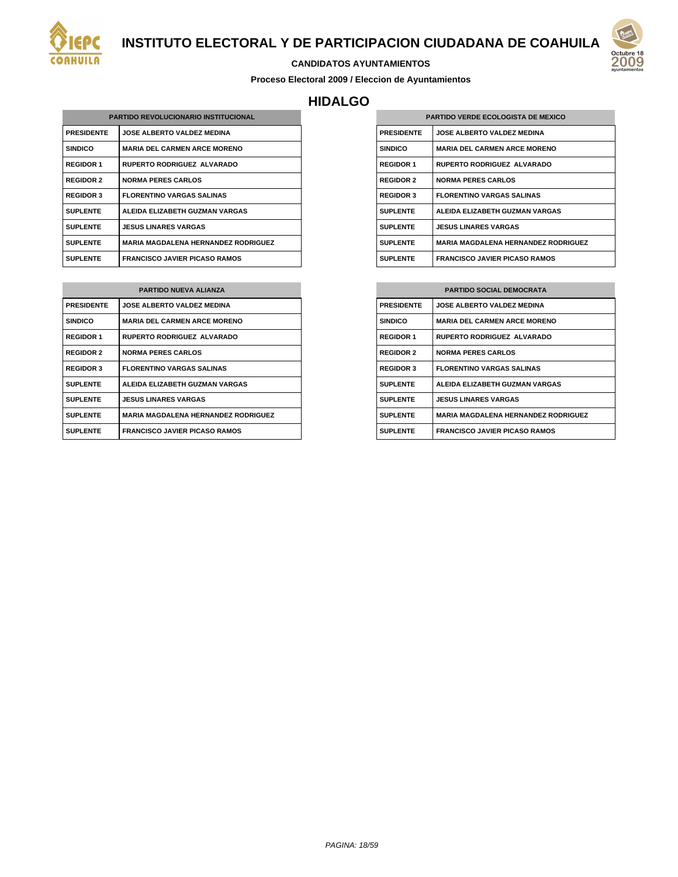

#### **CANDIDATOS AYUNTAMIENTOS**

**Proceso Electoral 2009 / Eleccion de Ayuntamientos**

# **HIDALGO**

| <b>PARTIDO REVOLUCIONARIO INSTITUCIONAL</b> |                                            |
|---------------------------------------------|--------------------------------------------|
| <b>PRESIDENTE</b>                           | <b>JOSE ALBERTO VALDEZ MEDINA</b>          |
| <b>SINDICO</b>                              | <b>MARIA DEL CARMEN ARCE MORENO</b>        |
| <b>REGIDOR 1</b>                            | <b>RUPERTO RODRIGUEZ ALVARADO</b>          |
| <b>REGIDOR 2</b>                            | <b>NORMA PERES CARLOS</b>                  |
| <b>REGIDOR 3</b>                            | <b>FLORENTINO VARGAS SALINAS</b>           |
| <b>SUPLENTE</b>                             | ALFIDA FI IZARETH GUZMAN VARGAS            |
| <b>SUPLENTE</b>                             | <b>JESUS LINARES VARGAS</b>                |
| <b>SUPLENTE</b>                             | <b>MARIA MAGDALENA HERNANDEZ RODRIGUEZ</b> |
| <b>SUPLENTE</b>                             | <b>FRANCISCO JAVIER PICASO RAMOS</b>       |

| <b>PARTIDO NUEVA ALIANZA</b> |                                            |
|------------------------------|--------------------------------------------|
| <b>PRESIDENTE</b>            | <b>JOSE ALBERTO VALDEZ MEDINA</b>          |
| <b>SINDICO</b>               | <b>MARIA DEL CARMEN ARCE MORENO</b>        |
| <b>REGIDOR 1</b>             | <b>RUPERTO RODRIGUEZ ALVARADO</b>          |
| <b>REGIDOR 2</b>             | <b>NORMA PERES CARLOS</b>                  |
| <b>REGIDOR 3</b>             | <b>FLORENTINO VARGAS SALINAS</b>           |
| <b>SUPLENTE</b>              | ALEIDA ELIZABETH GUZMAN VARGAS             |
| <b>SUPLENTE</b>              | <b>JESUS LINARES VARGAS</b>                |
| <b>SUPLENTE</b>              | <b>MARIA MAGDALENA HERNANDEZ RODRIGUEZ</b> |
| <b>SUPLENTE</b>              | <b>FRANCISCO JAVIER PICASO RAMOS</b>       |

| <b>PARTIDO VERDE ECOLOGISTA DE MEXICO</b> |                                            |
|-------------------------------------------|--------------------------------------------|
| <b>PRESIDENTE</b>                         | <b>JOSE ALBERTO VALDEZ MEDINA</b>          |
| <b>SINDICO</b>                            | <b>MARIA DEL CARMEN ARCE MORENO</b>        |
| <b>REGIDOR 1</b>                          | <b>RUPERTO RODRIGUEZ ALVARADO</b>          |
| <b>REGIDOR 2</b>                          | <b>NORMA PERES CARLOS</b>                  |
| <b>REGIDOR 3</b>                          | <b>FLORENTINO VARGAS SALINAS</b>           |
| <b>SUPLENTE</b>                           | ALEIDA ELIZABETH GUZMAN VARGAS             |
| <b>SUPLENTE</b>                           | <b>JESUS LINARES VARGAS</b>                |
| <b>SUPLENTE</b>                           | <b>MARIA MAGDALENA HERNANDEZ RODRIGUEZ</b> |
| <b>SUPLENTE</b>                           | <b>FRANCISCO JAVIER PICASO RAMOS</b>       |

| <b>PARTIDO SOCIAL DEMOCRATA</b> |                                            |
|---------------------------------|--------------------------------------------|
| <b>PRESIDENTE</b>               | <b>JOSE ALBERTO VALDEZ MEDINA</b>          |
| <b>SINDICO</b>                  | <b>MARIA DEL CARMEN ARCE MORENO</b>        |
| <b>REGIDOR 1</b>                | <b>RUPERTO RODRIGUEZ ALVARADO</b>          |
| <b>REGIDOR 2</b>                | <b>NORMA PERES CARLOS</b>                  |
| <b>REGIDOR 3</b>                | <b>FLORENTINO VARGAS SALINAS</b>           |
| <b>SUPLENTE</b>                 | ALEIDA ELIZABETH GUZMAN VARGAS             |
| <b>SUPLENTE</b>                 | <b>JESUS LINARES VARGAS</b>                |
| <b>SUPLENTE</b>                 | <b>MARIA MAGDALENA HERNANDEZ RODRIGUEZ</b> |
| <b>SUPLENTE</b>                 | <b>FRANCISCO JAVIER PICASO RAMOS</b>       |

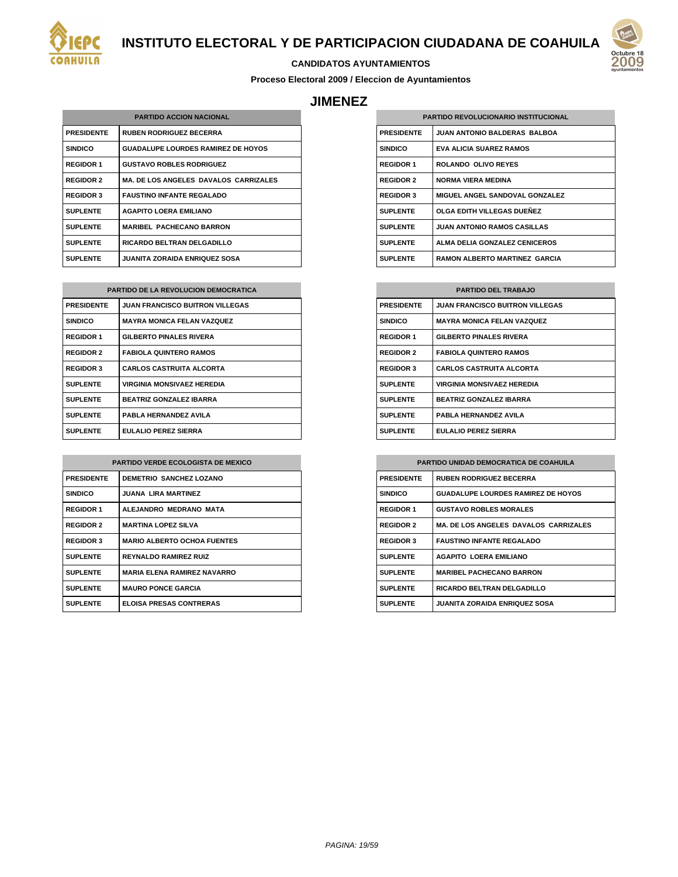



## **CANDIDATOS AYUNTAMIENTOS**

**Proceso Electoral 2009 / Eleccion de Ayuntamientos**

## **JIMENEZ**

| <b>PARTIDO ACCION NACIONAL</b> |                                              |
|--------------------------------|----------------------------------------------|
| <b>PRESIDENTE</b>              | <b>RUBEN RODRIGUEZ BECERRA</b>               |
| <b>SINDICO</b>                 | <b>GUADALUPE LOURDES RAMIREZ DE HOYOS</b>    |
| <b>REGIDOR 1</b>               | <b>GUSTAVO ROBLES RODRIGUEZ</b>              |
| <b>REGIDOR 2</b>               | <b>MA. DE LOS ANGELES DAVALOS CARRIZALES</b> |
| <b>REGIDOR 3</b>               | <b>FAUSTINO INFANTE REGALADO</b>             |
| <b>SUPLENTE</b>                | <b>AGAPITO LOERA EMILIANO</b>                |
| <b>SUPLENTE</b>                | <b>MARIBEL PACHECANO BARRON</b>              |
| <b>SUPLENTE</b>                | <b>RICARDO BELTRAN DELGADILLO</b>            |
| <b>SUPLENTE</b>                | <b>JUANITA ZORAIDA ENRIQUEZ SOSA</b>         |

| <b>PARTIDO DE LA REVOLUCION DEMOCRATICA</b> |                                        |  |
|---------------------------------------------|----------------------------------------|--|
| <b>PRESIDENTE</b>                           | <b>JUAN FRANCISCO BUITRON VILLEGAS</b> |  |
| <b>SINDICO</b>                              | <b>MAYRA MONICA FELAN VAZQUEZ</b>      |  |
| <b>REGIDOR 1</b>                            | <b>GILBERTO PINALES RIVERA</b>         |  |
| <b>REGIDOR 2</b>                            | <b>FABIOLA QUINTERO RAMOS</b>          |  |
| <b>REGIDOR 3</b>                            | <b>CARLOS CASTRUITA ALCORTA</b>        |  |
| <b>SUPLENTE</b>                             | VIRGINIA MONSIVAEZ HEREDIA             |  |
| <b>SUPLENTE</b>                             | <b>BEATRIZ GONZALEZ IBARRA</b>         |  |
| <b>SUPLENTE</b>                             | PABLA HERNANDEZ AVILA                  |  |
| <b>SUPLENTE</b>                             | EULALIO PEREZ SIERRA                   |  |

| <b>PARTIDO VERDE ECOLOGISTA DE MEXICO</b> |                                     |
|-------------------------------------------|-------------------------------------|
| <b>PRESIDENTE</b>                         | <b>DEMETRIO SANCHEZ LOZANO</b>      |
| <b>SINDICO</b>                            | <b>JUANA LIRA MARTINEZ</b>          |
| <b>REGIDOR 1</b>                          | ALEJANDRO MEDRANO MATA              |
| <b>REGIDOR 2</b>                          | <b>MARTINA LOPEZ SILVA</b>          |
| <b>REGIDOR 3</b>                          | <b>MARIO ALBERTO OCHOA FUENTES</b>  |
| <b>SUPLENTE</b>                           | <b>REYNALDO RAMIREZ RUIZ</b>        |
| <b>SUPLENTE</b>                           | <b>MARIA FI FNA RAMIRFZ NAVARRO</b> |
| <b>SUPLENTE</b>                           | <b>MAURO PONCE GARCIA</b>           |
| <b>SUPLENTE</b>                           | <b>ELOISA PRESAS CONTRERAS</b>      |

| <b>PARTIDO REVOLUCIONARIO INSTITUCIONAL</b> |                                      |
|---------------------------------------------|--------------------------------------|
|                                             |                                      |
| <b>PRESIDENTE</b>                           | <b>JUAN ANTONIO BALDERAS BALBOA</b>  |
| <b>SINDICO</b>                              | <b>EVA ALICIA SUAREZ RAMOS</b>       |
| <b>REGIDOR 1</b>                            | <b>ROLANDO OLIVO REYES</b>           |
| <b>REGIDOR 2</b>                            | NORMA VIFRA MEDINA                   |
| <b>REGIDOR 3</b>                            | MIGUEL ANGEL SANDOVAL GONZALEZ       |
| <b>SUPLENTE</b>                             | OLGA EDITH VILLEGAS DUEÑEZ           |
| <b>SUPLENTE</b>                             | <b>JUAN ANTONIO RAMOS CASILLAS</b>   |
| <b>SUPLENTE</b>                             | ALMA DELIA GONZALEZ CENICEROS        |
| <b>SUPLENTE</b>                             | <b>RAMON ALBERTO MARTINEZ GARCIA</b> |

| <b>PARTIDO DEL TRABAJO</b> |                                        |
|----------------------------|----------------------------------------|
| <b>PRESIDENTE</b>          | <b>JUAN FRANCISCO BUITRON VILLEGAS</b> |
| <b>SINDICO</b>             | <b>MAYRA MONICA FELAN VAZQUEZ</b>      |
| <b>REGIDOR 1</b>           | <b>GILBERTO PINALES RIVERA</b>         |
| <b>REGIDOR 2</b>           | <b>FABIOLA QUINTERO RAMOS</b>          |
| <b>REGIDOR 3</b>           | <b>CARLOS CASTRUITA ALCORTA</b>        |
| <b>SUPLENTE</b>            | <b>VIRGINIA MONSIVAEZ HEREDIA</b>      |
| <b>SUPLENTE</b>            | <b>BEATRIZ GONZALEZ IBARRA</b>         |
| <b>SUPLENTE</b>            | PABLA HERNANDEZ AVILA                  |
| <b>SUPLENTE</b>            | EULALIO PEREZ SIERRA                   |

| <b>PARTIDO UNIDAD DEMOCRATICA DE COAHUILA</b> |                                              |
|-----------------------------------------------|----------------------------------------------|
| <b>PRESIDENTE</b>                             | <b>RUBEN RODRIGUEZ BECERRA</b>               |
| <b>SINDICO</b>                                | <b>GUADALUPE LOURDES RAMIREZ DE HOYOS</b>    |
| <b>REGIDOR 1</b>                              | <b>GUSTAVO ROBLES MORALES</b>                |
| <b>REGIDOR 2</b>                              | <b>MA. DE LOS ANGELES DAVALOS CARRIZALES</b> |
| <b>REGIDOR 3</b>                              | <b>FAUSTINO INFANTE REGALADO</b>             |
| <b>SUPLENTE</b>                               | <b>AGAPITO LOERA EMILIANO</b>                |
| <b>SUPLENTE</b>                               | <b>MARIBEL PACHECANO BARRON</b>              |
| <b>SUPLENTE</b>                               | <b>RICARDO BELTRAN DELGADILLO</b>            |
| <b>SUPLENTE</b>                               | <b>JUANITA ZORAIDA ENRIQUEZ SOSA</b>         |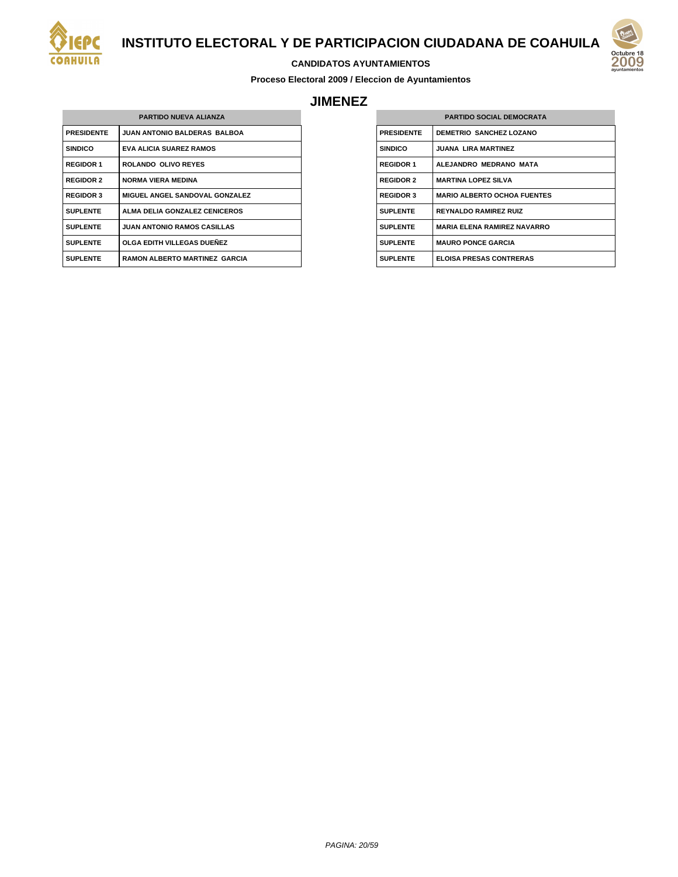



#### **CANDIDATOS AYUNTAMIENTOS**

**Proceso Electoral 2009 / Eleccion de Ayuntamientos**

## **JIMENEZ**

| <b>PARTIDO NUEVA ALIANZA</b> |                                      |  |
|------------------------------|--------------------------------------|--|
| <b>PRESIDENTE</b>            | <b>JUAN ANTONIO BALDERAS BALBOA</b>  |  |
| <b>SINDICO</b>               | <b>EVA ALICIA SUAREZ RAMOS</b>       |  |
| <b>REGIDOR 1</b>             | <b>ROLANDO OLIVO REYES</b>           |  |
| <b>REGIDOR 2</b>             | <b>NORMA VIERA MEDINA</b>            |  |
| <b>REGIDOR 3</b>             | MIGUEL ANGEL SANDOVAL GONZALEZ       |  |
| <b>SUPLENTE</b>              | ALMA DELIA GONZALEZ CENICEROS        |  |
| <b>SUPLENTE</b>              | <b>JUAN ANTONIO RAMOS CASILLAS</b>   |  |
| <b>SUPLENTE</b>              | OLGA EDITH VILLEGAS DUENEZ           |  |
| <b>SUPLENTE</b>              | <b>RAMON ALBERTO MARTINEZ GARCIA</b> |  |

| <b>PARTIDO SOCIAL DEMOCRATA</b> |                                    |
|---------------------------------|------------------------------------|
| <b>PRESIDENTE</b>               | <b>DEMETRIO SANCHEZ LOZANO</b>     |
| <b>SINDICO</b>                  | <b>JUANA LIRA MARTINEZ</b>         |
| <b>REGIDOR 1</b>                | ALEJANDRO MEDRANO MATA             |
| <b>REGIDOR 2</b>                | <b>MARTINA LOPEZ SILVA</b>         |
| <b>REGIDOR 3</b>                | <b>MARIO ALBERTO OCHOA FUENTES</b> |
| <b>SUPLENTE</b>                 | <b>REYNALDO RAMIREZ RUIZ</b>       |
| <b>SUPLENTE</b>                 | <b>MARIA ELENA RAMIREZ NAVARRO</b> |
| <b>SUPLENTE</b>                 | <b>MAURO PONCE GARCIA</b>          |
| <b>SUPLENTE</b>                 | <b>ELOISA PRESAS CONTRERAS</b>     |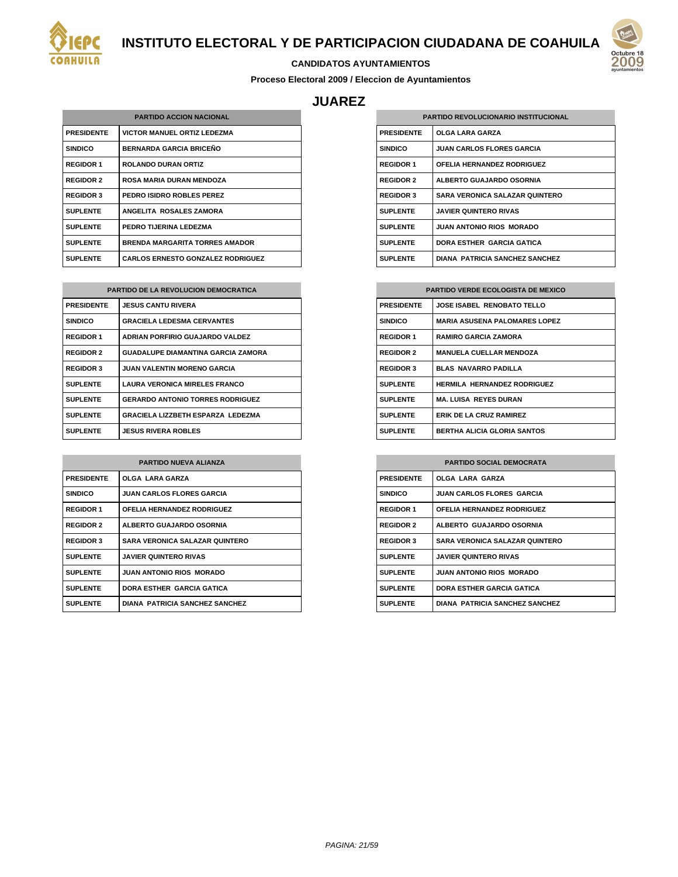



#### **CANDIDATOS AYUNTAMIENTOS**

**Proceso Electoral 2009 / Eleccion de Ayuntamientos**

## **JUAREZ**

| <b>PARTIDO ACCION NACIONAL</b> |                                          |
|--------------------------------|------------------------------------------|
| <b>PRESIDENTE</b>              | <b>VICTOR MANUEL ORTIZ LEDEZMA</b>       |
| <b>SINDICO</b>                 | <b>BERNARDA GARCIA BRICEÑO</b>           |
| <b>REGIDOR 1</b>               | <b>ROLANDO DURAN ORTIZ</b>               |
| <b>REGIDOR 2</b>               | <b>ROSA MARIA DURAN MENDOZA</b>          |
| <b>REGIDOR 3</b>               | PEDRO ISIDRO ROBLES PEREZ                |
| <b>SUPLENTE</b>                | ANGELITA ROSALES ZAMORA                  |
| <b>SUPLENTE</b>                | PEDRO TIJERINA LEDEZMA                   |
| <b>SUPLENTE</b>                | <b>BRENDA MARGARITA TORRES AMADOR</b>    |
| <b>SUPLENTE</b>                | <b>CARLOS ERNESTO GONZALEZ RODRIGUEZ</b> |

| <b>PARTIDO DE LA REVOLUCION DEMOCRATICA</b> |                                           |
|---------------------------------------------|-------------------------------------------|
| <b>PRESIDENTE</b>                           | <b>JESUS CANTU RIVERA</b>                 |
| <b>SINDICO</b>                              | <b>GRACIELA LEDESMA CERVANTES</b>         |
| <b>REGIDOR 1</b>                            | ADRIAN PORFIRIO GUAJARDO VALDEZ           |
| <b>REGIDOR 2</b>                            | <b>GUADALUPE DIAMANTINA GARCIA ZAMORA</b> |
| <b>REGIDOR 3</b>                            | <b>JUAN VALENTIN MORENO GARCIA</b>        |
| <b>SUPLENTE</b>                             | <b>LAURA VERONICA MIRELES FRANCO</b>      |
| <b>SUPLENTE</b>                             | <b>GERARDO ANTONIO TORRES RODRIGUEZ</b>   |
| <b>SUPLENTE</b>                             | GRACIELA LIZZBETH ESPARZA LEDEZMA         |
| <b>SUPLENTE</b>                             | <b>JESUS RIVERA ROBLES</b>                |

| <b>PARTIDO NUEVA ALIANZA</b> |                                       |  |
|------------------------------|---------------------------------------|--|
| <b>PRESIDENTE</b>            | <b>OLGA LARA GARZA</b>                |  |
| <b>SINDICO</b>               | <b>JUAN CARLOS FLORES GARCIA</b>      |  |
| <b>REGIDOR 1</b>             | OFELIA HERNANDEZ RODRIGUEZ            |  |
| <b>REGIDOR 2</b>             | <b>ALBERTO GUAJARDO OSORNIA</b>       |  |
| <b>REGIDOR 3</b>             | <b>SARA VERONICA SALAZAR QUINTERO</b> |  |
| <b>SUPLENTE</b>              | <b>JAVIER QUINTERO RIVAS</b>          |  |
| <b>SUPLENTE</b>              | <b>JUAN ANTONIO RIOS MORADO</b>       |  |
| <b>SUPLENTE</b>              | DORA ESTHER GARCIA GATICA             |  |
| <b>SUPLENTE</b>              | <b>DIANA PATRICIA SANCHEZ SANCHEZ</b> |  |

| <b>PARTIDO REVOLUCIONARIO INSTITUCIONAL</b> |                                       |
|---------------------------------------------|---------------------------------------|
| <b>PRESIDENTE</b>                           | <b>OLGA LARA GARZA</b>                |
| <b>SINDICO</b>                              | <b>JUAN CARLOS FLORES GARCIA</b>      |
| <b>REGIDOR 1</b>                            | OFELIA HERNANDEZ RODRIGUEZ            |
| <b>REGIDOR 2</b>                            | ALBERTO GUAJARDO OSORNIA              |
| <b>REGIDOR 3</b>                            | <b>SARA VERONICA SALAZAR QUINTERO</b> |
| <b>SUPLENTE</b>                             | <b>JAVIER QUINTERO RIVAS</b>          |
| <b>SUPLENTE</b>                             | <b>JUAN ANTONIO RIOS MORADO</b>       |
| <b>SUPLENTE</b>                             | DORA ESTHER GARCIA GATICA             |
| <b>SUPLENTE</b>                             | <b>DIANA PATRICIA SANCHEZ SANCHEZ</b> |

| <b>PARTIDO VERDE ECOLOGISTA DE MEXICO</b> |                                      |
|-------------------------------------------|--------------------------------------|
| <b>PRESIDENTE</b>                         | <b>JOSE ISABEL RENOBATO TELLO</b>    |
| <b>SINDICO</b>                            | <b>MARIA ASUSENA PALOMARES LOPEZ</b> |
| <b>REGIDOR 1</b>                          | <b>RAMIRO GARCIA ZAMORA</b>          |
| <b>REGIDOR 2</b>                          | <b>MANUELA CUELLAR MENDOZA</b>       |
| <b>REGIDOR 3</b>                          | <b>BLAS NAVARRO PADILLA</b>          |
| <b>SUPLENTE</b>                           | <b>HERMILA HERNANDEZ RODRIGUEZ</b>   |
| <b>SUPLENTE</b>                           | <b>MA. LUISA REYES DURAN</b>         |
| <b>SUPLENTE</b>                           | <b>ERIK DE LA CRUZ RAMIREZ</b>       |
| <b>SUPLENTE</b>                           | <b>BERTHA ALICIA GLORIA SANTOS</b>   |

| <b>PARTIDO SOCIAL DEMOCRATA</b> |                                       |
|---------------------------------|---------------------------------------|
| <b>PRESIDENTE</b>               | <b>OLGA LARA GARZA</b>                |
| <b>SINDICO</b>                  | <b>JUAN CARLOS FLORES GARCIA</b>      |
| <b>REGIDOR 1</b>                | OFELIA HERNANDEZ RODRIGUEZ            |
| <b>REGIDOR 2</b>                | ALBERTO GUAJARDO OSORNIA              |
| <b>REGIDOR 3</b>                | <b>SARA VERONICA SALAZAR QUINTERO</b> |
| <b>SUPLENTE</b>                 | <b>JAVIER QUINTERO RIVAS</b>          |
| <b>SUPLENTE</b>                 | <b>JUAN ANTONIO RIOS MORADO</b>       |
| <b>SUPLENTE</b>                 | <b>DORA ESTHER GARCIA GATICA</b>      |
| <b>SUPLENTE</b>                 | <b>DIANA PATRICIA SANCHEZ SANCHEZ</b> |

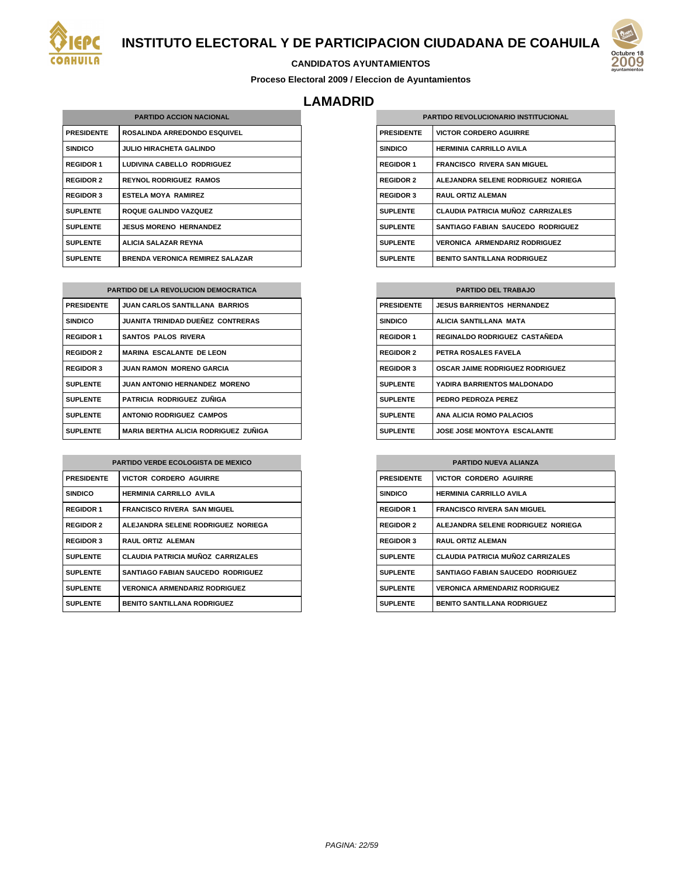



#### **CANDIDATOS AYUNTAMIENTOS**

**Proceso Electoral 2009 / Eleccion de Ayuntamientos**

## **LAMADRID**

| <b>PARTIDO ACCION NACIONAL</b> |                                        |
|--------------------------------|----------------------------------------|
| <b>PRESIDENTE</b>              | <b>ROSALINDA ARREDONDO ESQUIVEL</b>    |
| <b>SINDICO</b>                 | <b>JULIO HIRACHETA GALINDO</b>         |
| <b>REGIDOR 1</b>               | LUDIVINA CABELLO RODRIGUEZ             |
| <b>REGIDOR 2</b>               | <b>REYNOL RODRIGUEZ RAMOS</b>          |
| <b>REGIDOR 3</b>               | <b>ESTELA MOYA RAMIREZ</b>             |
| <b>SUPLENTE</b>                | <b>ROQUE GALINDO VAZQUEZ</b>           |
| <b>SUPLENTE</b>                | <b>JESUS MORENO HERNANDEZ</b>          |
| <b>SUPLENTE</b>                | ALICIA SALAZAR REYNA                   |
| <b>SUPLENTE</b>                | <b>BRENDA VERONICA REMIREZ SALAZAR</b> |

| <b>PARTIDO DE LA REVOLUCION DEMOCRATICA</b> |                                             |
|---------------------------------------------|---------------------------------------------|
| <b>PRESIDENTE</b>                           | <b>JUAN CARLOS SANTILLANA BARRIOS</b>       |
| <b>SINDICO</b>                              | <b>JUANITA TRINIDAD DUEÑEZ CONTRERAS</b>    |
| <b>REGIDOR 1</b>                            | <b>SANTOS PALOS RIVERA</b>                  |
| <b>REGIDOR 2</b>                            | <b>MARINA ESCALANTE DE LEON</b>             |
| <b>REGIDOR 3</b>                            | <b>JUAN RAMON MORENO GARCIA</b>             |
| <b>SUPLENTE</b>                             | <b>JUAN ANTONIO HERNANDEZ MORENO</b>        |
| <b>SUPLENTE</b>                             | PATRICIA RODRIGUEZ ZUÑIGA                   |
| <b>SUPLENTE</b>                             | <b>ANTONIO RODRIGUEZ CAMPOS</b>             |
| <b>SUPLENTE</b>                             | <b>MARIA BERTHA ALICIA RODRIGUEZ ZUNIGA</b> |

| <b>PARTIDO VERDE ECOLOGISTA DE MEXICO</b> |                                          |  |
|-------------------------------------------|------------------------------------------|--|
| <b>PRESIDENTE</b>                         | <b>VICTOR CORDERO AGUIRRE</b>            |  |
| <b>SINDICO</b>                            | <b>HERMINIA CARRILLO AVILA</b>           |  |
| <b>REGIDOR 1</b>                          | <b>FRANCISCO RIVERA SAN MIGUEL</b>       |  |
| <b>REGIDOR 2</b>                          | ALEJANDRA SELENE RODRIGUEZ NORIEGA       |  |
| <b>REGIDOR 3</b>                          | <b>RAUL ORTIZ ALEMAN</b>                 |  |
| <b>SUPLENTE</b>                           | <b>CLAUDIA PATRICIA MUÑOZ CARRIZALES</b> |  |
| <b>SUPLENTE</b>                           | SANTIAGO FABIAN SAUCEDO RODRIGUEZ        |  |
| <b>SUPLENTE</b>                           | <b>VERONICA ARMENDARIZ RODRIGUEZ</b>     |  |
| <b>SUPLENTE</b>                           | <b>BENITO SANTILLANA RODRIGUEZ</b>       |  |

| <b>PARTIDO REVOLUCIONARIO INSTITUCIONAL</b> |                                          |  |
|---------------------------------------------|------------------------------------------|--|
| <b>PRESIDENTE</b>                           | <b>VICTOR CORDERO AGUIRRE</b>            |  |
| <b>SINDICO</b>                              | <b>HERMINIA CARRILLO AVILA</b>           |  |
| <b>REGIDOR 1</b>                            | <b>FRANCISCO RIVERA SAN MIGUEL</b>       |  |
| <b>REGIDOR 2</b>                            | ALEJANDRA SELENE RODRIGUEZ NORIEGA       |  |
| <b>REGIDOR 3</b>                            | <b>RAUL ORTIZ ALEMAN</b>                 |  |
| <b>SUPLENTE</b>                             | <b>CLAUDIA PATRICIA MUÑOZ CARRIZALES</b> |  |
| <b>SUPLENTE</b>                             | SANTIAGO FABIAN SAUCEDO RODRIGUEZ        |  |
| <b>SUPLENTE</b>                             | <b>VERONICA ARMENDARIZ RODRIGUEZ</b>     |  |
| <b>SUPLENTE</b>                             | <b>BENITO SANTILLANA RODRIGUEZ</b>       |  |

| <b>PARTIDO DEL TRABAJO</b> |                                        |
|----------------------------|----------------------------------------|
| <b>PRESIDENTE</b>          | <b>JESUS BARRIENTOS HERNANDEZ</b>      |
| <b>SINDICO</b>             | ALICIA SANTILLANA MATA                 |
| <b>REGIDOR 1</b>           | REGINALDO RODRIGUEZ CASTAÑEDA          |
| <b>REGIDOR 2</b>           | PETRA ROSALES FAVELA                   |
| <b>REGIDOR 3</b>           | <b>OSCAR JAIME RODRIGUEZ RODRIGUEZ</b> |
| <b>SUPLENTE</b>            | YADIRA BARRIENTOS MALDONADO            |
| <b>SUPLENTE</b>            | PEDRO PEDROZA PEREZ                    |
| <b>SUPLENTE</b>            | ANA ALICIA ROMO PALACIOS               |
| <b>SUPLENTE</b>            | <b>JOSE JOSE MONTOYA ESCALANTE</b>     |

| <b>PARTIDO NUEVA ALIANZA</b> |                                          |  |
|------------------------------|------------------------------------------|--|
| <b>PRESIDENTE</b>            | <b>VICTOR CORDERO AGUIRRE</b>            |  |
| <b>SINDICO</b>               | <b>HERMINIA CARRILLO AVILA</b>           |  |
| <b>REGIDOR 1</b>             | <b>FRANCISCO RIVERA SAN MIGUEL</b>       |  |
| <b>REGIDOR 2</b>             | ALEJANDRA SELENE RODRIGUEZ NORIEGA       |  |
| <b>REGIDOR 3</b>             | <b>RAUL ORTIZ ALEMAN</b>                 |  |
| <b>SUPLENTE</b>              | <b>CLAUDIA PATRICIA MUÑOZ CARRIZALES</b> |  |
| <b>SUPLENTE</b>              | <b>SANTIAGO FABIAN SAUCEDO RODRIGUEZ</b> |  |
| <b>SUPLENTE</b>              | <b>VERONICA ARMENDARIZ RODRIGUEZ</b>     |  |
| <b>SUPLENTE</b>              | <b>BENITO SANTILLANA RODRIGUEZ</b>       |  |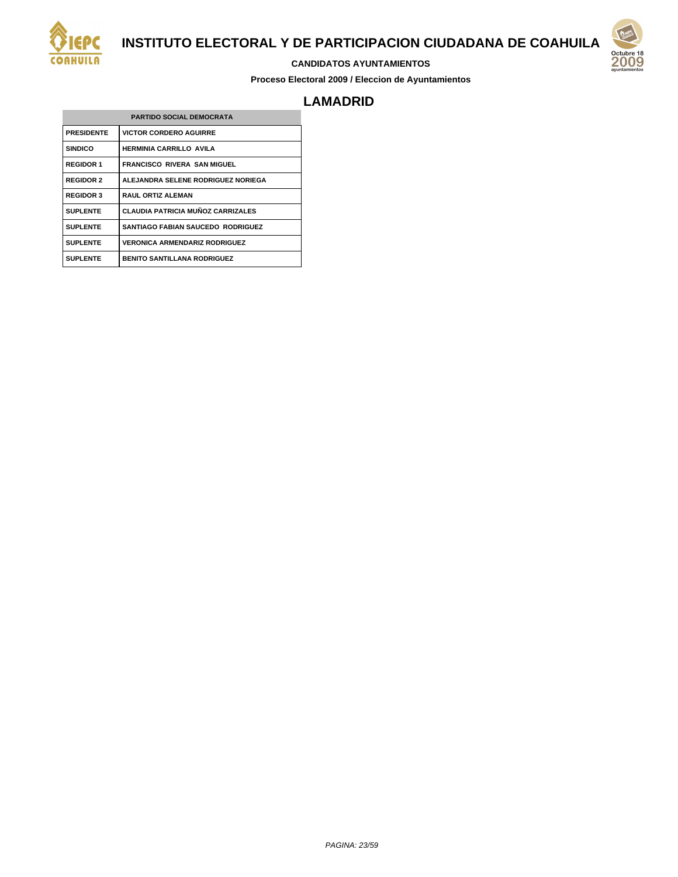

#### **CANDIDATOS AYUNTAMIENTOS**

**Proceso Electoral 2009 / Eleccion de Ayuntamientos**



## **LAMADRID**

| <b>PARTIDO SOCIAL DEMOCRATA</b> |                                          |  |
|---------------------------------|------------------------------------------|--|
| <b>PRESIDENTE</b>               | <b>VICTOR CORDERO AGUIRRE</b>            |  |
| <b>SINDICO</b>                  | <b>HERMINIA CARRILLO AVILA</b>           |  |
| <b>REGIDOR 1</b>                | <b>FRANCISCO RIVERA SAN MIGUEL</b>       |  |
| <b>REGIDOR 2</b>                | ALEJANDRA SELENE RODRIGUEZ NORIEGA       |  |
| <b>REGIDOR 3</b>                | <b>RAUL ORTIZ ALEMAN</b>                 |  |
| <b>SUPLENTE</b>                 | <b>CLAUDIA PATRICIA MUÑOZ CARRIZALES</b> |  |
| <b>SUPLENTE</b>                 | SANTIAGO FABIAN SAUCEDO RODRIGUEZ        |  |
| <b>SUPLENTE</b>                 | <b>VERONICA ARMENDARIZ RODRIGUEZ</b>     |  |
| <b>SUPLENTE</b>                 | <b>BENITO SANTILLANA RODRIGUEZ</b>       |  |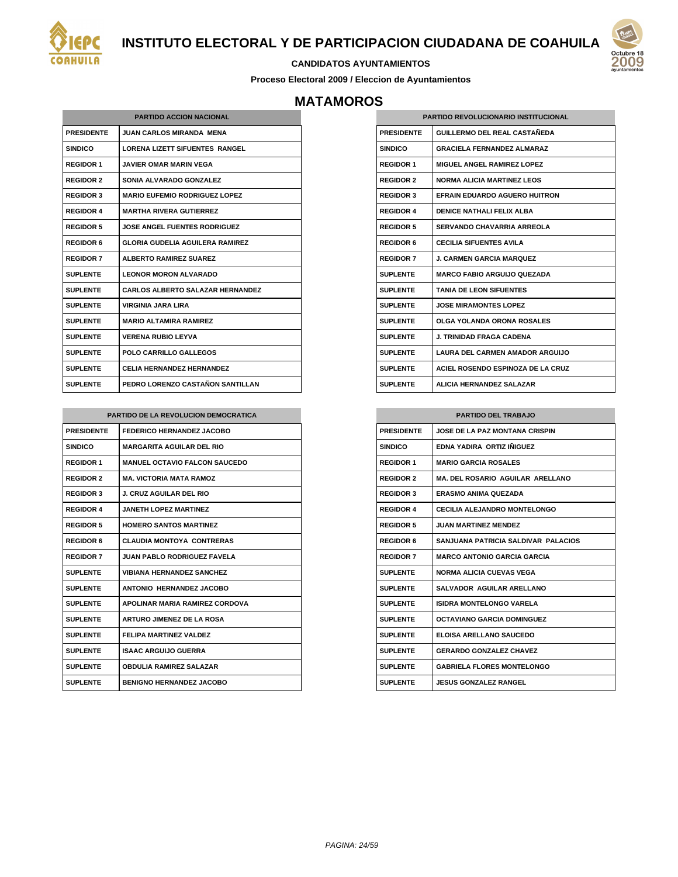



#### **CANDIDATOS AYUNTAMIENTOS**

**Proceso Electoral 2009 / Eleccion de Ayuntamientos**

# **MATAMOROS**

| <b>PARTIDO ACCION NACIONAL</b> |                                         |  |
|--------------------------------|-----------------------------------------|--|
| <b>PRESIDENTE</b>              | <b>JUAN CARLOS MIRANDA MENA</b>         |  |
| <b>SINDICO</b>                 | LORENA LIZETT SIFUENTES RANGEL          |  |
| <b>REGIDOR 1</b>               | <b>JAVIER OMAR MARIN VEGA</b>           |  |
| <b>REGIDOR 2</b>               | SONIA ALVARADO GONZALEZ                 |  |
| <b>REGIDOR 3</b>               | <b>MARIO EUFEMIO RODRIGUEZ LOPEZ</b>    |  |
| <b>REGIDOR 4</b>               | <b>MARTHA RIVERA GUTIERREZ</b>          |  |
| <b>REGIDOR 5</b>               | <b>JOSE ANGEL FUENTES RODRIGUEZ</b>     |  |
| <b>REGIDOR 6</b>               | <b>GLORIA GUDELIA AGUILERA RAMIREZ</b>  |  |
| <b>REGIDOR 7</b>               | <b>ALBERTO RAMIREZ SUAREZ</b>           |  |
| <b>SUPLENTE</b>                | I FONOR MORON AI VARADO                 |  |
| <b>SUPLENTE</b>                | <b>CARLOS ALBERTO SALAZAR HERNANDEZ</b> |  |
| <b>SUPLENTE</b>                | <b>VIRGINIA JARA I IRA</b>              |  |
| <b>SUPLENTE</b>                | <b>MARIO AI TAMIRA RAMIREZ</b>          |  |
| <b>SUPLENTE</b>                | <b>VERENA RUBIO LEYVA</b>               |  |
| <b>SUPLENTE</b>                | <b>POLO CARRILLO GALLEGOS</b>           |  |
| <b>SUPLENTE</b>                | <b>CELIA HERNANDEZ HERNANDEZ</b>        |  |
| <b>SUPLENTE</b>                | PEDRO LORENZO CASTAÑON SANTILLAN        |  |

| <b>PARTIDO DE LA REVOLUCION DEMOCRATICA</b> |                                       |  |
|---------------------------------------------|---------------------------------------|--|
| <b>PRESIDENTE</b>                           | <b>FEDERICO HERNANDEZ JACOBO</b>      |  |
| <b>SINDICO</b>                              | <b>MARGARITA AGUILAR DEL RIO</b>      |  |
| <b>REGIDOR 1</b>                            | <b>MANUEL OCTAVIO FALCON SAUCEDO</b>  |  |
| <b>REGIDOR 2</b>                            | <b>MA. VICTORIA MATA RAMOZ</b>        |  |
| <b>REGIDOR 3</b>                            | <b>J. CRUZ AGUILAR DEL RIO</b>        |  |
| <b>REGIDOR 4</b>                            | <b>JANETH LOPEZ MARTINEZ</b>          |  |
| <b>REGIDOR 5</b>                            | <b>HOMERO SANTOS MARTINEZ</b>         |  |
| <b>REGIDOR 6</b>                            | <b>CLAUDIA MONTOYA CONTRERAS</b>      |  |
| <b>REGIDOR 7</b>                            | <b>JUAN PABLO RODRIGUEZ FAVELA</b>    |  |
| <b>SUPLENTE</b>                             | <b>VIBIANA HERNANDEZ SANCHEZ</b>      |  |
| <b>SUPLENTE</b>                             | ANTONIO HERNANDEZ JACOBO              |  |
| <b>SUPLENTE</b>                             | <b>APOLINAR MARIA RAMIREZ CORDOVA</b> |  |
| <b>SUPLENTE</b>                             | <b>ARTURO JIMENEZ DE LA ROSA</b>      |  |
| <b>SUPLENTE</b>                             | <b>FELIPA MARTINEZ VALDEZ</b>         |  |
| <b>SUPLENTE</b>                             | <b>ISAAC ARGUIJO GUERRA</b>           |  |
| <b>SUPLENTE</b>                             | <b>OBDULIA RAMIREZ SALAZAR</b>        |  |
| <b>SUPLENTE</b>                             | <b>BENIGNO HERNANDEZ JACOBO</b>       |  |

|                   | <b>PARTIDO REVOLUCIONARIO INSTITUCIONAL</b> |  |
|-------------------|---------------------------------------------|--|
| <b>PRESIDENTE</b> | <b>GUILLERMO DEL REAL CASTAÑEDA</b>         |  |
| <b>SINDICO</b>    | <b>GRACIFI A FFRNANDF7 AI MARAZ</b>         |  |
| <b>REGIDOR 1</b>  | <b>MIGUEL ANGEL RAMIREZ LOPEZ</b>           |  |
| <b>REGIDOR 2</b>  | <b>NORMA ALICIA MARTINEZ LEOS</b>           |  |
| <b>REGIDOR 3</b>  | EFRAIN EDUARDO AGUERO HUITRON               |  |
| <b>REGIDOR 4</b>  | <b>DENICE NATHALI FELIX ALBA</b>            |  |
| <b>REGIDOR 5</b>  | SERVANDO CHAVARRIA ARREOLA                  |  |
| <b>REGIDOR 6</b>  | <b>CECILIA SIFUENTES AVILA</b>              |  |
| <b>REGIDOR 7</b>  | <b>J. CARMEN GARCIA MARQUEZ</b>             |  |
| <b>SUPLENTE</b>   | <b>MARCO FABIO ARGUIJO QUEZADA</b>          |  |
| <b>SUPLENTE</b>   | <b>TANIA DE LEON SIFUENTES</b>              |  |
| <b>SUPLENTE</b>   | <b>JOSE MIRAMONTES LOPEZ</b>                |  |
| <b>SUPLENTE</b>   | OLGA YOLANDA ORONA ROSALES                  |  |
| <b>SUPLENTE</b>   | .I. TRINIDAD FRAGA CADENA                   |  |
| <b>SUPLENTE</b>   | <b>LAURA DEL CARMEN AMADOR ARGUIJO</b>      |  |
| <b>SUPLENTE</b>   | ACIEL ROSENDO ESPINOZA DE LA CRUZ           |  |
| <b>SUPLENTE</b>   | <b>ALICIA HERNANDEZ SALAZAR</b>             |  |

| <b>PARTIDO DEL TRABAJO</b> |                                         |
|----------------------------|-----------------------------------------|
| <b>PRESIDENTE</b>          | <b>JOSE DE LA PAZ MONTANA CRISPIN</b>   |
| <b>SINDICO</b>             | FDNA YADIRA, ORTIZ IÑIGUEZ              |
| <b>REGIDOR 1</b>           | <b>MARIO GARCIA ROSALES</b>             |
| <b>REGIDOR 2</b>           | <b>MA. DEL ROSARIO AGUILAR ARELLANO</b> |
| <b>REGIDOR 3</b>           | ERASMO ANIMA QUEZADA                    |
| <b>REGIDOR 4</b>           | <b>CECILIA ALEJANDRO MONTELONGO</b>     |
| <b>REGIDOR 5</b>           | <b>JUAN MARTINEZ MENDEZ</b>             |
| <b>REGIDOR 6</b>           | SANJUANA PATRICIA SALDIVAR PALACIOS     |
| <b>REGIDOR 7</b>           | <b>MARCO ANTONIO GARCIA GARCIA</b>      |
| <b>SUPLENTE</b>            | <b>NORMA ALICIA CUEVAS VEGA</b>         |
| <b>SUPLENTE</b>            | SALVADOR AGUILAR ARELLANO               |
| <b>SUPLENTE</b>            | <b>ISIDRA MONTELONGO VARELA</b>         |
| <b>SUPLENTE</b>            | OCTAVIANO GARCIA DOMINGUEZ              |
| <b>SUPLENTE</b>            | <b>ELOISA ARELLANO SAUCEDO</b>          |
| <b>SUPLENTE</b>            | <b>GERARDO GONZALEZ CHAVEZ</b>          |
| <b>SUPLENTE</b>            | <b>GABRIELA FLORES MONTELONGO</b>       |
| <b>SUPLENTE</b>            | <b>JESUS GONZALEZ RANGEL</b>            |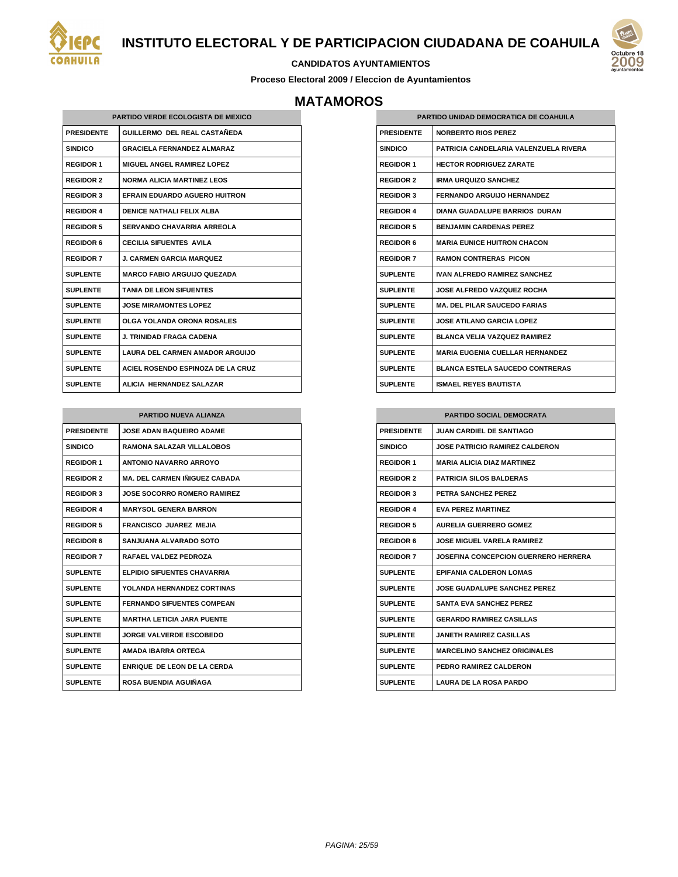



#### **CANDIDATOS AYUNTAMIENTOS**

**Proceso Electoral 2009 / Eleccion de Ayuntamientos**

# **MATAMOROS**

| <b>PARTIDO VERDE ECOLOGISTA DE MEXICO</b> |                                        |  |
|-------------------------------------------|----------------------------------------|--|
| <b>PRESIDENTE</b>                         | GUILLERMO DEL REAL CASTAÑEDA           |  |
| <b>SINDICO</b>                            | <b>GRACIELA FERNANDEZ ALMARAZ</b>      |  |
| <b>REGIDOR 1</b>                          | MIGUEL ANGEL RAMIREZ LOPEZ             |  |
| <b>REGIDOR 2</b>                          | <b>NORMA ALICIA MARTINEZ LEOS</b>      |  |
| <b>REGIDOR 3</b>                          | EFRAIN EDUARDO AGUERO HUITRON          |  |
| <b>REGIDOR 4</b>                          | <b>DENICE NATHALLEELIX ALBA</b>        |  |
| <b>REGIDOR 5</b>                          | SERVANDO CHAVARRIA ARREOLA             |  |
| <b>REGIDOR 6</b>                          | <b>CECILIA SIFUENTES AVILA</b>         |  |
| <b>REGIDOR 7</b>                          | <b>J. CARMEN GARCIA MARQUEZ</b>        |  |
| <b>SUPLENTE</b>                           | <b>MARCO FABIO ARGUIJO QUEZADA</b>     |  |
| <b>SUPLENTE</b>                           | <b>TANIA DE LEON SIFUENTES</b>         |  |
| <b>SUPLENTE</b>                           | <b>JOSE MIRAMONTES LOPEZ</b>           |  |
| <b>SUPLENTE</b>                           | OLGA YOLANDA ORONA ROSALES             |  |
| <b>SUPLENTE</b>                           | <b>J. TRINIDAD FRAGA CADENA</b>        |  |
| <b>SUPLENTE</b>                           | <b>LAURA DEL CARMEN AMADOR ARGUIJO</b> |  |
| <b>SUPLENTE</b>                           | ACIEL ROSENDO ESPINOZA DE LA CRUZ      |  |
| <b>SUPLENTE</b>                           | ALICIA HERNANDEZ SALAZAR               |  |

| <b>PARTIDO NUEVA ALIANZA</b> |                                      |
|------------------------------|--------------------------------------|
| <b>PRESIDENTE</b>            | <b>JOSE ADAN BAQUEIRO ADAME</b>      |
| <b>SINDICO</b>               | <b>RAMONA SALAZAR VILLALOBOS</b>     |
| <b>REGIDOR 1</b>             | <b>ANTONIO NAVARRO ARROYO</b>        |
| <b>REGIDOR 2</b>             | <b>MA. DEL CARMEN IÑIGUEZ CABADA</b> |
| <b>REGIDOR 3</b>             | <b>JOSE SOCORRO ROMERO RAMIREZ</b>   |
| <b>REGIDOR 4</b>             | <b>MARYSOL GENERA BARRON</b>         |
| <b>REGIDOR 5</b>             | <b>FRANCISCO JUAREZ MEJIA</b>        |
| <b>REGIDOR 6</b>             | SANJUANA ALVARADO SOTO               |
| <b>REGIDOR 7</b>             | RAFAEL VALDEZ PEDROZA                |
| <b>SUPLENTE</b>              | <b>ELPIDIO SIFUENTES CHAVARRIA</b>   |
| <b>SUPLENTE</b>              | YOLANDA HERNANDEZ CORTINAS           |
| <b>SUPLENTE</b>              | <b>FERNANDO SIFUENTES COMPEAN</b>    |
| <b>SUPLENTE</b>              | <b>MARTHA LETICIA JARA PUENTE</b>    |
| <b>SUPLENTE</b>              | JORGE VALVERDE ESCOBEDO              |
| <b>SUPLENTE</b>              | AMADA IBARRA ORTEGA                  |
| <b>SUPLENTE</b>              | <b>ENRIQUE DE LEON DE LA CERDA</b>   |
| <b>SUPLENTE</b>              | ROSA BUENDIA AGUIÑAGA                |

| PARTIDO UNIDAD DEMOCRATICA DE COAHUILA |                                        |  |
|----------------------------------------|----------------------------------------|--|
| <b>PRESIDENTE</b>                      | <b>NORBERTO RIOS PEREZ</b>             |  |
| <b>SINDICO</b>                         | PATRICIA CANDELARIA VALENZUELA RIVERA  |  |
| <b>REGIDOR 1</b>                       | <b>HECTOR RODRIGUEZ ZARATE</b>         |  |
| <b>REGIDOR 2</b>                       | <b>IRMA URQUIZO SANCHEZ</b>            |  |
| <b>REGIDOR 3</b>                       | <b>FERNANDO ARGUIJO HERNANDEZ</b>      |  |
| <b>REGIDOR 4</b>                       | <b>DIANA GUADALUPE BARRIOS DURAN</b>   |  |
| <b>REGIDOR 5</b>                       | <b>BENJAMIN CARDENAS PEREZ</b>         |  |
| <b>REGIDOR 6</b>                       | <b>MARIA EUNICE HUITRON CHACON</b>     |  |
| <b>REGIDOR 7</b>                       | <b>RAMON CONTRERAS PICON</b>           |  |
| <b>SUPLENTE</b>                        | <b>IVAN ALFREDO RAMIREZ SANCHEZ</b>    |  |
| <b>SUPLENTE</b>                        | <b>JOSE ALFREDO VAZQUEZ ROCHA</b>      |  |
| <b>SUPLENTE</b>                        | <b>MA. DEL PILAR SAUCEDO FARIAS</b>    |  |
| <b>SUPLENTE</b>                        | <b>JOSE ATILANO GARCIA LOPEZ</b>       |  |
| <b>SUPLENTE</b>                        | <b>BLANCA VELIA VAZQUEZ RAMIREZ</b>    |  |
| <b>SUPLENTE</b>                        | <b>MARIA EUGENIA CUELLAR HERNANDEZ</b> |  |
| <b>SUPLENTE</b>                        | <b>BLANCA ESTELA SAUCEDO CONTRERAS</b> |  |
| <b>SUPLENTE</b>                        | <b>ISMAEL REYES BAUTISTA</b>           |  |

| <b>PARTIDO SOCIAL DEMOCRATA</b> |                                       |
|---------------------------------|---------------------------------------|
| <b>PRESIDENTE</b>               | <b>JUAN CARDIEL DE SANTIAGO</b>       |
| <b>SINDICO</b>                  | <b>JOSE PATRICIO RAMIREZ CALDERON</b> |
| <b>REGIDOR 1</b>                | <b>MARIA ALICIA DIAZ MARTINEZ</b>     |
| <b>REGIDOR 2</b>                | <b>PATRICIA SILOS BALDERAS</b>        |
| <b>REGIDOR 3</b>                | PETRA SANCHEZ PEREZ                   |
| <b>REGIDOR 4</b>                | <b>EVA PEREZ MARTINEZ</b>             |
| <b>REGIDOR 5</b>                | <b>AURELIA GUERRERO GOMEZ</b>         |
| <b>REGIDOR 6</b>                | <b>JOSE MIGUEL VARELA RAMIREZ</b>     |
| <b>REGIDOR 7</b>                | JOSEFINA CONCEPCION GUERRERO HERRERA  |
| <b>SUPLENTE</b>                 | <b>EPIFANIA CALDERON LOMAS</b>        |
| <b>SUPLENTE</b>                 | <b>JOSE GUADALUPE SANCHEZ PEREZ</b>   |
| <b>SUPLENTE</b>                 | <b>SANTA EVA SANCHEZ PEREZ</b>        |
| <b>SUPLENTE</b>                 | <b>GERARDO RAMIREZ CASILLAS</b>       |
| <b>SUPLENTE</b>                 | <b>JANETH RAMIREZ CASILLAS</b>        |
| SUPI FNTF                       | <b>MARCELINO SANCHEZ ORIGINALES</b>   |
| <b>SUPLENTE</b>                 | PEDRO RAMIREZ CALDERON                |
| <b>SUPLENTE</b>                 | <b>LAURA DE LA ROSA PARDO</b>         |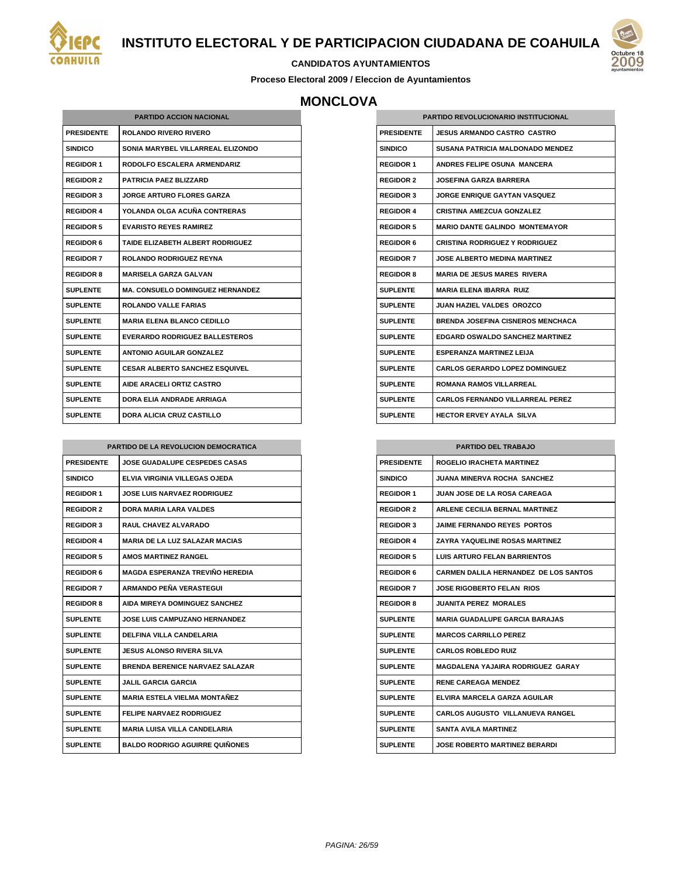



#### **CANDIDATOS AYUNTAMIENTOS**

**Proceso Electoral 2009 / Eleccion de Ayuntamientos**

# **MONCLOVA**

| <b>PARTIDO ACCION NACIONAL</b> |                                         |  |
|--------------------------------|-----------------------------------------|--|
| <b>PRESIDENTE</b>              | <b>ROLANDO RIVERO RIVERO</b>            |  |
| <b>SINDICO</b>                 | SONIA MARYBEL VILLARREAL ELIZONDO       |  |
| <b>REGIDOR 1</b>               | <b>RODOLFO ESCALERA ARMENDARIZ</b>      |  |
| <b>REGIDOR 2</b>               | <b>PATRICIA PAEZ BLIZZARD</b>           |  |
| <b>REGIDOR 3</b>               | <b>JORGE ARTURO FLORES GARZA</b>        |  |
| <b>REGIDOR 4</b>               | YOLANDA OLGA ACUÑA CONTRERAS            |  |
| <b>REGIDOR 5</b>               | <b>EVARISTO REYES RAMIREZ</b>           |  |
| <b>REGIDOR 6</b>               | TAIDE ELIZABETH ALBERT RODRIGUEZ        |  |
| <b>REGIDOR 7</b>               | <b>ROLANDO RODRIGUEZ REYNA</b>          |  |
| <b>REGIDOR 8</b>               | <b>MARISELA GARZA GALVAN</b>            |  |
| SUPLENTE                       | <b>MA. CONSUELO DOMINGUEZ HERNANDEZ</b> |  |
| <b>SUPLENTE</b>                | <b>ROLANDO VALLE FARIAS</b>             |  |
| SUPI FNTF                      | <b>MARIA ELENA BLANCO CEDILLO</b>       |  |
| <b>SUPLENTE</b>                | <b>EVERARDO RODRIGUEZ BALLESTEROS</b>   |  |
| <b>SUPLENTE</b>                | <b>ANTONIO AGUILAR GONZALEZ</b>         |  |
| <b>SUPLENTE</b>                | <b>CESAR ALBERTO SANCHEZ ESQUIVEL</b>   |  |
| <b>SUPLENTE</b>                | <b>AIDE ARACELI ORTIZ CASTRO</b>        |  |
| <b>SUPLENTE</b>                | DORA FI IA ANDRADE ARRIAGA              |  |
| <b>SUPLENTE</b>                | <b>DORA ALICIA CRUZ CASTILLO</b>        |  |

| PARTIDO DE LA REVOLUCION DEMOCRATICA |                                        |
|--------------------------------------|----------------------------------------|
| <b>PRESIDENTE</b>                    | <b>JOSE GUADALUPE CESPEDES CASAS</b>   |
| <b>SINDICO</b>                       | ELVIA VIRGINIA VILLEGAS OJEDA          |
| <b>REGIDOR 1</b>                     | <b>JOSE LUIS NARVAEZ RODRIGUEZ</b>     |
| <b>REGIDOR 2</b>                     | <b>DORA MARIA LARA VALDES</b>          |
| <b>REGIDOR 3</b>                     | <b>RAUL CHAVEZ ALVARADO</b>            |
| <b>REGIDOR 4</b>                     | <b>MARIA DE LA LUZ SALAZAR MACIAS</b>  |
| <b>REGIDOR 5</b>                     | <b>AMOS MARTINEZ RANGEL</b>            |
| <b>REGIDOR 6</b>                     | <b>MAGDA ESPERANZA TREVIÑO HEREDIA</b> |
| <b>REGIDOR 7</b>                     | ARMANDO PEÑA VERASTEGUI                |
| <b>REGIDOR 8</b>                     | AIDA MIREYA DOMINGUEZ SANCHEZ          |
| <b>SUPLENTE</b>                      | <b>JOSE LUIS CAMPUZANO HERNANDEZ</b>   |
| <b>SUPLENTE</b>                      | <b>DELFINA VILLA CANDELARIA</b>        |
| <b>SUPLENTE</b>                      | JESUS ALONSO RIVERA SILVA              |
| <b>SUPLENTE</b>                      | <b>BRENDA BERENICE NARVAEZ SALAZAR</b> |
| <b>SUPLENTE</b>                      | JALIL GARCIA GARCIA                    |
| <b>SUPLENTE</b>                      | <b>MARIA ESTELA VIELMA MONTAÑEZ</b>    |
| <b>SUPLENTE</b>                      | <b>FELIPE NARVAEZ RODRIGUEZ</b>        |
| SUPLENTE                             | <b>MARIA LUISA VILLA CANDELARIA</b>    |
| <b>SUPLENTE</b>                      | <b>BALDO RODRIGO AGUIRRE QUIÑONES</b>  |

| <b>PARTIDO REVOLUCIONARIO INSTITUCIONAL</b> |                                          |
|---------------------------------------------|------------------------------------------|
| <b>PRESIDENTE</b>                           | <b>JESUS ARMANDO CASTRO CASTRO</b>       |
| <b>SINDICO</b>                              | <b>SUSANA PATRICIA MALDONADO MENDEZ</b>  |
| <b>REGIDOR 1</b>                            | ANDRES FELIPE OSUNA MANCERA              |
| <b>REGIDOR 2</b>                            | <b>JOSEFINA GARZA BARRERA</b>            |
| <b>REGIDOR 3</b>                            | <b>JORGE ENRIQUE GAYTAN VASQUEZ</b>      |
| <b>REGIDOR 4</b>                            | <b>CRISTINA AMEZCUA GONZALEZ</b>         |
| <b>REGIDOR 5</b>                            | <b>MARIO DANTE GALINDO MONTEMAYOR</b>    |
| <b>REGIDOR 6</b>                            | <b>CRISTINA RODRIGUEZ Y RODRIGUEZ</b>    |
| <b>REGIDOR 7</b>                            | <b>JOSE ALBERTO MEDINA MARTINEZ</b>      |
| <b>REGIDOR 8</b>                            | <b>MARIA DE JESUS MARES RIVERA</b>       |
| <b>SUPLENTE</b>                             | <b>MARIA ELENA IBARRA RUIZ</b>           |
| <b>SUPLENTE</b>                             | <b>JUAN HAZIEL VALDES OROZCO</b>         |
| <b>SUPLENTE</b>                             | <b>BRENDA JOSEFINA CISNEROS MENCHACA</b> |
| <b>SUPLENTE</b>                             | <b>EDGARD OSWALDO SANCHEZ MARTINEZ</b>   |
| <b>SUPLENTE</b>                             | <b>ESPERANZA MARTINEZ LEIJA</b>          |
| <b>SUPLENTE</b>                             | <b>CARLOS GERARDO LOPEZ DOMINGUEZ</b>    |
| <b>SUPLENTE</b>                             | <b>ROMANA RAMOS VILLARREAL</b>           |
| <b>SUPLENTE</b>                             | <b>CARLOS FERNANDO VILLARREAL PEREZ</b>  |
| <b>SUPLENTE</b>                             | <b>HECTOR ERVEY AYALA SILVA</b>          |

| <b>PARTIDO DEL TRABAJO</b> |                                              |
|----------------------------|----------------------------------------------|
| <b>PRESIDENTE</b>          | <b>ROGELIO IRACHETA MARTINEZ</b>             |
| <b>SINDICO</b>             | <b>JUANA MINERVA ROCHA SANCHEZ</b>           |
| <b>REGIDOR 1</b>           | <b>JUAN JOSE DE LA ROSA CAREAGA</b>          |
| <b>REGIDOR 2</b>           | <b>ARLENE CECILIA BERNAL MARTINEZ</b>        |
| <b>REGIDOR 3</b>           | <b>JAIME FERNANDO REYES PORTOS</b>           |
| <b>REGIDOR 4</b>           | <b>ZAYRA YAQUELINE ROSAS MARTINEZ</b>        |
| <b>REGIDOR 5</b>           | <b>LUIS ARTURO FELAN BARRIENTOS</b>          |
| <b>REGIDOR 6</b>           | <b>CARMEN DALILA HERNANDEZ DE LOS SANTOS</b> |
| <b>REGIDOR 7</b>           | <b>JOSE RIGOBERTO FELAN RIOS</b>             |
| <b>REGIDOR 8</b>           | <b>JUANITA PEREZ MORALES</b>                 |
| SUPLENTE                   | <b>MARIA GUADALUPE GARCIA BARAJAS</b>        |
| <b>SUPLENTE</b>            | <b>MARCOS CARRILLO PEREZ</b>                 |
| <b>SUPLENTE</b>            | <b>CARLOS ROBLEDO RUIZ</b>                   |
| <b>SUPLENTE</b>            | <b>MAGDALENA YAJAIRA RODRIGUEZ GARAY</b>     |
| <b>SUPLENTE</b>            | <b>RENE CAREAGA MENDEZ</b>                   |
| <b>SUPLENTE</b>            | ELVIRA MARCELA GARZA AGUILAR                 |
| <b>SUPLENTE</b>            | <b>CARLOS AUGUSTO VILLANUEVA RANGEL</b>      |
| <b>SUPLENTE</b>            | <b>SANTA AVILA MARTINEZ</b>                  |
| <b>SUPLENTE</b>            | <b>JOSE ROBERTO MARTINEZ BERARDI</b>         |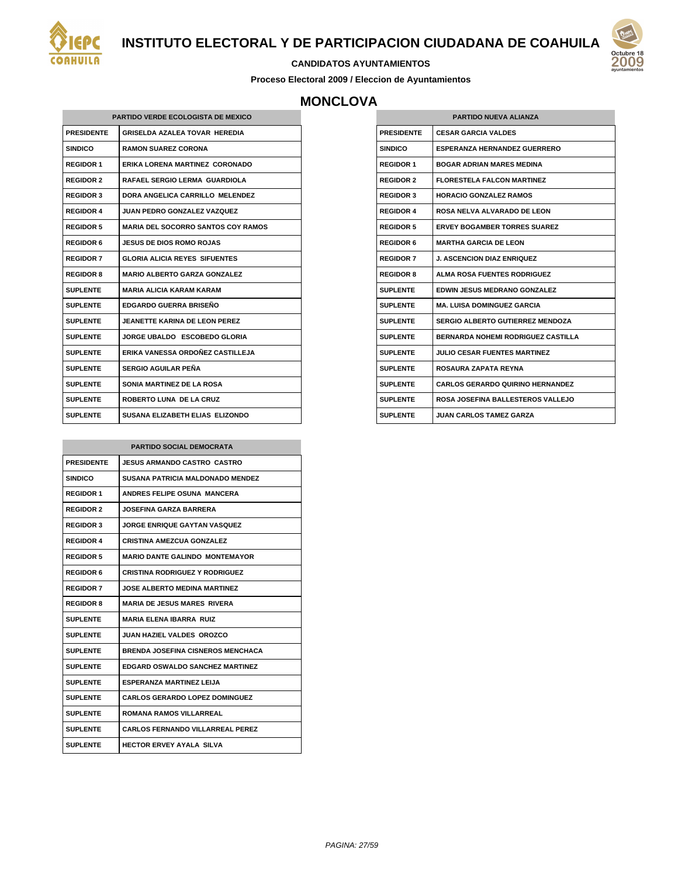

#### **CANDIDATOS AYUNTAMIENTOS**

**Proceso Electoral 2009 / Eleccion de Ayuntamientos**

# **MONCLOVA**

| <b>PARTIDO VERDE ECOLOGISTA DE MEXICO</b> |                                           |  |
|-------------------------------------------|-------------------------------------------|--|
| <b>PRESIDENTE</b>                         | <b>GRISELDA AZALEA TOVAR HEREDIA</b>      |  |
| <b>SINDICO</b>                            | <b>RAMON SUAREZ CORONA</b>                |  |
| <b>REGIDOR 1</b>                          | ERIKA LORENA MARTINEZ CORONADO            |  |
| <b>REGIDOR 2</b>                          | <b>RAFAEL SERGIO LERMA GUARDIOLA</b>      |  |
| <b>REGIDOR 3</b>                          | DORA ANGELICA CARRILLO MELENDEZ           |  |
| <b>REGIDOR 4</b>                          | JUAN PEDRO GONZALEZ VAZQUEZ               |  |
| <b>REGIDOR 5</b>                          | <b>MARIA DEL SOCORRO SANTOS COY RAMOS</b> |  |
| <b>REGIDOR 6</b>                          | <b>JESUS DE DIOS ROMO ROJAS</b>           |  |
| <b>REGIDOR 7</b>                          | <b>GLORIA ALICIA REYES SIFUENTES</b>      |  |
| <b>REGIDOR 8</b>                          | <b>MARIO ALBERTO GARZA GONZALEZ</b>       |  |
| <b>SUPLENTE</b>                           | <b>MARIA ALICIA KARAM KARAM</b>           |  |
| <b>SUPLENTE</b>                           | <b>EDGARDO GUERRA BRISEÑO</b>             |  |
| <b>SUPLENTE</b>                           | <b>JEANETTE KARINA DE LEON PEREZ</b>      |  |
| <b>SUPLENTE</b>                           | JORGE UBALDO ESCOBEDO GLORIA              |  |
| <b>SUPLENTE</b>                           | ERIKA VANESSA ORDOÑEZ CASTILLEJA          |  |
| <b>SUPLENTE</b>                           | SERGIO AGUILAR PEÑA                       |  |
| <b>SUPLENTE</b>                           | <b>SONIA MARTINEZ DE LA ROSA</b>          |  |
| <b>SUPLENTE</b>                           | <b>ROBERTO LUNA DE LA CRUZ</b>            |  |
| <b>SUPLENTE</b>                           | SUSANA ELIZABETH ELIAS ELIZONDO           |  |

| <b>PARTIDO SOCIAL DEMOCRATA</b> |                                          |
|---------------------------------|------------------------------------------|
| <b>PRESIDENTE</b>               | <b>JESUS ARMANDO CASTRO CASTRO</b>       |
| <b>SINDICO</b>                  | <b>SUSANA PATRICIA MALDONADO MENDEZ</b>  |
| <b>REGIDOR 1</b>                | ANDRES FELIPE OSUNA MANCERA              |
| <b>REGIDOR 2</b>                | <b>JOSEFINA GARZA BARRERA</b>            |
| <b>REGIDOR 3</b>                | <b>JORGE ENRIQUE GAYTAN VASQUEZ</b>      |
| <b>REGIDOR 4</b>                | <b>CRISTINA AMEZCUA GONZALEZ</b>         |
| <b>REGIDOR 5</b>                | <b>MARIO DANTE GALINDO MONTEMAYOR</b>    |
| <b>REGIDOR 6</b>                | <b>CRISTINA RODRIGUEZ Y RODRIGUEZ</b>    |
| <b>REGIDOR 7</b>                | <b>JOSE ALBERTO MEDINA MARTINEZ</b>      |
| <b>REGIDOR 8</b>                | <b>MARIA DE JESUS MARES RIVERA</b>       |
| <b>SUPLENTE</b>                 | <b>MARIA ELENA IBARRA RUIZ</b>           |
| <b>SUPLENTE</b>                 | JUAN HAZIEL VALDES OROZCO                |
| <b>SUPLENTE</b>                 | <b>BRENDA JOSEFINA CISNEROS MENCHACA</b> |
| <b>SUPLENTE</b>                 | <b>EDGARD OSWALDO SANCHEZ MARTINEZ</b>   |
| <b>SUPLENTE</b>                 | <b>ESPERANZA MARTINEZ LEIJA</b>          |
| <b>SUPLENTE</b>                 | <b>CARLOS GERARDO LOPEZ DOMINGUEZ</b>    |
| <b>SUPLENTE</b>                 | <b>ROMANA RAMOS VILLARREAL</b>           |
| <b>SUPLENTE</b>                 | <b>CARLOS FERNANDO VILLARREAL PEREZ</b>  |
| <b>SUPLENTE</b>                 | <b>HECTOR ERVEY AYALA SILVA</b>          |

| <b>PARTIDO NUEVA ALIANZA</b> |                                           |
|------------------------------|-------------------------------------------|
| <b>PRESIDENTE</b>            | <b>CESAR GARCIA VALDES</b>                |
| <b>SINDICO</b>               | <b>ESPERANZA HERNANDEZ GUERRERO</b>       |
| <b>REGIDOR 1</b>             | <b>BOGAR ADRIAN MARES MEDINA</b>          |
| <b>REGIDOR 2</b>             | <b>FLORESTELA FALCON MARTINEZ</b>         |
| <b>REGIDOR 3</b>             | <b>HORACIO GONZALEZ RAMOS</b>             |
| <b>REGIDOR 4</b>             | ROSA NELVA ALVARADO DE LEON               |
| <b>REGIDOR 5</b>             | <b>ERVEY BOGAMBER TORRES SUAREZ</b>       |
| <b>REGIDOR 6</b>             | <b>MARTHA GARCIA DE LEON</b>              |
| <b>REGIDOR 7</b>             | <b>J. ASCENCION DIAZ ENRIQUEZ</b>         |
| <b>REGIDOR 8</b>             | <b>ALMA ROSA FUENTES RODRIGUEZ</b>        |
| SUPLENTE                     | <b>EDWIN JESUS MEDRANO GONZALEZ</b>       |
| SUPLENTE                     | MA. LUISA DOMINGUEZ GARCIA                |
| <b>SUPLENTE</b>              | SERGIO ALBERTO GUTIERREZ MENDOZA          |
| SUPI ENTE                    | <b>BERNARDA NOHEMI RODRIGUEZ CASTILLA</b> |
| SUPLENTE                     | <b>JULIO CESAR FUENTES MARTINEZ</b>       |
| SUPLENTE                     | ROSAURA ZAPATA REYNA                      |
| SUPLENTE                     | <b>CARLOS GERARDO QUIRINO HERNANDEZ</b>   |
| <b>SUPLENTE</b>              | ROSA JOSEFINA BALLESTEROS VALLEJO         |
| <b>SUPLENTE</b>              | <b>JUAN CARLOS TAMEZ GARZA</b>            |

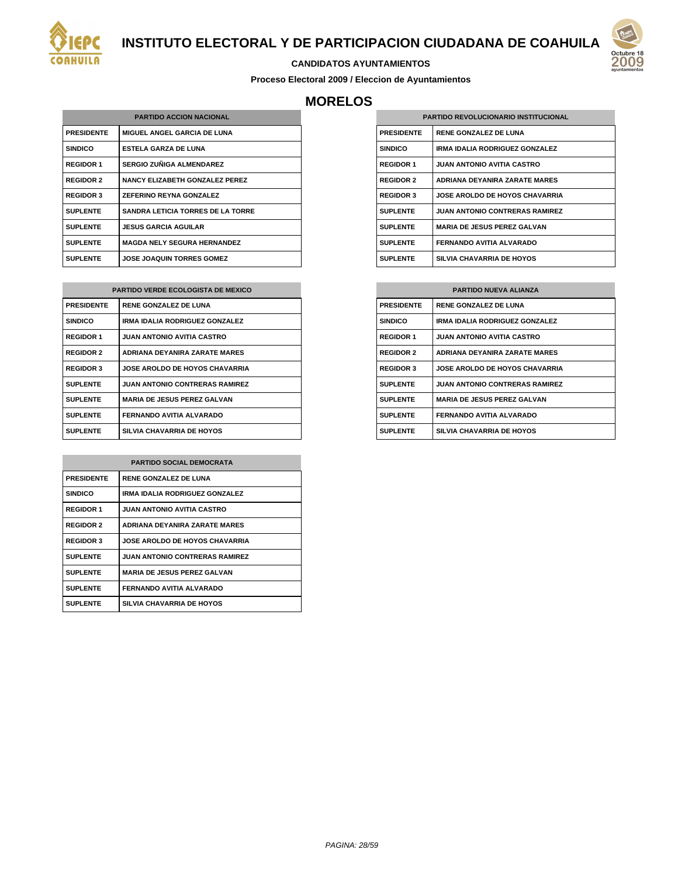



#### **CANDIDATOS AYUNTAMIENTOS**

**Proceso Electoral 2009 / Eleccion de Ayuntamientos**

# **MORELOS**

| <b>PARTIDO ACCION NACIONAL</b> |                                          |
|--------------------------------|------------------------------------------|
| <b>PRESIDENTE</b>              | <b>MIGUEL ANGEL GARCIA DE LUNA</b>       |
| <b>SINDICO</b>                 | ESTELA GARZA DE LUNA                     |
| <b>REGIDOR 1</b>               | SERGIO ZUÑIGA ALMENDAREZ                 |
| <b>REGIDOR 2</b>               | <b>NANCY ELIZABETH GONZALEZ PEREZ</b>    |
| <b>REGIDOR 3</b>               | <b>ZEFERINO REYNA GONZALEZ</b>           |
| <b>SUPLENTE</b>                | <b>SANDRA LETICIA TORRES DE LA TORRE</b> |
| <b>SUPLENTE</b>                | <b>JESUS GARCIA AGUILAR</b>              |
| <b>SUPLENTE</b>                | <b>MAGDA NELY SEGURA HERNANDEZ</b>       |
| <b>SUPLENTE</b>                | <b>JOSE JOAQUIN TORRES GOMEZ</b>         |

| <b>PARTIDO VERDE ECOLOGISTA DE MEXICO</b> |                                       |
|-------------------------------------------|---------------------------------------|
| <b>PRESIDENTE</b>                         | <b>RENE GONZALEZ DE LUNA</b>          |
| <b>SINDICO</b>                            | <b>IRMA IDALIA RODRIGUEZ GONZALEZ</b> |
| <b>REGIDOR 1</b>                          | <b>JUAN ANTONIO AVITIA CASTRO</b>     |
| <b>REGIDOR 2</b>                          | <b>ADRIANA DEYANIRA ZARATE MARES</b>  |
| <b>REGIDOR 3</b>                          | <b>JOSE AROLDO DE HOYOS CHAVARRIA</b> |
| <b>SUPLENTE</b>                           | <b>JUAN ANTONIO CONTRERAS RAMIREZ</b> |
| <b>SUPLENTE</b>                           | <b>MARIA DE JESUS PEREZ GALVAN</b>    |
| <b>SUPLENTE</b>                           | FERNANDO AVITIA ALVARADO              |
| <b>SUPLENTE</b>                           | <b>SILVIA CHAVARRIA DE HOYOS</b>      |

| <b>PARTIDO SOCIAL DEMOCRATA</b> |                                       |
|---------------------------------|---------------------------------------|
| <b>PRESIDENTE</b>               | <b>RENE GONZALEZ DE LUNA</b>          |
| <b>SINDICO</b>                  | <b>IRMA IDALIA RODRIGUEZ GONZALEZ</b> |
| <b>REGIDOR 1</b>                | <b>JUAN ANTONIO AVITIA CASTRO</b>     |
| <b>REGIDOR 2</b>                | <b>ADRIANA DEYANIRA ZARATE MARES</b>  |
| <b>REGIDOR 3</b>                | <b>JOSE AROLDO DE HOYOS CHAVARRIA</b> |
| <b>SUPLENTE</b>                 | <b>JUAN ANTONIO CONTRERAS RAMIREZ</b> |
| <b>SUPLENTE</b>                 | <b>MARIA DE JESUS PEREZ GALVAN</b>    |
| <b>SUPLENTE</b>                 | FERNANDO AVITIA ALVARADO              |
| <b>SUPLENTE</b>                 | <b>SILVIA CHAVARRIA DE HOYOS</b>      |

| <b>PARTIDO REVOLUCIONARIO INSTITUCIONAL</b> |                                       |
|---------------------------------------------|---------------------------------------|
| <b>PRESIDENTE</b>                           | <b>RENE GONZALEZ DE LUNA</b>          |
| <b>SINDICO</b>                              | <b>IRMA IDALIA RODRIGUEZ GONZALEZ</b> |
| <b>REGIDOR 1</b>                            | <b>JUAN ANTONIO AVITIA CASTRO</b>     |
| <b>REGIDOR 2</b>                            | <b>ADRIANA DEYANIRA ZARATE MARES</b>  |
| <b>REGIDOR 3</b>                            | <b>JOSE AROLDO DE HOYOS CHAVARRIA</b> |
| <b>SUPLENTE</b>                             | <b>JUAN ANTONIO CONTRERAS RAMIREZ</b> |
| <b>SUPLENTE</b>                             | <b>MARIA DE JESUS PEREZ GALVAN</b>    |
| <b>SUPLENTE</b>                             | FERNANDO AVITIA ALVARADO              |
| <b>SUPLENTE</b>                             | <b>SILVIA CHAVARRIA DE HOYOS</b>      |

| <b>PARTIDO NUEVA ALIANZA</b> |                                       |
|------------------------------|---------------------------------------|
| <b>PRESIDENTE</b>            | <b>RENE GONZALEZ DE LUNA</b>          |
| <b>SINDICO</b>               | IRMA IDALIA RODRIGUEZ GONZALEZ        |
| <b>REGIDOR 1</b>             | <b>JUAN ANTONIO AVITIA CASTRO</b>     |
| <b>REGIDOR 2</b>             | <b>ADRIANA DEYANIRA ZARATE MARES</b>  |
| <b>REGIDOR 3</b>             | <b>JOSE AROLDO DE HOYOS CHAVARRIA</b> |
| <b>SUPLENTE</b>              | <b>JUAN ANTONIO CONTRERAS RAMIREZ</b> |
| <b>SUPLENTE</b>              | <b>MARIA DE JESUS PEREZ GALVAN</b>    |
| <b>SUPLENTE</b>              | FERNANDO AVITIA ALVARADO              |
| <b>SUPLENTE</b>              | <b>SILVIA CHAVARRIA DE HOYOS</b>      |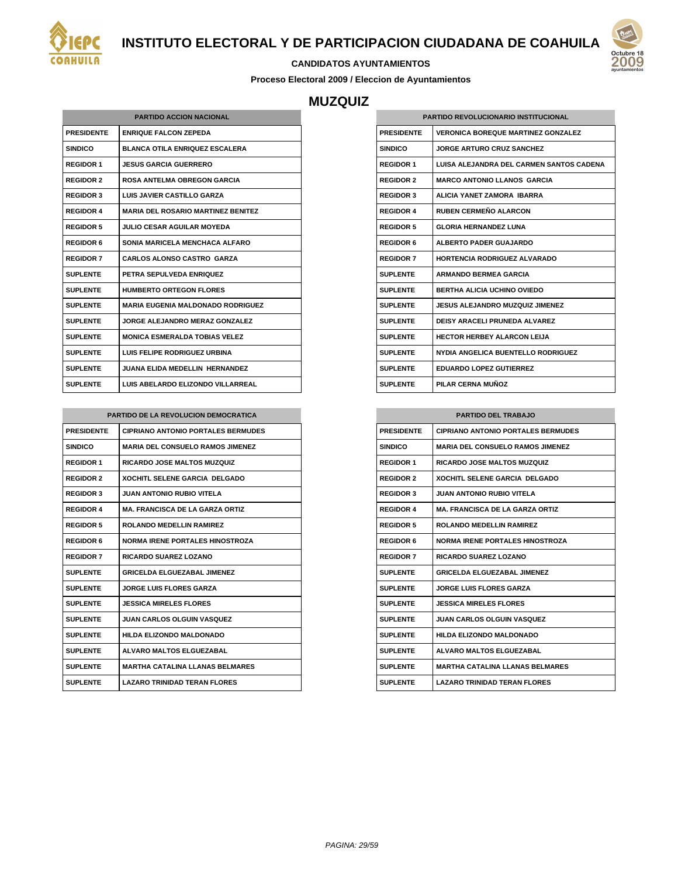



#### **CANDIDATOS AYUNTAMIENTOS**

**Proceso Electoral 2009 / Eleccion de Ayuntamientos**

## **MUZQUIZ**

| <b>PARTIDO ACCION NACIONAL</b> |                                           |  |
|--------------------------------|-------------------------------------------|--|
| <b>PRESIDENTE</b>              | <b>ENRIQUE FALCON ZEPEDA</b>              |  |
| <b>SINDICO</b>                 | <b>BLANCA OTILA ENRIQUEZ ESCALERA</b>     |  |
| <b>REGIDOR 1</b>               | <b>JESUS GARCIA GUERRERO</b>              |  |
| <b>REGIDOR 2</b>               | <b>ROSA ANTELMA OBREGON GARCIA</b>        |  |
| <b>REGIDOR 3</b>               | LUIS JAVIER CASTILLO GARZA                |  |
| <b>REGIDOR 4</b>               | <b>MARIA DEL ROSARIO MARTINEZ BENITEZ</b> |  |
| <b>REGIDOR 5</b>               | <b>JULIO CESAR AGUILAR MOYEDA</b>         |  |
| <b>REGIDOR 6</b>               | SONIA MARICELA MENCHACA ALFARO            |  |
| <b>REGIDOR 7</b>               | <b>CARLOS ALONSO CASTRO GARZA</b>         |  |
| <b>SUPLENTE</b>                | PETRA SEPULVEDA ENRIQUEZ                  |  |
| <b>SUPLENTE</b>                | <b>HUMBERTO ORTEGON FLORES</b>            |  |
| <b>SUPLENTE</b>                | <b>MARIA EUGENIA MALDONADO RODRIGUEZ</b>  |  |
| <b>SUPLENTE</b>                | <b>JORGE ALEJANDRO MERAZ GONZALEZ</b>     |  |
| <b>SUPLENTE</b>                | <b>MONICA ESMERALDA TOBIAS VELEZ</b>      |  |
| <b>SUPLENTE</b>                | LUIS FELIPE RODRIGUEZ URBINA              |  |
| <b>SUPLENTE</b>                | <b>JUANA ELIDA MEDELLIN HERNANDEZ</b>     |  |
| <b>SUPLENTE</b>                | LUIS ABELARDO ELIZONDO VILLARREAL         |  |

| PARTIDO DE LA REVOLUCION DEMOCRATICA |                                           |
|--------------------------------------|-------------------------------------------|
| <b>PRESIDENTE</b>                    | <b>CIPRIANO ANTONIO PORTALES BERMUDES</b> |
| <b>SINDICO</b>                       | <b>MARIA DEL CONSUELO RAMOS JIMENEZ</b>   |
| <b>REGIDOR 1</b>                     | <b>RICARDO JOSE MALTOS MUZQUIZ</b>        |
| <b>REGIDOR 2</b>                     | <b>XOCHITL SELENE GARCIA DELGADO</b>      |
| <b>REGIDOR 3</b>                     | JUAN ANTONIO RUBIO VITELA.                |
| <b>REGIDOR 4</b>                     | <b>MA. FRANCISCA DE LA GARZA ORTIZ</b>    |
| <b>REGIDOR 5</b>                     | <b>ROLANDO MEDELLIN RAMIREZ</b>           |
| <b>REGIDOR 6</b>                     | <b>NORMA IRENE PORTALES HINOSTROZA</b>    |
| <b>REGIDOR 7</b>                     | <b>RICARDO SUAREZ LOZANO</b>              |
| <b>SUPLENTE</b>                      | <b>GRICELDA ELGUEZABAL JIMENEZ</b>        |
| <b>SUPLENTE</b>                      | <b>JORGE LUIS FLORES GARZA</b>            |
| <b>SUPLENTE</b>                      | <b>JESSICA MIRELES FLORES</b>             |
| <b>SUPLENTE</b>                      | <b>JUAN CARLOS OLGUIN VASQUEZ</b>         |
| <b>SUPLENTE</b>                      | <b>HILDA ELIZONDO MALDONADO</b>           |
| <b>SUPLENTE</b>                      | <b>ALVARO MALTOS ELGUEZABAL</b>           |
| <b>SUPLENTE</b>                      | <b>MARTHA CATALINA LI ANAS BELMARES</b>   |
| <b>SUPLENTE</b>                      | <b>LAZARO TRINIDAD TERAN FLORES</b>       |

| <b>PARTIDO REVOLUCIONARIO INSTITUCIONAL</b> |                                           |
|---------------------------------------------|-------------------------------------------|
| <b>PRESIDENTE</b>                           | <b>VERONICA BOREQUE MARTINEZ GONZALEZ</b> |
| <b>SINDICO</b>                              | <b>JORGE ARTURO CRUZ SANCHEZ</b>          |
| <b>REGIDOR 1</b>                            | LUISA ALEJANDRA DEL CARMEN SANTOS CADENA  |
| <b>REGIDOR 2</b>                            | <b>MARCO ANTONIO LLANOS GARCIA</b>        |
| <b>REGIDOR 3</b>                            | ALICIA YANET ZAMORA IBARRA                |
| <b>REGIDOR 4</b>                            | <b>RUBEN CERMEÑO ALARCON</b>              |
| <b>REGIDOR 5</b>                            | <b>GLORIA HERNANDEZ LUNA</b>              |
| <b>REGIDOR 6</b>                            | ALBERTO PADER GUAJARDO                    |
| <b>REGIDOR 7</b>                            | <b>HORTENCIA RODRIGUEZ ALVARADO</b>       |
| <b>SUPLENTE</b>                             | <b>ARMANDO BERMEA GARCIA</b>              |
| <b>SUPLENTE</b>                             | <b>BERTHA ALICIA UCHINO OVIEDO</b>        |
| <b>SUPLENTE</b>                             | <b>JESUS ALEJANDRO MUZQUIZ JIMENEZ</b>    |
| <b>SUPLENTE</b>                             | <b>DEISY ARACELI PRUNEDA ALVAREZ</b>      |
| <b>SUPLENTE</b>                             | <b>HECTOR HERBEY ALARCON LEIJA</b>        |
| <b>SUPLENTE</b>                             | NYDIA ANGELICA BUENTELLO RODRIGUEZ        |
| <b>SUPLENTE</b>                             | <b>EDUARDO LOPEZ GUTIERREZ</b>            |
| <b>SUPLENTE</b>                             | PILAR CERNA MUÑOZ                         |

| <b>PARTIDO DEL TRABAJO</b> |                                           |
|----------------------------|-------------------------------------------|
| <b>PRESIDENTE</b>          | <b>CIPRIANO ANTONIO PORTALES BERMUDES</b> |
| <b>SINDICO</b>             | <b>MARIA DEL CONSUELO RAMOS JIMENEZ</b>   |
| <b>REGIDOR 1</b>           | <b>RICARDO JOSE MALTOS MUZQUIZ</b>        |
| <b>REGIDOR 2</b>           | <b>XOCHITL SELENE GARCIA DELGADO</b>      |
| <b>REGIDOR 3</b>           | <b>JUAN ANTONIO RUBIO VITELA</b>          |
| <b>REGIDOR 4</b>           | <b>MA. FRANCISCA DE LA GARZA ORTIZ</b>    |
| <b>REGIDOR 5</b>           | ROLANDO MEDELLIN RAMIREZ                  |
| <b>REGIDOR 6</b>           | <b>NORMA IRENE PORTALES HINOSTROZA</b>    |
| <b>REGIDOR 7</b>           | RICARDO SUAREZ LOZANO                     |
| <b>SUPLENTE</b>            | <b>GRICELDA ELGUEZABAL JIMENEZ</b>        |
| <b>SUPLENTE</b>            | <b>JORGE LUIS FLORES GARZA</b>            |
| <b>SUPLENTE</b>            | <b>JESSICA MIRELES FLORES</b>             |
| <b>SUPLENTE</b>            | <b>JUAN CARLOS OLGUIN VASQUEZ</b>         |
| <b>SUPLENTE</b>            | <b>HILDA ELIZONDO MALDONADO</b>           |
| SUPI FNTF                  | <b>ALVARO MALTOS ELGUEZABAL</b>           |
| <b>SUPLENTE</b>            | <b>MARTHA CATALINA LLANAS BELMARES</b>    |
| <b>SUPLENTE</b>            | <b>LAZARO TRINIDAD TERAN FLORES</b>       |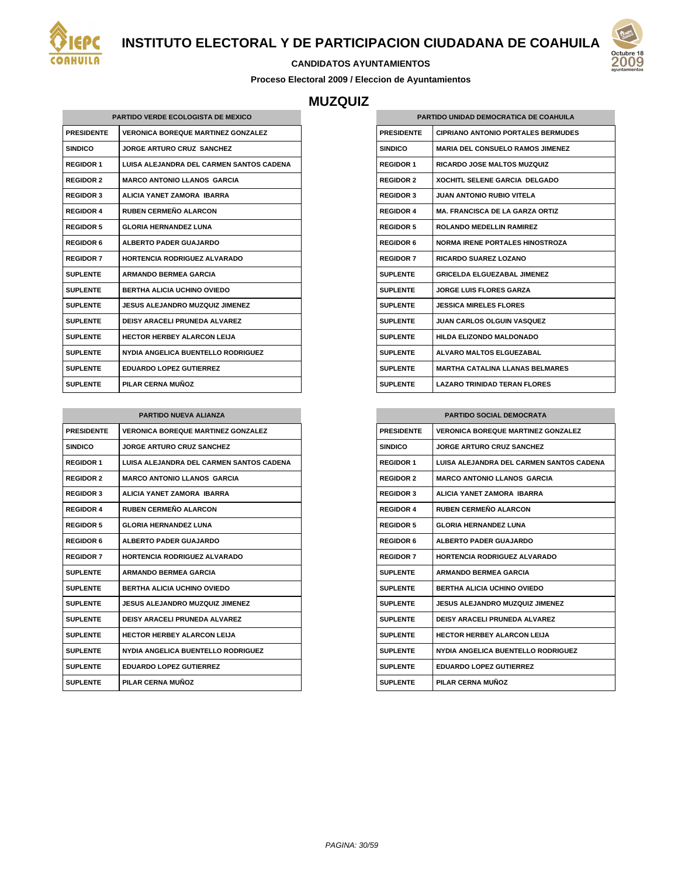

#### **CANDIDATOS AYUNTAMIENTOS**

**Proceso Electoral 2009 / Eleccion de Ayuntamientos**

## **MUZQUIZ**

| <b>PARTIDO VERDE ECOLOGISTA DE MEXICO</b> |                                           |  |
|-------------------------------------------|-------------------------------------------|--|
| <b>PRESIDENTE</b>                         | <b>VERONICA BOREQUE MARTINEZ GONZALEZ</b> |  |
| <b>SINDICO</b>                            | <b>JORGE ARTURO CRUZ SANCHEZ</b>          |  |
| <b>REGIDOR 1</b>                          | LUISA ALEJANDRA DEL CARMEN SANTOS CADENA  |  |
| <b>REGIDOR 2</b>                          | <b>MARCO ANTONIO LLANOS GARCIA</b>        |  |
| <b>REGIDOR 3</b>                          | ALICIA YANET ZAMORA IBARRA                |  |
| <b>REGIDOR 4</b>                          | <b>RUBEN CERMEÑO ALARCON</b>              |  |
| <b>REGIDOR 5</b>                          | <b>GLORIA HERNANDEZ LUNA</b>              |  |
| <b>REGIDOR 6</b>                          | <b>ALBERTO PADER GUAJARDO</b>             |  |
| <b>REGIDOR 7</b>                          | <b>HORTENCIA RODRIGUEZ ALVARADO</b>       |  |
| <b>SUPLENTE</b>                           | <b>ARMANDO BERMEA GARCIA</b>              |  |
| <b>SUPLENTE</b>                           | <b>BERTHA ALICIA UCHINO OVIEDO</b>        |  |
| <b>SUPLENTE</b>                           | JESUS ALEJANDRO MUZQUIZ JIMENEZ           |  |
| <b>SUPLENTE</b>                           | <b>DEISY ARACELI PRUNEDA ALVAREZ</b>      |  |
| <b>SUPLENTE</b>                           | <b>HECTOR HERBEY ALARCON LEIJA</b>        |  |
| <b>SUPLENTE</b>                           | NYDIA ANGELICA BUENTELLO RODRIGUEZ        |  |
| <b>SUPLENTE</b>                           | <b>EDUARDO LOPEZ GUTIERREZ</b>            |  |
| <b>SUPLENTE</b>                           | PILAR CERNA MUÑOZ                         |  |

| <b>PARTIDO NUEVA ALIANZA</b> |                                           |
|------------------------------|-------------------------------------------|
| <b>PRESIDENTE</b>            | <b>VERONICA BOREQUE MARTINEZ GONZALEZ</b> |
| <b>SINDICO</b>               | <b>JORGE ARTURO CRUZ SANCHEZ</b>          |
| <b>REGIDOR 1</b>             | LUISA ALEJANDRA DEL CARMEN SANTOS CADENA  |
| <b>REGIDOR 2</b>             | <b>MARCO ANTONIO LLANOS GARCIA</b>        |
| <b>REGIDOR 3</b>             | ALICIA YANET ZAMORA IBARRA                |
| <b>REGIDOR 4</b>             | RUBEN CERMEÑO AL ARCON                    |
| <b>REGIDOR 5</b>             | <b>GLORIA HERNANDEZ LUNA</b>              |
| <b>REGIDOR 6</b>             | <b>ALBERTO PADER GUAJARDO</b>             |
| <b>REGIDOR 7</b>             | <b>HORTENCIA RODRIGUEZ ALVARADO</b>       |
| <b>SUPLENTE</b>              | <b>ARMANDO BERMEA GARCIA</b>              |
| <b>SUPLENTE</b>              | <b>BERTHA ALICIA UCHINO OVIEDO</b>        |
| <b>SUPLENTE</b>              | <b>JESUS ALEJANDRO MUZQUIZ JIMENEZ</b>    |
| <b>SUPLENTE</b>              | <b>DEISY ARACELI PRUNEDA ALVAREZ</b>      |
| <b>SUPLENTE</b>              | <b>HECTOR HERBEY ALARCON LEIJA</b>        |
| <b>SUPLENTE</b>              | NYDIA ANGELICA BUENTELLO RODRIGUEZ        |
| <b>SUPLENTE</b>              | <b>EDUARDO LOPEZ GUTIERREZ</b>            |
| <b>SUPLENTE</b>              | PILAR CERNA MUÑOZ                         |

| PARTIDO UNIDAD DEMOCRATICA DE COAHUILA |                                           |
|----------------------------------------|-------------------------------------------|
| <b>PRESIDENTE</b>                      | <b>CIPRIANO ANTONIO PORTALES BERMUDES</b> |
| <b>SINDICO</b>                         | <b>MARIA DEL CONSUELO RAMOS JIMENEZ</b>   |
| <b>REGIDOR 1</b>                       | <b>RICARDO JOSE MALTOS MUZQUIZ</b>        |
| <b>REGIDOR 2</b>                       | <b>XOCHITL SELENE GARCIA DELGADO</b>      |
| <b>REGIDOR 3</b>                       | JUAN ANTONIO RUBIO VITELA                 |
| <b>REGIDOR 4</b>                       | <b>MA. FRANCISCA DE LA GARZA ORTIZ</b>    |
| <b>REGIDOR 5</b>                       | <b>ROLANDO MEDELLIN RAMIREZ</b>           |
| <b>REGIDOR 6</b>                       | <b>NORMA IRENE PORTALES HINOSTROZA</b>    |
| <b>REGIDOR 7</b>                       | RICARDO SUAREZ LOZANO                     |
| <b>SUPLENTE</b>                        | <b>GRICELDA ELGUEZABAL JIMENEZ</b>        |
| <b>SUPLENTE</b>                        | <b>JORGE LUIS FLORES GARZA</b>            |
| <b>SUPLENTE</b>                        | <b>JESSICA MIRELES FLORES</b>             |
| <b>SUPLENTE</b>                        | <b>JUAN CARLOS OLGUIN VASQUEZ</b>         |
| <b>SUPLENTE</b>                        | HILDA ELIZONDO MALDONADO                  |
| <b>SUPLENTE</b>                        | <b>ALVARO MALTOS ELGUEZABAL</b>           |
| <b>SUPLENTE</b>                        | <b>MARTHA CATALINA LLANAS BELMARES</b>    |
| <b>SUPLENTE</b>                        | <b>LAZARO TRINIDAD TERAN FLORES</b>       |

| <b>PARTIDO SOCIAL DEMOCRATA</b> |                                                 |  |
|---------------------------------|-------------------------------------------------|--|
| <b>PRESIDENTE</b>               | <b>VERONICA BOREQUE MARTINEZ GONZALEZ</b>       |  |
| <b>SINDICO</b>                  | <b>JORGE ARTURO CRUZ SANCHEZ</b>                |  |
| <b>REGIDOR 1</b>                | <b>LUISA ALEJANDRA DEL CARMEN SANTOS CADENA</b> |  |
| <b>REGIDOR 2</b>                | <b>MARCO ANTONIO LLANOS GARCIA</b>              |  |
| <b>REGIDOR 3</b>                | ALICIA YANET ZAMORA IBARRA                      |  |
| <b>REGIDOR 4</b>                | <b>RUBEN CERMEÑO AL ARCON</b>                   |  |
| <b>REGIDOR 5</b>                | <b>GLORIA HERNANDEZ LUNA</b>                    |  |
| <b>REGIDOR 6</b>                | <b>ALBERTO PADER GUAJARDO</b>                   |  |
| <b>REGIDOR 7</b>                | HORTENCIA RODRIGUEZ ALVARADO                    |  |
| <b>SUPLENTE</b>                 | <b>ARMANDO BERMEA GARCIA</b>                    |  |
| <b>SUPLENTE</b>                 | BERTHA ALICIA UCHINO OVIEDO                     |  |
| <b>SUPLENTE</b>                 | JESUS ALEJANDRO MUZQUIZ JIMENEZ                 |  |
| <b>SUPLENTE</b>                 | DEISY ARACELLPRUNEDA ALVAREZ                    |  |
| <b>SUPLENTE</b>                 | HECTOR HERBEY AI ARCON I FIJA                   |  |
| <b>SUPLENTE</b>                 | NYDIA ANGELICA BUENTELLO RODRIGUEZ              |  |
| <b>SUPLENTE</b>                 | <b>EDUARDO LOPEZ GUTIERREZ</b>                  |  |
| <b>SUPLENTE</b>                 | PILAR CERNA MUÑOZ                               |  |

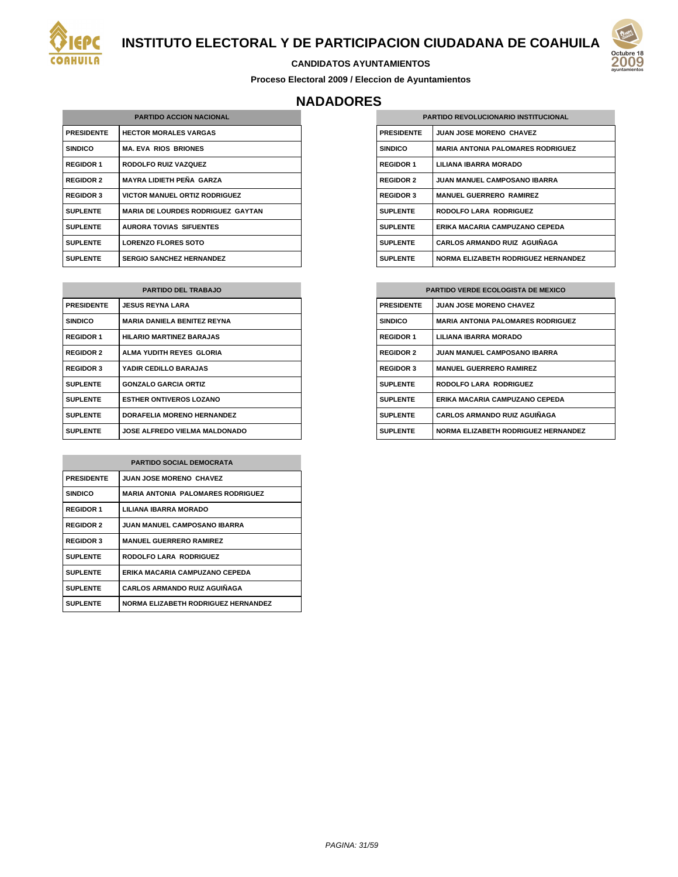



#### **CANDIDATOS AYUNTAMIENTOS**

**Proceso Electoral 2009 / Eleccion de Ayuntamientos**

### **NADADORES**

| <b>PARTIDO ACCION NACIONAL</b> |                                          |
|--------------------------------|------------------------------------------|
| <b>PRESIDENTE</b>              | <b>HECTOR MORALES VARGAS</b>             |
| <b>SINDICO</b>                 | <b>MA. EVA RIOS BRIONES</b>              |
| <b>REGIDOR 1</b>               | RODOLFO RUIZ VAZQUEZ                     |
| <b>REGIDOR 2</b>               | MAYRA LIDIETH PEÑA GARZA                 |
| <b>REGIDOR 3</b>               | <b>VICTOR MANUEL ORTIZ RODRIGUEZ</b>     |
| <b>SUPLENTE</b>                | <b>MARIA DE LOURDES RODRIGUEZ GAYTAN</b> |
| <b>SUPLENTE</b>                | <b>AURORA TOVIAS SIFUENTES</b>           |
| <b>SUPLENTE</b>                | <b>LORENZO FLORES SOTO</b>               |
| <b>SUPLENTE</b>                | <b>SERGIO SANCHEZ HERNANDEZ</b>          |

| <b>PARTIDO DEL TRABAJO</b> |                                      |
|----------------------------|--------------------------------------|
| <b>PRESIDENTE</b>          | <b>JESUS REYNA LARA</b>              |
| <b>SINDICO</b>             | <b>MARIA DANIELA BENITEZ REYNA</b>   |
| <b>REGIDOR 1</b>           | <b>HILARIO MARTINEZ BARAJAS</b>      |
| <b>REGIDOR 2</b>           | ALMA YUDITH REYES GLORIA             |
| <b>REGIDOR 3</b>           | YADIR CEDILLO BARAJAS                |
| <b>SUPLENTE</b>            | <b>GONZALO GARCIA ORTIZ</b>          |
| <b>SUPLENTE</b>            | <b>ESTHER ONTIVEROS LOZANO</b>       |
| <b>SUPLENTE</b>            | <b>DORAFELIA MORENO HERNANDEZ</b>    |
| <b>SUPLENTE</b>            | <b>JOSE ALFREDO VIELMA MALDONADO</b> |

| <b>PARTIDO SOCIAL DEMOCRATA</b> |                                            |
|---------------------------------|--------------------------------------------|
| <b>PRESIDENTE</b>               | <b>JUAN JOSE MORENO CHAVEZ</b>             |
| <b>SINDICO</b>                  | <b>MARIA ANTONIA PALOMARES RODRIGUEZ</b>   |
| <b>REGIDOR 1</b>                | LILIANA IBARRA MORADO                      |
| <b>REGIDOR 2</b>                | <b>JUAN MANUEL CAMPOSANO IBARRA</b>        |
| <b>REGIDOR 3</b>                | <b>MANUEL GUERRERO RAMIREZ</b>             |
| <b>SUPLENTE</b>                 | <b>RODOLFO LARA RODRIGUEZ</b>              |
| <b>SUPLENTE</b>                 | ERIKA MACARIA CAMPUZANO CEPEDA             |
| <b>SUPLENTE</b>                 | <b>CARLOS ARMANDO RUIZ AGUIÑAGA</b>        |
| <b>SUPLENTE</b>                 | <b>NORMA ELIZABETH RODRIGUEZ HERNANDEZ</b> |

| <b>PARTIDO REVOLUCIONARIO INSTITUCIONAL</b> |                                            |
|---------------------------------------------|--------------------------------------------|
| <b>PRESIDENTE</b>                           | <b>JUAN JOSE MORENO CHAVEZ</b>             |
| <b>SINDICO</b>                              | <b>MARIA ANTONIA PALOMARES RODRIGUEZ</b>   |
| <b>REGIDOR 1</b>                            | LILIANA IBARRA MORADO                      |
| <b>REGIDOR 2</b>                            | <b>JUAN MANUEL CAMPOSANO IBARRA</b>        |
| <b>REGIDOR 3</b>                            | <b>MANUEL GUERRERO RAMIREZ</b>             |
| <b>SUPLENTE</b>                             | <b>RODOLFO LARA RODRIGUEZ</b>              |
| <b>SUPLENTE</b>                             | ERIKA MACARIA CAMPUZANO CEPEDA             |
| <b>SUPLENTE</b>                             | <b>CARLOS ARMANDO RUIZ AGUIÑAGA</b>        |
| <b>SUPLENTE</b>                             | <b>NORMA ELIZABETH RODRIGUEZ HERNANDEZ</b> |

| <b>PARTIDO VERDE ECOLOGISTA DE MEXICO</b> |  |
|-------------------------------------------|--|
| <b>JUAN JOSE MORENO CHAVEZ</b>            |  |
| <b>MARIA ANTONIA PALOMARES RODRIGUEZ</b>  |  |
| LILIANA IBARRA MORADO                     |  |
| <b>JUAN MANUEL CAMPOSANO IBARRA</b>       |  |
| <b>MANUEL GUERRERO RAMIREZ</b>            |  |
| <b>RODOLFO LARA RODRIGUEZ</b>             |  |
| ERIKA MACARIA CAMPUZANO CEPEDA            |  |
| <b>CARLOS ARMANDO RUIZ AGUIÑAGA</b>       |  |
| NORMA ELIZABETH RODRIGUEZ HERNANDEZ       |  |
|                                           |  |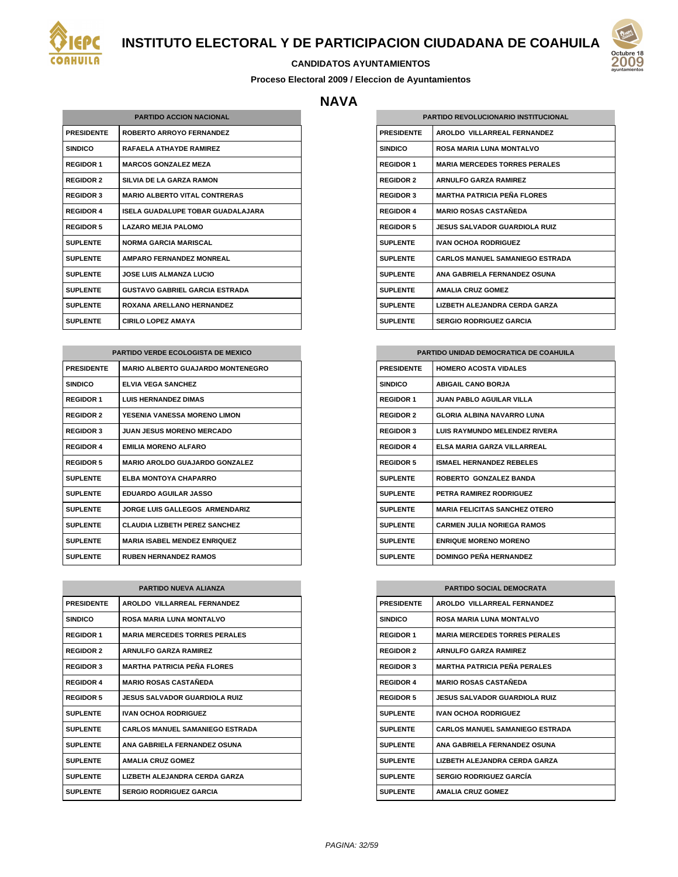



#### **CANDIDATOS AYUNTAMIENTOS**

**Proceso Electoral 2009 / Eleccion de Ayuntamientos**

### **NAVA**

| <b>PARTIDO ACCION NACIONAL</b> |                                       |
|--------------------------------|---------------------------------------|
| <b>PRESIDENTE</b>              | <b>ROBERTO ARROYO FERNANDEZ</b>       |
| <b>SINDICO</b>                 | <b>RAFAELA ATHAYDE RAMIREZ</b>        |
| <b>REGIDOR 1</b>               | <b>MARCOS GONZALEZ MEZA</b>           |
| <b>REGIDOR 2</b>               | SILVIA DE LA GARZA RAMON              |
| <b>REGIDOR 3</b>               | <b>MARIO ALBERTO VITAL CONTRERAS</b>  |
| <b>REGIDOR 4</b>               | ISELA GUADALUPE TOBAR GUADALAJARA     |
| <b>REGIDOR 5</b>               | <b>LAZARO MEJIA PALOMO</b>            |
| <b>SUPLENTE</b>                | NORMA GARCIA MARISCAL                 |
| <b>SUPLENTE</b>                | AMPARO FERNANDEZ MONREAL              |
| <b>SUPLENTE</b>                | <b>JOSE LUIS ALMANZA LUCIO</b>        |
| <b>SUPLENTE</b>                | <b>GUSTAVO GABRIEL GARCIA ESTRADA</b> |
| <b>SUPLENTE</b>                | ROXANA ARELLANO HERNANDEZ             |
| <b>SUPLENTE</b>                | <b>CIRILO LOPEZ AMAYA</b>             |

| <b>PARTIDO VERDE ECOLOGISTA DE MEXICO</b> |                                          |  |
|-------------------------------------------|------------------------------------------|--|
| <b>PRESIDENTE</b>                         | <b>MARIO ALBERTO GUAJARDO MONTENEGRO</b> |  |
| <b>SINDICO</b>                            | <b>ELVIA VEGA SANCHEZ</b>                |  |
| <b>REGIDOR 1</b>                          | <b>LUIS HERNANDEZ DIMAS</b>              |  |
| <b>REGIDOR 2</b>                          | YESENIA VANESSA MORENO LIMON             |  |
| <b>REGIDOR 3</b>                          | <b>JUAN JESUS MORENO MERCADO</b>         |  |
| <b>REGIDOR 4</b>                          | <b>EMILIA MORENO ALFARO</b>              |  |
| <b>REGIDOR 5</b>                          | <b>MARIO AROLDO GUAJARDO GONZALEZ</b>    |  |
| <b>SUPLENTE</b>                           | <b>ELBA MONTOYA CHAPARRO</b>             |  |
| <b>SUPLENTE</b>                           | <b>EDUARDO AGUILAR JASSO</b>             |  |
| <b>SUPLENTE</b>                           | <b>JORGE LUIS GALLEGOS ARMENDARIZ</b>    |  |
| <b>SUPLENTE</b>                           | CLAUDIA LIZBETH PEREZ SANCHEZ            |  |
| <b>SUPLENTE</b>                           | <b>MARIA ISABEL MENDEZ ENRIQUEZ</b>      |  |
| <b>SUPLENTE</b>                           | <b>RUBEN HERNANDEZ RAMOS</b>             |  |

| <b>PARTIDO NUEVA ALIANZA</b> |                                        |
|------------------------------|----------------------------------------|
| <b>PRESIDENTE</b>            | AROLDO VILLARREAL FERNANDEZ            |
| <b>SINDICO</b>               | <b>ROSA MARIA LUNA MONTALVO</b>        |
| <b>REGIDOR 1</b>             | <b>MARIA MERCEDES TORRES PERALES</b>   |
| <b>REGIDOR 2</b>             | <b>ARNULFO GARZA RAMIREZ</b>           |
| <b>REGIDOR 3</b>             | <b>MARTHA PATRICIA PEÑA FI ORES</b>    |
| <b>REGIDOR 4</b>             | <b>MARIO ROSAS CASTAÑEDA</b>           |
| <b>REGIDOR 5</b>             | <b>JESUS SALVADOR GUARDIOLA RUIZ</b>   |
| <b>SUPLENTE</b>              | <b>IVAN OCHOA RODRIGUEZ</b>            |
| <b>SUPLENTE</b>              | <b>CARLOS MANUEL SAMANIEGO ESTRADA</b> |
| <b>SUPLENTE</b>              | ANA GABRIELA FERNANDEZ OSUNA           |
| <b>SUPLENTE</b>              | <b>AMALIA CRUZ GOMEZ</b>               |
| <b>SUPLENTE</b>              | LIZBETH ALEJANDRA CERDA GARZA          |
| <b>SUPLENTE</b>              | <b>SERGIO RODRIGUEZ GARCIA</b>         |

| <b>PARTIDO REVOLUCIONARIO INSTITUCIONAL</b> |                                        |
|---------------------------------------------|----------------------------------------|
| <b>PRESIDENTE</b>                           | AROLDO VILLARREAL FERNANDEZ            |
| <b>SINDICO</b>                              | <b>ROSA MARIA LUNA MONTALVO</b>        |
| <b>REGIDOR 1</b>                            | <b>MARIA MERCEDES TORRES PERALES</b>   |
| <b>REGIDOR 2</b>                            | <b>ARNULFO GARZA RAMIREZ</b>           |
| <b>REGIDOR 3</b>                            | <b>MARTHA PATRICIA PEÑA ELORES</b>     |
| <b>REGIDOR 4</b>                            | <b>MARIO ROSAS CASTAÑEDA</b>           |
| <b>REGIDOR 5</b>                            | <b>JESUS SALVADOR GUARDIOLA RUIZ</b>   |
| <b>SUPLENTE</b>                             | <b>IVAN OCHOA RODRIGUEZ</b>            |
| <b>SUPLENTE</b>                             | CARLOS MANUEL SAMANIEGO ESTRADA        |
| <b>SUPLENTE</b>                             | ANA GARRIFI A FFRNANDEZ OSUNA          |
| <b>SUPLENTE</b>                             | <b>AMALIA CRUZ GOMEZ</b>               |
| <b>SUPLENTE</b>                             | <b>I IZBETH AI FJANDRA CERDA GARZA</b> |
| <b>SUPLENTE</b>                             | <b>SERGIO RODRIGUEZ GARCIA</b>         |

| PARTIDO UNIDAD DEMOCRATICA DE COAHUILA |                                       |
|----------------------------------------|---------------------------------------|
| <b>PRESIDENTE</b>                      | <b>HOMERO ACOSTA VIDALES</b>          |
| <b>SINDICO</b>                         | <b>ABIGAIL CANO BORJA</b>             |
| <b>REGIDOR 1</b>                       | <b>JUAN PABLO AGUILAR VILLA</b>       |
| <b>REGIDOR 2</b>                       | GI ORIA AI BINA NAVARRO I UNA         |
| <b>REGIDOR 3</b>                       | <b>LUIS RAYMUNDO MELENDEZ RIVERA</b>  |
| <b>REGIDOR 4</b>                       | FI SA MARIA GARZA VII I ARRFAI        |
| <b>REGIDOR 5</b>                       | ISMAFI HERNANDEZ REBELES              |
| <b>SUPLENTE</b>                        | ROBERTO GONZALEZ BANDA                |
| <b>SUPLENTE</b>                        | PETRA RAMIREZ RODRIGUEZ               |
| <b>SUPLENTE</b>                        | <b>MARIA FFI ICITAS SANCHEZ OTERO</b> |
| <b>SUPLENTE</b>                        | <b>CARMEN JULIA NORIEGA RAMOS</b>     |
| <b>SUPLENTE</b>                        | <b>ENRIQUE MORENO MORENO</b>          |
| <b>SUPLENTE</b>                        | <b>DOMINGO PEÑA HERNANDEZ</b>         |

| <b>PARTIDO SOCIAL DEMOCRATA</b> |                                      |
|---------------------------------|--------------------------------------|
| <b>PRESIDENTE</b>               | AROLDO VILLARREAL FERNANDEZ          |
| <b>SINDICO</b>                  | <b>ROSA MARIA LUNA MONTALVO</b>      |
| <b>REGIDOR 1</b>                | <b>MARIA MERCEDES TORRES PERALES</b> |
| <b>REGIDOR 2</b>                | <b>ARNULFO GARZA RAMIREZ</b>         |
| <b>REGIDOR 3</b>                | <b>MARTHA PATRICIA PEÑA PERAI ES</b> |
| <b>REGIDOR 4</b>                | <b>MARIO ROSAS CASTAÑEDA</b>         |
| <b>REGIDOR 5</b>                | <b>JESUS SALVADOR GUARDIOLA RUIZ</b> |
| <b>SUPLENTE</b>                 | <b>IVAN OCHOA RODRIGUEZ</b>          |
| <b>SUPLENTE</b>                 | CARLOS MANUEL SAMANIEGO ESTRADA      |
| <b>SUPLENTE</b>                 | ANA GABRIELA FERNANDEZ OSUNA         |
| <b>SUPLENTE</b>                 | LIZBETH ALEJANDRA CERDA GARZA        |
| <b>SUPLENTE</b>                 | <b>SERGIO RODRIGUEZ GARCÍA</b>       |
| <b>SUPLENTE</b>                 | <b>AMALIA CRUZ GOMEZ</b>             |

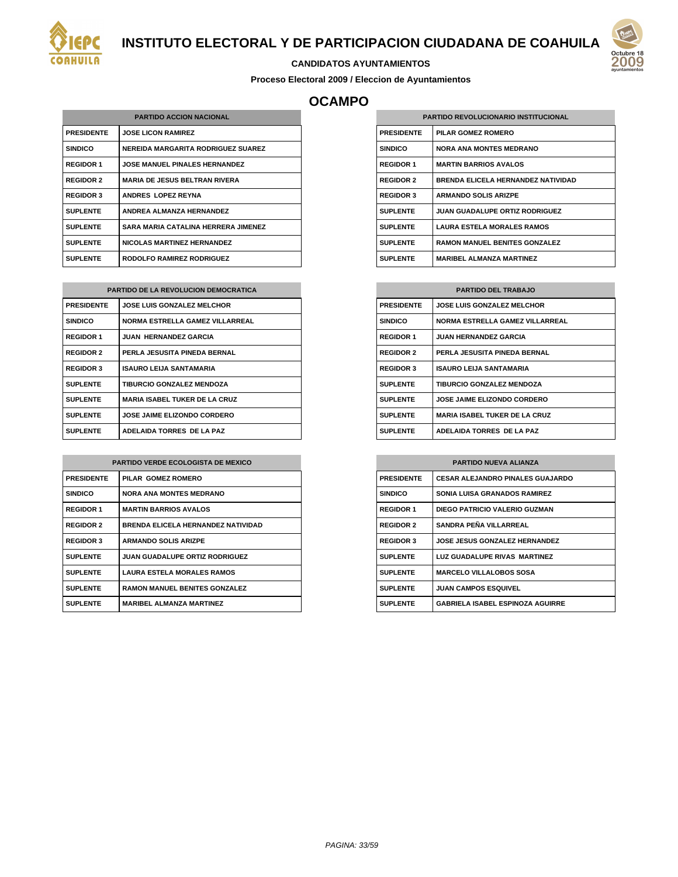



#### **CANDIDATOS AYUNTAMIENTOS**

**Proceso Electoral 2009 / Eleccion de Ayuntamientos**

## **OCAMPO**

| <b>PARTIDO ACCION NACIONAL</b> |                                            |
|--------------------------------|--------------------------------------------|
| <b>PRESIDENTE</b>              | <b>JOSE LICON RAMIREZ</b>                  |
| <b>SINDICO</b>                 | <b>NEREIDA MARGARITA RODRIGUEZ SUAREZ</b>  |
| <b>REGIDOR 1</b>               | <b>JOSE MANUEL PINALES HERNANDEZ</b>       |
| <b>REGIDOR 2</b>               | <b>MARIA DE JESUS BELTRAN RIVERA</b>       |
| <b>REGIDOR 3</b>               | ANDRES LOPEZ REYNA                         |
| <b>SUPLENTE</b>                | <b>ANDREA ALMANZA HERNANDEZ</b>            |
| <b>SUPLENTE</b>                | <b>SARA MARIA CATALINA HERRERA JIMENEZ</b> |
| <b>SUPLENTE</b>                | <b>NICOLAS MARTINEZ HERNANDEZ</b>          |
| <b>SUPLENTE</b>                | <b>RODOLFO RAMIREZ RODRIGUEZ</b>           |

| <b>PARTIDO DE LA REVOLUCION DEMOCRATICA</b> |                                        |  |
|---------------------------------------------|----------------------------------------|--|
| <b>PRESIDENTE</b>                           | <b>JOSE LUIS GONZALEZ MELCHOR</b>      |  |
| <b>SINDICO</b>                              | <b>NORMA ESTRELLA GAMEZ VILLARREAL</b> |  |
| <b>REGIDOR 1</b>                            | <b>JUAN HERNANDEZ GARCIA</b>           |  |
| <b>REGIDOR 2</b>                            | PERLA JESUSITA PINEDA BERNAL           |  |
| <b>REGIDOR 3</b>                            | <b>ISAURO LEIJA SANTAMARIA</b>         |  |
| <b>SUPLENTE</b>                             | <b>TIBURCIO GONZALEZ MENDOZA</b>       |  |
| <b>SUPLENTE</b>                             | <b>MARIA ISABEL TUKER DE LA CRUZ</b>   |  |
| <b>SUPLENTE</b>                             | <b>JOSE JAIME ELIZONDO CORDERO</b>     |  |
| <b>SUPLENTE</b>                             | ADELAIDA TORRES DE LA PAZ              |  |

| <b>PARTIDO VERDE ECOLOGISTA DE MEXICO</b> |                                           |
|-------------------------------------------|-------------------------------------------|
| <b>PRESIDENTE</b>                         | PILAR GOMEZ ROMERO                        |
| <b>SINDICO</b>                            | <b>NORA ANA MONTES MEDRANO</b>            |
| <b>REGIDOR 1</b>                          | <b>MARTIN BARRIOS AVALOS</b>              |
| <b>REGIDOR 2</b>                          | <b>BRENDA ELICELA HERNANDEZ NATIVIDAD</b> |
| <b>REGIDOR 3</b>                          | <b>ARMANDO SOLIS ARIZPE</b>               |
| <b>SUPLENTE</b>                           | <b>JUAN GUADALUPE ORTIZ RODRIGUEZ</b>     |
| <b>SUPLENTE</b>                           | <b>LAURA ESTELA MORALES RAMOS</b>         |
| <b>SUPLENTE</b>                           | <b>RAMON MANUEL BENITES GONZALEZ</b>      |
| <b>SUPLENTE</b>                           | <b>MARIBEL ALMANZA MARTINEZ</b>           |

| <b>PARTIDO REVOLUCIONARIO INSTITUCIONAL</b> |                                           |
|---------------------------------------------|-------------------------------------------|
| <b>PRESIDENTE</b>                           | PILAR GOMEZ ROMERO                        |
| <b>SINDICO</b>                              | <b>NORA ANA MONTES MEDRANO</b>            |
| <b>REGIDOR 1</b>                            | <b>MARTIN BARRIOS AVALOS</b>              |
| <b>REGIDOR 2</b>                            | <b>BRENDA ELICELA HERNANDEZ NATIVIDAD</b> |
| <b>REGIDOR 3</b>                            | <b>ARMANDO SOLIS ARIZPE</b>               |
| <b>SUPLENTE</b>                             | <b>JUAN GUADALUPE ORTIZ RODRIGUEZ</b>     |
| <b>SUPLENTE</b>                             | <b>LAURA ESTELA MORALES RAMOS</b>         |
| <b>SUPLENTE</b>                             | <b>RAMON MANUEL BENITES GONZALEZ</b>      |
| <b>SUPLENTE</b>                             | <b>MARIBEL ALMANZA MARTINEZ</b>           |

| <b>PARTIDO DEL TRABAJO</b> |                                        |  |
|----------------------------|----------------------------------------|--|
| <b>PRESIDENTE</b>          | <b>JOSE LUIS GONZALEZ MELCHOR</b>      |  |
| <b>SINDICO</b>             | <b>NORMA ESTRELLA GAMEZ VILLARREAL</b> |  |
| <b>REGIDOR 1</b>           | <b>JUAN HERNANDEZ GARCIA</b>           |  |
| <b>REGIDOR 2</b>           | PERLA JESUSITA PINEDA BERNAL           |  |
| <b>REGIDOR 3</b>           | <b>ISAURO LEIJA SANTAMARIA</b>         |  |
| <b>SUPLENTE</b>            | TIBURCIO GONZALEZ MENDOZA              |  |
| <b>SUPLENTE</b>            | <b>JOSE JAIME ELIZONDO CORDERO</b>     |  |
| <b>SUPLENTE</b>            | <b>MARIA ISABEL TUKER DE LA CRUZ</b>   |  |
| <b>SUPLENTE</b>            | ADELAIDA TORRES DE LA PAZ              |  |

| <b>PARTIDO NUEVA ALIANZA</b> |                                         |  |
|------------------------------|-----------------------------------------|--|
| <b>PRESIDENTE</b>            | <b>CESAR ALEJANDRO PINALES GUAJARDO</b> |  |
| <b>SINDICO</b>               | <b>SONIA LUISA GRANADOS RAMIREZ</b>     |  |
| <b>REGIDOR 1</b>             | DIEGO PATRICIO VALERIO GUZMAN           |  |
| <b>REGIDOR 2</b>             | SANDRA PEÑA VILLARREAL                  |  |
| <b>REGIDOR 3</b>             | <b>JOSE JESUS GONZALEZ HERNANDEZ</b>    |  |
| <b>SUPLENTE</b>              | LUZ GUADALUPE RIVAS MARTINEZ            |  |
| <b>SUPLENTE</b>              | <b>MARCELO VILLALOBOS SOSA</b>          |  |
| <b>SUPLENTE</b>              | <b>JUAN CAMPOS ESQUIVEL</b>             |  |
| <b>SUPLENTE</b>              | <b>GABRIELA ISABEL ESPINOZA AGUIRRE</b> |  |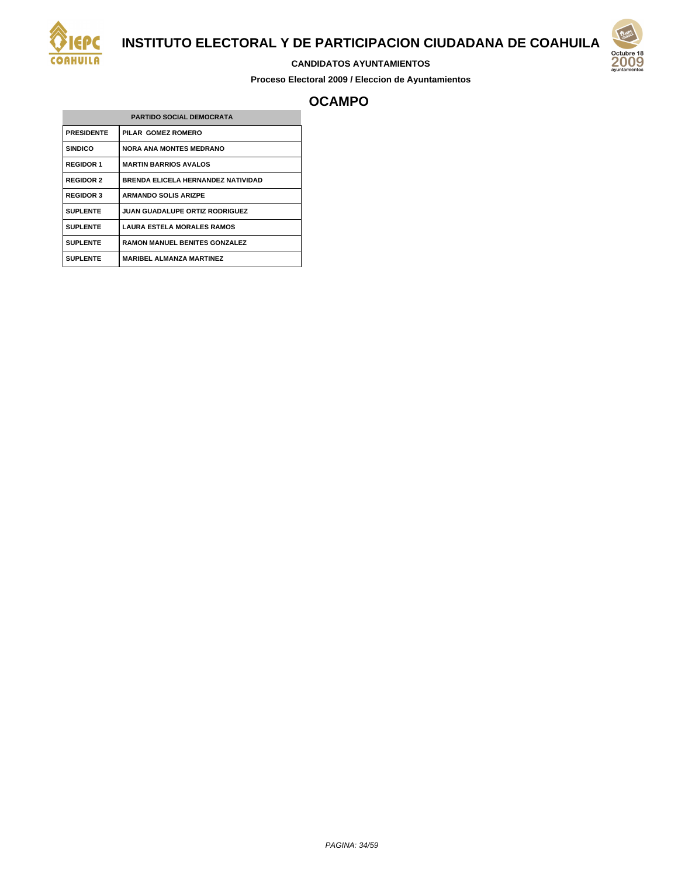

#### **CANDIDATOS AYUNTAMIENTOS**

**Proceso Electoral 2009 / Eleccion de Ayuntamientos**



## **OCAMPO**

| <b>PARTIDO SOCIAL DEMOCRATA</b> |                                           |  |
|---------------------------------|-------------------------------------------|--|
| <b>PRESIDENTE</b>               | PILAR GOMEZ ROMERO                        |  |
| <b>SINDICO</b>                  | <b>NORA ANA MONTES MEDRANO</b>            |  |
| <b>REGIDOR 1</b>                | <b>MARTIN BARRIOS AVALOS</b>              |  |
| <b>REGIDOR 2</b>                | <b>BRENDA ELICELA HERNANDEZ NATIVIDAD</b> |  |
| <b>REGIDOR 3</b>                | <b>ARMANDO SOLIS ARIZPE</b>               |  |
| <b>SUPLENTE</b>                 | <b>JUAN GUADALUPE ORTIZ RODRIGUEZ</b>     |  |
| <b>SUPLENTE</b>                 | <b>LAURA ESTELA MORALES RAMOS</b>         |  |
| <b>SUPLENTE</b>                 | <b>RAMON MANUEL BENITES GONZALEZ</b>      |  |
| <b>SUPLENTE</b>                 | <b>MARIBEL ALMANZA MARTINEZ</b>           |  |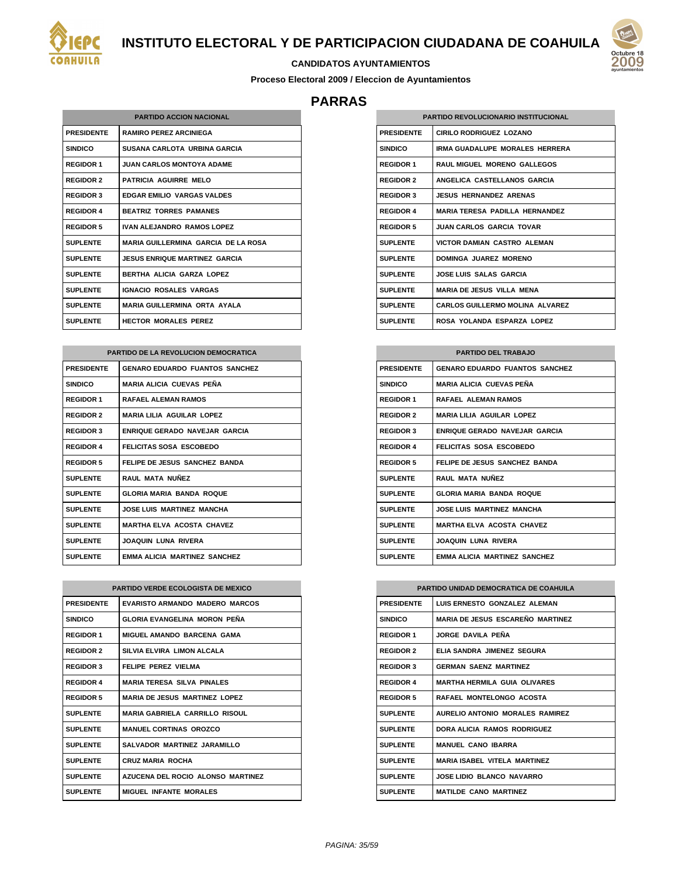

#### **CANDIDATOS AYUNTAMIENTOS**

**Proceso Electoral 2009 / Eleccion de Ayuntamientos**

## **PARRAS**

| <b>PARTIDO ACCION NACIONAL</b> |                                            |  |
|--------------------------------|--------------------------------------------|--|
| <b>PRESIDENTE</b>              | <b>RAMIRO PEREZ ARCINIEGA</b>              |  |
| <b>SINDICO</b>                 | <b>SUSANA CARLOTA URBINA GARCIA</b>        |  |
| <b>REGIDOR 1</b>               | JUAN CARI OS MONTOYA ADAME.                |  |
| <b>REGIDOR 2</b>               | <b>PATRICIA AGUIRRE MELO</b>               |  |
| <b>REGIDOR 3</b>               | <b>EDGAR EMILIO VARGAS VALDES</b>          |  |
| <b>REGIDOR 4</b>               | <b>BEATRIZ TORRES PAMANES</b>              |  |
| <b>REGIDOR 5</b>               | <b>IVAN ALEJANDRO RAMOS LOPEZ</b>          |  |
| <b>SUPLENTE</b>                | <b>MARIA GUILLERMINA GARCIA DE LA ROSA</b> |  |
| <b>SUPLENTE</b>                | <b>JESUS ENRIQUE MARTINEZ GARCIA</b>       |  |
| <b>SUPLENTE</b>                | <b>BERTHA ALICIA GARZA LOPEZ</b>           |  |
| <b>SUPLENTE</b>                | <b>IGNACIO ROSALES VARGAS</b>              |  |
| <b>SUPLENTE</b>                | <b>MARIA GUILLERMINA ORTA AYALA</b>        |  |
| <b>SUPLENTE</b>                | <b>HECTOR MORALES PEREZ</b>                |  |

| <b>PARTIDO DE LA REVOLUCION DEMOCRATICA</b> |                                       |  |
|---------------------------------------------|---------------------------------------|--|
| <b>PRESIDENTE</b>                           | <b>GENARO EDUARDO FUANTOS SANCHEZ</b> |  |
| <b>SINDICO</b>                              | <b>MARIA ALICIA CUEVAS PEÑA</b>       |  |
| <b>REGIDOR 1</b>                            | <b>RAFAEL ALEMAN RAMOS</b>            |  |
| <b>REGIDOR 2</b>                            | <b>MARIA LILIA AGUILAR LOPEZ</b>      |  |
| <b>REGIDOR 3</b>                            | <b>ENRIQUE GERADO NAVEJAR GARCIA</b>  |  |
| <b>REGIDOR 4</b>                            | FELICITAS SOSA ESCOBEDO               |  |
| <b>REGIDOR 5</b>                            | FELIPE DE JESUS SANCHEZ BANDA         |  |
| <b>SUPLENTE</b>                             | RAUL MATA NUÑEZ                       |  |
| <b>SUPLENTE</b>                             | <b>GLORIA MARIA BANDA ROQUE</b>       |  |
| <b>SUPLENTE</b>                             | <b>JOSE LUIS MARTINEZ MANCHA</b>      |  |
| <b>SUPLENTE</b>                             | <b>MARTHA ELVA ACOSTA CHAVEZ</b>      |  |
| <b>SUPLENTE</b>                             | <b>JOAQUIN LUNA RIVERA</b>            |  |
| <b>SUPLENTE</b>                             | <b>EMMA ALICIA MARTINEZ SANCHEZ</b>   |  |

| <b>PARTIDO VERDE ECOLOGISTA DE MEXICO</b> |                                       |
|-------------------------------------------|---------------------------------------|
| <b>PRESIDENTE</b>                         | EVARISTO ARMANDO MADERO MARCOS        |
| <b>SINDICO</b>                            | GLORIA EVANGELINA MORON PEÑA          |
| <b>REGIDOR 1</b>                          | <b>MIGUEL AMANDO BARCENA GAMA</b>     |
| <b>REGIDOR 2</b>                          | SILVIA ELVIRA LIMON ALCALA            |
| <b>REGIDOR 3</b>                          | FELIPE PEREZ VIELMA                   |
| <b>REGIDOR 4</b>                          | <b>MARIA TERESA SILVA PINALES</b>     |
| <b>REGIDOR 5</b>                          | <b>MARIA DE JESUS MARTINEZ LOPEZ</b>  |
| <b>SUPLENTE</b>                           | <b>MARIA GABRIELA CARRILLO RISOUL</b> |
| <b>SUPLENTE</b>                           | MANUEL CORTINAS OROZCO                |
| <b>SUPLENTE</b>                           | SALVADOR MARTINEZ JARAMILLO           |
| <b>SUPLENTE</b>                           | <b>CRUZ MARIA ROCHA</b>               |
| <b>SUPLENTE</b>                           | AZUCENA DEL ROCIO ALONSO MARTINEZ     |
| <b>SUPLENTE</b>                           | <b>MIGUEL INFANTE MORALES</b>         |

| <b>PARTIDO REVOLUCIONARIO INSTITUCIONAL</b> |                                        |
|---------------------------------------------|----------------------------------------|
| <b>PRESIDENTE</b>                           | CIRILO RODRIGUEZ I OZANO               |
| <b>SINDICO</b>                              | <b>IRMA GUADALUPE MORALES HERRERA</b>  |
| <b>REGIDOR 1</b>                            | <b>RAUL MIGUEL MORENO GALLEGOS</b>     |
| <b>REGIDOR 2</b>                            | ANGELICA CASTELLANOS GARCIA            |
| <b>REGIDOR 3</b>                            | <b>JESUS HERNANDEZ ARENAS</b>          |
| <b>REGIDOR 4</b>                            | <b>MARIA TERESA PADILLA HERNANDEZ</b>  |
| <b>REGIDOR 5</b>                            | <b>JUAN CARLOS GARCIA TOVAR</b>        |
| <b>SUPLENTE</b>                             | <b>VICTOR DAMIAN CASTRO ALEMAN</b>     |
| <b>SUPLENTE</b>                             | DOMINGA JUAREZ MORENO                  |
| <b>SUPLENTE</b>                             | <b>JOSE LUIS SALAS GARCIA</b>          |
| <b>SUPLENTE</b>                             | <b>MARIA DE JESUS VILLA MENA</b>       |
| <b>SUPLENTE</b>                             | <b>CARLOS GUILLERMO MOLINA ALVAREZ</b> |
| <b>SUPLENTE</b>                             | ROSA YOLANDA ESPARZA LOPEZ             |

| <b>PARTIDO DEL TRABAJO</b> |                                       |
|----------------------------|---------------------------------------|
| <b>PRESIDENTE</b>          | <b>GENARO EDUARDO FUANTOS SANCHEZ</b> |
| <b>SINDICO</b>             | <b>MARIA ALICIA CUEVAS PEÑA</b>       |
| <b>REGIDOR 1</b>           | <b>RAFAFI AI FMAN RAMOS</b>           |
| <b>REGIDOR 2</b>           | <b>MARIA LILIA AGUILAR LOPEZ</b>      |
| <b>REGIDOR 3</b>           | ENRIQUE GERADO NAVEJAR GARCIA         |
| <b>REGIDOR 4</b>           | FELICITAS SOSA ESCOBEDO               |
| <b>REGIDOR 5</b>           | FELIPE DE JESUS SANCHEZ BANDA         |
| <b>SUPLENTE</b>            | RAUI MATA NUÑFZ                       |
| <b>SUPLENTE</b>            | <b>GLORIA MARIA BANDA ROQUE</b>       |
| <b>SUPLENTE</b>            | JOSE LUIS MARTINEZ MANCHA             |
| <b>SUPLENTE</b>            | <b>MARTHA ELVA ACOSTA CHAVEZ</b>      |
| <b>SUPLENTE</b>            | <b>JOAQUIN LUNA RIVERA</b>            |
| <b>SUPLENTE</b>            | <b>EMMA ALICIA MARTINEZ SANCHEZ</b>   |

| <b>PARTIDO UNIDAD DEMOCRATICA DE COAHUILA</b> |                                         |
|-----------------------------------------------|-----------------------------------------|
| <b>PRESIDENTE</b>                             | LUIS ERNESTO GONZALEZ ALEMAN            |
| <b>SINDICO</b>                                | <b>MARIA DE JESUS ESCAREÑO MARTINEZ</b> |
| <b>REGIDOR 1</b>                              | JORGE DAVILA PEÑA                       |
| <b>REGIDOR 2</b>                              | ELIA SANDRA JIMENEZ SEGURA              |
| <b>REGIDOR 3</b>                              | <b>GERMAN SAENZ MARTINEZ</b>            |
| <b>REGIDOR 4</b>                              | <b>MARTHA HERMILA GUIA OLIVARES</b>     |
| <b>REGIDOR 5</b>                              | RAFAFI MONTFLONGO ACOSTA                |
| <b>SUPLENTE</b>                               | AURELIO ANTONIO MORALES RAMIREZ         |
| <b>SUPLENTE</b>                               | DORA ALICIA RAMOS RODRIGUEZ             |
| <b>SUPLENTE</b>                               | MANUEL CANO IBARRA                      |
| <b>SUPLENTE</b>                               | <b>MARIA ISABEL VITELA MARTINEZ</b>     |
| <b>SUPLENTE</b>                               | <b>JOSE LIDIO BLANCO NAVARRO</b>        |
| <b>SUPLENTE</b>                               | <b>MATILDE CANO MARTINEZ</b>            |

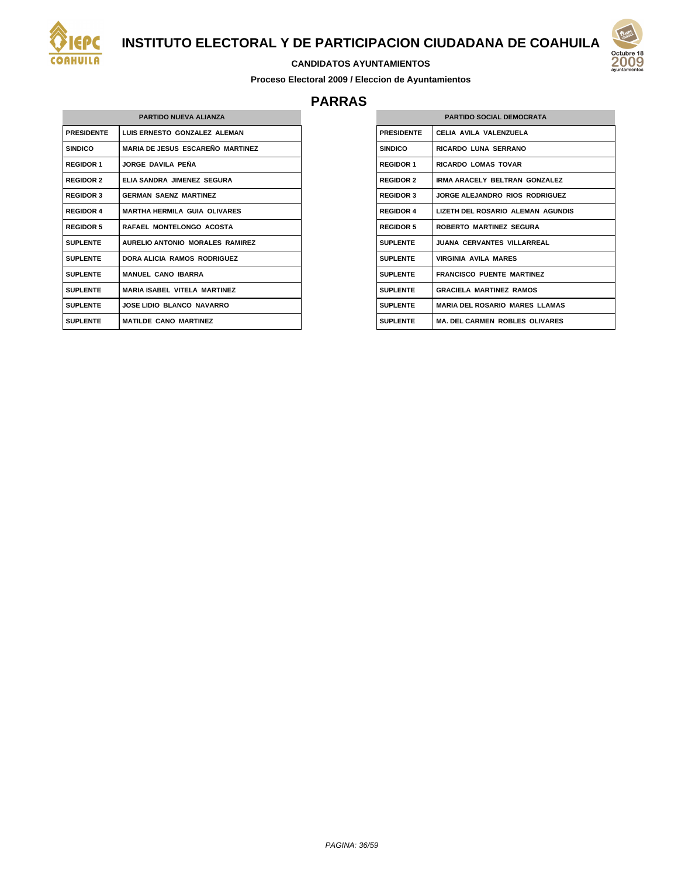

# 200

#### **CANDIDATOS AYUNTAMIENTOS**

**Proceso Electoral 2009 / Eleccion de Ayuntamientos**

## **PARRAS**

| <b>PARTIDO NUEVA ALIANZA</b> |                                         |  |
|------------------------------|-----------------------------------------|--|
| <b>PRESIDENTE</b>            | LUIS ERNESTO GONZALEZ ALEMAN            |  |
| <b>SINDICO</b>               | <b>MARIA DE JESUS ESCAREÑO MARTINEZ</b> |  |
| <b>REGIDOR 1</b>             | JORGE DAVILA PEÑA                       |  |
| <b>REGIDOR 2</b>             | ELIA SANDRA JIMENEZ SEGURA              |  |
| <b>REGIDOR 3</b>             | <b>GERMAN SAENZ MARTINEZ</b>            |  |
| <b>REGIDOR 4</b>             | <b>MARTHA HERMILA GUIA OLIVARES</b>     |  |
| <b>REGIDOR 5</b>             | RAFAEL MONTELONGO ACOSTA                |  |
| <b>SUPLENTE</b>              | AURELIO ANTONIO MORALES RAMIREZ         |  |
| <b>SUPLENTE</b>              | DORA ALICIA RAMOS RODRIGUEZ             |  |
| <b>SUPLENTE</b>              | <b>MANUEL CANO IBARRA</b>               |  |
| <b>SUPLENTE</b>              | <b>MARIA ISABEL VITELA MARTINEZ</b>     |  |
| <b>SUPLENTE</b>              | <b>JOSE LIDIO BLANCO NAVARRO</b>        |  |
| <b>SUPLENTE</b>              | <b>MATILDE CANO MARTINEZ</b>            |  |

| <b>PARTIDO SOCIAL DEMOCRATA</b> |                                       |
|---------------------------------|---------------------------------------|
| <b>PRESIDENTE</b>               | CELIA AVILA VALENZUELA                |
| <b>SINDICO</b>                  | RICARDO LUNA SERRANO                  |
| <b>REGIDOR 1</b>                | <b>RICARDO LOMAS TOVAR</b>            |
| <b>REGIDOR 2</b>                | IRMA ARACELY BELTRAN GONZALEZ         |
| <b>REGIDOR 3</b>                | JORGE ALFJANDRO RIOS RODRIGUEZ        |
| <b>REGIDOR 4</b>                | LIZETH DEL ROSARIO ALEMAN AGUNDIS     |
| <b>REGIDOR 5</b>                | <b>ROBERTO MARTINEZ SEGURA</b>        |
| <b>SUPLENTE</b>                 | <b>JUANA CERVANTES VILLARREAL</b>     |
| <b>SUPLENTE</b>                 | <b>VIRGINIA AVILA MARES</b>           |
| <b>SUPLENTE</b>                 | <b>FRANCISCO PUENTE MARTINEZ</b>      |
| <b>SUPLENTE</b>                 | <b>GRACIELA MARTINEZ RAMOS</b>        |
| <b>SUPLENTE</b>                 | <b>MARIA DEL ROSARIO MARES LLAMAS</b> |
| <b>SUPLENTE</b>                 | <b>MA. DEL CARMEN ROBLES OLIVARES</b> |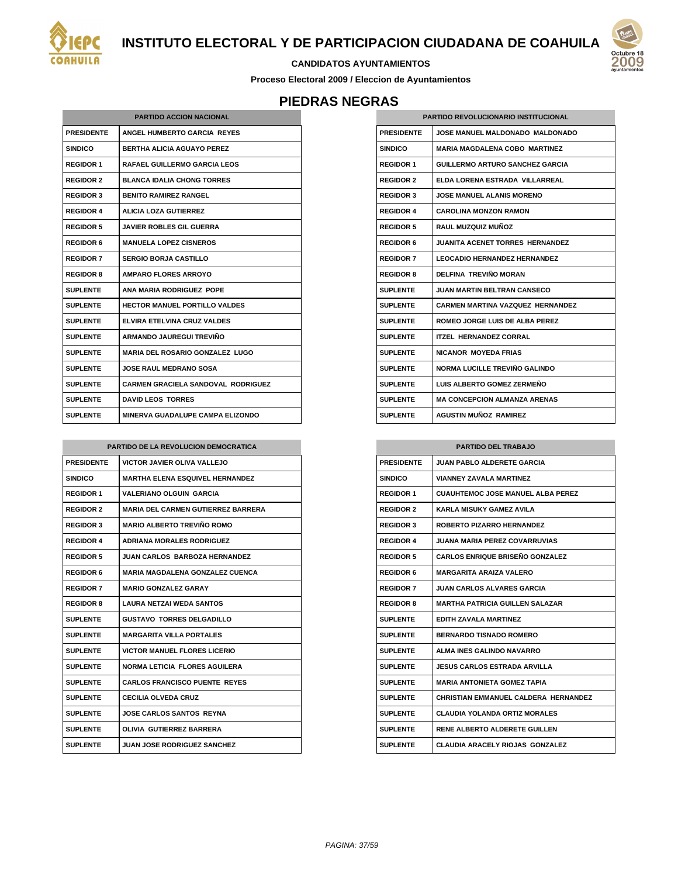



**Proceso Electoral 2009 / Eleccion de Ayuntamientos**

# **PIEDRAS NEGRAS**

| <b>PARTIDO ACCION NACIONAL</b> |                                           |  |
|--------------------------------|-------------------------------------------|--|
| <b>PRESIDENTE</b>              | ANGEL HUMBERTO GARCIA REYES               |  |
| <b>SINDICO</b>                 | BERTHA ALICIA AGUAYO PEREZ                |  |
| <b>REGIDOR 1</b>               | <b>RAFAEL GUILLERMO GARCIA LEOS</b>       |  |
| <b>REGIDOR 2</b>               | <b>BLANCA IDALIA CHONG TORRES</b>         |  |
| <b>REGIDOR 3</b>               | <b>BENITO RAMIREZ RANGEL</b>              |  |
| <b>REGIDOR 4</b>               | <b>ALICIA LOZA GUTIERREZ</b>              |  |
| <b>REGIDOR 5</b>               | <b>JAVIER ROBLES GIL GUERRA</b>           |  |
| <b>REGIDOR 6</b>               | <b>MANUELA LOPEZ CISNEROS</b>             |  |
| <b>REGIDOR 7</b>               | <b>SERGIO BORJA CASTILLO</b>              |  |
| <b>REGIDOR 8</b>               | <b>AMPARO FLORES ARROYO</b>               |  |
| <b>SUPLENTE</b>                | ANA MARIA RODRIGUEZ POPE                  |  |
| <b>SUPLENTE</b>                | <b>HECTOR MANUEL PORTILLO VALDES</b>      |  |
| <b>SUPLENTE</b>                | ELVIRA ETELVINA CRUZ VALDES               |  |
| <b>SUPLENTE</b>                | ARMANDO JAUREGUI TREVIÑO                  |  |
| SUPLENTE                       | <b>MARIA DEL ROSARIO GONZALEZ LUGO</b>    |  |
| <b>SUPLENTE</b>                | <b>JOSE RAUL MEDRANO SOSA</b>             |  |
| <b>SUPLENTE</b>                | <b>CARMEN GRACIELA SANDOVAL RODRIGUEZ</b> |  |
| <b>SUPLENTE</b>                | <b>DAVID LEOS TORRES</b>                  |  |
| <b>SUPLENTE</b>                | MINERVA GUADALUPE CAMPA ELIZONDO          |  |

| PARTIDO DE LA REVOLUCION DEMOCRATICA |                                           |  |
|--------------------------------------|-------------------------------------------|--|
| <b>PRESIDENTE</b>                    | <b>VICTOR JAVIER OLIVA VALLEJO</b>        |  |
| <b>SINDICO</b>                       | <b>MARTHA ELENA ESQUIVEL HERNANDEZ</b>    |  |
| <b>REGIDOR 1</b>                     | <b>VALERIANO OLGUIN GARCIA</b>            |  |
| <b>REGIDOR 2</b>                     | <b>MARIA DEL CARMEN GUTIERREZ BARRERA</b> |  |
| <b>REGIDOR 3</b>                     | <b>MARIO ALBERTO TREVIÑO ROMO</b>         |  |
| <b>REGIDOR 4</b>                     | <b>ADRIANA MORALES RODRIGUEZ</b>          |  |
| <b>REGIDOR 5</b>                     | <b>JUAN CARLOS BARBOZA HERNANDEZ</b>      |  |
| <b>REGIDOR 6</b>                     | <b>MARIA MAGDALENA GONZALEZ CUENCA</b>    |  |
| <b>REGIDOR 7</b>                     | <b>MARIO GONZALEZ GARAY</b>               |  |
| <b>REGIDOR 8</b>                     | I AURA NETZAI WEDA SANTOS                 |  |
| <b>SUPLENTE</b>                      | <b>GUSTAVO TORRES DELGADILLO</b>          |  |
| <b>SUPLENTE</b>                      | <b>MARGARITA VILLA PORTALES</b>           |  |
| <b>SUPLENTE</b>                      | <b>VICTOR MANUEL FLORES LICERIO</b>       |  |
| <b>SUPLENTE</b>                      | <b>NORMA LETICIA FLORES AGUILERA</b>      |  |
| <b>SUPLENTE</b>                      | <b>CARLOS FRANCISCO PUENTE REYES</b>      |  |
| <b>SUPLENTE</b>                      | <b>CECILIA OLVEDA CRUZ</b>                |  |
| <b>SUPLENTE</b>                      | <b>JOSE CARLOS SANTOS REYNA</b>           |  |
| <b>SUPLENTE</b>                      | OLIVIA GUTIERREZ BARRERA                  |  |
| <b>SUPLENTE</b>                      | <b>JUAN JOSE RODRIGUEZ SANCHEZ</b>        |  |

| <b>PARTIDO REVOLUCIONARIO INSTITUCIONAL</b> |                                         |  |
|---------------------------------------------|-----------------------------------------|--|
| <b>PRESIDENTE</b>                           | JOSE MANUEL MALDONADO MALDONADO         |  |
| <b>SINDICO</b>                              | MARIA MAGDALENA COBO MARTINEZ           |  |
| <b>REGIDOR 1</b>                            | <b>GUILLERMO ARTURO SANCHEZ GARCIA</b>  |  |
| <b>REGIDOR 2</b>                            | ELDA LORENA ESTRADA VILLARREAL          |  |
| <b>REGIDOR 3</b>                            | <b>JOSE MANUEL ALANIS MORENO</b>        |  |
| <b>REGIDOR 4</b>                            | <b>CAROLINA MONZON RAMON</b>            |  |
| <b>REGIDOR 5</b>                            | RAUL MUZQUIZ MUÑOZ                      |  |
| <b>REGIDOR 6</b>                            | <b>JUANITA ACENET TORRES HERNANDEZ</b>  |  |
| <b>REGIDOR 7</b>                            | <b>LEOCADIO HERNANDEZ HERNANDEZ</b>     |  |
| <b>REGIDOR 8</b>                            | DELFINA TREVIÑO MORAN                   |  |
| <b>SUPLENTE</b>                             | JUAN MARTIN BELTRAN CANSECO             |  |
| <b>SUPLENTE</b>                             | <b>CARMEN MARTINA VAZQUEZ HERNANDEZ</b> |  |
| <b>SUPLENTE</b>                             | <b>ROMEO JORGE LUIS DE ALBA PEREZ</b>   |  |
| <b>SUPLENTE</b>                             | <b>ITZEL HERNANDEZ CORRAL</b>           |  |
| <b>SUPLENTE</b>                             | <b>NICANOR MOYEDA FRIAS</b>             |  |
| <b>SUPLENTE</b>                             | NORMA LUCILLE TREVIÑO GALINDO           |  |
| <b>SUPLENTE</b>                             | LUIS ALBERTO GOMEZ ZERMEÑO              |  |
| <b>SUPLENTE</b>                             | <b>MA CONCEPCION ALMANZA ARENAS</b>     |  |
| <b>SUPLENTE</b>                             | AGUSTIN MUÑOZ RAMIREZ                   |  |

| <b>PARTIDO DEL TRABAJO</b> |                                          |  |
|----------------------------|------------------------------------------|--|
| <b>PRESIDENTE</b>          | <b>JUAN PABLO ALDERETE GARCIA</b>        |  |
| <b>SINDICO</b>             | <b>VIANNEY ZAVALA MARTINEZ</b>           |  |
| <b>REGIDOR 1</b>           | <b>CUAUHTEMOC JOSE MANUEL ALBA PEREZ</b> |  |
| <b>REGIDOR 2</b>           | <b>KARLA MISUKY GAMEZ AVILA</b>          |  |
| <b>REGIDOR 3</b>           | <b>ROBERTO PIZARRO HERNANDEZ</b>         |  |
| <b>REGIDOR 4</b>           | <b>JUANA MARIA PEREZ COVARRUVIAS</b>     |  |
| <b>REGIDOR 5</b>           | <b>CARLOS ENRIQUE BRISEÑO GONZALEZ</b>   |  |
| <b>REGIDOR 6</b>           | <b>MARGARITA ARAIZA VALERO</b>           |  |
| <b>REGIDOR 7</b>           | JUAN CARLOS ALVARES GARCIA               |  |
| <b>REGIDOR 8</b>           | <b>MARTHA PATRICIA GUILLEN SALAZAR</b>   |  |
| SUPLENTE                   | <b>EDITH ZAVALA MARTINEZ</b>             |  |
| <b>SUPLENTE</b>            | <b>BERNARDO TISNADO ROMERO</b>           |  |
| <b>SUPLENTE</b>            | <b>ALMA INES GALINDO NAVARRO</b>         |  |
| <b>SUPLENTE</b>            | JESUS CARLOS ESTRADA ARVILLA             |  |
| <b>SUPLENTE</b>            | <b>MARIA ANTONIETA GOMEZ TAPIA</b>       |  |
| <b>SUPLENTE</b>            | CHRISTIAN EMMANUEL CALDERA HERNANDEZ     |  |
| <b>SUPLENTE</b>            | <b>CLAUDIA YOLANDA ORTIZ MORALES</b>     |  |
| <b>SUPLENTE</b>            | RENE ALBERTO ALDERETE GUILLEN            |  |
| <b>SUPLENTE</b>            | <b>CLAUDIA ARACELY RIOJAS GONZALEZ</b>   |  |

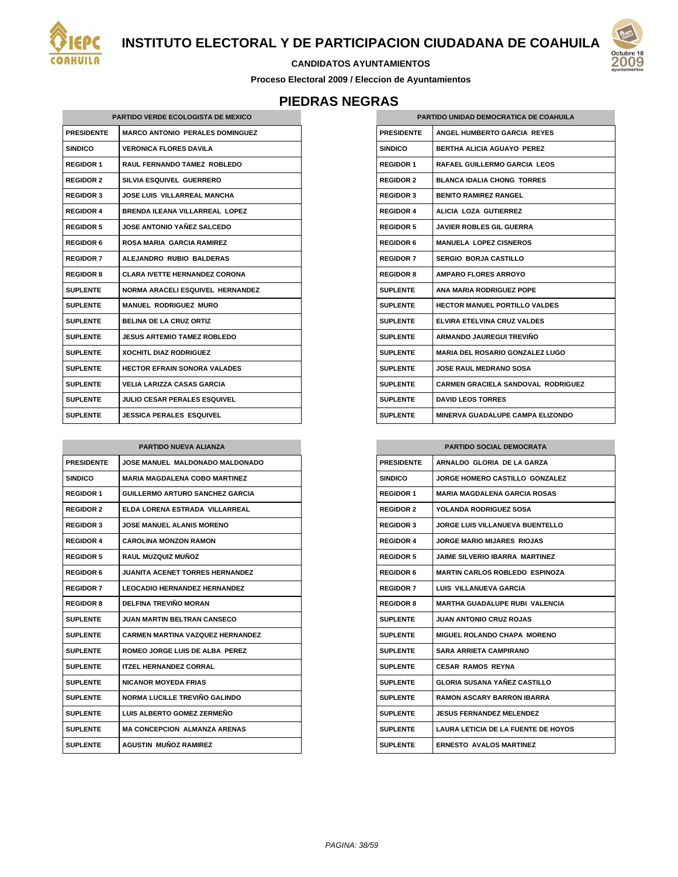



**Proceso Electoral 2009 / Eleccion de Ayuntamientos**

# **PIEDRAS NEGRAS**

| <b>PARTIDO VERDE ECOLOGISTA DE MEXICO</b> |                                         |
|-------------------------------------------|-----------------------------------------|
| <b>PRESIDENTE</b>                         | <b>MARCO ANTONIO PERALES DOMINGUEZ</b>  |
| <b>SINDICO</b>                            | <b>VERONICA FLORES DAVILA</b>           |
| <b>REGIDOR 1</b>                          | RAUL FERNANDO TAMEZ ROBLEDO             |
| <b>REGIDOR 2</b>                          | SILVIA ESQUIVEL GUERRERO                |
| <b>REGIDOR 3</b>                          | JOSE LUIS VILLARREAL MANCHA             |
| <b>REGIDOR 4</b>                          | <b>BRENDA ILEANA VILLARREAL LOPEZ</b>   |
| <b>REGIDOR 5</b>                          | <b>JOSE ANTONIO YAÑEZ SALCEDO</b>       |
| <b>REGIDOR 6</b>                          | <b>ROSA MARIA GARCIA RAMIREZ</b>        |
| <b>REGIDOR 7</b>                          | ALEJANDRO RUBIO BALDERAS                |
| <b>REGIDOR 8</b>                          | <b>CLARA IVETTE HERNANDEZ CORONA</b>    |
| <b>SUPLENTE</b>                           | <b>NORMA ARACELI ESQUIVEL HERNANDEZ</b> |
| <b>SUPLENTE</b>                           | <b>MANUEL RODRIGUEZ MURO</b>            |
| <b>SUPLENTE</b>                           | <b>BELINA DE LA CRUZ ORTIZ</b>          |
| <b>SUPLENTE</b>                           | <b>JESUS ARTEMIO TAMEZ ROBLEDO</b>      |
| <b>SUPLENTE</b>                           | <b>XOCHITL DIAZ RODRIGUEZ</b>           |
| <b>SUPLENTE</b>                           | <b>HECTOR EFRAIN SONORA VALADES</b>     |
| <b>SUPLENTE</b>                           | <b>VELIA LARIZZA CASAS GARCIA</b>       |
| <b>SUPLENTE</b>                           | <b>JULIO CESAR PERALES ESQUIVEL</b>     |
| <b>SUPLENTE</b>                           | <b>JESSICA PERALES ESQUIVEL</b>         |

| <b>PARTIDO NUEVA ALIANZA</b> |                                         |
|------------------------------|-----------------------------------------|
| <b>PRESIDENTE</b>            | JOSE MANUEL MALDONADO MALDONADO         |
| <b>SINDICO</b>               | <b>MARIA MAGDALENA COBO MARTINEZ</b>    |
| <b>REGIDOR 1</b>             | <b>GUILLERMO ARTURO SANCHEZ GARCIA</b>  |
| <b>REGIDOR 2</b>             | FI DA I ORFNA FSTRADA. VII I ARRFAI     |
| <b>REGIDOR 3</b>             | <b>JOSE MANUEL ALANIS MORENO</b>        |
| <b>REGIDOR 4</b>             | <b>CAROLINA MONZON RAMON</b>            |
| <b>REGIDOR 5</b>             | <b>RAUL MUZQUIZ MUÑOZ</b>               |
| <b>REGIDOR 6</b>             | <b>JUANITA ACENET TORRES HERNANDEZ</b>  |
| <b>REGIDOR 7</b>             | <b>LEOCADIO HERNANDEZ HERNANDEZ</b>     |
| <b>REGIDOR 8</b>             | DELFINA TREVIÑO MORAN                   |
| <b>SUPLENTE</b>              | JUAN MARTIN BELTRAN CANSECO             |
| <b>SUPLENTE</b>              | <b>CARMEN MARTINA VAZQUEZ HERNANDEZ</b> |
| <b>SUPLENTE</b>              | ROMEO JORGE LUIS DE ALBA PEREZ          |
| <b>SUPLENTE</b>              | <b>ITZEL HERNANDEZ CORRAL</b>           |
| <b>SUPLENTE</b>              | <b>NICANOR MOYEDA FRIAS</b>             |
| <b>SUPLENTE</b>              | NORMA LUCILLE TREVIÑO GALINDO           |
| <b>SUPLENTE</b>              | LUIS ALBERTO GOMEZ ZERMENO              |
| <b>SUPLENTE</b>              | <b>MA CONCEPCION ALMANZA ARENAS</b>     |
| <b>SUPLENTE</b>              | <b>AGUSTIN MUÑOZ RAMIREZ</b>            |

| PARTIDO UNIDAD DEMOCRATICA DE COAHUILA |                                           |
|----------------------------------------|-------------------------------------------|
| <b>PRESIDENTE</b>                      | ANGEL HUMBERTO GARCIA REYES               |
| <b>SINDICO</b>                         | <b>BERTHA ALICIA AGUAYO PEREZ</b>         |
| <b>REGIDOR 1</b>                       | <b>RAFAEL GUILLERMO GARCIA LEOS</b>       |
| <b>REGIDOR 2</b>                       | <b>BLANCA IDALIA CHONG TORRES</b>         |
| <b>REGIDOR 3</b>                       | <b>BENITO RAMIREZ RANGEL</b>              |
| <b>REGIDOR 4</b>                       | ALICIA LOZA GUTIERREZ                     |
| <b>REGIDOR 5</b>                       | JAVIER ROBLES GIL GUERRA                  |
| <b>REGIDOR 6</b>                       | <b>MANUELA LOPEZ CISNEROS</b>             |
| <b>REGIDOR 7</b>                       | <b>SERGIO BORJA CASTILLO</b>              |
| <b>REGIDOR 8</b>                       | <b>AMPARO FLORES ARROYO</b>               |
| <b>SUPLENTE</b>                        | ANA MARIA RODRIGUEZ POPE                  |
| <b>SUPLENTE</b>                        | <b>HECTOR MANUEL PORTILLO VALDES</b>      |
| <b>SUPLENTE</b>                        | ELVIRA ETELVINA CRUZ VALDES               |
| <b>SUPLENTE</b>                        | ARMANDO JAUREGUI TREVIÑO                  |
| <b>SUPLENTE</b>                        | <b>MARIA DEL ROSARIO GONZALEZ LUGO</b>    |
| <b>SUPLENTE</b>                        | <b>JOSE RAUL MEDRANO SOSA</b>             |
| <b>SUPLENTE</b>                        | <b>CARMEN GRACIELA SANDOVAL RODRIGUEZ</b> |
| <b>SUPLENTE</b>                        | <b>DAVID LEOS TORRES</b>                  |
| <b>SUPLENTE</b>                        | <b>MINERVA GUADALUPE CAMPA ELIZONDO</b>   |

| <b>PARTIDO SOCIAL DEMOCRATA</b> |                                       |
|---------------------------------|---------------------------------------|
| <b>PRESIDENTE</b>               | ARNALDO GLORIA DE LA GARZA            |
| SINDICO                         | JORGE HOMERO CASTILLO GONZALEZ        |
| <b>REGIDOR 1</b>                | <b>MARIA MAGDALENA GARCIA ROSAS</b>   |
| <b>REGIDOR 2</b>                | <b>YOLANDA RODRIGUEZ SOSA</b>         |
| <b>REGIDOR 3</b>                | JORGE LUIS VILLANUEVA BUENTELLO       |
| <b>REGIDOR 4</b>                | <b>JORGE MARIO MIJARES RIOJAS</b>     |
| <b>REGIDOR 5</b>                | JAIME SILVERIO IBARRA MARTINEZ        |
| <b>REGIDOR 6</b>                | <b>MARTIN CARLOS ROBLEDO ESPINOZA</b> |
| <b>REGIDOR 7</b>                | LUIS VILLANUEVA GARCIA                |
| <b>REGIDOR 8</b>                | MARTHA GUADALUPE RUBI VALENCIA        |
| SUPLENTE                        | <b>JUAN ANTONIO CRUZ ROJAS</b>        |
| <b>SUPLENTE</b>                 | <b>MIGUEL ROLANDO CHAPA MORENO</b>    |
| <b>SUPLENTE</b>                 | <b>SARA ARRIETA CAMPIRANO</b>         |
| SUPI ENTE                       | <b>CESAR RAMOS REYNA</b>              |
| <b>SUPLENTE</b>                 | <b>GLORIA SUSANA YAÑEZ CASTILLO</b>   |
| <b>SUPLENTE</b>                 | <b>RAMON ASCARY BARRON IBARRA</b>     |
| <b>SUPLENTE</b>                 | JESUS FERNANDEZ MEI ENDEZ.            |
| <b>SUPLENTE</b>                 | LAURA LETICIA DE LA FUENTE DE HOYOS   |
| <b>SUPLENTE</b>                 | <b>ERNESTO AVALOS MARTINEZ</b>        |

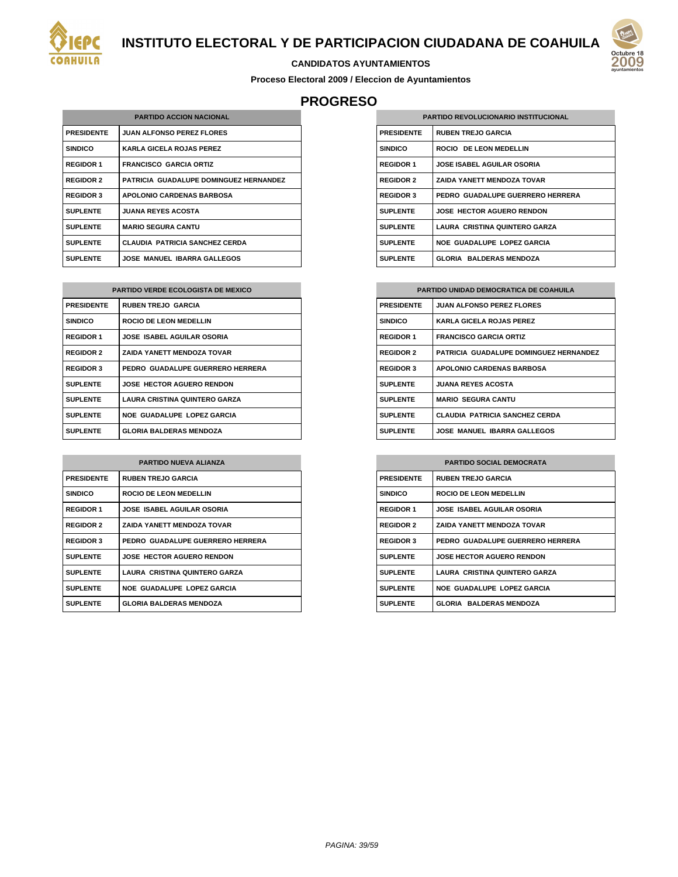

#### **CANDIDATOS AYUNTAMIENTOS**

**Proceso Electoral 2009 / Eleccion de Ayuntamientos**

# **PROGRESO**

| <b>PARTIDO ACCION NACIONAL</b> |                                        |
|--------------------------------|----------------------------------------|
| <b>PRESIDENTE</b>              | <b>JUAN ALFONSO PEREZ FLORES</b>       |
| <b>SINDICO</b>                 | <b>KARLA GICELA ROJAS PEREZ</b>        |
| <b>REGIDOR 1</b>               | <b>FRANCISCO GARCIA ORTIZ</b>          |
| <b>REGIDOR 2</b>               | PATRICIA GUADALUPE DOMINGUEZ HERNANDEZ |
| <b>REGIDOR 3</b>               | <b>APOLONIO CARDENAS BARBOSA</b>       |
| <b>SUPLENTE</b>                | <b>JUANA REYES ACOSTA</b>              |
| <b>SUPLENTE</b>                | <b>MARIO SEGURA CANTU</b>              |
| <b>SUPLENTE</b>                | <b>CLAUDIA PATRICIA SANCHEZ CERDA</b>  |
| <b>SUPLENTE</b>                | <b>JOSE MANUEL IBARRA GALLEGOS</b>     |

| <b>PARTIDO VERDE ECOLOGISTA DE MEXICO</b> |                                      |
|-------------------------------------------|--------------------------------------|
| <b>PRESIDENTE</b>                         | <b>RUBEN TREJO GARCIA</b>            |
| <b>SINDICO</b>                            | ROCIO DE LEON MEDELLIN               |
| <b>REGIDOR 1</b>                          | <b>JOSE ISABEL AGUILAR OSORIA</b>    |
| <b>REGIDOR 2</b>                          | <b>ZAIDA YANETT MENDOZA TOVAR</b>    |
| <b>REGIDOR 3</b>                          | PEDRO GUADALUPE GUERRERO HERRERA     |
| <b>SUPLENTE</b>                           | <b>JOSE HECTOR AGUERO RENDON</b>     |
| <b>SUPLENTE</b>                           | <b>LAURA CRISTINA QUINTERO GARZA</b> |
| <b>SUPLENTE</b>                           | <b>NOE GUADALUPE LOPEZ GARCIA</b>    |
| <b>SUPLENTE</b>                           | <b>GLORIA BALDERAS MENDOZA</b>       |

| <b>PARTIDO NUEVA ALIANZA</b> |                                   |  |
|------------------------------|-----------------------------------|--|
| <b>PRESIDENTE</b>            | <b>RUBEN TREJO GARCIA</b>         |  |
| <b>SINDICO</b>               | ROCIO DE LEON MEDELLIN            |  |
| <b>REGIDOR 1</b>             | <b>JOSE ISABEL AGUILAR OSORIA</b> |  |
| <b>REGIDOR 2</b>             | <b>ZAIDA YANETT MENDOZA TOVAR</b> |  |
| <b>REGIDOR 3</b>             | PEDRO GUADALUPE GUERRERO HERRERA  |  |
| <b>SUPLENTE</b>              | <b>JOSE HECTOR AGUERO RENDON</b>  |  |
| <b>SUPLENTE</b>              | LAURA CRISTINA QUINTERO GARZA     |  |
| <b>SUPLENTE</b>              | <b>NOE GUADALUPE LOPEZ GARCIA</b> |  |
| <b>SUPLENTE</b>              | <b>GLORIA BALDERAS MENDOZA</b>    |  |

| <b>PARTIDO REVOLUCIONARIO INSTITUCIONAL</b> |                                   |
|---------------------------------------------|-----------------------------------|
| <b>PRESIDENTE</b>                           | <b>RUBEN TREJO GARCIA</b>         |
| <b>SINDICO</b>                              | ROCIO DE LEON MEDELLIN            |
| <b>REGIDOR 1</b>                            | <b>JOSE ISABEL AGUILAR OSORIA</b> |
| <b>REGIDOR 2</b>                            | <b>ZAIDA YANETT MENDOZA TOVAR</b> |
| <b>REGIDOR 3</b>                            | PEDRO GUADALUPE GUERRERO HERRERA  |
| <b>SUPLENTE</b>                             | <b>JOSE HECTOR AGUERO RENDON</b>  |
| <b>SUPLENTE</b>                             | LAURA CRISTINA QUINTERO GARZA     |
| <b>SUPLENTE</b>                             | NOE GUADALUPE LOPEZ GARCIA        |
| <b>SUPLENTE</b>                             | <b>GLORIA BALDERAS MENDOZA</b>    |

| <b>PARTIDO UNIDAD DEMOCRATICA DE COAHUILA</b> |                                        |  |
|-----------------------------------------------|----------------------------------------|--|
| <b>PRESIDENTE</b>                             | <b>JUAN ALFONSO PEREZ FLORES</b>       |  |
| <b>SINDICO</b>                                | <b>KARLA GICELA ROJAS PEREZ</b>        |  |
| <b>REGIDOR 1</b>                              | <b>FRANCISCO GARCIA ORTIZ</b>          |  |
| <b>REGIDOR 2</b>                              | PATRICIA GUADALUPE DOMINGUEZ HERNANDEZ |  |
| <b>REGIDOR 3</b>                              | <b>APOLONIO CARDENAS BARBOSA</b>       |  |
| <b>SUPLENTE</b>                               | <b>JUANA REYES ACOSTA</b>              |  |
| <b>SUPLENTE</b>                               | <b>MARIO SEGURA CANTU</b>              |  |
| <b>SUPLENTE</b>                               | <b>CLAUDIA PATRICIA SANCHEZ CERDA</b>  |  |
| <b>SUPLENTE</b>                               | <b>JOSE MANUEL IBARRA GALLEGOS</b>     |  |

| <b>PARTIDO SOCIAL DEMOCRATA</b> |                                   |
|---------------------------------|-----------------------------------|
| <b>PRESIDENTE</b>               | <b>RUBEN TREJO GARCIA</b>         |
| <b>SINDICO</b>                  | ROCIO DE LEON MEDELLIN            |
| <b>REGIDOR 1</b>                | <b>JOSE ISABEL AGUILAR OSORIA</b> |
| <b>REGIDOR 2</b>                | <b>ZAIDA YANETT MENDOZA TOVAR</b> |
| <b>REGIDOR 3</b>                | PEDRO GUADALUPE GUERRERO HERRERA  |
| <b>SUPLENTE</b>                 | <b>JOSE HECTOR AGUERO RENDON</b>  |
| <b>SUPLENTE</b>                 | LAURA CRISTINA QUINTERO GARZA     |
| <b>SUPLENTE</b>                 | NOE GUADALUPE LOPEZ GARCIA        |
| <b>SUPLENTE</b>                 | <b>GLORIA BALDERAS MENDOZA</b>    |

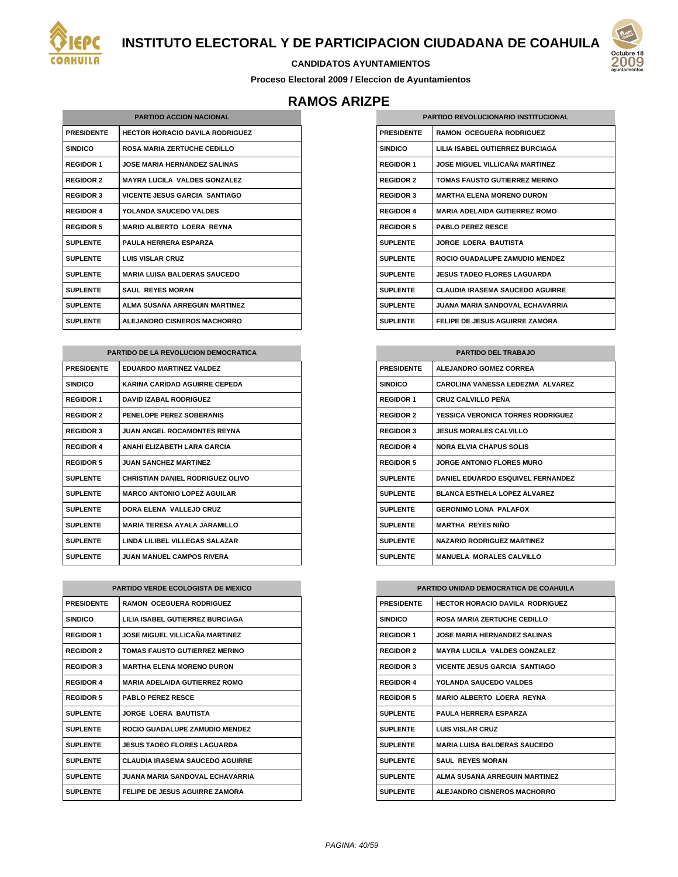



#### **CANDIDATOS AYUNTAMIENTOS**

**Proceso Electoral 2009 / Eleccion de Ayuntamientos**

## **RAMOS ARIZPE**

| <b>PARTIDO ACCION NACIONAL</b> |                                        |  |
|--------------------------------|----------------------------------------|--|
| <b>PRESIDENTE</b>              | <b>HECTOR HORACIO DAVILA RODRIGUEZ</b> |  |
| <b>SINDICO</b>                 | <b>ROSA MARIA ZERTUCHE CEDILLO</b>     |  |
| <b>REGIDOR 1</b>               | JOSE MARIA HERNANDEZ SAI INAS          |  |
| <b>REGIDOR 2</b>               | <b>MAYRA LUCILA VALDES GONZALEZ</b>    |  |
| <b>REGIDOR 3</b>               | <b>VICENTE JESUS GARCIA SANTIAGO</b>   |  |
| <b>REGIDOR 4</b>               | YOLANDA SAUCEDO VALDES                 |  |
| <b>REGIDOR 5</b>               | <b>MARIO AI BERTO LOFRA REYNA</b>      |  |
| <b>SUPLENTE</b>                | <b>PAULA HERRERA ESPARZA</b>           |  |
| <b>SUPLENTE</b>                | <b>LUIS VISLAR CRUZ</b>                |  |
| <b>SUPLENTE</b>                | <b>MARIA LUISA BALDERAS SAUCEDO</b>    |  |
| <b>SUPLENTE</b>                | <b>SAUL REYES MORAN</b>                |  |
| <b>SUPLENTE</b>                | <b>ALMA SUSANA ARREGUIN MARTINEZ</b>   |  |
| <b>SUPLENTE</b>                | <b>ALEJANDRO CISNEROS MACHORRO</b>     |  |

| <b>PARTIDO DE LA REVOLUCION DEMOCRATICA</b> |                                         |
|---------------------------------------------|-----------------------------------------|
| <b>PRESIDENTE</b>                           | <b>EDUARDO MARTINEZ VALDEZ</b>          |
| <b>SINDICO</b>                              | KARINA CARIDAD AGUIRRE CEPEDA           |
| <b>REGIDOR 1</b>                            | <b>DAVID IZABAL RODRIGUEZ</b>           |
| <b>REGIDOR 2</b>                            | PENELOPE PEREZ SOBERANIS                |
| <b>REGIDOR 3</b>                            | <b>JUAN ANGEL ROCAMONTES REYNA</b>      |
| <b>REGIDOR 4</b>                            | ANAHI ELIZABETH LARA GARCIA             |
| <b>REGIDOR 5</b>                            | <b>JUAN SANCHEZ MARTINEZ</b>            |
| <b>SUPLENTE</b>                             | <b>CHRISTIAN DANIEL RODRIGUEZ OLIVO</b> |
| <b>SUPLENTE</b>                             | <b>MARCO ANTONIO LOPEZ AGUILAR</b>      |
| <b>SUPLENTE</b>                             | DORA FLENA VALLEJO CRUZ                 |
| <b>SUPLENTE</b>                             | <b>MARIA TERESA AYALA JARAMILLO</b>     |
| <b>SUPLENTE</b>                             | LINDA LILIBEL VILLEGAS SALAZAR          |
| <b>SUPLENTE</b>                             | <b>JUAN MANUEL CAMPOS RIVERA</b>        |

| <b>PARTIDO VERDE ECOLOGISTA DE MEXICO</b> |                                        |
|-------------------------------------------|----------------------------------------|
| <b>PRESIDENTE</b>                         | <b>RAMON OCEGUERA RODRIGUEZ</b>        |
| <b>SINDICO</b>                            | LILIA ISABEL GUTIERREZ BURCIAGA        |
| <b>REGIDOR 1</b>                          | JOSE MIGUEL VILLICAÑA MARTINEZ         |
| <b>REGIDOR 2</b>                          | <b>TOMAS FAUSTO GUTIERREZ MERINO</b>   |
| <b>REGIDOR 3</b>                          | <b>MARTHA ELENA MORENO DURON</b>       |
| <b>REGIDOR 4</b>                          | <b>MARIA ADELAIDA GUTIERREZ ROMO</b>   |
| <b>REGIDOR 5</b>                          | <b>PABLO PERFZ RESCE</b>               |
| <b>SUPLENTE</b>                           | <b>JORGE LOERA BAUTISTA</b>            |
| <b>SUPLENTE</b>                           | ROCIO GUADALUPE ZAMUDIO MENDEZ         |
| <b>SUPLENTE</b>                           | <b>JESUS TADEO FLORES LAGUARDA</b>     |
| <b>SUPLENTE</b>                           | <b>CLAUDIA IRASEMA SAUCEDO AGUIRRE</b> |
| <b>SUPLENTE</b>                           | JUANA MARIA SANDOVAL FCHAVARRIA.       |
| <b>SUPLENTE</b>                           | <b>FELIPE DE JESUS AGUIRRE ZAMORA</b>  |

| <b>PARTIDO REVOLUCIONARIO INSTITUCIONAL</b> |                                          |
|---------------------------------------------|------------------------------------------|
| <b>PRESIDENTE</b>                           | <b>RAMON OCEGUERA RODRIGUEZ</b>          |
| <b>SINDICO</b>                              | <b>I II IA ISAREL GUTIERREZ BURCIAGA</b> |
| <b>REGIDOR 1</b>                            | JOSE MIGUEL VILLICAÑA MARTINEZ           |
| <b>REGIDOR 2</b>                            | <b>TOMAS FAUSTO GUTIERREZ MERINO</b>     |
| <b>REGIDOR 3</b>                            | <b>MARTHA ELENA MORENO DURON</b>         |
| <b>REGIDOR 4</b>                            | <b>MARIA ADELAIDA GUTIERREZ ROMO</b>     |
| <b>REGIDOR 5</b>                            | <b>PABLO PERFZ RESCE</b>                 |
| <b>SUPLENTE</b>                             | <b>JORGE LOERA BAUTISTA</b>              |
| <b>SUPLENTE</b>                             | ROCIO GUADALUPE ZAMUDIO MENDEZ           |
| <b>SUPLENTE</b>                             | JESUS TADEO ELORES LAGUARDA.             |
| <b>SUPLENTE</b>                             | <b>CLAUDIA IRASEMA SAUCEDO AGUIRRE</b>   |
| <b>SUPLENTE</b>                             | JUANA MARIA SANDOVAL FCHAVARRIA.         |
| <b>SUPLENTE</b>                             | <b>FELIPE DE JESUS AGUIRRE ZAMORA</b>    |

| <b>PARTIDO DEL TRABAJO</b> |                                     |
|----------------------------|-------------------------------------|
| <b>PRESIDENTE</b>          | <b>ALEJANDRO GOMEZ CORREA</b>       |
| <b>SINDICO</b>             | CAROLINA VANESSA LEDEZMA ALVAREZ    |
| <b>REGIDOR 1</b>           | <b>CRUZ CALVILLO PEÑA</b>           |
| <b>REGIDOR 2</b>           | YESSICA VERONICA TORRES RODRIGUEZ   |
| <b>REGIDOR 3</b>           | <b>JESUS MORALES CALVILLO</b>       |
| <b>REGIDOR 4</b>           | <b>NORA ELVIA CHAPUS SOLIS</b>      |
| <b>REGIDOR 5</b>           | <b>JORGE ANTONIO FLORES MURO</b>    |
| <b>SUPLENTE</b>            | DANIEL EDUARDO ESQUIVEL FERNANDEZ   |
| <b>SUPLENTE</b>            | <b>BLANCA ESTHELA LOPEZ ALVAREZ</b> |
| <b>SUPLENTE</b>            | <b>GERONIMO LONA PALAFOX</b>        |
| <b>SUPLENTE</b>            | <b>MARTHA REYES NIÑO</b>            |
| <b>SUPLENTE</b>            | <b>NAZARIO RODRIGUEZ MARTINEZ</b>   |
| <b>SUPLENTE</b>            | <b>MANUELA MORALES CALVILLO</b>     |

| PARTIDO UNIDAD DEMOCRATICA DE COAHUILA |                                        |
|----------------------------------------|----------------------------------------|
| <b>PRESIDENTE</b>                      | <b>HECTOR HORACIO DAVILA RODRIGUEZ</b> |
| <b>SINDICO</b>                         | <b>ROSA MARIA ZERTUCHE CEDILLO</b>     |
| <b>REGIDOR 1</b>                       | <b>JOSE MARIA HERNANDEZ SALINAS</b>    |
| <b>REGIDOR 2</b>                       | <b>MAYRA LUCILA VALDES GONZALEZ</b>    |
| <b>REGIDOR 3</b>                       | <b>VICENTE JESUS GARCIA SANTIAGO</b>   |
| <b>REGIDOR 4</b>                       | <b>YOLANDA SAUCEDO VALDES</b>          |
| <b>REGIDOR 5</b>                       | <b>MARIO ALBERTO LOERA REYNA</b>       |
| <b>SUPLENTE</b>                        | <b>PAULA HERRERA ESPARZA</b>           |
| <b>SUPLENTE</b>                        | <b>LUIS VISLAR CRUZ</b>                |
| <b>SUPLENTE</b>                        | <b>MARIA LUISA BALDERAS SAUCEDO</b>    |
| <b>SUPLENTE</b>                        | <b>SAUL REYES MORAN</b>                |
| <b>SUPLENTE</b>                        | AI MA SUSANA ARREGUIN MARTINEZ         |
| <b>SUPLENTE</b>                        | <b>ALEJANDRO CISNEROS MACHORRO</b>     |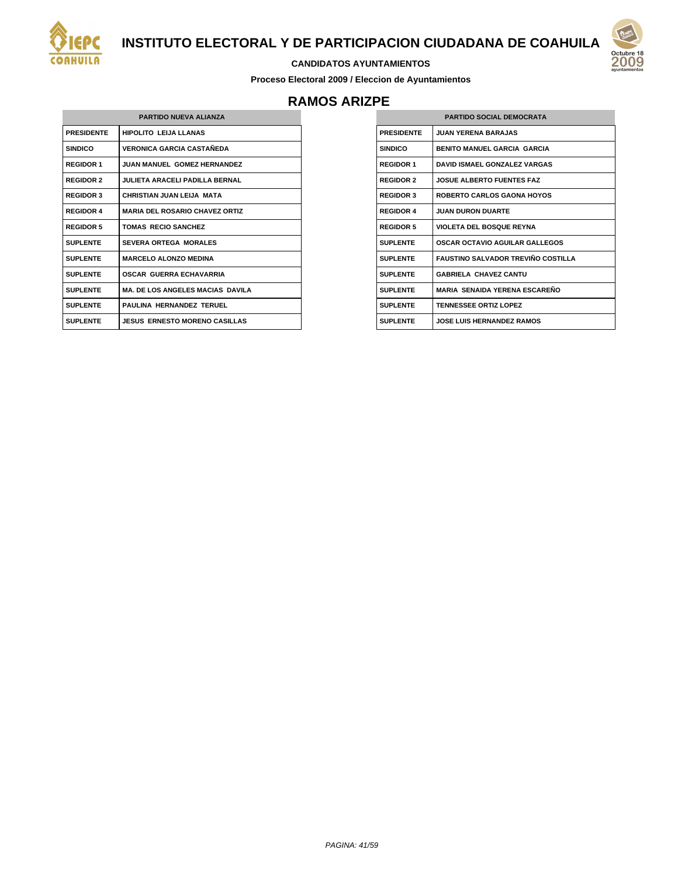



**Proceso Electoral 2009 / Eleccion de Ayuntamientos**

# **RAMOS ARIZPE**

| <b>PARTIDO NUEVA ALIANZA</b> |                                         |
|------------------------------|-----------------------------------------|
| <b>PRESIDENTE</b>            | HIPOLITO I FIJA I LANAS                 |
| <b>SINDICO</b>               | VERONICA GARCIA CASTAÑEDA               |
| <b>REGIDOR 1</b>             | <b>JUAN MANUEL GOMEZ HERNANDEZ</b>      |
| <b>REGIDOR 2</b>             | <b>JULIETA ARACELI PADILLA BERNAL</b>   |
| <b>REGIDOR 3</b>             | CHRISTIAN JUAN LEIJA MATA               |
| <b>REGIDOR 4</b>             | <b>MARIA DEL ROSARIO CHAVEZ ORTIZ</b>   |
| <b>REGIDOR 5</b>             | <b>TOMAS RECIO SANCHEZ</b>              |
| <b>SUPLENTE</b>              | <b>SEVERA ORTEGA MORALES</b>            |
| <b>SUPLENTE</b>              | <b>MARCELO ALONZO MEDINA</b>            |
| <b>SUPLENTE</b>              | <b>OSCAR GUERRA ECHAVARRIA</b>          |
| <b>SUPLENTE</b>              | <b>MA. DE LOS ANGELES MACIAS DAVILA</b> |
| <b>SUPLENTE</b>              | PAULINA HERNANDEZ TERUEL                |
| <b>SUPLENTE</b>              | <b>JESUS ERNESTO MORENO CASILLAS</b>    |

| <b>PARTIDO SOCIAL DEMOCRATA</b> |                                            |
|---------------------------------|--------------------------------------------|
| <b>PRESIDENTE</b>               | <b>JUAN YERENA BARAJAS</b>                 |
| <b>SINDICO</b>                  | <b>BENITO MANUEL GARCIA GARCIA</b>         |
| <b>REGIDOR 1</b>                | <b>DAVID ISMAEL GONZALEZ VARGAS</b>        |
| <b>REGIDOR 2</b>                | <b>JOSUE ALBERTO FUENTES FAZ</b>           |
| <b>REGIDOR 3</b>                | <b>ROBERTO CARLOS GAONA HOYOS</b>          |
| <b>REGIDOR 4</b>                | <b>JUAN DURON DUARTE</b>                   |
| <b>REGIDOR 5</b>                | <b>VIOLETA DEL BOSQUE REYNA</b>            |
| <b>SUPLENTE</b>                 | <b>OSCAR OCTAVIO AGUILAR GALLEGOS</b>      |
| <b>SUPLENTE</b>                 | <b>FAUSTINO SAI VADOR TREVIÑO COSTILLA</b> |
| <b>SUPLENTE</b>                 | <b>GABRIELA CHAVEZ CANTU</b>               |
| <b>SUPLENTE</b>                 | <b>MARIA SENAIDA YERENA ESCARENO</b>       |
| <b>SUPLENTE</b>                 | <b>TENNESSEE ORTIZ LOPEZ</b>               |
| <b>SUPLENTE</b>                 | JOSE LUIS HERNANDEZ RAMOS                  |
|                                 |                                            |

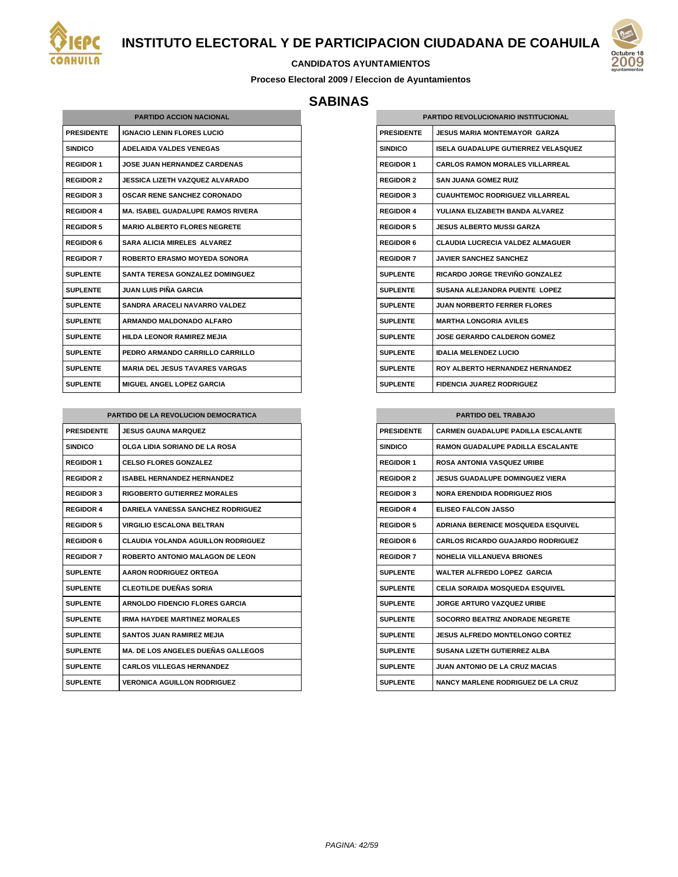



#### **CANDIDATOS AYUNTAMIENTOS**

**Proceso Electoral 2009 / Eleccion de Ayuntamientos**

#### **SABINAS**

|                   | <b>PARTIDO ACCION NACIONAL</b>           |
|-------------------|------------------------------------------|
| <b>PRESIDENTE</b> | <b>IGNACIO LENIN FLORES LUCIO</b>        |
| <b>SINDICO</b>    | <b>ADELAIDA VALDES VENEGAS</b>           |
| <b>REGIDOR 1</b>  | <b>JOSE JUAN HERNANDEZ CARDENAS</b>      |
| <b>REGIDOR 2</b>  | JESSICA LIZETH VAZQUEZ ALVARADO          |
| <b>REGIDOR 3</b>  | <b>OSCAR RENE SANCHEZ CORONADO</b>       |
| <b>REGIDOR 4</b>  | <b>MA. ISAREL GUADALUPE RAMOS RIVERA</b> |
| <b>REGIDOR 5</b>  | <b>MARIO ALBERTO FLORES NEGRETE</b>      |
| <b>REGIDOR 6</b>  | <b>SARA ALICIA MIRELES ALVAREZ</b>       |
| <b>REGIDOR 7</b>  | <b>ROBERTO ERASMO MOYEDA SONORA</b>      |
| <b>SUPLENTE</b>   | <b>SANTA TERESA GONZALEZ DOMINGUEZ</b>   |
| <b>SUPLENTE</b>   | JUAN I UIS PIÑA GARCIA                   |
| <b>SUPLENTE</b>   | <b>SANDRA ARACELI NAVARRO VALDEZ</b>     |
| <b>SUPLENTE</b>   | ARMANDO MALDONADO ALFARO                 |
| <b>SUPLENTE</b>   | <b>HILDA LEONOR RAMIREZ MEJIA</b>        |
| <b>SUPLENTE</b>   | PEDRO ARMANDO CARRILLO CARRILLO          |
| <b>SUPLENTE</b>   | <b>MARIA DEL JESUS TAVARES VARGAS</b>    |
| <b>SUPLENTE</b>   | <b>MIGUEL ANGEL LOPEZ GARCIA</b>         |

| PARTIDO DE LA REVOLUCION DEMOCRATICA |                                           |
|--------------------------------------|-------------------------------------------|
| <b>PRESIDENTE</b>                    | <b>JESUS GAUNA MARQUEZ</b>                |
| <b>SINDICO</b>                       | OLGA LIDIA SORIANO DE LA ROSA             |
| <b>REGIDOR 1</b>                     | <b>CELSO FLORES GONZALEZ</b>              |
| <b>REGIDOR 2</b>                     | <b>ISABEL HERNANDEZ HERNANDEZ</b>         |
| <b>REGIDOR 3</b>                     | <b>RIGOBERTO GUTIERREZ MORALES</b>        |
| <b>REGIDOR 4</b>                     | <b>DARIELA VANESSA SANCHEZ RODRIGUEZ</b>  |
| <b>REGIDOR 5</b>                     | <b>VIRGILIO ESCALONA BELTRAN</b>          |
| <b>REGIDOR 6</b>                     | <b>CLAUDIA YOLANDA AGUILLON RODRIGUEZ</b> |
| <b>REGIDOR 7</b>                     | ROBERTO ANTONIO MALAGON DE LEON           |
| <b>SUPLENTE</b>                      | <b>AARON RODRIGUEZ ORTEGA</b>             |
| <b>SUPLENTE</b>                      | <b>CLEOTILDE DUEÑAS SORIA</b>             |
| <b>SUPLENTE</b>                      | <b>ARNOLDO FIDENCIO FLORES GARCIA</b>     |
| <b>SUPLENTE</b>                      | <b>IRMA HAYDEE MARTINEZ MORALES</b>       |
| <b>SUPLENTE</b>                      | <b>SANTOS JUAN RAMIREZ MEJIA</b>          |
| <b>SUPLENTE</b>                      | <b>MA. DE LOS ANGELES DUEÑAS GALLEGOS</b> |
| <b>SUPLENTE</b>                      | <b>CARLOS VILLEGAS HERNANDEZ</b>          |
| <b>SUPLENTE</b>                      | <b>VERONICA AGUILLON RODRIGUEZ</b>        |

| <b>PARTIDO REVOLUCIONARIO INSTITUCIONAL</b> |                                         |
|---------------------------------------------|-----------------------------------------|
| <b>PRESIDENTE</b>                           | JESUS MARIA MONTEMAYOR GARZA            |
| <b>SINDICO</b>                              | ISELA GUADALUPE GUTIERREZ VELASQUEZ     |
| <b>REGIDOR 1</b>                            | <b>CARLOS RAMON MORALES VILLARREAL</b>  |
| <b>REGIDOR 2</b>                            | SAN JUANA GOMEZ RUIZ                    |
| <b>REGIDOR 3</b>                            | <b>CUAUHTEMOC RODRIGUEZ VILLARREAL</b>  |
| <b>REGIDOR 4</b>                            | YULIANA ELIZABETH BANDA ALVAREZ         |
| <b>REGIDOR 5</b>                            | <b>JESUS ALBERTO MUSSI GARZA</b>        |
| <b>REGIDOR 6</b>                            | <b>CLAUDIA LUCRECIA VALDEZ ALMAGUER</b> |
| <b>REGIDOR 7</b>                            | <b>JAVIER SANCHEZ SANCHEZ</b>           |
| <b>SUPLENTE</b>                             | RICARDO JORGE TREVIÑO GONZALEZ          |
| <b>SUPLENTE</b>                             | SUSANA ALEJANDRA PUENTE LOPEZ           |
| <b>SUPLENTE</b>                             | <b>JUAN NORBERTO FERRER FLORES</b>      |
| <b>SUPLENTE</b>                             | <b>MARTHA LONGORIA AVILES</b>           |
| <b>SUPLENTE</b>                             | JOSE GERARDO CAI DERON GOMEZ            |
| <b>SUPLENTE</b>                             | <b>IDALIA MELENDEZ LUCIO</b>            |
| <b>SUPLENTE</b>                             | ROY ALBERTO HERNANDEZ HERNANDEZ         |
| <b>SUPLENTE</b>                             | <b>FIDENCIA JUAREZ RODRIGUEZ</b>        |

# **PARTIDO DEL TRABAJO PRESIDENTE CARMEN GUADALUPE PADILLA ESCALANTE SINDICO RAMON GUADALUPE PADILLA ESCALANTE REGIDOR 1 ROSA ANTONIA VASQUEZ URIBE REGIDOR 2 JESUS GUADALUPE DOMINGUEZ VIERA REGIDOR 3 NORA ERENDIDA RODRIGUEZ RIOS REGIDOR 4 ELISEO FALCON JASSO REGIDOR 5 ADRIANA BERENICE MOSQUEDA ESQUIVEL REGIDOR 6 CARLOS RICARDO GUAJARDO RODRIGUEZ REGIDOR 7 NOHELIA VILLANUEVA BRIONES SUPLENTE WALTER ALFREDO LOPEZ GARCIA SUPLENTE CELIA SORAIDA MOSQUEDA ESQUIVEL SUPLENTE JORGE ARTURO VAZQUEZ URIBE SUPLENTE SOCORRO BEATRIZ ANDRADE NEGRETE SUPLENTE JESUS ALFREDO MONTELONGO CORTEZ SUPLENTE SUSANA LIZETH GUTIERREZ ALBA SUPLENTE JUAN ANTONIO DE LA CRUZ MACIAS SUPLENTE NANCY MARLENE RODRIGUEZ DE LA CRUZ**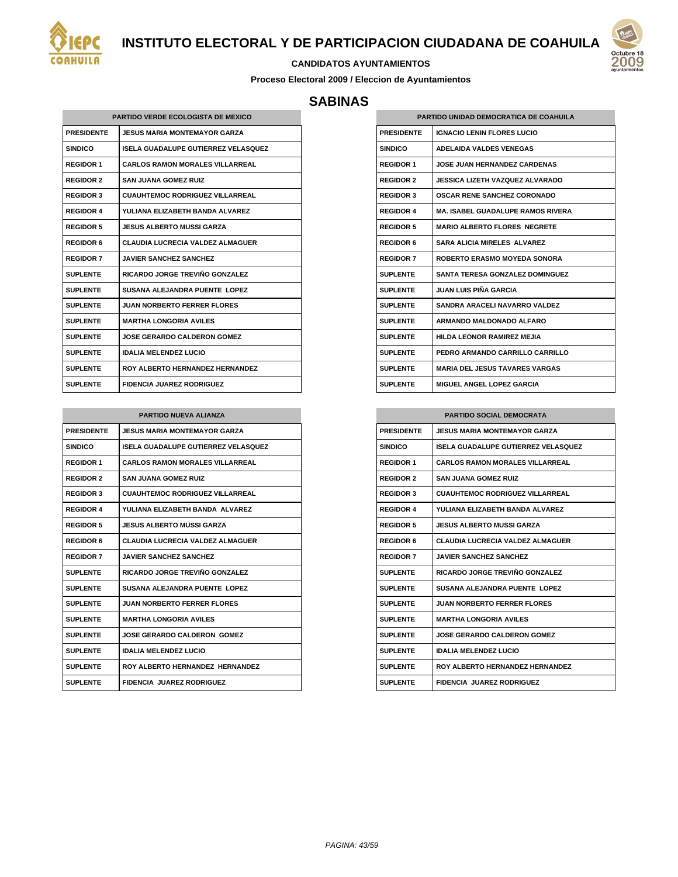



#### **CANDIDATOS AYUNTAMIENTOS**

**Proceso Electoral 2009 / Eleccion de Ayuntamientos**

## **SABINAS**

| <b>PARTIDO VERDE ECOLOGISTA DE MEXICO</b> |                                         |  |
|-------------------------------------------|-----------------------------------------|--|
| <b>PRESIDENTE</b>                         | <b>JESUS MARIA MONTEMAYOR GARZA</b>     |  |
| <b>SINDICO</b>                            | ISELA GUADALUPE GUTIERREZ VELASQUEZ     |  |
| <b>REGIDOR 1</b>                          | <b>CARLOS RAMON MORALES VILLARREAL</b>  |  |
| <b>REGIDOR 2</b>                          | <b>SAN JUANA GOMEZ RUIZ</b>             |  |
| <b>REGIDOR 3</b>                          | <b>CUAUHTEMOC RODRIGUEZ VILLARREAL</b>  |  |
| <b>REGIDOR 4</b>                          | YULIANA ELIZABETH BANDA ALVAREZ         |  |
| <b>REGIDOR 5</b>                          | <b>JESUS ALBERTO MUSSI GARZA</b>        |  |
| <b>REGIDOR 6</b>                          | <b>CLAUDIA LUCRECIA VALDEZ ALMAGUER</b> |  |
| <b>REGIDOR 7</b>                          | <b>JAVIER SANCHEZ SANCHEZ</b>           |  |
| <b>SUPLENTE</b>                           | RICARDO JORGE TREVIÑO GONZALEZ          |  |
| <b>SUPLENTE</b>                           | SUSANA ALEJANDRA PUENTE LOPEZ           |  |
| <b>SUPLENTE</b>                           | <b>JUAN NORBERTO FERRER FLORES</b>      |  |
| <b>SUPLENTE</b>                           | <b>MARTHA LONGORIA AVILES</b>           |  |
| <b>SUPLENTE</b>                           | <b>JOSE GERARDO CALDERON GOMEZ</b>      |  |
| <b>SUPLENTE</b>                           | <b>IDALIA MELENDEZ LUCIO</b>            |  |
| <b>SUPLENTE</b>                           | ROY ALBERTO HERNANDEZ HERNANDEZ         |  |
| <b>SUPLENTE</b>                           | <b>FIDENCIA JUAREZ RODRIGUEZ</b>        |  |

| <b>PARTIDO NUEVA ALIANZA</b> |                                         |
|------------------------------|-----------------------------------------|
| <b>PRESIDENTE</b>            | JESUS MARIA MONTEMAYOR GARZA            |
| <b>SINDICO</b>               | ISELA GUADALUPE GUTIERREZ VELASQUEZ     |
| <b>REGIDOR 1</b>             | <b>CARLOS RAMON MORALES VILLARREAL</b>  |
| <b>REGIDOR 2</b>             | <b>SAN JUANA GOMEZ RUIZ</b>             |
| <b>REGIDOR 3</b>             | <b>CUAUHTEMOC RODRIGUEZ VILLARREAL</b>  |
| <b>REGIDOR 4</b>             | YULIANA ELIZABETH BANDA ALVAREZ         |
| <b>REGIDOR 5</b>             | JESUS ALBERTO MUSSI GARZA               |
| <b>REGIDOR 6</b>             | <b>CLAUDIA LUCRECIA VALDEZ ALMAGUER</b> |
| <b>REGIDOR 7</b>             | <b>JAVIER SANCHEZ SANCHEZ</b>           |
| <b>SUPLENTE</b>              | RICARDO JORGE TREVIÑO GONZALEZ          |
| <b>SUPLENTE</b>              | SUSANA ALEJANDRA PUENTE LOPEZ           |
| <b>SUPLENTE</b>              | <b>JUAN NORBERTO FERRER FLORES</b>      |
| <b>SUPLENTE</b>              | <b>MARTHA LONGORIA AVILES</b>           |
| <b>SUPLENTE</b>              | JOSE GERARDO CALDERON GOMEZ             |
| <b>SUPLENTE</b>              | <b>IDAI IA MEI ENDEZ I UCIO</b>         |
| <b>SUPLENTE</b>              | ROY ALBERTO HERNANDEZ HERNANDEZ         |
| <b>SUPLENTE</b>              | <b>FIDENCIA JUAREZ RODRIGUEZ</b>        |

| PARTIDO UNIDAD DEMOCRATICA DE COAHUILA |                                          |  |
|----------------------------------------|------------------------------------------|--|
| <b>PRESIDENTE</b>                      | <b>IGNACIO LENIN FLORES LUCIO</b>        |  |
| <b>SINDICO</b>                         | <b>ADELAIDA VALDES VENEGAS</b>           |  |
| <b>REGIDOR 1</b>                       | <b>JOSE JUAN HERNANDEZ CARDENAS</b>      |  |
| <b>REGIDOR 2</b>                       | <b>JESSICA LIZETH VAZQUEZ ALVARADO</b>   |  |
| <b>REGIDOR 3</b>                       | <b>OSCAR RENE SANCHEZ CORONADO</b>       |  |
| <b>REGIDOR 4</b>                       | <b>MA. ISABEL GUADALUPE RAMOS RIVERA</b> |  |
| <b>REGIDOR 5</b>                       | <b>MARIO ALBERTO FLORES NEGRETE</b>      |  |
| <b>REGIDOR 6</b>                       | <b>SARA ALICIA MIRELES ALVAREZ</b>       |  |
| <b>REGIDOR 7</b>                       | <b>ROBERTO ERASMO MOYEDA SONORA</b>      |  |
| <b>SUPLENTE</b>                        | <b>SANTA TERESA GONZALEZ DOMINGUEZ</b>   |  |
| <b>SUPLENTE</b>                        | JUAN I UIS PIÑA GARCIA                   |  |
| <b>SUPLENTE</b>                        | SANDRA ARACELI NAVARRO VALDEZ            |  |
| <b>SUPLENTE</b>                        | ARMANDO MALDONADO ALFARO                 |  |
| <b>SUPLENTE</b>                        | <b>HILDA LEONOR RAMIREZ MEJIA</b>        |  |
| <b>SUPLENTE</b>                        | PEDRO ARMANDO CARRILLO CARRILLO          |  |
| <b>SUPLENTE</b>                        | <b>MARIA DEL JESUS TAVARES VARGAS</b>    |  |
| <b>SUPLENTE</b>                        | <b>MIGUEL ANGEL LOPEZ GARCIA</b>         |  |

| <b>PARTIDO SOCIAL DEMOCRATA</b> |                                         |
|---------------------------------|-----------------------------------------|
| <b>PRESIDENTE</b>               | <b>JESUS MARIA MONTEMAYOR GARZA</b>     |
| <b>SINDICO</b>                  | ISELA GUADALUPE GUTIERREZ VELASQUEZ     |
| <b>REGIDOR 1</b>                | CARLOS RAMON MORALES VILLARREAL         |
| <b>REGIDOR 2</b>                | <b>SAN JUANA GOMEZ RUIZ</b>             |
| <b>REGIDOR 3</b>                | <b>CUAUHTEMOC RODRIGUEZ VILLARREAL</b>  |
| <b>REGIDOR 4</b>                | YULIANA ELIZABETH BANDA ALVAREZ         |
| <b>REGIDOR 5</b>                | <b>JESUS ALBERTO MUSSI GARZA</b>        |
| <b>REGIDOR 6</b>                | <b>CLAUDIA LUCRECIA VALDEZ ALMAGUER</b> |
| <b>REGIDOR 7</b>                | <b>JAVIER SANCHEZ SANCHEZ</b>           |
| <b>SUPLENTE</b>                 | RICARDO JORGE TREVIÑO GONZALEZ          |
| <b>SUPLENTE</b>                 | SUSANA ALEJANDRA PUENTE LOPEZ           |
| <b>SUPLENTE</b>                 | <b>JUAN NORBERTO FERRER FLORES</b>      |
| <b>SUPLENTE</b>                 | <b>MARTHA LONGORIA AVILES</b>           |
| <b>SUPLENTE</b>                 | <b>JOSE GERARDO CALDERON GOMEZ</b>      |
| <b>SUPLENTE</b>                 | <b>IDALIA MELENDEZ LUCIO</b>            |
| <b>SUPLENTE</b>                 | ROY ALBERTO HERNANDEZ HERNANDEZ         |
| <b>SUPLENTE</b>                 | <b>FIDENCIA JUAREZ RODRIGUEZ</b>        |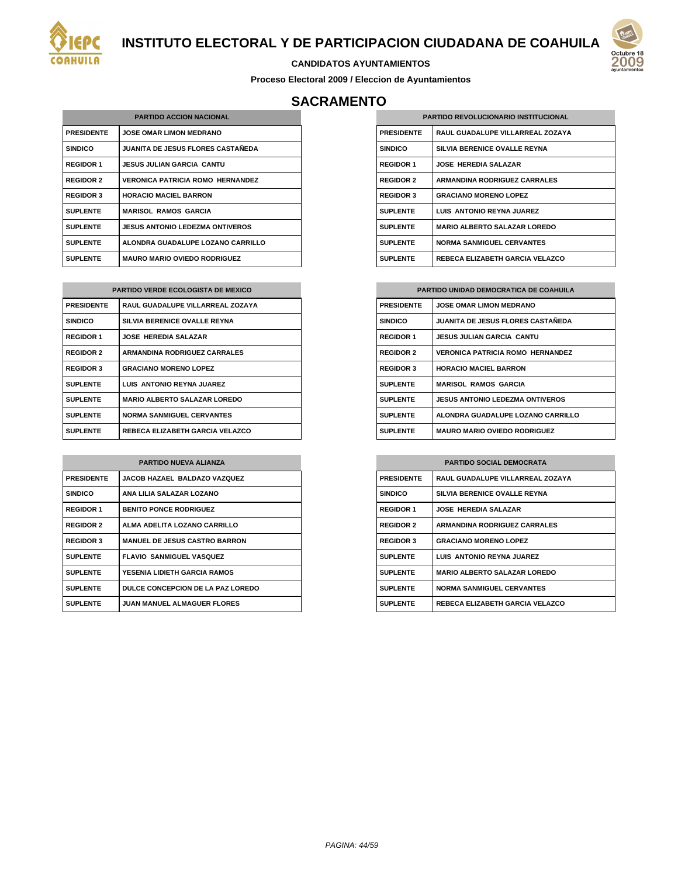



#### **CANDIDATOS AYUNTAMIENTOS**

**Proceso Electoral 2009 / Eleccion de Ayuntamientos**

# **SACRAMENTO**

| <b>PARTIDO ACCION NACIONAL</b> |                                     |
|--------------------------------|-------------------------------------|
| <b>PRESIDENTE</b>              | <b>JOSE OMAR LIMON MEDRANO</b>      |
| <b>SINDICO</b>                 | JUANITA DE JESUS FLORES CASTAÑEDA   |
| <b>REGIDOR 1</b>               | JESUS JULIAN GARCIA CANTU           |
| <b>REGIDOR 2</b>               | VERONICA PATRICIA ROMO HERNANDEZ    |
| <b>REGIDOR 3</b>               | <b>HORACIO MACIEL BARRON</b>        |
| <b>SUPLENTE</b>                | <b>MARISOL RAMOS GARCIA</b>         |
| <b>SUPLENTE</b>                | JESUS ANTONIO LEDEZMA ONTIVEROS     |
| <b>SUPLENTE</b>                | ALONDRA GUADALUPE LOZANO CARRILLO   |
| <b>SUPLENTE</b>                | <b>MAURO MARIO OVIEDO RODRIGUEZ</b> |

| <b>PARTIDO VERDE ECOLOGISTA DE MEXICO</b> |                                     |
|-------------------------------------------|-------------------------------------|
| <b>PRESIDENTE</b>                         | RAUL GUADALUPE VILLARREAL ZOZAYA    |
| <b>SINDICO</b>                            | SILVIA BERENICE OVALLE REYNA        |
| <b>REGIDOR 1</b>                          | <b>JOSE HEREDIA SALAZAR</b>         |
| <b>REGIDOR 2</b>                          | <b>ARMANDINA RODRIGUEZ CARRALES</b> |
| <b>REGIDOR 3</b>                          | <b>GRACIANO MORENO LOPEZ</b>        |
| <b>SUPLENTE</b>                           | LUIS ANTONIO REYNA JUAREZ           |
| <b>SUPLENTE</b>                           | <b>MARIO ALBERTO SALAZAR LOREDO</b> |
| <b>SUPLENTE</b>                           | <b>NORMA SANMIGUEL CERVANTES</b>    |
| <b>SUPLENTE</b>                           | REBECA ELIZABETH GARCIA VELAZCO     |

| <b>PARTIDO NUEVA ALIANZA</b> |                                      |
|------------------------------|--------------------------------------|
| <b>PRESIDENTE</b>            | JACOB HAZAEL BALDAZO VAZQUEZ         |
| <b>SINDICO</b>               | ANA LILIA SALAZAR LOZANO             |
| <b>REGIDOR 1</b>             | <b>BENITO PONCE RODRIGUEZ</b>        |
| <b>REGIDOR 2</b>             | ALMA ADELITA LOZANO CARRILLO         |
| <b>REGIDOR 3</b>             | <b>MANUEL DE JESUS CASTRO BARRON</b> |
| <b>SUPLENTE</b>              | <b>FLAVIO SANMIGUEL VASQUEZ</b>      |
| <b>SUPLENTE</b>              | YESENIA I IDIFTH GARCIA RAMOS        |
| <b>SUPLENTE</b>              | DULCE CONCEPCION DE LA PAZ LOREDO    |
| <b>SUPLENTE</b>              | <b>JUAN MANUEL ALMAGUER FLORES</b>   |

| <b>PARTIDO REVOLUCIONARIO INSTITUCIONAL</b> |                                     |
|---------------------------------------------|-------------------------------------|
| <b>PRESIDENTE</b>                           | RAUL GUADALUPE VILLARREAL ZOZAYA    |
| <b>SINDICO</b>                              | SILVIA BERENICE OVALLE REYNA        |
| <b>REGIDOR 1</b>                            | <b>JOSE HEREDIA SALAZAR</b>         |
| <b>REGIDOR 2</b>                            | <b>ARMANDINA RODRIGUEZ CARRALES</b> |
| <b>REGIDOR 3</b>                            | <b>GRACIANO MORENO LOPEZ</b>        |
| <b>SUPLENTE</b>                             | LUIS ANTONIO REYNA JUAREZ           |
| <b>SUPLENTE</b>                             | <b>MARIO ALBERTO SALAZAR LOREDO</b> |
| <b>SUPLENTE</b>                             | <b>NORMA SANMIGUEL CERVANTES</b>    |
| <b>SUPLENTE</b>                             | REBECA ELIZABETH GARCIA VELAZCO     |

| <b>PARTIDO UNIDAD DEMOCRATICA DE COAHUILA</b> |                                          |
|-----------------------------------------------|------------------------------------------|
| <b>PRESIDENTE</b>                             | <b>JOSE OMAR LIMON MEDRANO</b>           |
| <b>SINDICO</b>                                | <b>JUANITA DE JESUS FLORES CASTAÑEDA</b> |
| <b>REGIDOR 1</b>                              | <b>JESUS JULIAN GARCIA CANTU</b>         |
| <b>REGIDOR 2</b>                              | <b>VERONICA PATRICIA ROMO HERNANDEZ</b>  |
| <b>REGIDOR 3</b>                              | <b>HORACIO MACIEL BARRON</b>             |
| <b>SUPLENTE</b>                               | <b>MARISOL RAMOS GARCIA</b>              |
| <b>SUPLENTE</b>                               | <b>JESUS ANTONIO LEDEZMA ONTIVEROS</b>   |
| <b>SUPLENTE</b>                               | ALONDRA GUADALUPE LOZANO CARRILLO        |
| <b>SUPLENTE</b>                               | <b>MAURO MARIO OVIEDO RODRIGUEZ</b>      |

| <b>PARTIDO SOCIAL DEMOCRATA</b> |                                     |
|---------------------------------|-------------------------------------|
| <b>PRESIDENTE</b>               | RAUL GUADALUPE VILLARREAL ZOZAYA    |
| <b>SINDICO</b>                  | SILVIA BERENICE OVALLE REYNA        |
| <b>REGIDOR 1</b>                | <b>JOSE HEREDIA SALAZAR</b>         |
| <b>REGIDOR 2</b>                | <b>ARMANDINA RODRIGUEZ CARRALES</b> |
| <b>REGIDOR 3</b>                | <b>GRACIANO MORENO LOPEZ</b>        |
| <b>SUPLENTE</b>                 | LUIS ANTONIO REYNA JUAREZ           |
| <b>SUPLENTE</b>                 | <b>MARIO ALBERTO SALAZAR LOREDO</b> |
| <b>SUPLENTE</b>                 | <b>NORMA SANMIGUEL CERVANTES</b>    |
| <b>SUPLENTE</b>                 | REBECA ELIZABETH GARCIA VELAZCO     |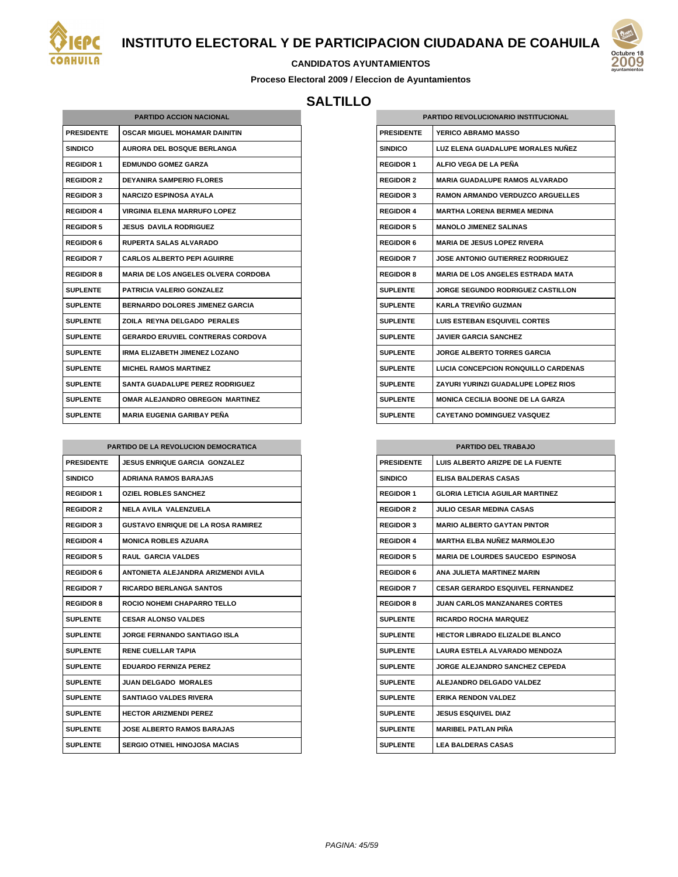



#### **CANDIDATOS AYUNTAMIENTOS**

**Proceso Electoral 2009 / Eleccion de Ayuntamientos**

## **SALTILLO**

| <b>PARTIDO ACCION NACIONAL</b> |                                            |  |
|--------------------------------|--------------------------------------------|--|
| <b>PRESIDENTE</b>              | <b>OSCAR MIGUEL MOHAMAR DAINITIN</b>       |  |
| <b>SINDICO</b>                 | <b>AURORA DEL BOSQUE BERLANGA</b>          |  |
| <b>REGIDOR 1</b>               | <b>EDMUNDO GOMEZ GARZA</b>                 |  |
| <b>REGIDOR 2</b>               | <b>DEYANIRA SAMPERIO FLORES</b>            |  |
| <b>REGIDOR 3</b>               | <b>NARCIZO ESPINOSA AYALA</b>              |  |
| <b>REGIDOR 4</b>               | <b>VIRGINIA ELENA MARRUFO LOPEZ</b>        |  |
| <b>REGIDOR 5</b>               | <b>JESUS DAVILA RODRIGUEZ</b>              |  |
| <b>REGIDOR 6</b>               | <b>RUPERTA SALAS ALVARADO</b>              |  |
| <b>REGIDOR 7</b>               | <b>CARLOS ALBERTO PEPI AGUIRRE</b>         |  |
| <b>REGIDOR 8</b>               | <b>MARIA DE LOS ANGELES OLVERA CORDOBA</b> |  |
| <b>SUPLENTE</b>                | <b>PATRICIA VALERIO GONZALEZ</b>           |  |
| <b>SUPLENTE</b>                | <b>BERNARDO DOLORES JIMENEZ GARCIA</b>     |  |
| SUPI FNTF                      | ZOILA REYNA DELGADO PERALES                |  |
| <b>SUPLENTE</b>                | <b>GERARDO ERUVIEL CONTRERAS CORDOVA</b>   |  |
| <b>SUPLENTE</b>                | <b>IRMA ELIZABETH JIMENEZ LOZANO</b>       |  |
| <b>SUPLENTE</b>                | <b>MICHEL RAMOS MARTINEZ</b>               |  |
| <b>SUPLENTE</b>                | <b>SANTA GUADALUPE PEREZ RODRIGUEZ</b>     |  |
| <b>SUPLENTE</b>                | <b>OMAR ALEJANDRO OBREGON MARTINEZ</b>     |  |
| <b>SUPLENTE</b>                | <b>MARIA FUGENIA GARIBAY PENA</b>          |  |

| PARTIDO DE LA REVOLUCION DEMOCRATICA |                                           |
|--------------------------------------|-------------------------------------------|
| <b>PRESIDENTE</b>                    | <b>JESUS ENRIQUE GARCIA GONZALEZ</b>      |
| <b>SINDICO</b>                       | <b>ADRIANA RAMOS BARAJAS</b>              |
| <b>REGIDOR 1</b>                     | <b>OZIEL ROBLES SANCHEZ</b>               |
| <b>REGIDOR 2</b>                     | NELA AVILA VALENZUELA                     |
| <b>REGIDOR 3</b>                     | <b>GUSTAVO ENRIQUE DE LA ROSA RAMIREZ</b> |
| <b>REGIDOR 4</b>                     | <b>MONICA ROBLES AZUARA</b>               |
| <b>REGIDOR 5</b>                     | <b>RAUL GARCIA VALDES</b>                 |
| <b>REGIDOR 6</b>                     | ANTONIETA ALEJANDRA ARIZMENDI AVILA       |
| <b>REGIDOR 7</b>                     | <b>RICARDO BERLANGA SANTOS</b>            |
| <b>REGIDOR 8</b>                     | ROCIO NOHEMI CHAPARRO TELLO               |
| <b>SUPLENTE</b>                      | <b>CESAR ALONSO VALDES</b>                |
| <b>SUPLENTE</b>                      | JORGE FERNANDO SANTIAGO ISLA              |
| <b>SUPLENTE</b>                      | <b>RENE CUELLAR TAPIA</b>                 |
| <b>SUPLENTE</b>                      | <b>FDUARDO FFRNIZA PFRFZ</b>              |
| <b>SUPLENTE</b>                      | <b>JUAN DELGADO MORALES</b>               |
| <b>SUPLENTE</b>                      | <b>SANTIAGO VALDES RIVERA</b>             |
| <b>SUPLENTE</b>                      | <b>HECTOR ARIZMENDI PEREZ</b>             |
| <b>SUPLENTE</b>                      | <b>JOSE ALBERTO RAMOS BARAJAS</b>         |
| <b>SUPLENTE</b>                      | <b>SERGIO OTNIEL HINOJOSA MACIAS</b>      |

| <b>PARTIDO REVOLUCIONARIO INSTITUCIONAL</b> |                                          |  |
|---------------------------------------------|------------------------------------------|--|
| <b>PRESIDENTE</b>                           | <b>YERICO ABRAMO MASSO</b>               |  |
| <b>SINDICO</b>                              | LUZ ELENA GUADALUPE MORALES NUÑEZ        |  |
| <b>REGIDOR 1</b>                            | ALFIO VEGA DE LA PEÑA                    |  |
| <b>REGIDOR 2</b>                            | <b>MARIA GUADALUPE RAMOS ALVARADO</b>    |  |
| <b>REGIDOR 3</b>                            | RAMON ARMANDO VERDUZCO ARGUELLES         |  |
| <b>REGIDOR 4</b>                            | <b>MARTHA LORENA BERMEA MEDINA</b>       |  |
| <b>REGIDOR 5</b>                            | <b>MANOLO JIMENEZ SALINAS</b>            |  |
| <b>REGIDOR 6</b>                            | <b>MARIA DE JESUS LOPEZ RIVERA</b>       |  |
| <b>REGIDOR 7</b>                            | <b>JOSE ANTONIO GUTIERREZ RODRIGUEZ</b>  |  |
| <b>REGIDOR 8</b>                            | MARIA DE LOS ANGELES ESTRADA MATA        |  |
| <b>SUPLENTE</b>                             | <b>JORGE SEGUNDO RODRIGUEZ CASTILLON</b> |  |
| <b>SUPLENTE</b>                             | KARI A TREVIÑO GUZMAN                    |  |
| <b>SUPLENTE</b>                             | <b>LUIS ESTEBAN ESQUIVEL CORTES</b>      |  |
| <b>SUPLENTE</b>                             | <b>JAVIER GARCIA SANCHEZ</b>             |  |
| <b>SUPLENTE</b>                             | <b>JORGE ALBERTO TORRES GARCIA</b>       |  |
| <b>SUPLENTE</b>                             | LUCIA CONCEPCION RONQUILLO CARDENAS      |  |
| <b>SUPLENTE</b>                             | ZAYURI YURINZI GUADALUPE LOPEZ RIOS      |  |
| <b>SUPLENTE</b>                             | <b>MONICA CECILIA BOONE DE LA GARZA</b>  |  |
| <b>SUPLENTE</b>                             | <b>CAYETANO DOMINGUEZ VASQUEZ</b>        |  |

| <b>PARTIDO DEL TRABAJO</b> |                                          |
|----------------------------|------------------------------------------|
| <b>PRESIDENTE</b>          | LUIS ALBERTO ARIZPE DE LA FUENTE         |
| <b>SINDICO</b>             | <b>ELISA BALDERAS CASAS</b>              |
| <b>REGIDOR 1</b>           | GLORIA LETICIA AGUILAR MARTINEZ          |
| <b>REGIDOR 2</b>           | <b>JULIO CESAR MEDINA CASAS</b>          |
| <b>REGIDOR 3</b>           | <b>MARIO ALBERTO GAYTAN PINTOR</b>       |
| <b>REGIDOR 4</b>           | <b>MARTHA ELBA NUÑEZ MARMOLEJO</b>       |
| <b>REGIDOR 5</b>           | <b>MARIA DE LOURDES SAUCEDO ESPINOSA</b> |
| <b>REGIDOR 6</b>           | ANA JULIETA MARTINEZ MARIN               |
| <b>REGIDOR 7</b>           | <b>CESAR GERARDO ESQUIVEL FERNANDEZ</b>  |
| <b>REGIDOR 8</b>           | <b>JUAN CARLOS MANZANARES CORTES</b>     |
| SUPI ENTE                  | <b>RICARDO ROCHA MARQUEZ</b>             |
| <b>SUPLENTE</b>            | HECTOR I IBRADO ELIZALDE BI ANCO         |
| <b>SUPLENTE</b>            | LAURA ESTELA ALVARADO MENDOZA            |
| <b>SUPLENTE</b>            | JORGE ALEJANDRO SANCHEZ CEPEDA           |
| <b>SUPLENTE</b>            | ALEJANDRO DELGADO VALDEZ                 |
| <b>SUPLENTE</b>            | <b>ERIKA RENDON VALDEZ</b>               |
| <b>SUPLENTE</b>            | <b>JESUS ESQUIVEL DIAZ</b>               |
| <b>SUPLENTE</b>            | <b>MARIBEL PATLAN PIÑA</b>               |
| <b>SUPLENTE</b>            | <b>LEA BALDERAS CASAS</b>                |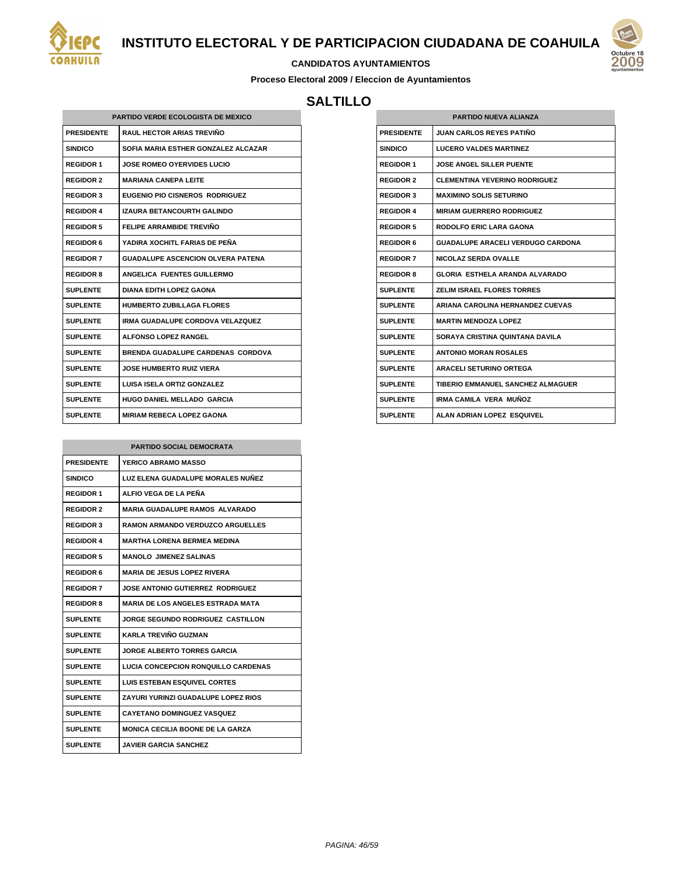



#### **CANDIDATOS AYUNTAMIENTOS**

**Proceso Electoral 2009 / Eleccion de Ayuntamientos**

## **SALTILLO**

| PARTIDO VERDE ECOLOGISTA DE MEXICO |                                          |  |
|------------------------------------|------------------------------------------|--|
| <b>PRESIDENTE</b>                  | <b>RAUL HECTOR ARIAS TREVIÑO</b>         |  |
| <b>SINDICO</b>                     | SOFIA MARIA ESTHER GONZALEZ ALCAZAR      |  |
| <b>REGIDOR 1</b>                   | <b>JOSE ROMEO OYERVIDES LUCIO</b>        |  |
| <b>REGIDOR 2</b>                   | <b>MARIANA CANFPA I FITF</b>             |  |
| <b>REGIDOR 3</b>                   | EUGENIO PIO CISNEROS RODRIGUEZ           |  |
| <b>REGIDOR 4</b>                   | <b>IZAURA BETANCOURTH GALINDO</b>        |  |
| <b>REGIDOR 5</b>                   | FFI IPF ARRAMBIDE TREVIÑO                |  |
| <b>REGIDOR 6</b>                   | YADIRA XOCHITL FARIAS DE PEÑA            |  |
| <b>REGIDOR 7</b>                   | <b>GUADALUPE ASCENCION OLVERA PATENA</b> |  |
| <b>REGIDOR 8</b>                   | ANGELICA FUENTES GUILLERMO               |  |
| SUPLENTE                           | DIANA EDITH LOPEZ GAONA                  |  |
| SUPI FNTF                          | <b>HUMBERTO ZUBILLAGA FLORES</b>         |  |
| <b>SUPLENTE</b>                    | IRMA GUADALUPE CORDOVA VELAZQUEZ         |  |
| <b>SUPLENTE</b>                    | AI FONSO I OPFZ RANGEL                   |  |
| <b>SUPLENTE</b>                    | BRENDA GUADALUPE CARDENAS CORDOVA        |  |
| <b>SUPLENTE</b>                    | <b>JOSE HUMBERTO RUIZ VIERA</b>          |  |
| <b>SUPLENTE</b>                    | <b>LUISA ISELA ORTIZ GONZALEZ</b>        |  |
| <b>SUPLENTE</b>                    | <b>HUGO DANIEL MELLADO GARCIA</b>        |  |
| <b>SUPLENTE</b>                    | <b>MIRIAM REBECA LOPEZ GAONA</b>         |  |

| <b>PARTIDO SOCIAL DEMOCRATA</b> |                                          |
|---------------------------------|------------------------------------------|
| <b>PRESIDENTE</b>               | <b>YERICO ABRAMO MASSO</b>               |
| SINDICO                         | LUZ ELENA GUADALUPE MORALES NUÑEZ        |
| <b>REGIDOR 1</b>                | ALFIO VEGA DE LA PEÑA                    |
| <b>REGIDOR 2</b>                | <b>MARIA GUADALUPE RAMOS ALVARADO</b>    |
| <b>REGIDOR 3</b>                | <b>RAMON ARMANDO VERDUZCO ARGUELLES</b>  |
| <b>REGIDOR 4</b>                | <b>MARTHA LORENA BERMEA MEDINA</b>       |
| <b>REGIDOR 5</b>                | <b>MANOLO JIMENEZ SALINAS</b>            |
| <b>REGIDOR 6</b>                | <b>MARIA DE JESUS LOPEZ RIVERA</b>       |
| <b>REGIDOR 7</b>                | JOSE ANTONIO GUTIERREZ RODRIGUEZ         |
| <b>REGIDOR 8</b>                | <b>MARIA DE LOS ANGELES ESTRADA MATA</b> |
| <b>SUPLENTE</b>                 | JORGE SEGUNDO RODRIGUEZ CASTILLON        |
| <b>SUPLENTE</b>                 | KARI A TREVIÑO GUZMAN                    |
| <b>SUPLENTE</b>                 | <b>JORGE ALBERTO TORRES GARCIA</b>       |
| <b>SUPLENTE</b>                 | LUCIA CONCEPCION RONQUILLO CARDENAS      |
| <b>SUPLENTE</b>                 | <b>LUIS ESTEBAN ESQUIVEL CORTES</b>      |
| SUPLENTE                        | ZAYURI YURINZI GUADALUPE LOPEZ RIOS      |
| SUPLENTE                        | <b>CAYETANO DOMINGUEZ VASQUEZ</b>        |
| <b>SUPLENTE</b>                 | <b>MONICA CECILIA BOONE DE LA GARZA</b>  |
| <b>SUPLENTE</b>                 | JAVIER GARCIA SANCHEZ                    |

| <b>PARTIDO NUEVA ALIANZA</b> |                                      |
|------------------------------|--------------------------------------|
| <b>PRESIDENTE</b>            | <b>JUAN CARLOS REYES PATIÑO</b>      |
| SINDICO                      | <b>LUCERO VALDES MARTINEZ</b>        |
| <b>REGIDOR 1</b>             | <b>JOSE ANGEL SILLER PUENTE</b>      |
| <b>REGIDOR 2</b>             | <b>CLEMENTINA YEVERINO RODRIGUEZ</b> |
| <b>REGIDOR 3</b>             | <b>MAXIMINO SOLIS SETURINO</b>       |
| <b>REGIDOR 4</b>             | <b>MIRIAM GUERRERO RODRIGUEZ</b>     |
| <b>REGIDOR 5</b>             | <b>RODOLFO ERIC LARA GAONA</b>       |
| <b>REGIDOR 6</b>             | GUADALUPE ARACELI VERDUGO CARDONA    |
| <b>REGIDOR 7</b>             | <b>NICOLAZ SERDA OVALLE</b>          |
| <b>REGIDOR 8</b>             | GLORIA ESTHELA ARANDA ALVARADO       |
| SUPLENTE                     | <b>ZELIM ISRAEL FLORES TORRES</b>    |
| SUPI ENTE                    | ARIANA CAROLINA HERNANDEZ CUEVAS     |
| SUPI ENTE                    | <b>MARTIN MENDOZA LOPEZ</b>          |
| SUPLENTE                     | SORAYA CRISTINA QUINTANA DAVILA      |
| SUPLENTE                     | <b>ANTONIO MORAN ROSALES</b>         |
| <b>SUPLENTE</b>              | <b>ARACELI SETURINO ORTEGA</b>       |
| <b>SUPLENTE</b>              | TIBERIO EMMANUEL SANCHEZ ALMAGUER    |
| <b>SUPLENTE</b>              | IRMA CAMILA VERA MUÑOZ               |
| <b>SUPLENTE</b>              | ALAN ADRIAN LOPEZ ESQUIVEL           |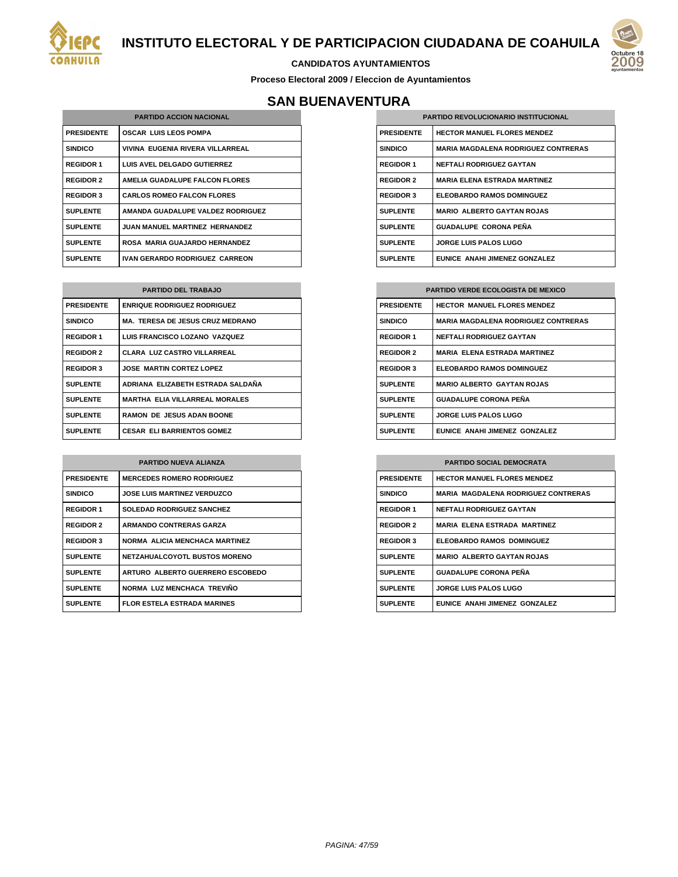



**Proceso Electoral 2009 / Eleccion de Ayuntamientos**

# **SAN BUENAVENTURA**

| <b>PARTIDO ACCION NACIONAL</b> |                                       |
|--------------------------------|---------------------------------------|
| <b>PRESIDENTE</b>              | <b>OSCAR LUIS LEOS POMPA</b>          |
| <b>SINDICO</b>                 | VIVINA EUGENIA RIVERA VILLARREAL      |
| <b>REGIDOR 1</b>               | <b>LUIS AVEL DELGADO GUTIERREZ</b>    |
| <b>REGIDOR 2</b>               | AMELIA GUADALUPE FALCON FLORES        |
| <b>REGIDOR 3</b>               | <b>CARLOS ROMEO FALCON FLORES</b>     |
| <b>SUPLENTE</b>                | AMANDA GUADALUPE VALDEZ RODRIGUEZ     |
| <b>SUPLENTE</b>                | <b>JUAN MANUEL MARTINEZ HERNANDEZ</b> |
| <b>SUPLENTE</b>                | ROSA MARIA GUAJARDO HERNANDEZ         |
| <b>SUPLENTE</b>                | <b>IVAN GERARDO RODRIGUEZ CARREON</b> |

| <b>PARTIDO DEL TRABAJO</b> |                                         |
|----------------------------|-----------------------------------------|
| <b>PRESIDENTE</b>          | <b>ENRIQUE RODRIGUEZ RODRIGUEZ</b>      |
| <b>SINDICO</b>             | <b>MA. TERESA DE JESUS CRUZ MEDRANO</b> |
| <b>REGIDOR 1</b>           | LUIS FRANCISCO LOZANO VAZQUEZ           |
| <b>REGIDOR 2</b>           | <b>CLARA LUZ CASTRO VILLARREAL</b>      |
| <b>REGIDOR 3</b>           | <b>JOSE MARTIN CORTEZ LOPEZ</b>         |
| <b>SUPLENTE</b>            | ADRIANA ELIZABETH ESTRADA SALDAÑA       |
| <b>SUPLENTE</b>            | <b>MARTHA ELIA VILLARREAL MORALES</b>   |
| <b>SUPLENTE</b>            | <b>RAMON DE JESUS ADAN BOONE</b>        |
| <b>SUPLENTE</b>            | <b>CESAR ELIBARRIENTOS GOMEZ</b>        |

| <b>PARTIDO NUEVA ALIANZA</b> |                                      |
|------------------------------|--------------------------------------|
| <b>PRESIDENTE</b>            | <b>MERCEDES ROMERO RODRIGUEZ</b>     |
| <b>SINDICO</b>               | <b>JOSE LUIS MARTINEZ VERDUZCO</b>   |
| <b>REGIDOR 1</b>             | <b>SOLEDAD RODRIGUEZ SANCHEZ</b>     |
| <b>REGIDOR 2</b>             | <b>ARMANDO CONTRERAS GARZA</b>       |
| <b>REGIDOR 3</b>             | NORMA ALICIA MENCHACA MARTINEZ       |
| <b>SUPLENTE</b>              | <b>NETZAHUALCOYOTL BUSTOS MORENO</b> |
| <b>SUPLENTE</b>              | ARTURO ALBERTO GUERRERO ESCOBEDO     |
| <b>SUPLENTE</b>              | NORMA LUZ MENCHACA TREVIÑO           |
| <b>SUPLENTE</b>              | <b>FLOR ESTELA ESTRADA MARINES</b>   |

| <b>PARTIDO REVOLUCIONARIO INSTITUCIONAL</b> |                                            |
|---------------------------------------------|--------------------------------------------|
| <b>PRESIDENTE</b>                           | <b>HECTOR MANUEL FLORES MENDEZ</b>         |
| <b>SINDICO</b>                              | <b>MARIA MAGDALENA RODRIGUEZ CONTRERAS</b> |
| <b>REGIDOR 1</b>                            | <b>NEFTALI RODRIGUEZ GAYTAN</b>            |
| <b>REGIDOR 2</b>                            | <b>MARIA ELENA ESTRADA MARTINEZ</b>        |
| <b>REGIDOR 3</b>                            | <b>ELEOBARDO RAMOS DOMINGUEZ</b>           |
| <b>SUPLENTE</b>                             | <b>MARIO ALBERTO GAYTAN ROJAS</b>          |
| <b>SUPLENTE</b>                             | <b>GUADALUPE CORONA PEÑA</b>               |
| <b>SUPLENTE</b>                             | <b>JORGE LUIS PALOS LUGO</b>               |
| <b>SUPLENTE</b>                             | EUNICE ANAHI JIMENEZ GONZALEZ              |

| <b>PARTIDO VERDE ECOLOGISTA DE MEXICO</b> |                                            |
|-------------------------------------------|--------------------------------------------|
| <b>PRESIDENTE</b>                         | <b>HECTOR MANUEL FLORES MENDEZ</b>         |
| <b>SINDICO</b>                            | <b>MARIA MAGDALENA RODRIGUEZ CONTRERAS</b> |
| <b>REGIDOR 1</b>                          | <b>NEFTALI RODRIGUEZ GAYTAN</b>            |
| <b>REGIDOR 2</b>                          | <b>MARIA ELENA ESTRADA MARTINEZ</b>        |
| <b>REGIDOR 3</b>                          | <b>ELEOBARDO RAMOS DOMINGUEZ</b>           |
| <b>SUPLENTE</b>                           | <b>MARIO ALBERTO GAYTAN ROJAS</b>          |
| <b>SUPLENTE</b>                           | <b>GUADALUPE CORONA PEÑA</b>               |
| <b>SUPLENTE</b>                           | <b>JORGE LUIS PALOS LUGO</b>               |
| <b>SUPLENTE</b>                           | EUNICE ANAHI JIMENEZ GONZALEZ              |

| <b>PARTIDO SOCIAL DEMOCRATA</b> |                                            |
|---------------------------------|--------------------------------------------|
| <b>PRESIDENTE</b>               | <b>HECTOR MANUEL FLORES MENDEZ</b>         |
| <b>SINDICO</b>                  | <b>MARIA MAGDALENA RODRIGUEZ CONTRERAS</b> |
| <b>REGIDOR 1</b>                | <b>NEFTALI RODRIGUEZ GAYTAN</b>            |
| <b>REGIDOR 2</b>                | <b>MARIA ELENA ESTRADA MARTINEZ</b>        |
| <b>REGIDOR 3</b>                | <b>ELEOBARDO RAMOS DOMINGUEZ</b>           |
| <b>SUPLENTE</b>                 | <b>MARIO ALBERTO GAYTAN ROJAS</b>          |
| <b>SUPLENTE</b>                 | <b>GUADALUPE CORONA PEÑA</b>               |
| <b>SUPLENTE</b>                 | <b>JORGE LUIS PALOS LUGO</b>               |
| <b>SUPLENTE</b>                 | EUNICE ANAHI JIMENEZ GONZALEZ              |



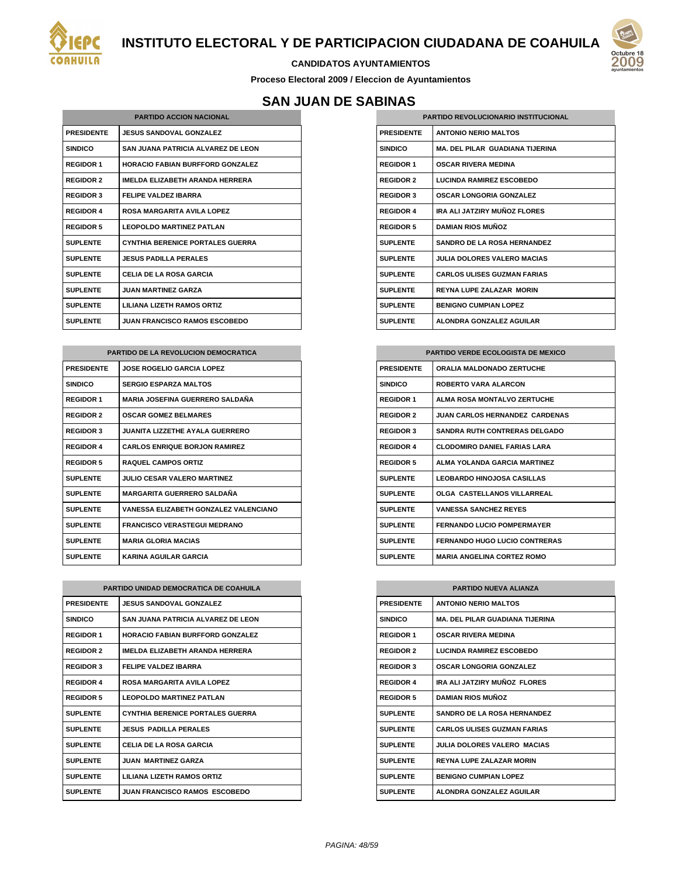



#### **CANDIDATOS AYUNTAMIENTOS**

**Proceso Electoral 2009 / Eleccion de Ayuntamientos**

# **SAN JUAN DE SABINAS**

| <b>PARTIDO ACCION NACIONAL</b> |                                         |  |
|--------------------------------|-----------------------------------------|--|
| <b>PRESIDENTE</b>              | <b>JESUS SANDOVAL GONZALEZ</b>          |  |
| <b>SINDICO</b>                 | SAN JUANA PATRICIA ALVAREZ DE LEON      |  |
| <b>REGIDOR 1</b>               | <b>HORACIO FABIAN BURFFORD GONZALEZ</b> |  |
| <b>REGIDOR 2</b>               | IMELDA ELIZABETH ARANDA HERRERA         |  |
| <b>REGIDOR 3</b>               | <b>FELIPE VALDEZ IBARRA</b>             |  |
| <b>REGIDOR 4</b>               | ROSA MARGARITA AVII A LOPEZ             |  |
| <b>REGIDOR 5</b>               | <b>LEOPOLDO MARTINEZ PATLAN</b>         |  |
| <b>SUPLENTE</b>                | <b>CYNTHIA BERENICE PORTALES GUERRA</b> |  |
| <b>SUPLENTE</b>                | <b>JESUS PADILLA PERALES</b>            |  |
| <b>SUPLENTE</b>                | CELIA DE LA ROSA GARCIA                 |  |
| <b>SUPLENTE</b>                | <b>JUAN MARTINEZ GARZA</b>              |  |
| <b>SUPLENTE</b>                | LILIANA LIZETH RAMOS ORTIZ              |  |
| <b>SUPLENTE</b>                | <b>JUAN FRANCISCO RAMOS ESCOBEDO</b>    |  |

| <b>PARTIDO DE LA REVOLUCION DEMOCRATICA</b> |                                        |  |
|---------------------------------------------|----------------------------------------|--|
| <b>PRESIDENTE</b>                           | <b>JOSE ROGELIO GARCIA LOPEZ</b>       |  |
| <b>SINDICO</b>                              | <b>SERGIO ESPARZA MALTOS</b>           |  |
| <b>REGIDOR 1</b>                            | <b>MARIA JOSEFINA GUERRERO SALDAÑA</b> |  |
| <b>REGIDOR 2</b>                            | <b>OSCAR GOMEZ BELMARES</b>            |  |
| <b>REGIDOR 3</b>                            | <b>JUANITA LIZZETHE AYALA GUERRERO</b> |  |
| <b>REGIDOR 4</b>                            | <b>CARLOS ENRIQUE BORJON RAMIREZ</b>   |  |
| <b>REGIDOR 5</b>                            | <b>RAQUEL CAMPOS ORTIZ</b>             |  |
| <b>SUPLENTE</b>                             | <b>JULIO CESAR VALERO MARTINEZ</b>     |  |
| <b>SUPLENTE</b>                             | <b>MARGARITA GUERRERO SALDAÑA</b>      |  |
| <b>SUPLENTE</b>                             | VANESSA ELIZABETH GONZALEZ VALENCIANO  |  |
| <b>SUPLENTE</b>                             | <b>FRANCISCO VERASTEGUI MEDRANO</b>    |  |
| <b>SUPLENTE</b>                             | <b>MARIA GLORIA MACIAS</b>             |  |
| <b>SUPLENTE</b>                             | <b>KARINA AGUILAR GARCIA</b>           |  |

| PARTIDO UNIDAD DEMOCRATICA DE COAHUILA |                                         |
|----------------------------------------|-----------------------------------------|
| <b>PRESIDENTE</b>                      | <b>JESUS SANDOVAL GONZALEZ</b>          |
| <b>SINDICO</b>                         | SAN JUANA PATRICIA ALVAREZ DE LEON      |
| <b>REGIDOR 1</b>                       | <b>HORACIO FABIAN BURFFORD GONZALEZ</b> |
| <b>REGIDOR 2</b>                       | IMFI DA FI IZARFTH ARANDA HFRRFRA       |
| <b>REGIDOR 3</b>                       | FFI IPF VAI DF7 IBARRA                  |
| <b>REGIDOR 4</b>                       | ROSA MARGARITA AVII A LOPEZ             |
| <b>REGIDOR 5</b>                       | I FOPOI DO MARTINFZ PATI AN             |
| <b>SUPLENTE</b>                        | <b>CYNTHIA BERENICE PORTALES GUERRA</b> |
| <b>SUPLENTE</b>                        | <b>JESUS PADILLA PERALES</b>            |
| <b>SUPLENTE</b>                        | CELIA DE LA ROSA GARCIA                 |
| <b>SUPLENTE</b>                        | <b>JUAN MARTINEZ GARZA</b>              |
| <b>SUPLENTE</b>                        | <b>I II IANA I IZETH RAMOS ORTIZ</b>    |
| <b>SUPLENTE</b>                        | <b>JUAN FRANCISCO RAMOS ESCOBEDO</b>    |

| <b>PARTIDO REVOLUCIONARIO INSTITUCIONAL</b> |                                        |
|---------------------------------------------|----------------------------------------|
| <b>PRESIDENTE</b>                           | <b>ANTONIO NERIO MALTOS</b>            |
| <b>SINDICO</b>                              | <b>MA. DEL PILAR GUADIANA TIJERINA</b> |
| <b>REGIDOR 1</b>                            | <b>OSCAR RIVERA MEDINA</b>             |
| <b>REGIDOR 2</b>                            | <b>LUCINDA RAMIREZ ESCOBEDO</b>        |
| <b>REGIDOR 3</b>                            | <b>OSCAR LONGORIA GONZALEZ</b>         |
| <b>REGIDOR 4</b>                            | IRA ALLJATZIRY MUÑOZ FLORES            |
| <b>REGIDOR 5</b>                            | <b>DAMIAN RIOS MUÑOZ</b>               |
| <b>SUPLENTE</b>                             | <b>SANDRO DE LA ROSA HERNANDEZ</b>     |
| <b>SUPLENTE</b>                             | <b>JULIA DOLORES VALERO MACIAS</b>     |
| <b>SUPLENTE</b>                             | <b>CARLOS ULISES GUZMAN FARIAS</b>     |
| <b>SUPLENTE</b>                             | <b>REYNA LUPE ZALAZAR MORIN</b>        |
| <b>SUPLENTE</b>                             | <b>BENIGNO CUMPIAN LOPEZ</b>           |
| <b>SUPLENTE</b>                             | ALONDRA GONZALEZ AGUILAR               |

| <b>PARTIDO VERDE ECOLOGISTA DE MEXICO</b> |                                       |  |
|-------------------------------------------|---------------------------------------|--|
| <b>PRESIDENTE</b>                         | <b>ORALIA MALDONADO ZERTUCHE</b>      |  |
| <b>SINDICO</b>                            | <b>ROBERTO VARA ALARCON</b>           |  |
| <b>REGIDOR 1</b>                          | AI MA ROSA MONTAL VO ZERTUCHE         |  |
| <b>REGIDOR 2</b>                          | <b>JUAN CARLOS HERNANDEZ CARDENAS</b> |  |
| <b>REGIDOR 3</b>                          | <b>SANDRA RUTH CONTRERAS DELGADO</b>  |  |
| <b>REGIDOR 4</b>                          | <b>CLODOMIRO DANIEL FARIAS LARA</b>   |  |
| <b>REGIDOR 5</b>                          | AI MA YOI ANDA GARCIA MARTINEZ        |  |
| <b>SUPLENTE</b>                           | <b>LEOBARDO HINOJOSA CASILLAS</b>     |  |
| <b>SUPLENTE</b>                           | OLGA CASTELLANOS VILLARREAL           |  |
| <b>SUPLENTE</b>                           | <b>VANESSA SANCHEZ REYES</b>          |  |
| <b>SUPLENTE</b>                           | <b>FERNANDO LUCIO POMPERMAYER</b>     |  |
| <b>SUPLENTE</b>                           | <b>FERNANDO HUGO LUCIO CONTRERAS</b>  |  |
| <b>SUPLENTE</b>                           | <b>MARIA ANGELINA CORTEZ ROMO</b>     |  |

| <b>PARTIDO NUEVA ALIANZA</b> |                                        |
|------------------------------|----------------------------------------|
| <b>PRESIDENTE</b>            | <b>ANTONIO NERIO MALTOS</b>            |
| <b>SINDICO</b>               | <b>MA. DEL PILAR GUADIANA TIJERINA</b> |
| <b>REGIDOR 1</b>             | <b>OSCAR RIVERA MEDINA</b>             |
| <b>REGIDOR 2</b>             | <b>LUCINDA RAMIREZ ESCOBEDO</b>        |
| <b>REGIDOR 3</b>             | <b>OSCAR LONGORIA GONZALEZ</b>         |
| <b>REGIDOR 4</b>             | IRA ALI JATZIRY MUÑOZ FLORES           |
| <b>REGIDOR 5</b>             | <b>DAMIAN RIOS MUÑOZ</b>               |
| <b>SUPLENTE</b>              | <b>SANDRO DE LA ROSA HERNANDEZ</b>     |
| <b>SUPLENTE</b>              | <b>CARLOS ULISES GUZMAN FARIAS</b>     |
| <b>SUPLENTE</b>              | <b>JULIA DOLORES VALERO MACIAS</b>     |
| <b>SUPLENTE</b>              | <b>REYNA LUPE ZALAZAR MORIN</b>        |
| <b>SUPLENTE</b>              | <b>BENIGNO CUMPIAN LOPEZ</b>           |
| <b>SUPLENTE</b>              | ALONDRA GONZALEZ AGUILAR               |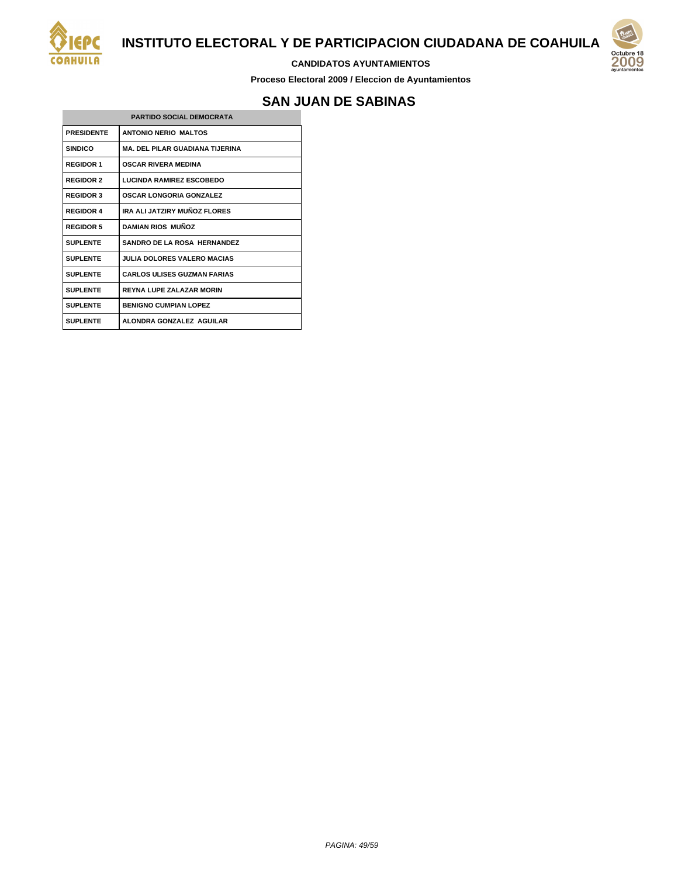

#### **CANDIDATOS AYUNTAMIENTOS**

**Proceso Electoral 2009 / Eleccion de Ayuntamientos**

# **SAN JUAN DE SABINAS**

| <b>PARTIDO SOCIAL DEMOCRATA</b> |                                        |
|---------------------------------|----------------------------------------|
| <b>PRESIDENTE</b>               | <b>ANTONIO NERIO MALTOS</b>            |
| <b>SINDICO</b>                  | <b>MA. DEL PILAR GUADIANA TIJERINA</b> |
| <b>REGIDOR 1</b>                | <b>OSCAR RIVERA MEDINA</b>             |
| <b>REGIDOR 2</b>                | <b>LUCINDA RAMIREZ ESCOBEDO</b>        |
| <b>REGIDOR 3</b>                | <b>OSCAR LONGORIA GONZALEZ</b>         |
| <b>REGIDOR 4</b>                | IRA ALI JATZIRY MUÑOZ FLORES           |
| <b>REGIDOR 5</b>                | <b>DAMIAN RIOS MUÑOZ</b>               |
| <b>SUPLENTE</b>                 | <b>SANDRO DE LA ROSA HERNANDEZ</b>     |
| <b>SUPLENTE</b>                 | JULIA DOLORES VALERO MACIAS            |
| <b>SUPLENTE</b>                 | <b>CARLOS ULISES GUZMAN FARIAS</b>     |
| <b>SUPLENTE</b>                 | <b>REYNA LUPE ZALAZAR MORIN</b>        |
| <b>SUPLENTE</b>                 | <b>BENIGNO CUMPIAN LOPEZ</b>           |
| <b>SUPLENTE</b>                 | ALONDRA GONZALEZ AGUILAR               |

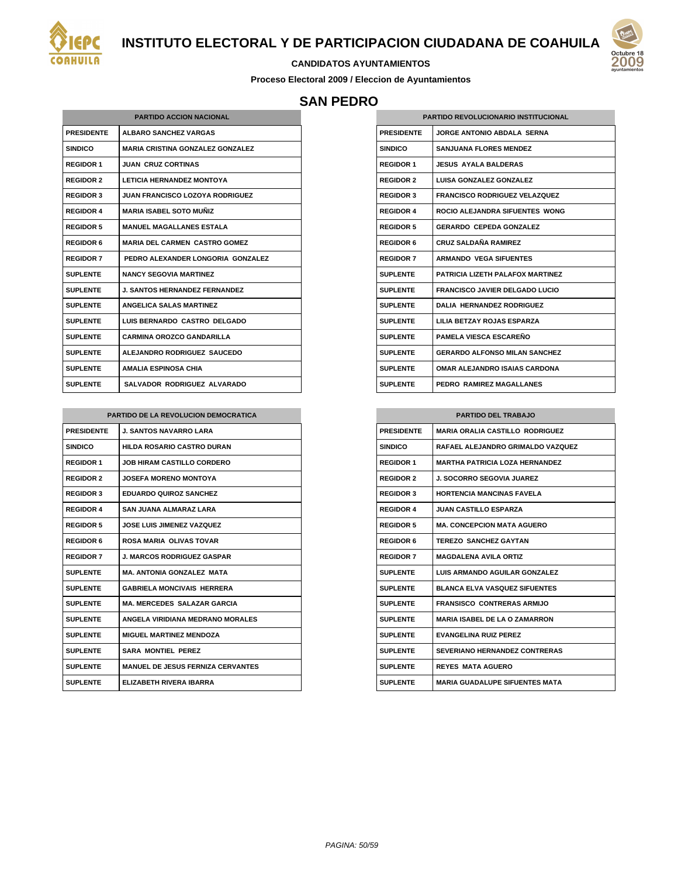



#### **CANDIDATOS AYUNTAMIENTOS**

**Proceso Electoral 2009 / Eleccion de Ayuntamientos**

## **SAN PEDRO**

| <b>PARTIDO ACCION NACIONAL</b> |                                         |
|--------------------------------|-----------------------------------------|
| <b>PRESIDENTE</b>              | <b>ALBARO SANCHEZ VARGAS</b>            |
| <b>SINDICO</b>                 | <b>MARIA CRISTINA GONZALEZ GONZALEZ</b> |
| <b>REGIDOR 1</b>               | <b>JUAN CRUZ CORTINAS</b>               |
| <b>REGIDOR 2</b>               | <b>LETICIA HERNANDEZ MONTOYA</b>        |
| <b>REGIDOR 3</b>               | <b>JUAN FRANCISCO LOZOYA RODRIGUEZ</b>  |
| <b>REGIDOR 4</b>               | <b>MARIA ISABEL SOTO MUÑIZ</b>          |
| <b>REGIDOR 5</b>               | <b>MANUEL MAGALLANES ESTALA</b>         |
| <b>REGIDOR 6</b>               | <b>MARIA DEL CARMEN CASTRO GOMEZ</b>    |
| <b>REGIDOR 7</b>               | PEDRO ALEXANDER LONGORIA GONZALEZ       |
| <b>SUPLENTE</b>                | <b>NANCY SEGOVIA MARTINEZ</b>           |
| <b>SUPLENTE</b>                | <b>J. SANTOS HERNANDEZ FERNANDEZ</b>    |
| <b>SUPLENTE</b>                | <b>ANGELICA SALAS MARTINEZ</b>          |
| <b>SUPLENTE</b>                | LUIS BERNARDO CASTRO DELGADO            |
| <b>SUPLENTE</b>                | <b>CARMINA OROZCO GANDARILLA</b>        |
| <b>SUPLENTE</b>                | ALEJANDRO RODRIGUEZ SAUCEDO             |
| <b>SUPLENTE</b>                | <b>AMALIA ESPINOSA CHIA</b>             |
| <b>SUPLENTE</b>                | SALVADOR RODRIGUEZ ALVARADO             |

| PARTIDO DE LA REVOLUCION DEMOCRATICA |                                          |  |
|--------------------------------------|------------------------------------------|--|
| <b>PRESIDENTE</b>                    | <b>J. SANTOS NAVARRO LARA</b>            |  |
| <b>SINDICO</b>                       | <b>HILDA ROSARIO CASTRO DURAN</b>        |  |
| <b>REGIDOR 1</b>                     | <b>JOB HIRAM CASTILLO CORDERO</b>        |  |
| <b>REGIDOR 2</b>                     | <b>JOSEFA MORENO MONTOYA</b>             |  |
| <b>REGIDOR 3</b>                     | <b>EDUARDO QUIROZ SANCHEZ</b>            |  |
| <b>REGIDOR 4</b>                     | SAN JUANA AI MARAZ I ARA                 |  |
| <b>REGIDOR 5</b>                     | <b>JOSE LUIS JIMENEZ VAZQUEZ</b>         |  |
| <b>REGIDOR 6</b>                     | <b>ROSA MARIA OLIVAS TOVAR</b>           |  |
| <b>REGIDOR 7</b>                     | <b>J. MARCOS RODRIGUEZ GASPAR</b>        |  |
| <b>SUPLENTE</b>                      | <b>MA. ANTONIA GONZALEZ MATA</b>         |  |
| <b>SUPLENTE</b>                      | <b>GABRIELA MONCIVAIS HERRERA</b>        |  |
| <b>SUPLENTE</b>                      | <b>MA. MERCEDES SALAZAR GARCIA</b>       |  |
| <b>SUPLENTE</b>                      | ANGELA VIRIDIANA MEDRANO MORALES         |  |
| <b>SUPLENTE</b>                      | <b>MIGUEL MARTINEZ MENDOZA</b>           |  |
| <b>SUPLENTE</b>                      | <b>SARA MONTIEL PEREZ</b>                |  |
| <b>SUPLENTE</b>                      | <b>MANUEL DE JESUS FERNIZA CERVANTES</b> |  |
| <b>SUPLENTE</b>                      | FI IZARETH RIVERA IBARRA                 |  |

| <b>PARTIDO REVOLUCIONARIO INSTITUCIONAL</b> |                                       |  |
|---------------------------------------------|---------------------------------------|--|
| <b>PRESIDENTE</b>                           | JORGE ANTONIO ARDAI A SERNA           |  |
| <b>SINDICO</b>                              | <b>SANJUANA FLORES MENDEZ</b>         |  |
| <b>REGIDOR 1</b>                            | <b>JESUS AYALA BALDERAS</b>           |  |
| <b>REGIDOR 2</b>                            | LUISA GONZALEZ GONZALEZ               |  |
| <b>REGIDOR 3</b>                            | <b>FRANCISCO RODRIGUEZ VELAZQUEZ</b>  |  |
| <b>REGIDOR 4</b>                            | ROCIO ALEJANDRA SIFUENTES WONG        |  |
| <b>REGIDOR 5</b>                            | <b>GERARDO CEPEDA GONZALEZ</b>        |  |
| <b>REGIDOR 6</b>                            | <b>CRUZ SALDAÑA RAMIREZ</b>           |  |
| <b>REGIDOR 7</b>                            | <b>ARMANDO VEGA SIFUENTES</b>         |  |
| <b>SUPLENTE</b>                             | PATRICIA LIZETH PALAFOX MARTINEZ      |  |
| <b>SUPLENTE</b>                             | <b>FRANCISCO JAVIER DELGADO LUCIO</b> |  |
| <b>SUPLENTE</b>                             | <b>DALIA HERNANDEZ RODRIGUEZ</b>      |  |
| <b>SUPLENTE</b>                             | <b>I II IA BETZAY ROJAS ESPARZA</b>   |  |
| SUPI FNTF                                   | <b>PAMELA VIESCA ESCAREÑO</b>         |  |
| <b>SUPLENTE</b>                             | <b>GERARDO ALFONSO MILAN SANCHEZ</b>  |  |
| <b>SUPLENTE</b>                             | <b>OMAR ALEJANDRO ISAIAS CARDONA</b>  |  |
| <b>SUPLENTE</b>                             | PEDRO RAMIREZ MAGALLANES              |  |

#### **PARTIDO DEL TRABAJO**

| <b>PRESIDENTE</b> | <b>MARIA ORALIA CASTILLO RODRIGUEZ</b> |
|-------------------|----------------------------------------|
| <b>SINDICO</b>    | RAFAEL ALEJANDRO GRIMALDO VAZQUEZ      |
| <b>REGIDOR 1</b>  | <b>MARTHA PATRICIA I OZA HERNANDEZ</b> |
| <b>REGIDOR 2</b>  | <b>J. SOCORRO SEGOVIA JUAREZ</b>       |
| <b>REGIDOR 3</b>  | HORTENCIA MANCINAS FAVEL A             |
| <b>REGIDOR 4</b>  | <b>JUAN CASTILLO ESPARZA</b>           |
| <b>REGIDOR 5</b>  | <b>MA. CONCEPCION MATA AGUERO</b>      |
| <b>REGIDOR 6</b>  | <b>TEREZO SANCHEZ GAYTAN</b>           |
| <b>REGIDOR 7</b>  | <b>MAGDAI FNA AVII A ORTIZ</b>         |
| <b>SUPLENTE</b>   | <b>LUIS ARMANDO AGUILAR GONZALEZ</b>   |
| <b>SUPLENTE</b>   | <b>BLANCA ELVA VASQUEZ SIFUENTES</b>   |
| <b>SUPLENTE</b>   | <b>FRANSISCO CONTRERAS ARMIJO</b>      |
| <b>SUPLENTE</b>   | <b>MARIA ISABEL DE LA O ZAMARRON</b>   |
| <b>SUPLENTE</b>   | <b>EVANGELINA RUIZ PEREZ</b>           |
| <b>SUPLENTE</b>   | <b>SEVERIANO HERNANDEZ CONTRERAS</b>   |
| <b>SUPLENTE</b>   | <b>REYES MATA AGUERO</b>               |
| <b>SUPLENTE</b>   | <b>MARIA GUADALUPE SIFUENTES MATA</b>  |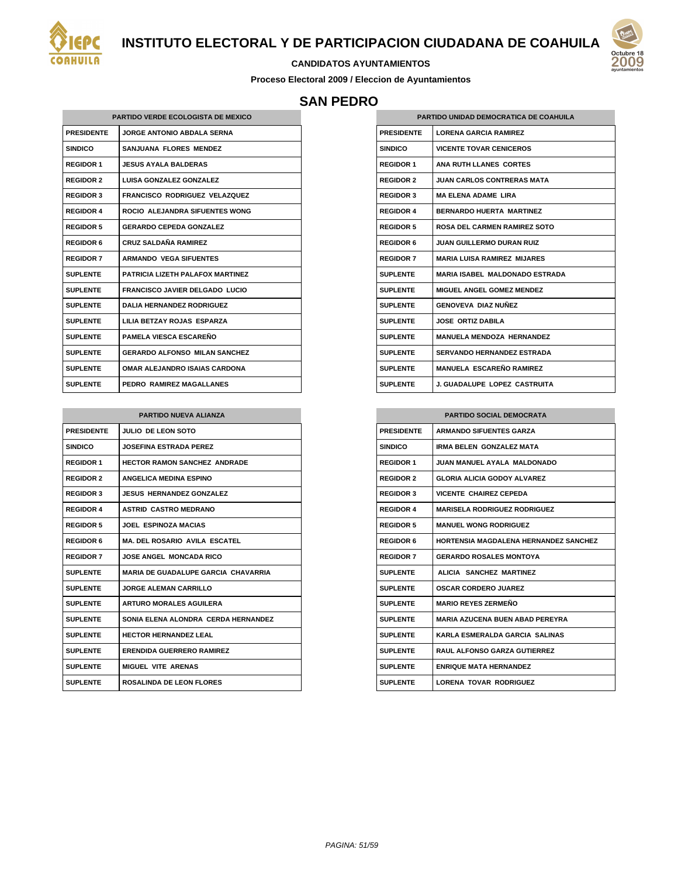

# Octub **200**

#### **CANDIDATOS AYUNTAMIENTOS**

**Proceso Electoral 2009 / Eleccion de Ayuntamientos**

## **SAN PEDRO**

| <b>PARTIDO VERDE ECOLOGISTA DE MEXICO</b> |                                       |  |
|-------------------------------------------|---------------------------------------|--|
| <b>PRESIDENTE</b>                         | <b>JORGE ANTONIO ABDALA SERNA</b>     |  |
| <b>SINDICO</b>                            | SANJUANA FLORES MENDEZ                |  |
| <b>REGIDOR 1</b>                          | <b>JESUS AYALA BALDERAS</b>           |  |
| <b>REGIDOR 2</b>                          | LUISA GONZALEZ GONZALEZ               |  |
| <b>REGIDOR 3</b>                          | <b>FRANCISCO RODRIGUEZ VELAZQUEZ</b>  |  |
| <b>REGIDOR 4</b>                          | ROCIO ALEJANDRA SIFUENTES WONG        |  |
| <b>REGIDOR 5</b>                          | <b>GERARDO CEPEDA GONZALEZ</b>        |  |
| <b>REGIDOR 6</b>                          | <b>CRUZ SALDAÑA RAMIREZ</b>           |  |
| <b>REGIDOR 7</b>                          | <b>ARMANDO VEGA SIFUENTES</b>         |  |
| <b>SUPLENTE</b>                           | PATRICIA I IZETH PAI AFOX MARTINEZ    |  |
| <b>SUPLENTE</b>                           | <b>FRANCISCO JAVIER DELGADO LUCIO</b> |  |
| <b>SUPLENTE</b>                           | <b>DALIA HERNANDEZ RODRIGUEZ</b>      |  |
| <b>SUPLENTE</b>                           | LILIA BETZAY ROJAS ESPARZA            |  |
| <b>SUPLENTE</b>                           | PAMELA VIESCA ESCAREÑO                |  |
| <b>SUPLENTE</b>                           | <b>GERARDO ALFONSO MILAN SANCHEZ</b>  |  |
| <b>SUPLENTE</b>                           | <b>OMAR ALEJANDRO ISAIAS CARDONA</b>  |  |
| <b>SUPLENTE</b>                           | PEDRO RAMIREZ MAGALLANES              |  |

| <b>PARTIDO NUEVA ALIANZA</b> |                                            |  |
|------------------------------|--------------------------------------------|--|
| <b>PRESIDENTE</b>            | JULIO DE LEON SOTO                         |  |
| <b>SINDICO</b>               | <b>JOSEFINA ESTRADA PEREZ</b>              |  |
| <b>REGIDOR 1</b>             | <b>HECTOR RAMON SANCHEZ ANDRADE</b>        |  |
| <b>REGIDOR 2</b>             | <b>ANGELICA MEDINA ESPINO</b>              |  |
| <b>REGIDOR 3</b>             | <b>JESUS HERNANDEZ GONZALEZ</b>            |  |
| <b>REGIDOR 4</b>             | <b>ASTRID CASTRO MEDRANO</b>               |  |
| <b>REGIDOR 5</b>             | <b>JOEL ESPINOZA MACIAS</b>                |  |
| <b>REGIDOR 6</b>             | <b>MA. DEL ROSARIO AVILA ESCATEL</b>       |  |
| <b>REGIDOR 7</b>             | <b>JOSE ANGEL MONCADA RICO</b>             |  |
| <b>SUPLENTE</b>              | <b>MARIA DE GUADALUPE GARCIA CHAVARRIA</b> |  |
| <b>SUPLENTE</b>              | <b>JORGE ALEMAN CARRILLO</b>               |  |
| <b>SUPLENTE</b>              | <b>ARTURO MORALES AGUILERA</b>             |  |
| <b>SUPLENTE</b>              | SONIA ELENA ALONDRA CERDA HERNANDEZ        |  |
| <b>SUPLENTE</b>              | <b>HECTOR HERNANDEZ LEAL</b>               |  |
| <b>SUPLENTE</b>              | <b>ERENDIDA GUERRERO RAMIREZ</b>           |  |
| <b>SUPLENTE</b>              | <b>MIGUEL VITE ARENAS</b>                  |  |
| <b>SUPLENTE</b>              | ROSALINDA DE LEON FLORES                   |  |

| PARTIDO UNIDAD DEMOCRATICA DE COAHUILA |                                       |
|----------------------------------------|---------------------------------------|
| <b>PRESIDENTE</b>                      | <b>I ORENA GARCIA RAMIREZ</b>         |
| <b>SINDICO</b>                         | <b>VICENTE TOVAR CENICEROS</b>        |
| <b>REGIDOR 1</b>                       | ANA RUTH LLANES CORTES                |
| <b>REGIDOR 2</b>                       | <b>JUAN CARLOS CONTRERAS MATA</b>     |
| <b>REGIDOR 3</b>                       | <b>MA FI FNA ADAME I IRA</b>          |
| <b>REGIDOR 4</b>                       | <b>BERNARDO HUERTA MARTINEZ</b>       |
| <b>REGIDOR 5</b>                       | ROSA DEL CARMEN RAMIREZ SOTO          |
| <b>REGIDOR 6</b>                       | <b>JUAN GUILLERMO DURAN RUIZ</b>      |
| <b>REGIDOR 7</b>                       | <b>MARIA LUISA RAMIREZ MIJARES</b>    |
| <b>SUPLENTE</b>                        | <b>MARIA ISABEL MALDONADO ESTRADA</b> |
| <b>SUPLENTE</b>                        | MIGUEL ANGEL GOMEZ MENDEZ             |
| <b>SUPLENTE</b>                        | GENOVEVA DIAZ NUÑEZ                   |
| <b>SUPLENTE</b>                        | <b>JOSE ORTIZ DABILA</b>              |
| <b>SUPLENTE</b>                        | <b>MANUELA MENDOZA HERNANDEZ</b>      |
| <b>SUPLENTE</b>                        | <b>SERVANDO HERNANDEZ ESTRADA</b>     |
| <b>SUPLENTE</b>                        | <b>MANUELA ESCAREÑO RAMIREZ</b>       |
| <b>SUPLENTE</b>                        | J. GUADALUPE LOPEZ CASTRUITA          |

| <b>PARTIDO SOCIAL DEMOCRATA</b> |                                              |
|---------------------------------|----------------------------------------------|
| <b>PRESIDENTE</b>               | <b>ARMANDO SIFUENTES GARZA</b>               |
| <b>SINDICO</b>                  | <b>IRMA BELEN GONZALEZ MATA</b>              |
| <b>REGIDOR 1</b>                | JUAN MANUFI AYALA MALDONADO.                 |
| <b>REGIDOR 2</b>                | <b>GLORIA ALICIA GODOY ALVAREZ</b>           |
| <b>REGIDOR 3</b>                | <b>VICENTE CHAIREZ CEPEDA</b>                |
| <b>REGIDOR 4</b>                | <b>MARISELA RODRIGUEZ RODRIGUEZ</b>          |
| <b>REGIDOR 5</b>                | <b>MANUEL WONG RODRIGUEZ</b>                 |
| <b>REGIDOR 6</b>                | <b>HORTENSIA MAGDALENA HERNANDEZ SANCHEZ</b> |
| <b>REGIDOR 7</b>                | <b>GERARDO ROSALES MONTOYA</b>               |
| <b>SUPLENTE</b>                 | ALICIA SANCHEZ MARTINEZ                      |
| <b>SUPLENTE</b>                 | <b>OSCAR CORDERO JUAREZ</b>                  |
| <b>SUPLENTE</b>                 | <b>MARIO REYES ZERMEÑO</b>                   |
| <b>SUPLENTE</b>                 | <b>MARIA AZUCENA BUEN ABAD PEREYRA</b>       |
| <b>SUPLENTE</b>                 | KARLA ESMERALDA GARCIA SALINAS               |
| <b>SUPLENTE</b>                 | <b>RAUL ALFONSO GARZA GUTIERREZ</b>          |
| <b>SUPLENTE</b>                 | <b>ENRIQUE MATA HERNANDEZ</b>                |
| <b>SUPLENTE</b>                 | LORENA TOVAR RODRIGUEZ                       |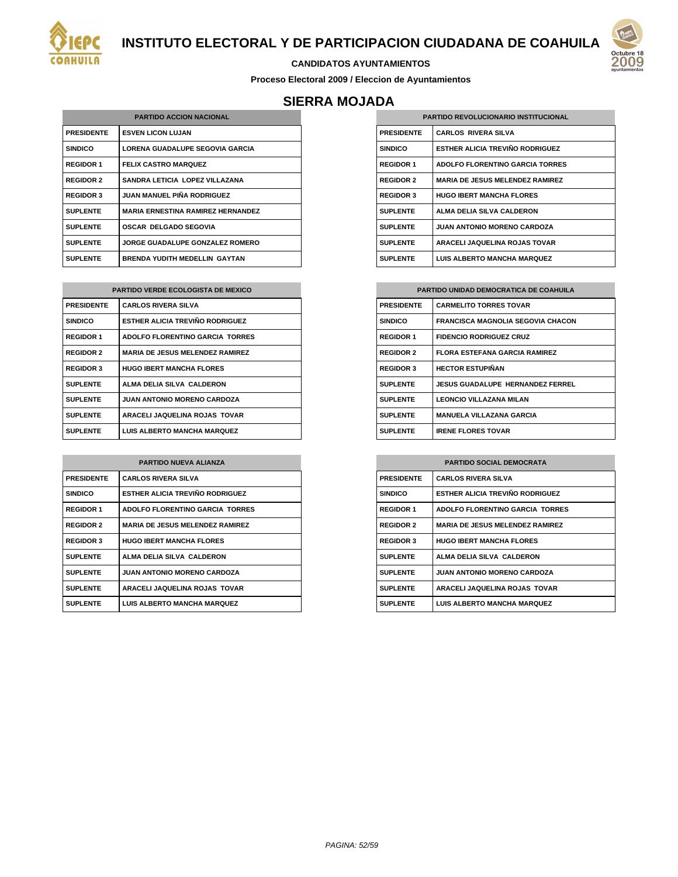

#### **CANDIDATOS AYUNTAMIENTOS**

**Proceso Electoral 2009 / Eleccion de Ayuntamientos**

# **SIERRA MOJADA**

| <b>PARTIDO ACCION NACIONAL</b> |                                          |
|--------------------------------|------------------------------------------|
| <b>PRESIDENTE</b>              | <b>ESVEN LICON LUJAN</b>                 |
| <b>SINDICO</b>                 | LORENA GUADALUPE SEGOVIA GARCIA          |
| <b>REGIDOR 1</b>               | <b>FELIX CASTRO MARQUEZ</b>              |
| <b>REGIDOR 2</b>               | SANDRA LETICIA LOPEZ VILLAZANA           |
| <b>REGIDOR 3</b>               | JUAN MANUEL PIÑA RODRIGUEZ               |
| <b>SUPLENTE</b>                | <b>MARIA ERNESTINA RAMIREZ HERNANDEZ</b> |
| <b>SUPLENTE</b>                | <b>OSCAR DELGADO SEGOVIA</b>             |
| <b>SUPLENTE</b>                | JORGE GUADALUPE GONZALEZ ROMERO          |
| <b>SUPLENTE</b>                | <b>BRENDA YUDITH MEDELLIN GAYTAN</b>     |

| <b>PARTIDO VERDE ECOLOGISTA DE MEXICO</b> |                                        |
|-------------------------------------------|----------------------------------------|
| <b>PRESIDENTE</b>                         | <b>CARLOS RIVERA SILVA</b>             |
| <b>SINDICO</b>                            | <b>ESTHER ALICIA TREVIÑO RODRIGUEZ</b> |
| <b>REGIDOR 1</b>                          | <b>ADOLFO FLORENTINO GARCIA TORRES</b> |
| <b>REGIDOR 2</b>                          | <b>MARIA DE JESUS MELENDEZ RAMIREZ</b> |
| <b>REGIDOR 3</b>                          | <b>HUGO IBERT MANCHA FLORES</b>        |
| <b>SUPLENTE</b>                           | ALMA DELIA SILVA CALDERON              |
| <b>SUPLENTE</b>                           | <b>JUAN ANTONIO MORENO CARDOZA</b>     |
| <b>SUPLENTE</b>                           | ARACELI JAQUELINA ROJAS TOVAR          |
| <b>SUPLENTE</b>                           | <b>LUIS ALBERTO MANCHA MARQUEZ</b>     |

| <b>PARTIDO NUEVA ALIANZA</b> |                                        |
|------------------------------|----------------------------------------|
| <b>PRESIDENTE</b>            | <b>CARLOS RIVERA SILVA</b>             |
| <b>SINDICO</b>               | ESTHER ALICIA TREVIÑO RODRIGUEZ        |
| <b>REGIDOR 1</b>             | <b>ADOLFO FLORENTINO GARCIA TORRES</b> |
| <b>REGIDOR 2</b>             | <b>MARIA DE JESUS MELENDEZ RAMIREZ</b> |
| <b>REGIDOR 3</b>             | <b>HUGO IBERT MANCHA FLORES</b>        |
| <b>SUPLENTE</b>              | ALMA DELIA SILVA CALDERON              |
| <b>SUPLENTE</b>              | <b>JUAN ANTONIO MORENO CARDOZA</b>     |
| <b>SUPLENTE</b>              | ARACELI JAQUELINA ROJAS TOVAR          |
| <b>SUPLENTE</b>              | <b>LUIS ALBERTO MANCHA MARQUEZ</b>     |

| <b>PARTIDO REVOLUCIONARIO INSTITUCIONAL</b> |                                        |
|---------------------------------------------|----------------------------------------|
| <b>PRESIDENTE</b>                           | <b>CARLOS RIVERA SILVA</b>             |
| <b>SINDICO</b>                              | ESTHER ALICIA TREVIÑO RODRIGUEZ        |
| <b>REGIDOR 1</b>                            | <b>ADOLFO FLORENTINO GARCIA TORRES</b> |
| <b>REGIDOR 2</b>                            | <b>MARIA DE JESUS MELENDEZ RAMIREZ</b> |
| <b>REGIDOR 3</b>                            | <b>HUGO IBERT MANCHA FLORES</b>        |
| <b>SUPLENTE</b>                             | ALMA DELIA SILVA CALDERON              |
| <b>SUPLENTE</b>                             | <b>JUAN ANTONIO MORENO CARDOZA</b>     |
| <b>SUPLENTE</b>                             | ARACELI JAQUELINA ROJAS TOVAR          |
| <b>SUPLENTE</b>                             | <b>LUIS ALBERTO MANCHA MARQUEZ</b>     |

| PARTIDO UNIDAD DEMOCRATICA DE COAHUILA |                                          |
|----------------------------------------|------------------------------------------|
| <b>PRESIDENTE</b>                      | <b>CARMELITO TORRES TOVAR</b>            |
| <b>SINDICO</b>                         | <b>FRANCISCA MAGNOLIA SEGOVIA CHACON</b> |
| <b>REGIDOR 1</b>                       | <b>FIDENCIO RODRIGUEZ CRUZ</b>           |
| <b>REGIDOR 2</b>                       | <b>FLORA ESTEFANA GARCIA RAMIREZ</b>     |
| <b>REGIDOR 3</b>                       | <b>HECTOR ESTUPIÑAN</b>                  |
| <b>SUPLENTE</b>                        | JESUS GUADALUPE HERNANDEZ FERREL         |
| <b>SUPLENTE</b>                        | <b>LEONCIO VILLAZANA MILAN</b>           |
| <b>SUPLENTE</b>                        | <b>MANUELA VILLAZANA GARCIA</b>          |
| <b>SUPLENTE</b>                        | <b>IRENE FLORES TOVAR</b>                |

| <b>PARTIDO SOCIAL DEMOCRATA</b> |                                        |
|---------------------------------|----------------------------------------|
| <b>PRESIDENTE</b>               | <b>CARLOS RIVERA SILVA</b>             |
| <b>SINDICO</b>                  | ESTHER ALICIA TREVIÑO RODRIGUEZ        |
| <b>REGIDOR 1</b>                | ADOLFO FLORENTINO GARCIA TORRES        |
| <b>REGIDOR 2</b>                | <b>MARIA DE JESUS MELENDEZ RAMIREZ</b> |
| <b>REGIDOR 3</b>                | <b>HUGO IBERT MANCHA FLORES</b>        |
| <b>SUPLENTE</b>                 | ALMA DELIA SILVA CALDERON              |
| <b>SUPLENTE</b>                 | <b>JUAN ANTONIO MORENO CARDOZA</b>     |
| <b>SUPLENTE</b>                 | ARACELI JAQUELINA ROJAS TOVAR          |
| <b>SUPLENTE</b>                 | <b>LUIS ALBERTO MANCHA MARQUEZ</b>     |

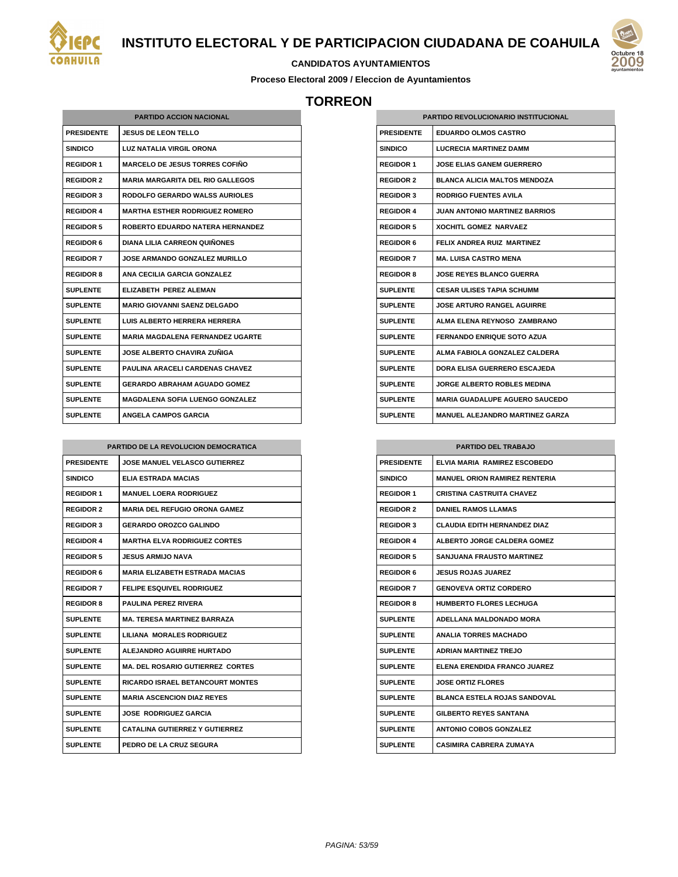



#### **CANDIDATOS AYUNTAMIENTOS**

**Proceso Electoral 2009 / Eleccion de Ayuntamientos**

## **TORREON**

| <b>PARTIDO ACCION NACIONAL</b> |                                         |  |
|--------------------------------|-----------------------------------------|--|
| <b>PRESIDENTE</b>              | <b>JESUS DE LEON TELLO</b>              |  |
| <b>SINDICO</b>                 | LUZ NATALIA VIRGIL ORONA                |  |
| <b>REGIDOR 1</b>               | <b>MARCELO DE JESUS TORRES COFIÑO</b>   |  |
| <b>REGIDOR 2</b>               | MARIA MARGARITA DEL RIO GALLEGOS        |  |
| <b>REGIDOR 3</b>               | <b>RODOLFO GERARDO WALSS AURIOLES</b>   |  |
| <b>REGIDOR 4</b>               | <b>MARTHA ESTHER RODRIGUEZ ROMERO</b>   |  |
| <b>REGIDOR 5</b>               | ROBERTO EDUARDO NATERA HERNANDEZ        |  |
| <b>REGIDOR 6</b>               | <b>DIANA LILIA CARREON QUIÑONES</b>     |  |
| <b>REGIDOR 7</b>               | <b>JOSE ARMANDO GONZALEZ MURILLO</b>    |  |
| <b>REGIDOR 8</b>               | ANA CECILIA GARCIA GONZALEZ             |  |
| <b>SUPLENTE</b>                | ELIZABETH PEREZ ALEMAN                  |  |
| SUPLENTE                       | MARIO GIOVANNI SAENZ DELGADO            |  |
| SUPLENTE                       | LUIS ALBERTO HERRERA HERRERA            |  |
| <b>SUPLENTE</b>                | <b>MARIA MAGDALENA FERNANDEZ UGARTE</b> |  |
| <b>SUPLENTE</b>                | JOSE ALBERTO CHAVIRA ZUÑIGA             |  |
| <b>SUPLENTE</b>                | PAULINA ARACELI CARDENAS CHAVEZ         |  |
| <b>SUPLENTE</b>                | <b>GERARDO ABRAHAM AGUADO GOMEZ</b>     |  |
| <b>SUPLENTE</b>                | <b>MAGDALENA SOFIA LUENGO GONZALEZ</b>  |  |
| <b>SUPLENTE</b>                | ANGELA CAMPOS GARCIA                    |  |

| PARTIDO DE LA REVOLUCION DEMOCRATICA |                                         |
|--------------------------------------|-----------------------------------------|
| <b>PRESIDENTE</b>                    | <b>JOSE MANUEL VELASCO GUTIERREZ</b>    |
| <b>SINDICO</b>                       | <b>ELIA ESTRADA MACIAS</b>              |
| <b>REGIDOR 1</b>                     | <b>MANUEL LOERA RODRIGUEZ</b>           |
| <b>REGIDOR 2</b>                     | <b>MARIA DEL REFUGIO ORONA GAMEZ</b>    |
| <b>REGIDOR 3</b>                     | <b>GERARDO OROZCO GALINDO</b>           |
| <b>REGIDOR 4</b>                     | <b>MARTHA ELVA RODRIGUEZ CORTES</b>     |
| <b>REGIDOR 5</b>                     | JESUS ARMIJO NAVA                       |
| <b>REGIDOR 6</b>                     | <b>MARIA ELIZABETH ESTRADA MACIAS</b>   |
| <b>REGIDOR 7</b>                     | <b>FELIPE ESQUIVEL RODRIGUEZ</b>        |
| <b>REGIDOR 8</b>                     | <b>PAULINA PEREZ RIVERA</b>             |
| <b>SUPLENTE</b>                      | <b>MA. TERESA MARTINEZ BARRAZA</b>      |
| <b>SUPLENTE</b>                      | LILIANA MORALES RODRIGUEZ               |
| <b>SUPLENTE</b>                      | <b>ALEJANDRO AGUIRRE HURTADO</b>        |
| <b>SUPLENTE</b>                      | <b>MA. DEL ROSARIO GUTIERREZ CORTES</b> |
| <b>SUPLENTE</b>                      | <b>RICARDO ISRAEL BETANCOURT MONTES</b> |
| <b>SUPLENTE</b>                      | <b>MARIA ASCENCION DIAZ REYES</b>       |
| <b>SUPLENTE</b>                      | <b>JOSE RODRIGUEZ GARCIA</b>            |
| SUPLENTE                             | <b>CATALINA GUTIERREZ Y GUTIERREZ</b>   |
| <b>SUPLENTE</b>                      | PEDRO DE LA CRUZ SEGURA                 |

| <b>PARTIDO REVOLUCIONARIO INSTITUCIONAL</b> |                                        |
|---------------------------------------------|----------------------------------------|
| <b>PRESIDENTE</b>                           | <b>EDUARDO OLMOS CASTRO</b>            |
| SINDICO                                     | <b>LUCRECIA MARTINEZ DAMM</b>          |
| <b>REGIDOR 1</b>                            | <b>JOSE ELIAS GANEM GUERRERO</b>       |
| <b>REGIDOR 2</b>                            | <b>BLANCA ALICIA MALTOS MENDOZA</b>    |
| <b>REGIDOR 3</b>                            | <b>RODRIGO FUENTES AVILA</b>           |
| <b>REGIDOR 4</b>                            | <b>JUAN ANTONIO MARTINEZ BARRIOS</b>   |
| <b>REGIDOR 5</b>                            | <b>XOCHITL GOMEZ NARVAEZ</b>           |
| <b>REGIDOR 6</b>                            | FELIX ANDREA RUIZ MARTINEZ             |
| <b>REGIDOR 7</b>                            | <b>MA. LUISA CASTRO MENA</b>           |
| <b>REGIDOR 8</b>                            | <b>JOSE REYES BLANCO GUERRA</b>        |
| SUPLENTE                                    | <b>CESAR ULISES TAPIA SCHUMM</b>       |
| SUPLENTE                                    | <b>JOSE ARTURO RANGEL AGUIRRE</b>      |
| SUPLENTE                                    | ALMA ELENA REYNOSO ZAMBRANO            |
| SUPI ENTE                                   | <b>FERNANDO ENRIQUE SOTO AZUA</b>      |
| SUPLENTE                                    | ALMA FABIOLA GONZALEZ CALDERA          |
| SUPLENTE                                    | DORA ELISA GUERRERO ESCAJEDA           |
| <b>SUPLENTE</b>                             | <b>JORGE ALBERTO ROBLES MEDINA</b>     |
| <b>SUPLENTE</b>                             | <b>MARIA GUADALUPE AGUERO SAUCEDO</b>  |
| <b>SUPLENTE</b>                             | <b>MANUEL ALEJANDRO MARTINEZ GARZA</b> |

| <b>PARTIDO DEL TRABAJO</b> |                                      |
|----------------------------|--------------------------------------|
| <b>PRESIDENTE</b>          | ELVIA MARIA RAMIREZ ESCOBEDO         |
| <b>SINDICO</b>             | <b>MANUEL ORION RAMIREZ RENTERIA</b> |
| <b>REGIDOR 1</b>           | CRISTINA CASTRUITA CHAVEZ            |
| <b>REGIDOR 2</b>           | <b>DANIEL RAMOS LLAMAS</b>           |
| <b>REGIDOR 3</b>           | <b>CLAUDIA EDITH HERNANDEZ DIAZ</b>  |
| <b>REGIDOR 4</b>           | <b>ALBERTO JORGE CALDERA GOMEZ</b>   |
| <b>REGIDOR 5</b>           | <b>SANJUANA FRAUSTO MARTINEZ</b>     |
| <b>REGIDOR 6</b>           | <b>JESUS ROJAS JUAREZ</b>            |
| <b>REGIDOR 7</b>           | <b>GENOVEVA ORTIZ CORDERO</b>        |
| <b>REGIDOR 8</b>           | <b>HUMBERTO FLORES LECHUGA</b>       |
| <b>SUPLENTE</b>            | ADELLANA MALDONADO MORA              |
| <b>SUPLENTE</b>            | <b>ANALIA TORRES MACHADO</b>         |
| <b>SUPLENTE</b>            | <b>ADRIAN MARTINEZ TREJO</b>         |
| <b>SUPLENTE</b>            | ELENA ERENDIDA FRANCO JUAREZ         |
| <b>SUPLENTE</b>            | <b>JOSE ORTIZ FLORES</b>             |
| <b>SUPLENTE</b>            | <b>BLANCA ESTELA ROJAS SANDOVAL</b>  |
| <b>SUPLENTE</b>            | <b>GILBERTO REYES SANTANA</b>        |
| <b>SUPLENTE</b>            | <b>ANTONIO COBOS GONZALEZ</b>        |
| <b>SUPLENTE</b>            | <b>CASIMIRA CABRERA ZUMAYA</b>       |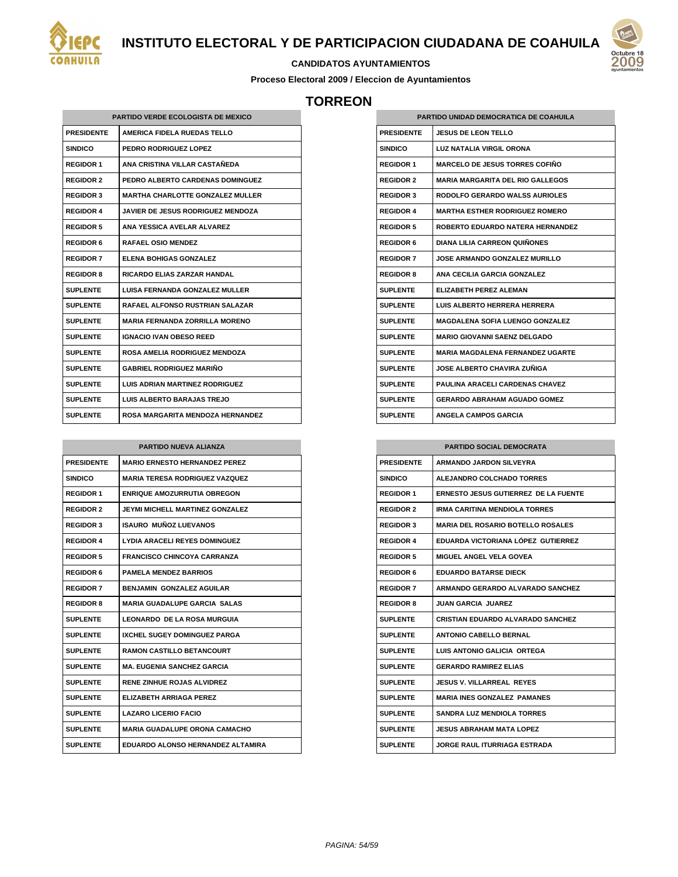

#### **CANDIDATOS AYUNTAMIENTOS**

**Proceso Electoral 2009 / Eleccion de Ayuntamientos**

## **TORREON**

|                   | <b>PARTIDO VERDE ECOLOGISTA DE MEXICO</b> |
|-------------------|-------------------------------------------|
| <b>PRESIDENTE</b> | <b>AMERICA FIDELA RUEDAS TELLO</b>        |
| <b>SINDICO</b>    | <b>PEDRO RODRIGUEZ LOPEZ</b>              |
| <b>REGIDOR 1</b>  | ANA CRISTINA VILLAR CASTAÑEDA             |
| <b>REGIDOR 2</b>  | PEDRO ALBERTO CARDENAS DOMINGUEZ          |
| <b>REGIDOR 3</b>  | <b>MARTHA CHARLOTTE GONZALEZ MULLER</b>   |
| <b>REGIDOR 4</b>  | <b>JAVIER DE JESUS RODRIGUEZ MENDOZA</b>  |
| <b>REGIDOR 5</b>  | ANA YESSICA AVELAR ALVAREZ                |
| <b>REGIDOR 6</b>  | <b>RAFAEL OSIO MENDEZ</b>                 |
| <b>REGIDOR 7</b>  | <b>ELENA BOHIGAS GONZALEZ</b>             |
| <b>REGIDOR 8</b>  | <b>RICARDO ELIAS ZARZAR HANDAL</b>        |
| <b>SUPLENTE</b>   | LUISA FERNANDA GONZALEZ MULLER            |
| <b>SUPLENTE</b>   | <b>RAFAEL ALFONSO RUSTRIAN SALAZAR</b>    |
| <b>SUPLENTE</b>   | <b>MARIA FERNANDA ZORRILLA MORENO</b>     |
| <b>SUPLENTE</b>   | <b>IGNACIO IVAN OBESO REED</b>            |
| <b>SUPLENTE</b>   | ROSA AMELIA RODRIGUEZ MENDOZA             |
| <b>SUPLENTE</b>   | <b>GABRIEL RODRIGUEZ MARIÑO</b>           |
| <b>SUPLENTE</b>   | <b>LUIS ADRIAN MARTINEZ RODRIGUEZ</b>     |
| <b>SUPLENTE</b>   | LUIS ALBERTO BARAJAS TREJO                |
| <b>SUPLENTE</b>   | <b>ROSA MARGARITA MENDOZA HERNANDEZ</b>   |

| <b>PARTIDO NUEVA ALIANZA</b> |                                       |
|------------------------------|---------------------------------------|
| <b>PRESIDENTE</b>            | <b>MARIO ERNESTO HERNANDEZ PEREZ</b>  |
| <b>SINDICO</b>               | <b>MARIA TERESA RODRIGUEZ VAZQUEZ</b> |
| <b>REGIDOR 1</b>             | <b>ENRIQUE AMOZURRUTIA OBREGON</b>    |
| <b>REGIDOR 2</b>             | JEYMI MICHELL MARTINEZ GONZALEZ       |
| <b>REGIDOR 3</b>             | ISAURO MUÑOZ I UFVANOS                |
| <b>REGIDOR 4</b>             | LYDIA ARACELI REYES DOMINGUEZ         |
| <b>REGIDOR 5</b>             | FRANCISCO CHINCOYA CARRANZA           |
| <b>REGIDOR 6</b>             | <b>PAMELA MENDEZ BARRIOS</b>          |
| <b>REGIDOR 7</b>             | <b>BENJAMIN GONZALEZ AGUILAR</b>      |
| <b>REGIDOR 8</b>             | <b>MARIA GUADALUPE GARCIA SALAS</b>   |
| <b>SUPLENTE</b>              | <b>LEONARDO DE LA ROSA MURGUIA</b>    |
| <b>SUPLENTE</b>              | IXCHEL SUGEY DOMINGUEZ PARGA          |
| <b>SUPLENTE</b>              | <b>RAMON CASTILLO BETANCOURT</b>      |
| <b>SUPLENTE</b>              | <b>MA. EUGENIA SANCHEZ GARCIA</b>     |
| <b>SUPLENTE</b>              | <b>RENE ZINHUE ROJAS ALVIDREZ</b>     |
| <b>SUPLENTE</b>              | ELIZABETH ARRIAGA PEREZ               |
| <b>SUPLENTE</b>              | <b>LAZARO LICERIO FACIO</b>           |
| <b>SUPLENTE</b>              | <b>MARIA GUADALUPE ORONA CAMACHO</b>  |
| <b>SUPLENTE</b>              | EDUARDO ALONSO HERNANDEZ ALTAMIRA     |

| PARTIDO UNIDAD DEMOCRATICA DE COAHUILA |                                          |
|----------------------------------------|------------------------------------------|
| <b>PRESIDENTE</b>                      | <b>JESUS DE LEON TELLO</b>               |
| SINDICO                                | <b>LUZ NATALIA VIRGIL ORONA</b>          |
| <b>REGIDOR 1</b>                       | <b>MARCELO DE JESUS TORRES COFIÑO</b>    |
| <b>REGIDOR 2</b>                       | <b>MARIA MARGARITA DEL RIO GALLEGOS</b>  |
| <b>REGIDOR 3</b>                       | <b>RODOLFO GERARDO WALSS AURIOLES</b>    |
| <b>REGIDOR 4</b>                       | <b>MARTHA ESTHER RODRIGUEZ ROMERO</b>    |
| <b>REGIDOR 5</b>                       | <b>ROBERTO EDUARDO NATERA HERNANDEZ</b>  |
| <b>REGIDOR 6</b>                       | <b>DIANA LILIA CARREON QUIÑONES</b>      |
| <b>REGIDOR 7</b>                       | JOSE ARMANDO GONZALEZ MURILLO            |
| <b>REGIDOR 8</b>                       | ANA CECILIA GARCIA GONZALEZ              |
| SUPLENTE                               | ELIZABETH PEREZ ALEMAN                   |
| <b>SUPLENTE</b>                        | I UIS AI BERTO HERRERA HERRERA           |
| SUPLENTE                               | MAGDALENA SOFIA LUENGO GONZALEZ          |
| <b>SUPLENTE</b>                        | <b>MARIO GIOVANNI SAENZ DELGADO</b>      |
| SUPI ENTE                              | <b>MARIA MAGDAI FNA FFRNANDFZ UGARTF</b> |
| <b>SUPLENTE</b>                        | <b>JOSE ALBERTO CHAVIRA ZUÑIGA</b>       |
| SUPLENTE                               | <b>PAULINA ARACELI CARDENAS CHAVEZ</b>   |
| SUPLENTE                               | GERARDO ABRAHAM AGUADO GOMEZ             |
| <b>SUPLENTE</b>                        | <b>ANGELA CAMPOS GARCIA</b>              |

| <b>PARTIDO SOCIAL DEMOCRATA</b> |                                           |
|---------------------------------|-------------------------------------------|
| <b>PRESIDENTE</b>               | <b>ARMANDO JARDON SILVEYRA</b>            |
| <b>SINDICO</b>                  | <b>ALEJANDRO COLCHADO TORRES</b>          |
| <b>REGIDOR 1</b>                | ERNESTO JESUS GUTIERREZ DE LA FUENTE      |
| <b>REGIDOR 2</b>                | <b>IRMA CARITINA MENDIOLA TORRES</b>      |
| <b>REGIDOR 3</b>                | <b>MARIA DEL ROSARIO BOTELLO ROSALES</b>  |
| <b>REGIDOR 4</b>                | EDUARDA VICTORIANA LÓPEZ GUTIERREZ        |
| <b>REGIDOR 5</b>                | <b>MIGUEL ANGEL VELA GOVEA</b>            |
| <b>REGIDOR 6</b>                | <b>EDUARDO BATARSE DIECK</b>              |
| <b>REGIDOR 7</b>                | ARMANDO GERARDO ALVARADO SANCHEZ          |
| <b>REGIDOR 8</b>                | JUAN GARCIA JUAREZ                        |
| <b>SUPLENTE</b>                 | <b>CRISTIAN FDUARDO AI VARADO SANCHEZ</b> |
| <b>SUPLENTE</b>                 | ANTONIO CARELLO BERNAL                    |
| <b>SUPLENTE</b>                 | LUIS ANTONIO GALICIA ORTEGA               |
| <b>SUPLENTE</b>                 | <b>GERARDO RAMIREZ ELIAS</b>              |
| <b>SUPLENTE</b>                 | <b>JESUS V. VILLARREAL REYES</b>          |
| <b>SUPLENTE</b>                 | <b>MARIA INES GONZALEZ PAMANES</b>        |
| <b>SUPLENTE</b>                 | <b>SANDRA LUZ MENDIOLA TORRES</b>         |
| <b>SUPLENTE</b>                 | JESUS ABRAHAM MATA LOPEZ                  |
| <b>SUPLENTE</b>                 | <b>JORGE RAUL ITURRIAGA ESTRADA</b>       |

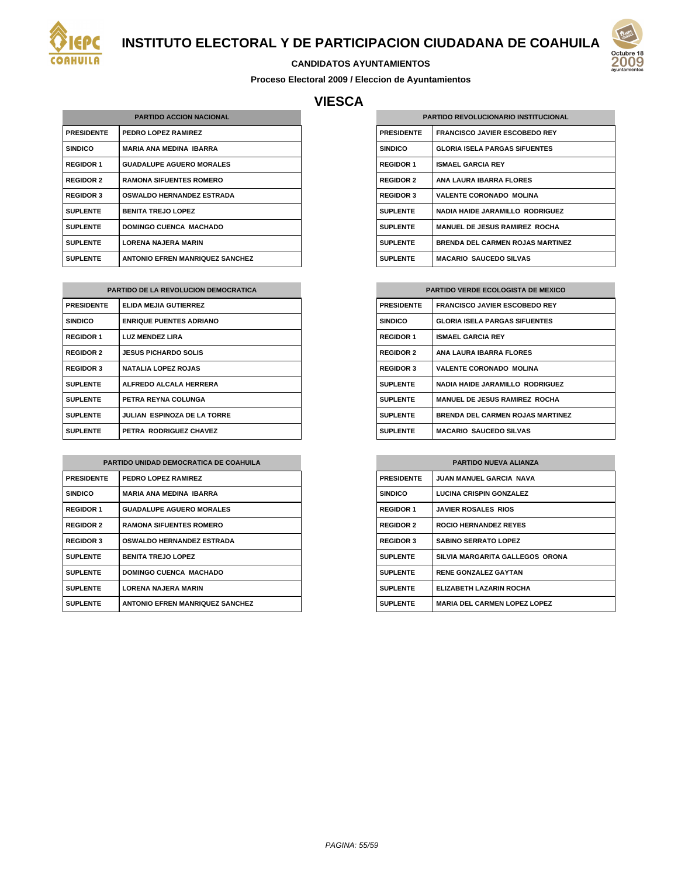

#### **CANDIDATOS AYUNTAMIENTOS**

**Proceso Electoral 2009 / Eleccion de Ayuntamientos**

## **VIESCA**

| <b>PARTIDO ACCION NACIONAL</b> |                                        |
|--------------------------------|----------------------------------------|
| <b>PRESIDENTE</b>              | PEDRO LOPEZ RAMIREZ                    |
| <b>SINDICO</b>                 | <b>MARIA ANA MEDINA IBARRA</b>         |
| <b>REGIDOR 1</b>               | <b>GUADALUPE AGUERO MORALES</b>        |
| <b>REGIDOR 2</b>               | <b>RAMONA SIFUENTES ROMERO</b>         |
| <b>REGIDOR 3</b>               | <b>OSWALDO HERNANDEZ ESTRADA</b>       |
| <b>SUPLENTE</b>                | <b>BENITA TREJO LOPEZ</b>              |
| <b>SUPLENTE</b>                | <b>DOMINGO CUENCA MACHADO</b>          |
| <b>SUPLENTE</b>                | <b>LORENA NAJERA MARIN</b>             |
| <b>SUPLENTE</b>                | <b>ANTONIO EFREN MANRIQUEZ SANCHEZ</b> |

| <b>PARTIDO DE LA REVOLUCION DEMOCRATICA</b> |                                |
|---------------------------------------------|--------------------------------|
| <b>PRESIDENTE</b>                           | ELIDA MEJIA GUTIERREZ          |
| <b>SINDICO</b>                              | <b>ENRIQUE PUENTES ADRIANO</b> |
| <b>REGIDOR 1</b>                            | <b>LUZ MENDEZ LIRA</b>         |
| <b>REGIDOR 2</b>                            | <b>JESUS PICHARDO SOLIS</b>    |
| <b>REGIDOR 3</b>                            | <b>NATALIA LOPEZ ROJAS</b>     |
| <b>SUPLENTE</b>                             | ALFREDO ALCALA HERRERA         |
| <b>SUPLENTE</b>                             | PETRA REYNA COLUNGA            |
| <b>SUPLENTE</b>                             | JULIAN ESPINOZA DE LA TORRE    |
| <b>SUPLENTE</b>                             | PETRA RODRIGUEZ CHAVEZ         |

| PARTIDO UNIDAD DEMOCRATICA DE COAHUILA |                                        |
|----------------------------------------|----------------------------------------|
| <b>PRESIDENTE</b>                      | PEDRO LOPEZ RAMIREZ                    |
| <b>SINDICO</b>                         | <b>MARIA ANA MEDINA IBARRA</b>         |
| <b>REGIDOR 1</b>                       | <b>GUADALUPE AGUERO MORALES</b>        |
| <b>REGIDOR 2</b>                       | <b>RAMONA SIFUENTES ROMERO</b>         |
| <b>REGIDOR 3</b>                       | <b>OSWALDO HERNANDEZ ESTRADA</b>       |
| <b>SUPLENTE</b>                        | <b>BENITA TREJO LOPEZ</b>              |
| <b>SUPLENTE</b>                        | <b>DOMINGO CUENCA MACHADO</b>          |
| <b>SUPLENTE</b>                        | <b>LORENA NAJERA MARIN</b>             |
| <b>SUPLENTE</b>                        | <b>ANTONIO EFREN MANRIQUEZ SANCHEZ</b> |

| <b>PARTIDO REVOLUCIONARIO INSTITUCIONAL</b> |                                         |
|---------------------------------------------|-----------------------------------------|
| <b>PRESIDENTE</b>                           | <b>FRANCISCO JAVIER ESCOBEDO REY</b>    |
| <b>SINDICO</b>                              | <b>GLORIA ISELA PARGAS SIFUENTES</b>    |
| <b>REGIDOR 1</b>                            | <b>ISMAEL GARCIA REY</b>                |
| <b>REGIDOR 2</b>                            | ANA I AURA IBARRA FI ORES               |
| <b>REGIDOR 3</b>                            | <b>VALENTE CORONADO MOLINA</b>          |
| <b>SUPLENTE</b>                             | <b>NADIA HAIDE JARAMILLO RODRIGUEZ</b>  |
| <b>SUPLENTE</b>                             | <b>MANUEL DE JESUS RAMIREZ ROCHA</b>    |
| <b>SUPLENTE</b>                             | <b>BRENDA DEL CARMEN ROJAS MARTINEZ</b> |
| <b>SUPLENTE</b>                             | <b>MACARIO SAUCEDO SILVAS</b>           |

| <b>PARTIDO VERDE ECOLOGISTA DE MEXICO</b> |                                         |
|-------------------------------------------|-----------------------------------------|
| <b>PRESIDENTE</b>                         | <b>FRANCISCO JAVIER ESCOBEDO REY</b>    |
| <b>SINDICO</b>                            | <b>GLORIA ISELA PARGAS SIFUENTES</b>    |
| <b>REGIDOR 1</b>                          | <b>ISMAEL GARCIA REY</b>                |
| <b>REGIDOR 2</b>                          | <b>ANA LAURA IBARRA FLORES</b>          |
| <b>REGIDOR 3</b>                          | <b>VALENTE CORONADO MOLINA</b>          |
| <b>SUPLENTE</b>                           | <b>NADIA HAIDE JARAMILLO RODRIGUEZ</b>  |
| <b>SUPLENTE</b>                           | <b>MANUEL DE JESUS RAMIREZ ROCHA</b>    |
| <b>SUPLENTE</b>                           | <b>BRENDA DEL CARMEN ROJAS MARTINEZ</b> |
| <b>SUPLENTE</b>                           | <b>MACARIO SAUCEDO SILVAS</b>           |

| <b>PARTIDO NUEVA ALIANZA</b> |                                     |
|------------------------------|-------------------------------------|
| <b>PRESIDENTE</b>            | <b>JUAN MANUEL GARCIA NAVA</b>      |
| <b>SINDICO</b>               | <b>LUCINA CRISPIN GONZALEZ</b>      |
| <b>REGIDOR 1</b>             | <b>JAVIER ROSALES RIOS</b>          |
| <b>REGIDOR 2</b>             | <b>ROCIO HERNANDEZ REYES</b>        |
| <b>REGIDOR 3</b>             | <b>SABINO SERRATO LOPEZ</b>         |
| <b>SUPLENTE</b>              | SILVIA MARGARITA GALLEGOS ORONA     |
| <b>SUPLENTE</b>              | <b>RENE GONZALEZ GAYTAN</b>         |
| <b>SUPLENTE</b>              | ELIZABETH LAZARIN ROCHA             |
| <b>SUPLENTE</b>              | <b>MARIA DEL CARMEN LOPEZ LOPEZ</b> |

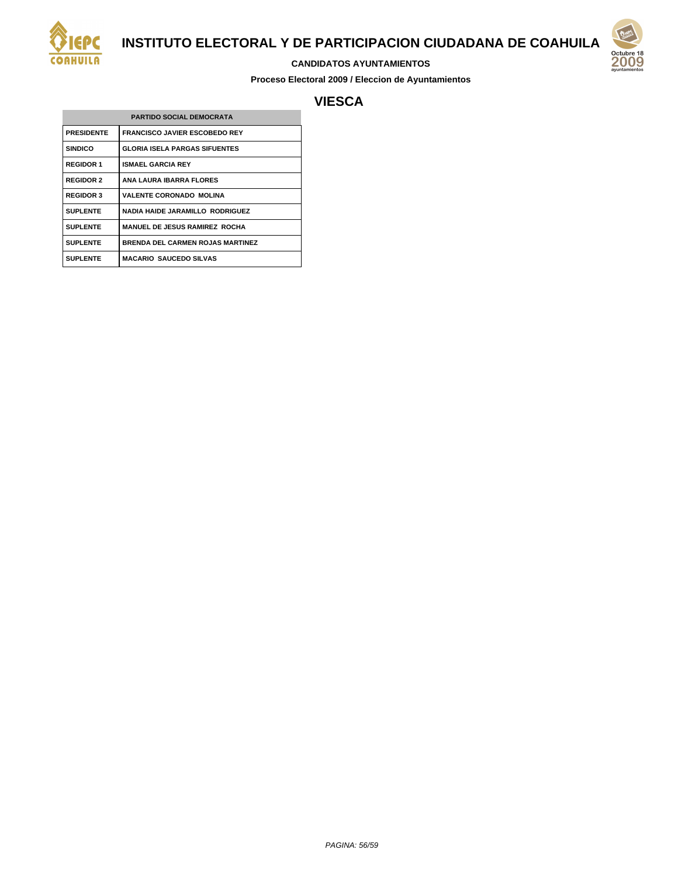

#### **CANDIDATOS AYUNTAMIENTOS**

**Proceso Electoral 2009 / Eleccion de Ayuntamientos**



## **VIESCA**

| <b>PARTIDO SOCIAL DEMOCRATA</b> |                                         |
|---------------------------------|-----------------------------------------|
| <b>PRESIDENTE</b>               | <b>FRANCISCO JAVIER ESCOBEDO REY</b>    |
| <b>SINDICO</b>                  | <b>GLORIA ISELA PARGAS SIFUENTES</b>    |
| <b>REGIDOR 1</b>                | <b>ISMAEL GARCIA REY</b>                |
| <b>REGIDOR 2</b>                | ANA LAURA IBARRA FLORES                 |
| <b>REGIDOR 3</b>                | <b>VALENTE CORONADO MOLINA</b>          |
| <b>SUPLENTE</b>                 | <b>NADIA HAIDE JARAMILLO RODRIGUEZ</b>  |
| <b>SUPLENTE</b>                 | <b>MANUEL DE JESUS RAMIREZ ROCHA</b>    |
| <b>SUPLENTE</b>                 | <b>BRENDA DEL CARMEN ROJAS MARTINEZ</b> |
| <b>SUPLENTE</b>                 | <b>MACARIO SAUCEDO SILVAS</b>           |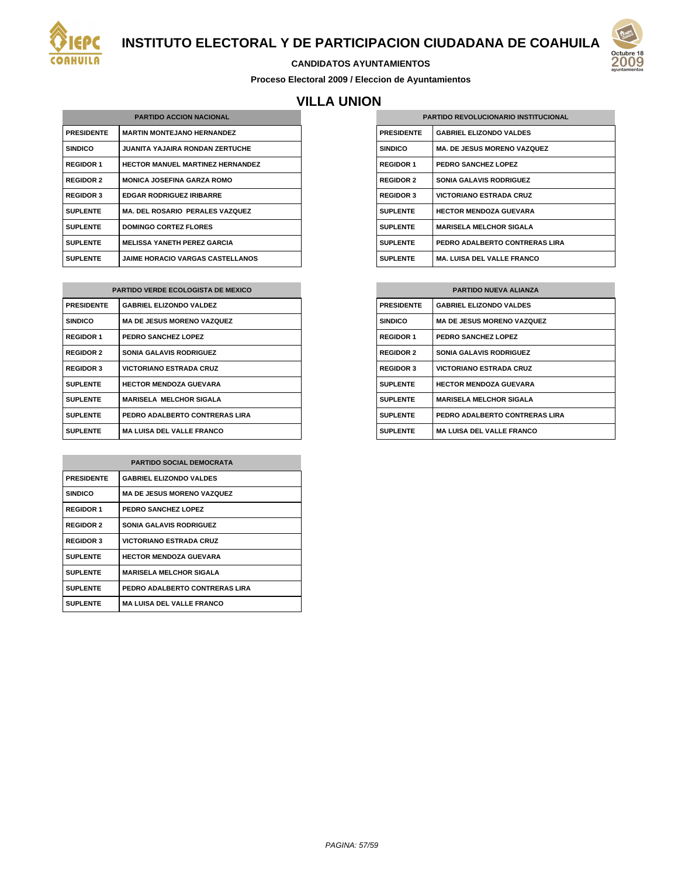

#### **CANDIDATOS AYUNTAMIENTOS**

**Proceso Electoral 2009 / Eleccion de Ayuntamientos**

# **VILLA UNION**

| <b>PARTIDO ACCION NACIONAL</b> |                                         |
|--------------------------------|-----------------------------------------|
| <b>PRESIDENTE</b>              | <b>MARTIN MONTEJANO HERNANDEZ</b>       |
| <b>SINDICO</b>                 | <b>JUANITA YAJAIRA RONDAN ZERTUCHE</b>  |
| <b>REGIDOR 1</b>               | <b>HECTOR MANUEL MARTINEZ HERNANDEZ</b> |
| <b>REGIDOR 2</b>               | <b>MONICA JOSEFINA GARZA ROMO</b>       |
| <b>REGIDOR 3</b>               | <b>EDGAR RODRIGUEZ IRIBARRE</b>         |
| <b>SUPLENTE</b>                | MA. DEL ROSARIO PERALES VAZQUEZ         |
| <b>SUPLENTE</b>                | <b>DOMINGO CORTEZ FLORES</b>            |
| <b>SUPLENTE</b>                | <b>MELISSA YANETH PEREZ GARCIA</b>      |
| <b>SUPLENTE</b>                | <b>JAIME HORACIO VARGAS CASTELLANOS</b> |

| <b>PARTIDO VERDE ECOLOGISTA DE MEXICO</b> |                                   |
|-------------------------------------------|-----------------------------------|
| <b>PRESIDENTE</b>                         | <b>GABRIEL ELIZONDO VALDEZ</b>    |
| <b>SINDICO</b>                            | <b>MA DE JESUS MORENO VAZQUEZ</b> |
| <b>REGIDOR 1</b>                          | PEDRO SANCHEZ LOPEZ               |
| <b>REGIDOR 2</b>                          | <b>SONIA GALAVIS RODRIGUEZ</b>    |
| <b>REGIDOR 3</b>                          | <b>VICTORIANO ESTRADA CRUZ</b>    |
| <b>SUPLENTE</b>                           | <b>HECTOR MENDOZA GUEVARA</b>     |
| <b>SUPLENTE</b>                           | <b>MARISELA MELCHOR SIGALA</b>    |
| <b>SUPLENTE</b>                           | PEDRO ADALBERTO CONTRERAS LIRA    |
| <b>SUPLENTE</b>                           | <b>MA LUISA DEL VALLE FRANCO</b>  |

| <b>PARTIDO SOCIAL DEMOCRATA</b> |                                   |
|---------------------------------|-----------------------------------|
| <b>PRESIDENTE</b>               | <b>GABRIEL ELIZONDO VALDES</b>    |
| <b>SINDICO</b>                  | <b>MA DE JESUS MORENO VAZQUEZ</b> |
| <b>REGIDOR 1</b>                | PEDRO SANCHEZ LOPEZ               |
| <b>REGIDOR 2</b>                | <b>SONIA GALAVIS RODRIGUEZ</b>    |
| <b>REGIDOR 3</b>                | <b>VICTORIANO ESTRADA CRUZ</b>    |
| <b>SUPLENTE</b>                 | <b>HECTOR MENDOZA GUEVARA</b>     |
| <b>SUPLENTE</b>                 | <b>MARISELA MELCHOR SIGALA</b>    |
| <b>SUPLENTE</b>                 | PEDRO ADALBERTO CONTRERAS LIRA    |
| <b>SUPLENTE</b>                 | <b>MA LUISA DEL VALLE FRANCO</b>  |

| <b>PARTIDO REVOLUCIONARIO INSTITUCIONAL</b> |                                    |
|---------------------------------------------|------------------------------------|
| <b>PRESIDENTE</b>                           | <b>GABRIEL ELIZONDO VALDES</b>     |
| <b>SINDICO</b>                              | <b>MA. DE JESUS MORENO VAZQUEZ</b> |
| <b>REGIDOR 1</b>                            | PEDRO SANCHEZ LOPEZ                |
| <b>REGIDOR 2</b>                            | <b>SONIA GALAVIS RODRIGUEZ</b>     |
| <b>REGIDOR 3</b>                            | <b>VICTORIANO ESTRADA CRUZ</b>     |
| <b>SUPLENTE</b>                             | <b>HECTOR MENDOZA GUEVARA</b>      |
| <b>SUPLENTE</b>                             | <b>MARISELA MELCHOR SIGALA</b>     |
| <b>SUPLENTE</b>                             | PEDRO ADALBERTO CONTRERAS LIRA     |
| <b>SUPLENTE</b>                             | <b>MA. LUISA DEL VALLE FRANCO</b>  |

| <b>PARTIDO NUEVA ALIANZA</b> |                                   |
|------------------------------|-----------------------------------|
| <b>PRESIDENTE</b>            | <b>GABRIEL ELIZONDO VALDES</b>    |
| <b>SINDICO</b>               | <b>MA DE JESUS MORENO VAZQUEZ</b> |
| <b>REGIDOR 1</b>             | PEDRO SANCHEZ LOPEZ               |
| <b>REGIDOR 2</b>             | <b>SONIA GALAVIS RODRIGUEZ</b>    |
| <b>REGIDOR 3</b>             | <b>VICTORIANO ESTRADA CRUZ</b>    |
| <b>SUPLENTE</b>              | <b>HECTOR MENDOZA GUEVARA</b>     |
| <b>SUPLENTE</b>              | <b>MARISELA MELCHOR SIGALA</b>    |
| <b>SUPLENTE</b>              | PEDRO ADALBERTO CONTRERAS LIRA    |
| <b>SUPLENTE</b>              | <b>MA LUISA DEL VALLE FRANCO</b>  |

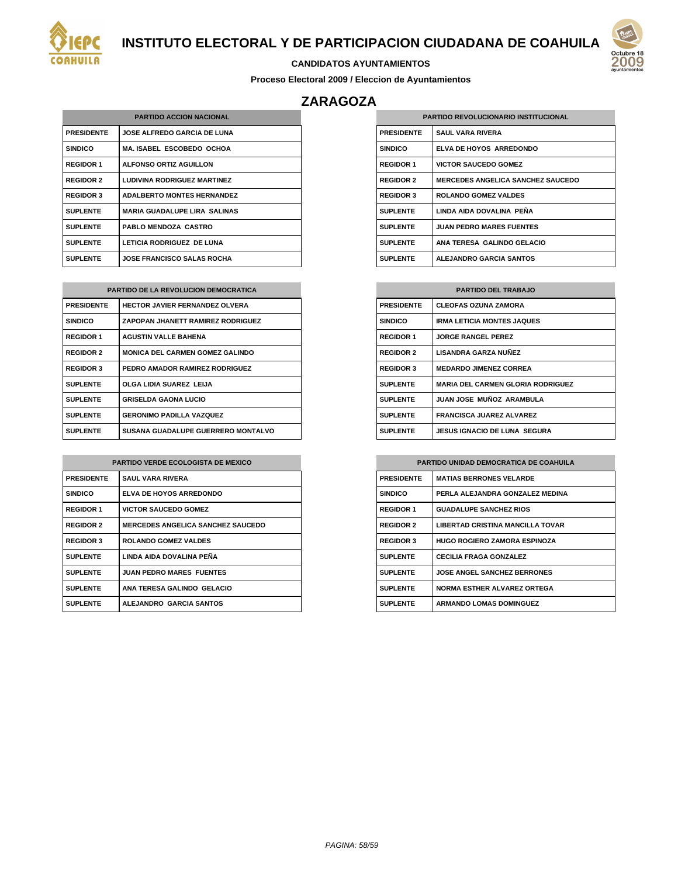



#### **CANDIDATOS AYUNTAMIENTOS**

**Proceso Electoral 2009 / Eleccion de Ayuntamientos**

## **ZARAGOZA**

| <b>PARTIDO ACCION NACIONAL</b> |                                     |
|--------------------------------|-------------------------------------|
| <b>PRESIDENTE</b>              | <b>JOSE ALFREDO GARCIA DE LUNA</b>  |
| <b>SINDICO</b>                 | <b>MA. ISABEL ESCOBEDO OCHOA</b>    |
| <b>REGIDOR 1</b>               | <b>ALFONSO ORTIZ AGUILLON</b>       |
| <b>REGIDOR 2</b>               | <b>LUDIVINA RODRIGUEZ MARTINEZ</b>  |
| <b>REGIDOR 3</b>               | <b>ADALBERTO MONTES HERNANDEZ</b>   |
| <b>SUPLENTE</b>                | <b>MARIA GUADALUPE LIRA SALINAS</b> |
| <b>SUPLENTE</b>                | <b>PABLO MENDOZA CASTRO</b>         |
| <b>SUPLENTE</b>                | LETICIA RODRIGUEZ DE LUNA           |
| <b>SUPLENTE</b>                | <b>JOSE FRANCISCO SALAS ROCHA</b>   |

| <b>PARTIDO DE LA REVOLUCION DEMOCRATICA</b> |                                          |
|---------------------------------------------|------------------------------------------|
| <b>PRESIDENTE</b>                           | <b>HECTOR JAVIER FERNANDEZ OLVERA</b>    |
| <b>SINDICO</b>                              | <b>ZAPOPAN JHANETT RAMIREZ RODRIGUEZ</b> |
| <b>REGIDOR 1</b>                            | <b>AGUSTIN VALLE BAHENA</b>              |
| <b>REGIDOR 2</b>                            | <b>MONICA DEL CARMEN GOMEZ GALINDO</b>   |
| <b>REGIDOR 3</b>                            | PEDRO AMADOR RAMIREZ RODRIGUEZ           |
| <b>SUPLENTE</b>                             | OLGA LIDIA SUAREZ LEIJA                  |
| <b>SUPLENTE</b>                             | <b>GRISELDA GAONA LUCIO</b>              |
| <b>SUPLENTE</b>                             | <b>GERONIMO PADILLA VAZQUEZ</b>          |
| <b>SUPLENTE</b>                             | SUSANA GUADALUPE GUERRERO MONTALVO       |

| <b>PARTIDO VERDE ECOLOGISTA DE MEXICO</b> |                                          |
|-------------------------------------------|------------------------------------------|
| <b>PRESIDENTE</b>                         | <b>SAUL VARA RIVERA</b>                  |
| <b>SINDICO</b>                            | ELVA DE HOYOS ARREDONDO                  |
| <b>REGIDOR 1</b>                          | <b>VICTOR SAUCEDO GOMEZ</b>              |
| <b>REGIDOR 2</b>                          | <b>MERCEDES ANGELICA SANCHEZ SAUCEDO</b> |
| <b>REGIDOR 3</b>                          | <b>ROLANDO GOMEZ VALDES</b>              |
| <b>SUPLENTE</b>                           | LINDA AIDA DOVALINA PEÑA                 |
| <b>SUPLENTE</b>                           | <b>JUAN PEDRO MARES FUENTES</b>          |
| <b>SUPLENTE</b>                           | ANA TERESA GALINDO GELACIO               |
| <b>SUPLENTE</b>                           | <b>ALEJANDRO GARCIA SANTOS</b>           |

| <b>PARTIDO REVOLUCIONARIO INSTITUCIONAL</b> |                                          |
|---------------------------------------------|------------------------------------------|
| <b>PRESIDENTE</b>                           | <b>SAUL VARA RIVERA</b>                  |
| <b>SINDICO</b>                              | ELVA DE HOYOS ARREDONDO                  |
| <b>REGIDOR 1</b>                            | <b>VICTOR SAUCEDO GOMEZ</b>              |
| <b>REGIDOR 2</b>                            | <b>MERCEDES ANGELICA SANCHEZ SAUCEDO</b> |
| <b>REGIDOR 3</b>                            | <b>ROLANDO GOMEZ VALDES</b>              |
| <b>SUPLENTE</b>                             | LINDA AIDA DOVALINA PEÑA                 |
| <b>SUPLENTE</b>                             | <b>JUAN PEDRO MARES FUENTES</b>          |
| <b>SUPLENTE</b>                             | ANA TERESA GALINDO GELACIO               |
| <b>SUPLENTE</b>                             | <b>ALEJANDRO GARCIA SANTOS</b>           |

| <b>PARTIDO DEL TRABAJO</b> |                                          |
|----------------------------|------------------------------------------|
| <b>PRESIDENTE</b>          | <b>CLEOFAS OZUNA ZAMORA</b>              |
| <b>SINDICO</b>             | <b>IRMA LETICIA MONTES JAQUES</b>        |
| <b>REGIDOR 1</b>           | <b>JORGE RANGEL PEREZ</b>                |
| <b>REGIDOR 2</b>           | LISANDRA GARZA NUÑEZ                     |
| <b>REGIDOR 3</b>           | <b>MEDARDO JIMENEZ CORREA</b>            |
| <b>SUPLENTE</b>            | <b>MARIA DEL CARMEN GLORIA RODRIGUEZ</b> |
| <b>SUPLENTE</b>            | JUAN JOSE MUÑOZ ARAMBULA                 |
| <b>SUPLENTE</b>            | <b>FRANCISCA JUAREZ ALVAREZ</b>          |
| <b>SUPLENTE</b>            | JESUS IGNACIO DE LUNA SEGURA             |

| <b>PARTIDO UNIDAD DEMOCRATICA DE COAHUILA</b> |                                         |
|-----------------------------------------------|-----------------------------------------|
| <b>PRESIDENTE</b>                             | <b>MATIAS BERRONES VELARDE</b>          |
| <b>SINDICO</b>                                | PERLA ALEJANDRA GONZALEZ MEDINA         |
| <b>REGIDOR 1</b>                              | <b>GUADALUPE SANCHEZ RIOS</b>           |
| <b>REGIDOR 2</b>                              | <b>LIBERTAD CRISTINA MANCILLA TOVAR</b> |
| <b>REGIDOR 3</b>                              | <b>HUGO ROGIERO ZAMORA ESPINOZA</b>     |
| <b>SUPLENTE</b>                               | <b>CECILIA FRAGA GONZALEZ</b>           |
| <b>SUPLENTE</b>                               | <b>JOSE ANGEL SANCHEZ BERRONES</b>      |
| <b>SUPLENTE</b>                               | <b>NORMA ESTHER ALVAREZ ORTEGA</b>      |
| <b>SUPLENTE</b>                               | <b>ARMANDO LOMAS DOMINGUEZ</b>          |